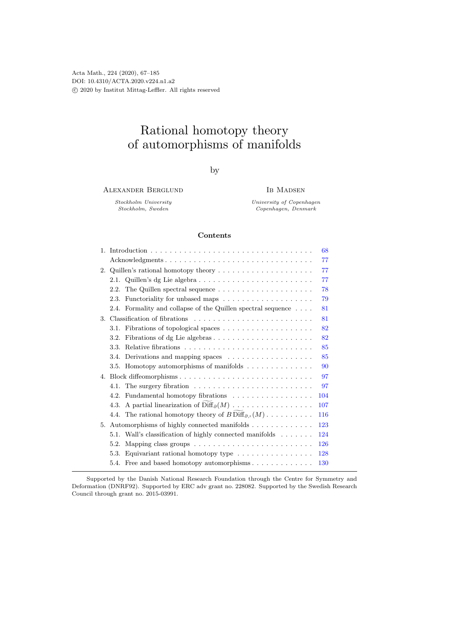# Rational homotopy theory of automorphisms of manifolds

by

Alexander Berglund

IB MADSEN

Stockholm University Stockholm, Sweden

University of Copenhagen Copenhagen, Denmark

# Contents

|    |                                                                                 | 68  |
|----|---------------------------------------------------------------------------------|-----|
|    | Acknowledgments                                                                 | 77  |
|    | 2. Quillen's rational homotopy theory                                           | 77  |
|    | 2.1. Quillen's dg Lie algebra                                                   | 77  |
|    | 2.2. The Quillen spectral sequence $\dots \dots \dots \dots \dots \dots \dots$  | 78  |
|    |                                                                                 | 79  |
|    | 2.4. Formality and collapse of the Quillen spectral sequence                    | 81  |
|    |                                                                                 | 81  |
|    | 3.1. Fibrations of topological spaces                                           | 82  |
|    | 3.2.                                                                            | 82  |
|    | 3.3.                                                                            | 85  |
|    | 3.4. Derivations and mapping spaces                                             | 85  |
|    | 3.5. Homotopy automorphisms of manifolds                                        | 90  |
|    |                                                                                 | 97  |
|    |                                                                                 | 97  |
|    | 4.2. Fundamental homotopy fibrations                                            | 104 |
|    | 4.3.                                                                            | 107 |
|    | 4.4. The rational homotopy theory of $B\operatorname{Diff}_{\partial,\circ}(M)$ | 116 |
| 5. | Automorphisms of highly connected manifolds                                     | 123 |
|    | 5.1. Wall's classification of highly connected manifolds                        | 124 |
|    | 5.2.                                                                            | 126 |
|    | Equivariant rational homotopy type<br>5.3.                                      | 128 |
|    | 5.4. Free and based homotopy automorphisms                                      | 130 |

Supported by the Danish National Research Foundation through the Centre for Symmetry and Deformation (DNRF92). Supported by ERC adv grant no. 228082. Supported by the Swedish Research Council through grant no. 2015-03991.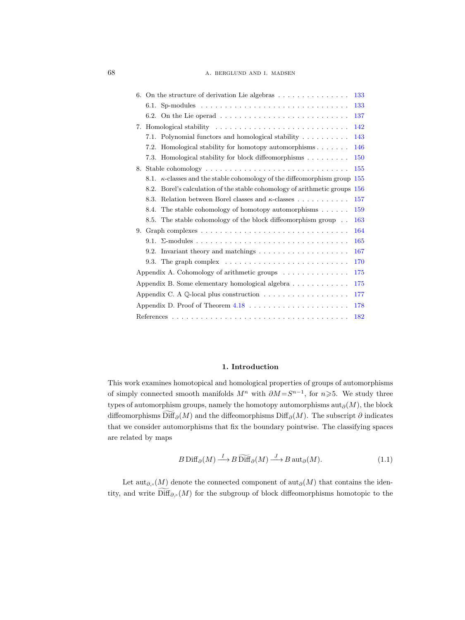| 6. On the structure of derivation Lie algebras $\dots \dots \dots \dots \dots$          | 133        |
|-----------------------------------------------------------------------------------------|------------|
|                                                                                         | 133        |
| 6.2. On the Lie operad $\ldots \ldots \ldots \ldots \ldots \ldots \ldots \ldots \ldots$ | 137        |
| 7.                                                                                      | 142        |
| Polynomial functors and homological stability<br>7.1.                                   | 143        |
| Homological stability for homotopy automorphisms<br>7.2.                                | 146        |
| Homological stability for block diffeomorphisms<br>7.3.                                 | <b>150</b> |
| 8.                                                                                      | 155        |
| 8.1. $\kappa$ -classes and the stable cohomology of the diffeomorphism group<br>155     |            |
| Borel's calculation of the stable cohomology of arithmetic groups<br><b>156</b><br>8.2. |            |
| Relation between Borel classes and $\kappa$ -classes<br>8.3.                            | 157        |
| The stable cohomology of homotopy automorphisms $\dots \dots$<br>8.4.                   | 159        |
| 8.5. The stable cohomology of the block diffeomorphism group                            | 163        |
| 9.                                                                                      | 164        |
|                                                                                         | 165        |
| Invariant theory and matchings $\dots \dots \dots \dots \dots \dots \dots$<br>9.2.      | 167        |
|                                                                                         | 170        |
| Appendix A. Cohomology of arithmetic groups                                             | 175        |
| Appendix B. Some elementary homological algebra                                         | 175        |
|                                                                                         | 177        |
|                                                                                         | 178        |
|                                                                                         | 182        |

## 1. Introduction

<span id="page-1-0"></span>This work examines homotopical and homological properties of groups of automorphisms of simply connected smooth manifolds  $M^n$  with  $\partial M = S^{n-1}$ , for  $n \geq 5$ . We study three types of automorphism groups, namely the homotopy automorphisms  $\text{aut}_{\partial}(M)$ , the block diffeomorphisms Diff<sub>∂</sub> $(M)$  and the diffeomorphisms Diff<sub>∂</sub> $(M)$ . The subscript ∂ indicates that we consider automorphisms that fix the boundary pointwise. The classifying spaces are related by maps

<span id="page-1-1"></span>
$$
B\operatorname{Diff}_{\partial}(M) \xrightarrow{I} B\widetilde{\operatorname{Diff}}_{\partial}(M) \xrightarrow{J} B\operatorname{aut}_{\partial}(M).
$$
 (1.1)

Let aut<sub>∂,</sub> $(M)$  denote the connected component of aut<sub>∂</sub> $(M)$  that contains the identity, and write  $\text{Diff}_{\partial,\circ}(M)$  for the subgroup of block diffeomorphisms homotopic to the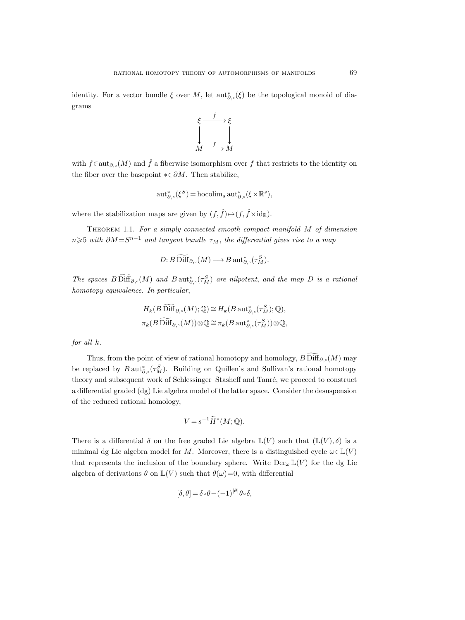identity. For a vector bundle  $\xi$  over  $M$ , let  $\mathrm{aut}_{\partial,\circ}^*(\xi)$  be the topological monoid of diagrams



with  $f \in \text{aut}_{\partial}$ , $(M)$  and  $\hat{f}$  a fiberwise isomorphism over f that restricts to the identity on the fiber over the basepoint  $* \in \partial M$ . Then stabilize,

$$
\operatorname{aut}_{\partial,\circ}^*(\xi^S)=\operatorname{hocolim}_s \operatorname{aut}_{\partial,\circ}^*(\xi\times\mathbb{R}^s),
$$

where the stabilization maps are given by  $(f, \hat{f}) {\mapsto} (f, \hat{f} {\times} \mathrm{id}_\mathbb{R}).$ 

THEOREM 1.1. For a simply connected smooth compact manifold  $M$  of dimension  $n \geqslant 5$  with  $\partial M \!=\! S^{n-1}$  and tangent bundle  $\tau_M$ , the differential gives rise to a map

$$
D: B\widetilde{\mathrm{Diff}}_{\partial,\circ}(M) \longrightarrow B\operatorname{aut}^*_{\partial,\circ}(\tau^S_M).
$$

The spaces  $B\text{Diff}_{\partial,\circ}(M)$  and  $B\text{aut}_{\partial,\circ}^*(\tau_M^S)$  are nilpotent, and the map D is a rational homotopy equivalence. In particular,

$$
H_k(B\ \widetilde{\text{Diff}}_{\partial,\circ}(M); \mathbb{Q}) \cong H_k(B\ \text{aut}_{\partial,\circ}^*(\tau_M^S); \mathbb{Q}),
$$
  

$$
\pi_k(B\ \widetilde{\text{Diff}}_{\partial,\circ}(M)) \otimes \mathbb{Q} \cong \pi_k(B\ \text{aut}_{\partial,\circ}^*(\tau_M^S)) \otimes \mathbb{Q},
$$

for all k.

Thus, from the point of view of rational homotopy and homology,  $B$  Diff $_{\partial_{\alpha} \circ}(M)$  may be replaced by  $B \text{aut}_{\partial,\circ}^*(\tau_M^S)$ . Building on Quillen's and Sullivan's rational homotopy theory and subsequent work of Schlessinger–Stasheff and Tanré, we proceed to construct a differential graded (dg) Lie algebra model of the latter space. Consider the desuspension of the reduced rational homology,

$$
V = s^{-1} \widetilde{H}^*(M; \mathbb{Q}).
$$

There is a differential  $\delta$  on the free graded Lie algebra  $\mathbb{L}(V)$  such that  $(\mathbb{L}(V), \delta)$  is a minimal dg Lie algebra model for M. Moreover, there is a distinguished cycle  $\omega \in \mathbb{L}(V)$ that represents the inclusion of the boundary sphere. Write  $\text{Der}_{\omega} \mathbb{L}(V)$  for the dg Lie algebra of derivations  $\theta$  on  $\mathbb{L}(V)$  such that  $\theta(\omega)=0$ , with differential

$$
[\delta, \theta] = \delta \circ \theta - (-1)^{|\theta|} \theta \circ \delta,
$$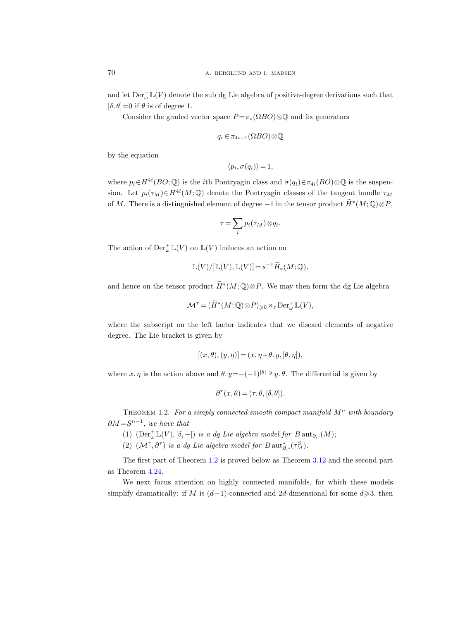and let  $\mathrm{Der}^+_{\omega}\mathbb{L}(V)$  denote the sub dg Lie algebra of positive-degree derivations such that  $[\delta, \theta] = 0$  if  $\theta$  is of degree 1.

Consider the graded vector space  $P = \pi_*(\Omega BO) \otimes \mathbb{Q}$  and fix generators

$$
q_i \in \pi_{4i-1}(\Omega BO) \otimes \mathbb{Q}
$$

by the equation

$$
\langle p_i, \sigma(q_i) \rangle = 1,
$$

where  $p_i \in H^{4i}(BO; \mathbb{Q})$  is the *i*th Pontryagin class and  $\sigma(q_i) \in \pi_{4i}(BO) \otimes \mathbb{Q}$  is the suspension. Let  $p_i(\tau_M) \in H^{4i}(M; \mathbb{Q})$  denote the Pontryagin classes of the tangent bundle  $\tau_M$ of M. There is a distinguished element of degree  $-1$  in the tensor product  $\widetilde{H}^*(M; \mathbb{Q}) \otimes P$ ,

$$
\tau = \sum_i p_i(\tau_M) \otimes q_i.
$$

The action of  $\mathrm{Der}_{\omega}^{\dagger} \mathbb{L}(V)$  on  $\mathbb{L}(V)$  induces an action on

$$
\mathbb{L}(V)/[\mathbb{L}(V), \mathbb{L}(V)] = s^{-1} \widetilde{H}_*(M; \mathbb{Q}),
$$

and hence on the tensor product  $\widetilde{H}^*(M; \mathbb{Q}) \otimes P$ . We may then form the dg Lie algebra

$$
\mathcal{M}^{\tau} = (\widetilde{H}^*(M; \mathbb{Q}) \otimes P)_{\geqslant 0} \rtimes_{\tau} \mathrm{Der}_{\omega}^{\perp} \mathbb{L}(V),
$$

where the subscript on the left factor indicates that we discard elements of negative degree. The Lie bracket is given by

$$
[(x, \theta), (y, \eta)] = (x, \eta + \theta, y, [\theta, \eta]),
$$

where x.  $\eta$  is the action above and  $\theta$ .  $y=-(-1)^{|\theta||y|}y$ .  $\theta$ . The differential is given by

$$
\partial^{\tau}(x,\theta) = (\tau, \theta, [\delta, \theta]).
$$

<span id="page-3-0"></span>THEOREM 1.2. For a simply connected smooth compact manifold  $M^n$  with boundary  $\partial M = S^{n-1}$ , we have that

- <span id="page-3-1"></span>(1)  $(\text{Der}_{\omega}^+ \mathbb{L}(V), [\delta, -])$  is a dg Lie algebra model for  $B$  aut<sub> $\partial_{\gamma} (M)$ </sub>;
- (2)  $(\mathcal{M}^{\tau}, \partial^{\tau})$  is a dg Lie algebra model for  $B$  aut<sub> $\partial_{\tau} \circ (\tau_M^S)$ </sub>.

The first part of Theorem [1.2](#page-3-0) is proved below as Theorem [3.12](#page-28-0) and the second part as Theorem [4.24.](#page-55-0)

We next focus attention on highly connected manifolds, for which these models simplify dramatically: if M is  $(d-1)$ -connected and 2d-dimensional for some  $d \ge 3$ , then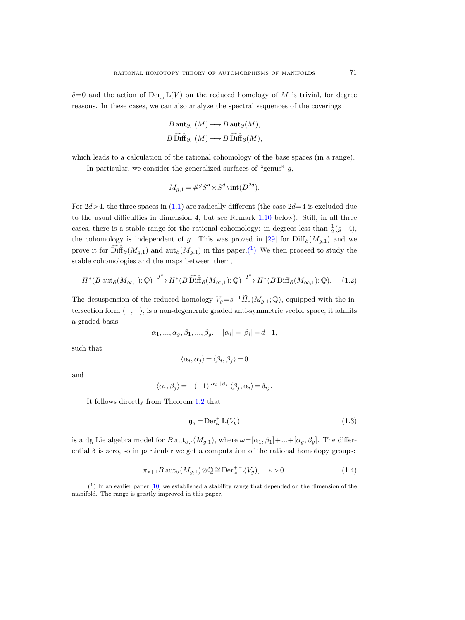$\delta=0$  and the action of  $\mathrm{Der}^{\perp}_{\omega}\mathbb{L}(V)$  on the reduced homology of M is trivial, for degree reasons. In these cases, we can also analyze the spectral sequences of the coverings

$$
B \operatorname{aut}_{\partial,\circ}(M) \longrightarrow B \operatorname{aut}_{\partial}(M),
$$
  

$$
B \widetilde{\operatorname{Diff}}_{\partial,\circ}(M) \longrightarrow B \widetilde{\operatorname{Diff}}_{\partial}(M),
$$

which leads to a calculation of the rational cohomology of the base spaces (in a range).

In particular, we consider the generalized surfaces of "genus"  $q$ ,

$$
M_{g,1} = \#^g S^d \times S^d \setminus \text{int}(D^{2d}).
$$

For  $2d > 4$ , the three spaces in  $(1.1)$  are radically different (the case  $2d=4$  is excluded due to the usual difficulties in dimension 4, but see Remark [1.10](#page-9-1) below). Still, in all three cases, there is a stable range for the rational cohomology: in degrees less than  $\frac{1}{2}(g-4)$ , the cohomology is independent of g. This was proved in [\[29\]](#page-116-0) for  $\text{Diff}_{\partial}(M_{q,1})$  and we prove it for  $\text{Diff}_{\partial}(M_{g,1})$  and  $\text{aut}_{\partial}(M_{g,1})$  in this paper.<sup>(1</sup>) We then proceed to study the stable cohomologies and the maps between them,

$$
H^*(B\operatorname{aut}_{\partial}(M_{\infty,1});\mathbb{Q}) \xrightarrow{J^*} H^*(B\widetilde{\operatorname{Diff}}_{\partial}(M_{\infty,1});\mathbb{Q}) \xrightarrow{I^*} H^*(B\operatorname{Diff}_{\partial}(M_{\infty,1});\mathbb{Q}).\tag{1.2}
$$

The desuspension of the reduced homology  $V_g = s^{-1} \widetilde{H}_*(M_{g,1}; \mathbb{Q})$ , equipped with the intersection form  $\langle -, - \rangle$ , is a non-degenerate graded anti-symmetric vector space; it admits a graded basis

$$
\alpha_1, ..., \alpha_g, \beta_1, ..., \beta_g, \quad |\alpha_i| = |\beta_i| = d - 1,
$$

such that

$$
\langle \alpha_i, \alpha_j \rangle = \langle \beta_i, \beta_j \rangle = 0
$$

and

$$
\langle \alpha_i, \beta_j \rangle = -(-1)^{|\alpha_i| \, |\beta_j|} \langle \beta_j, \alpha_i \rangle = \delta_{ij}.
$$

It follows directly from Theorem [1.2](#page-3-1) that

$$
\mathfrak{g}_g = \mathrm{Der}_{\omega}^+ \mathbb{L}(V_g) \tag{1.3}
$$

is a dg Lie algebra model for  $B$  aut<sub> $\partial_{\gamma}$ </sub> $(M_{g,1}),$  where  $\omega=[\alpha_1,\beta_1]+\dots+[\alpha_g,\beta_g].$  The differential  $\delta$  is zero, so in particular we get a computation of the rational homotopy groups:

<span id="page-4-1"></span>
$$
\pi_{*+1}B \operatorname{aut}_{\partial}(M_{g,1}) \otimes \mathbb{Q} \cong \operatorname{Der}_{\omega}^{+} \mathbb{L}(V_g), \quad * > 0. \tag{1.4}
$$

<span id="page-4-0"></span> $(1)$  In an earlier paper [\[10\]](#page-115-0) we established a stability range that depended on the dimension of the manifold. The range is greatly improved in this paper.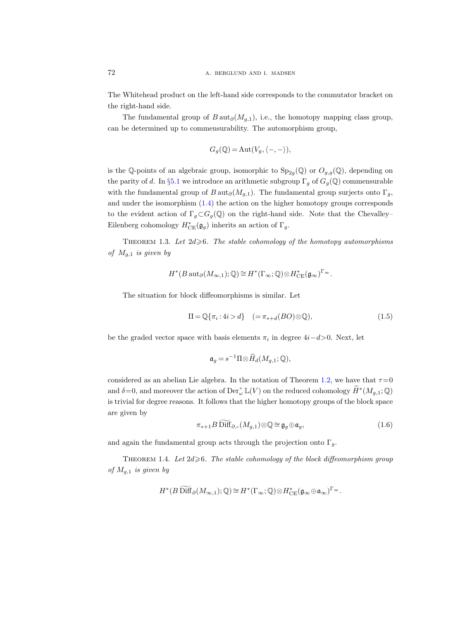The Whitehead product on the left-hand side corresponds to the commutator bracket on the right-hand side.

The fundamental group of  $B \text{aut}_{\partial}(M_{q,1}),$  i.e., the homotopy mapping class group, can be determined up to commensurability. The automorphism group,

$$
G_g(\mathbb{Q}) = \text{Aut}(V_g, \langle -, - \rangle),
$$

is the Q-points of an algebraic group, isomorphic to  $Sp_{2g}(\mathbb{Q})$  or  $O_{g,g}(\mathbb{Q})$ , depending on the parity of d. In §[5.1](#page-57-1) we introduce an arithmetic subgroup  $\Gamma_q$  of  $G_q(\mathbb{Q})$  commensurable with the fundamental group of  $B \text{aut}_{\partial}(M_{a,1})$ . The fundamental group surjects onto  $\Gamma_a$ , and under the isomorphism [\(1.4\)](#page-4-1) the action on the higher homotopy groups corresponds to the evident action of  $\Gamma_q \subset G_q(\mathbb{Q})$  on the right-hand side. Note that the Chevalley– Eilenberg cohomology  $H^*_{\text{CE}}(\mathfrak{g}_g)$  inherits an action of  $\Gamma_g$ .

<span id="page-5-1"></span>THEOREM 1.3. Let  $2d\geqslant 6$ . The stable cohomology of the homotopy automorphisms of  $M_{g,1}$  is given by

$$
H^*(B\operatorname{aut}_\partial(M_{\infty,1});\mathbb{Q})\cong H^*(\Gamma_\infty;\mathbb{Q})\otimes H^*_{\rm CE}(\mathfrak{g}_\infty)^{\Gamma_\infty}.
$$

The situation for block diffeomorphisms is similar. Let

<span id="page-5-0"></span>
$$
\Pi = \mathbb{Q}\{\pi_i : 4i > d\} \quad (=\pi_{*+d}(BO) \otimes \mathbb{Q}),\tag{1.5}
$$

be the graded vector space with basis elements  $\pi_i$  in degree  $4i-d>0$ . Next, let

$$
\mathfrak{a}_g = s^{-1} \Pi \otimes \widetilde{H}_d(M_{g,1}; \mathbb{Q}),
$$

considered as an abelian Lie algebra. In the notation of Theorem [1.2,](#page-3-0) we have that  $\tau = 0$ and  $\delta = 0$ , and moreover the action of  $\mathrm{Der}^{\perp}_{\omega} \mathbb{L}(V)$  on the reduced cohomology  $\widetilde{H}^*(M_{g,1}; \mathbb{Q})$ is trivial for degree reasons. It follows that the higher homotopy groups of the block space are given by

$$
\pi_{*+1} B \widetilde{\text{Diff}}_{\partial,\circ}(M_{g,1}) \otimes \mathbb{Q} \cong \mathfrak{g}_g \oplus \mathfrak{a}_g,\tag{1.6}
$$

and again the fundamental group acts through the projection onto  $\Gamma_q$ .

<span id="page-5-2"></span>THEOREM 1.4. Let  $2d \ge 6$ . The stable cohomology of the block diffeomorphism group of  $M_{g,1}$  is given by

$$
H^*(B\widetilde{\text{Diff}}_\partial(M_{\infty,1});\mathbb{Q})\cong H^*(\Gamma_\infty;\mathbb{Q})\otimes H^*_{\text{CE}}(\mathfrak{g}_\infty\oplus\mathfrak{a}_\infty)^{\Gamma_\infty}.
$$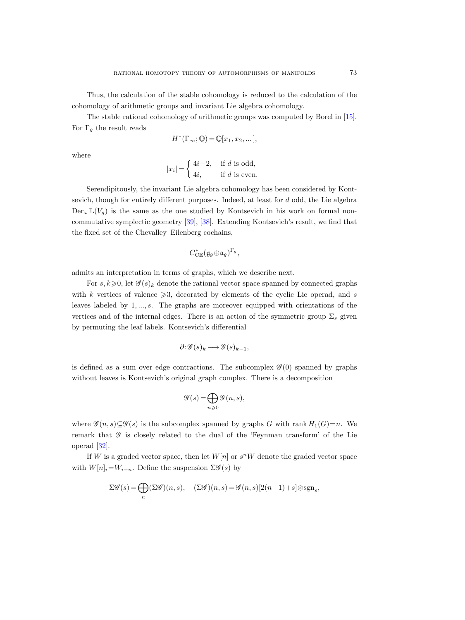Thus, the calculation of the stable cohomology is reduced to the calculation of the cohomology of arithmetic groups and invariant Lie algebra cohomology.

The stable rational cohomology of arithmetic groups was computed by Borel in [\[15\]](#page-115-1). For  $\Gamma_q$  the result reads

$$
H^*(\Gamma_\infty; \mathbb{Q}) = \mathbb{Q}[x_1, x_2, \dots],
$$

where

$$
|x_i| = \begin{cases} 4i-2, & \text{if } d \text{ is odd,} \\ 4i, & \text{if } d \text{ is even.} \end{cases}
$$

Serendipitously, the invariant Lie algebra cohomology has been considered by Kontsevich, though for entirely different purposes. Indeed, at least for d odd, the Lie algebra  $Der_{\omega} \mathbb{L}(V_q)$  is the same as the one studied by Kontsevich in his work on formal noncommutative symplectic geometry [\[39\]](#page-116-1), [\[38\]](#page-116-2). Extending Kontsevich's result, we find that the fixed set of the Chevalley–Eilenberg cochains,

$$
C_{\rm CE}^*(\mathfrak{g}_g\oplus\mathfrak{a}_g)^{\Gamma_g},
$$

admits an interpretation in terms of graphs, which we describe next.

For  $s, k \geq 0$ , let  $\mathscr{G}(s)_k$  denote the rational vector space spanned by connected graphs with k vertices of valence  $\geqslant 3$ , decorated by elements of the cyclic Lie operad, and s leaves labeled by 1, ..., s. The graphs are moreover equipped with orientations of the vertices and of the internal edges. There is an action of the symmetric group  $\Sigma_s$  given by permuting the leaf labels. Kontsevich's differential

$$
\partial \mathcal{G}(s)_k \longrightarrow \mathcal{G}(s)_{k-1},
$$

is defined as a sum over edge contractions. The subcomplex  $\mathscr{G}(0)$  spanned by graphs without leaves is Kontsevich's original graph complex. There is a decomposition

$$
\mathscr{G}(s) = \bigoplus_{n \geqslant 0} \mathscr{G}(n, s),
$$

where  $\mathscr{G}(n, s) \subseteq \mathscr{G}(s)$  is the subcomplex spanned by graphs G with rank  $H_1(G)=n$ . We remark that  $\mathscr G$  is closely related to the dual of the 'Feynman transform' of the Lie operad [\[32\]](#page-116-3).

If W is a graded vector space, then let  $W[n]$  or  $s^nW$  denote the graded vector space with  $W[n]_i=W_{i-n}$ . Define the suspension  $\Sigma\mathscr{G}(s)$  by

$$
\Sigma \mathscr{G}(s) = \bigoplus_n (\Sigma \mathscr{G})(n, s), \quad (\Sigma \mathscr{G})(n, s) = \mathscr{G}(n, s)[2(n-1) + s] \otimes \text{sgn}_s,
$$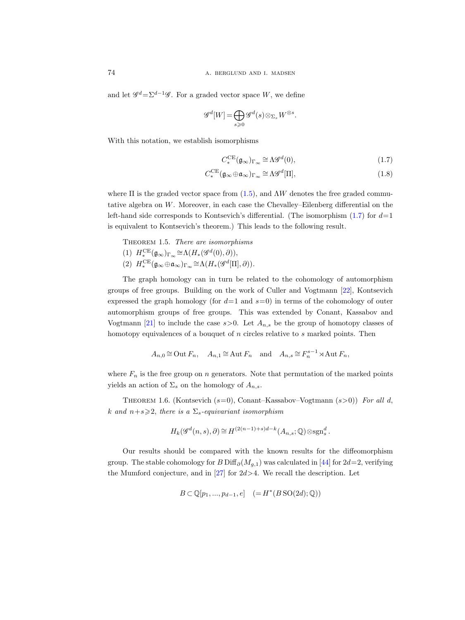and let  $\mathscr{G}^d = \Sigma^{d-1} \mathscr{G}$ . For a graded vector space W, we define

$$
\mathscr{G}^d[W] = \bigoplus_{s \geq 0} \mathscr{G}^d(s) \otimes_{\Sigma_s} W^{\otimes s}.
$$

With this notation, we establish isomorphisms

<span id="page-7-0"></span>
$$
C_*^{\text{CE}}(\mathfrak{g}_{\infty})_{\Gamma_{\infty}} \cong \Lambda \mathcal{G}^d(0),\tag{1.7}
$$

$$
C_*^{\text{CE}}(\mathfrak{g}_{\infty} \oplus \mathfrak{a}_{\infty})_{\Gamma_{\infty}} \cong \Lambda \mathscr{G}^d[\Pi],\tag{1.8}
$$

where  $\Pi$  is the graded vector space from  $(1.5)$ , and  $\Lambda W$  denotes the free graded commutative algebra on W. Moreover, in each case the Chevalley–Eilenberg differential on the left-hand side corresponds to Kontsevich's differential. (The isomorphism  $(1.7)$  for  $d=1$ is equivalent to Kontsevich's theorem.) This leads to the following result.

<span id="page-7-1"></span>THEOREM 1.5. There are isomorphisms (1)  $H^{\sf CE}_*(\mathfrak{g}_{\infty})_{\Gamma_{\infty}} \cong \Lambda(H_*(\mathscr{G}^d(0),\partial)),$ (2)  $H^{\rm CE}_*(\mathfrak{g}_{\infty} \oplus \mathfrak{a}_{\infty})_{\Gamma_{\infty}} \cong \Lambda(H_*(\mathscr{G}^d[\Pi], \partial)).$ 

The graph homology can in turn be related to the cohomology of automorphism groups of free groups. Building on the work of Culler and Vogtmann [\[22\]](#page-115-2), Kontsevich expressed the graph homology (for  $d=1$  and  $s=0$ ) in terms of the cohomology of outer automorphism groups of free groups. This was extended by Conant, Kassabov and Vogtmann [\[21\]](#page-115-3) to include the case  $s > 0$ . Let  $A_{n,s}$  be the group of homotopy classes of homotopy equivalences of a bouquet of  $n$  circles relative to  $s$  marked points. Then

$$
A_{n,0} \cong \text{Out } F_n, \quad A_{n,1} \cong \text{Aut } F_n \quad \text{and} \quad A_{n,s} \cong F_n^{s-1} \rtimes \text{Aut } F_n,
$$

where  $F_n$  is the free group on n generators. Note that permutation of the marked points yields an action of  $\Sigma_s$  on the homology of  $A_{n,s}$ .

<span id="page-7-2"></span>THEOREM 1.6. (Kontsevich  $(s=0)$ , Conant–Kassabov–Vogtmann  $(s>0)$ ) For all d, k and  $n+s\geqslant 2$ , there is a  $\Sigma_s$ -equivariant isomorphism

$$
H_k(\mathscr{G}^d(n,s),\partial)\cong H^{(2(n-1)+s)d-k}(A_{n,s};\mathbb{Q})\otimes \mathrm{sgn}_s^d.
$$

Our results should be compared with the known results for the diffeomorphism group. The stable cohomology for B Diff $_{\partial}(M_{q,1})$  was calculated in [\[44\]](#page-116-4) for 2d=2, verifying the Mumford conjecture, and in  $[27]$  for  $2d > 4$ . We recall the description. Let

$$
B \subset \mathbb{Q}[p_1, ..., p_{d-1}, e] \quad (= H^*(B \operatorname{SO}(2d); \mathbb{Q}))
$$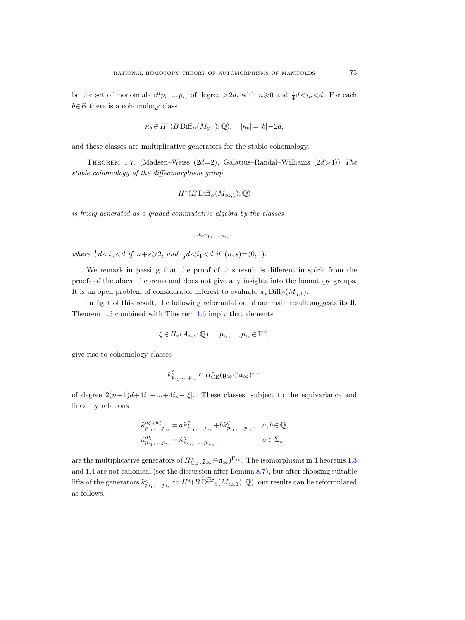be the set of monomials  $e^n p_{i_1} \dots p_{i_s}$  of degree  $>2d$ , with  $n \geq 0$  and  $\frac{1}{4}d \lt i_\nu \lt d$ . For each  $b \in B$  there is a cohomology class

$$
\kappa_b \in H^*(B\operatorname{Diff}_{\partial}(M_{g,1});\mathbb{Q}), \quad |\kappa_b| = |b| - 2d,
$$

and these classes are multiplicative generators for the stable cohomology.

THEOREM 1.7. (Madsen–Weiss  $(2d=2)$ , Galatius–Randal–Williams  $(2d>4)$ ) The stable cohomology of the diffeomorphism group

$$
H^*(B\operatorname{Diff}_{\partial}(M_{\infty,1});\mathbb{Q})
$$

is freely generated as a graded commutative algebra by the classes

$$
\kappa_{e^n p_{i_1} \ldots p_{i_s}},
$$

where  $\frac{1}{4}d \lt i_{\nu} \lt d$  if  $n+s \geqslant 2$ , and  $\frac{1}{2}d \lt i_{1} \lt d$  if  $(n, s) = (0, 1)$ .

We remark in passing that the proof of this result is different in spirit from the proofs of the above theorems and does not give any insights into the homotopy groups. It is an open problem of considerable interest to evaluate  $\pi_* \text{Diff}_{\partial}(M_{g,1}).$ 

In light of this result, the following reformulation of our main result suggests itself. Theorem [1.5](#page-7-1) combined with Theorem [1.6](#page-7-2) imply that elements

$$
\xi \in H_*(A_{n,s}; \mathbb{Q}), \quad p_{i_1}, \dots, p_{i_s} \in \Pi^{\vee},
$$

give rise to cohomology classes

$$
\tilde{\kappa}_{p_{i_1},...,p_{i_s}}^{\xi}\in H^{\ast}_{\mathrm{CE}}(\mathfrak{g}_{\infty}\!\oplus\!\mathfrak{a}_{\infty})^{\Gamma_{\infty}}
$$

of degree  $2(n-1)d+4i_1+\ldots+4i_s-|\xi|$ . These classes, subject to the equivariance and linearity relations

$$
\begin{aligned} \tilde{\kappa}_{p_{i_1},\ldots,p_{i_s}}^{\alpha\xi+b\zeta}&=a\tilde{\kappa}_{p_{i_1},\ldots,p_{i_s}}^{\xi}+b\tilde{\kappa}_{p_{i_1},\ldots,p_{i_s}}^{\zeta},\quad a,b\in\mathbb{Q},\\ \tilde{\kappa}_{p_{i_1},\ldots,p_{i_s}}^{\sigma\xi}&=\tilde{\kappa}_{p_{i_{\sigma_1}},\ldots,p_{i_{\sigma_s}}^{\xi}},\qquad\qquad\sigma\in\Sigma_s, \end{aligned}
$$

are the multiplicative generators of  $H^*_{CE}(\mathfrak{g}_{\infty} \oplus \mathfrak{a}_{\infty})^{\Gamma_{\infty}}$ . The isomorphisms in Theorems [1.3](#page-5-1) and [1.4](#page-5-2) are not canonical (see the discussion after Lemma [8.7\)](#page-96-1), but after choosing suitable lifts of the generators  $\tilde\kappa_{p_{i_1},...,p_{i_s}}^{\xi}$  to  $H^*(B\,\widetilde{\text{Diff}}_\partial(M_{\infty,1});\mathbb{Q}),$  our results can be reformulated as follows.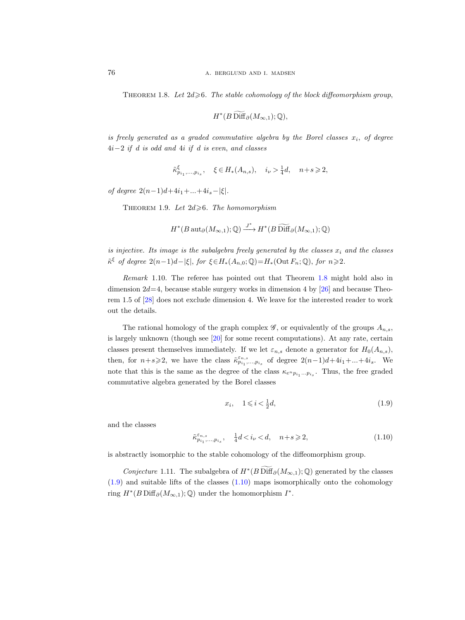<span id="page-9-2"></span>THEOREM 1.8. Let  $2d \geqslant 6$ . The stable cohomology of the block diffeomorphism group,

$$
H^*(B\operatorname{Diff}_{\partial}(M_{\infty,1});\mathbb{Q}),
$$

is freely generated as a graded commutative algebra by the Borel classes  $x_i$ , of degree  $4i-2$  if d is odd and  $4i$  if d is even, and classes

$$
\tilde{\kappa}_{p_{i_1},...,p_{i_s}}^{\xi},\quad \xi\in H_*(A_{n,s}),\quad i_{\nu}>\tfrac{1}{4}d,\quad n+s\geqslant 2,
$$

of degree  $2(n-1)d+4i_1+...+4i_s-|\xi|$ .

THEOREM 1.9. Let  $2d \geq 6$ . The homomorphism

$$
H^*(B\operatorname{aut}_{\partial}(M_{\infty,1});\mathbb{Q})\xrightarrow{J^*} H^*(B\widetilde{\operatorname{Diff}}_{\partial}(M_{\infty,1});\mathbb{Q})
$$

is injective. Its image is the subalgebra freely generated by the classes  $x_i$  and the classes  $\tilde{\kappa}^{\xi}$  of degree  $2(n-1)d-|\xi|$ , for  $\xi \in H_*(A_{n,0};\mathbb{Q})=H_*(\text{Out }F_n;\mathbb{Q})$ , for  $n \geqslant 2$ .

<span id="page-9-1"></span>Remark 1.10. The referee has pointed out that Theorem [1.8](#page-9-2) might hold also in dimension  $2d=4$ , because stable surgery works in dimension 4 by [\[26\]](#page-116-6) and because Theorem 1.5 of [\[28\]](#page-116-7) does not exclude dimension 4. We leave for the interested reader to work out the details.

The rational homology of the graph complex  $\mathscr{G}$ , or equivalently of the groups  $A_{n,s}$ , is largely unknown (though see [\[20\]](#page-115-4) for some recent computations). At any rate, certain classes present themselves immediately. If we let  $\varepsilon_{n,s}$  denote a generator for  $H_0(A_{n,s}),$ then, for  $n+s\geqslant 2$ , we have the class  $\tilde{\kappa}_{p_{i_1},...,p_{i_s}}^{\varepsilon_{n,s}}$  of degree  $2(n-1)d+4i_1+...+4i_s$ . We note that this is the same as the degree of the class  $\kappa_{e^n p_{i_1} \ldots p_{i_s}}$ . Thus, the free graded commutative algebra generated by the Borel classes

<span id="page-9-3"></span>
$$
x_i, \quad 1 \leqslant i < \frac{1}{2}d,\tag{1.9}
$$

and the classes

<span id="page-9-4"></span>
$$
\tilde{\kappa}_{p_{i_1},\ldots,p_{i_s}}^{\varepsilon_{n,s}},\quad \tfrac{1}{4}d
$$

is abstractly isomorphic to the stable cohomology of the diffeomorphism group.

<span id="page-9-0"></span>Conjecture 1.11. The subalgebra of  $H^*(B\widetilde{\text{Diff}}_\partial(M_{\infty,1});\mathbb{Q})$  generated by the classes [\(1.9\)](#page-9-3) and suitable lifts of the classes [\(1.10\)](#page-9-4) maps isomorphically onto the cohomology ring  $H^*(B\operatorname{Diff}_{\partial}(M_{\infty,1});\mathbb{Q})$  under the homomorphism  $I^*$ .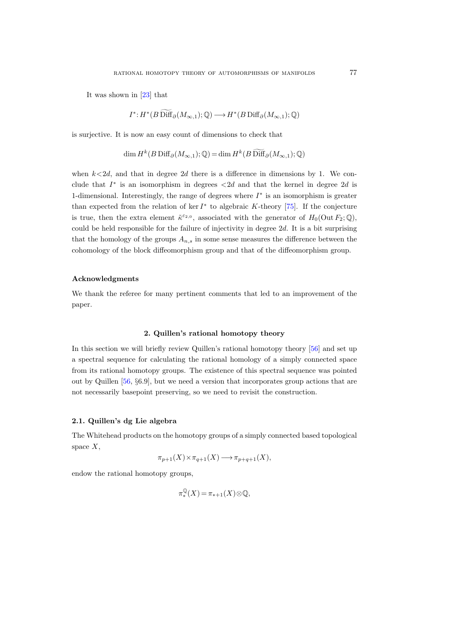It was shown in [\[23\]](#page-115-5) that

$$
I^*: H^*(B\operatorname{Diff}_{\partial}(M_{\infty,1});\mathbb{Q}) \longrightarrow H^*(B\operatorname{Diff}_{\partial}(M_{\infty,1});\mathbb{Q})
$$

is surjective. It is now an easy count of dimensions to check that

$$
\dim H^k(B\operatorname{Diff}_{\partial}(M_{\infty,1});\mathbb{Q}) = \dim H^k(B\operatorname{Diff}_{\partial}(M_{\infty,1});\mathbb{Q})
$$

when  $k < 2d$ , and that in degree 2d there is a difference in dimensions by 1. We conclude that  $I^*$  is an isomorphism in degrees  $\langle 2d \rangle$  and that the kernel in degree  $2d$  is 1-dimensional. Interestingly, the range of degrees where  $I^*$  is an isomorphism is greater than expected from the relation of ker  $I^*$  to algebraic K-theory [\[75\]](#page-118-0). If the conjecture is true, then the extra element  $\tilde{\kappa}^{\varepsilon_{2,0}}$ , associated with the generator of  $H_0(\text{Out } F_2;\mathbb{Q})$ , could be held responsible for the failure of injectivity in degree 2d. It is a bit surprising that the homology of the groups  $A_{n,s}$  in some sense measures the difference between the cohomology of the block diffeomorphism group and that of the diffeomorphism group.

#### Acknowledgments

We thank the referee for many pertinent comments that led to an improvement of the paper.

# 2. Quillen's rational homotopy theory

<span id="page-10-0"></span>In this section we will briefly review Quillen's rational homotopy theory [\[56\]](#page-117-0) and set up a spectral sequence for calculating the rational homology of a simply connected space from its rational homotopy groups. The existence of this spectral sequence was pointed out by Quillen [\[56,](#page-117-0) §6.9], but we need a version that incorporates group actions that are not necessarily basepoint preserving, so we need to revisit the construction.

# <span id="page-10-1"></span>2.1. Quillen's dg Lie algebra

The Whitehead products on the homotopy groups of a simply connected based topological space  $X$ ,

$$
\pi_{p+1}(X) \times \pi_{q+1}(X) \longrightarrow \pi_{p+q+1}(X),
$$

endow the rational homotopy groups,

$$
\pi^{\mathbb{Q}}_{*}(X) = \pi_{*+1}(X) \otimes \mathbb{Q},
$$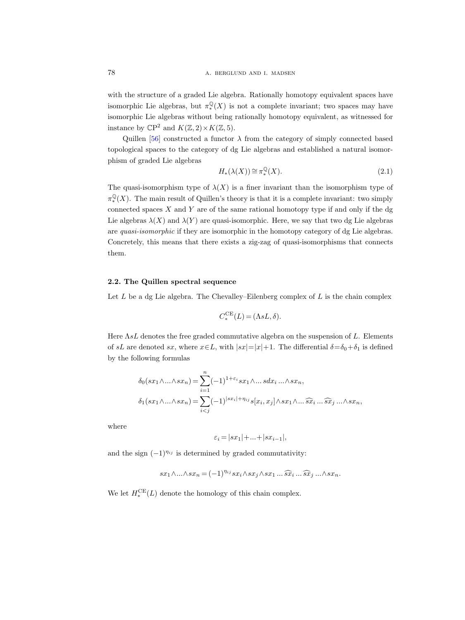with the structure of a graded Lie algebra. Rationally homotopy equivalent spaces have isomorphic Lie algebras, but  $\pi^{\mathbb{Q}}_*(X)$  is not a complete invariant; two spaces may have isomorphic Lie algebras without being rationally homotopy equivalent, as witnessed for instance by  $\mathbb{C}P^2$  and  $K(\mathbb{Z}, 2) \times K(\mathbb{Z}, 5)$ .

Quillen [\[56\]](#page-117-1) constructed a functor  $\lambda$  from the category of simply connected based topological spaces to the category of dg Lie algebras and established a natural isomorphism of graded Lie algebras

<span id="page-11-1"></span>
$$
H_*(\lambda(X)) \cong \pi_*^{\mathbb{Q}}(X). \tag{2.1}
$$

The quasi-isomorphism type of  $\lambda(X)$  is a finer invariant than the isomorphism type of  $\pi^{\mathbb{Q}}_*(X)$ . The main result of Quillen's theory is that it is a complete invariant: two simply connected spaces  $X$  and  $Y$  are of the same rational homotopy type if and only if the dg Lie algebras  $\lambda(X)$  and  $\lambda(Y)$  are quasi-isomorphic. Here, we say that two dg Lie algebras are quasi-isomorphic if they are isomorphic in the homotopy category of dg Lie algebras. Concretely, this means that there exists a zig-zag of quasi-isomorphisms that connects them.

# <span id="page-11-0"></span>2.2. The Quillen spectral sequence

Let  $L$  be a dg Lie algebra. The Chevalley–Eilenberg complex of  $L$  is the chain complex

$$
C_*^{\sf CE}(L) = (\Lambda sL, \delta).
$$

Here  $\Lambda sL$  denotes the free graded commutative algebra on the suspension of L. Elements of sL are denoted sx, where  $x \in L$ , with  $|sx|=|x|+1$ . The differential  $\delta = \delta_0 + \delta_1$  is defined by the following formulas

$$
\delta_0(sx_1 \wedge \ldots \wedge sx_n) = \sum_{i=1}^n (-1)^{1+\varepsilon_i} sx_1 \wedge \ldots s dx_i \ldots \wedge sx_n,
$$
  

$$
\delta_1(sx_1 \wedge \ldots \wedge sx_n) = \sum_{i < j} (-1)^{|sx_i| + \eta_{ij}} s[x_i, x_j] \wedge sx_1 \wedge \ldots \widehat{sx}_i \ldots \widehat{sx}_j \ldots \wedge sx_n,
$$

where

$$
\varepsilon_i = |sx_1| + \ldots + |sx_{i-1}|,
$$

and the sign  $(-1)^{\eta_{ij}}$  is determined by graded commutativity:

$$
sx_1 \wedge \ldots \wedge sx_n = (-1)^{\eta_{ij}} sx_i \wedge sx_j \wedge sx_1 \ldots \widehat{sx}_i \ldots \widehat{sx}_j \ldots \wedge sx_n.
$$

We let  $H_*^{\text{CE}}(L)$  denote the homology of this chain complex.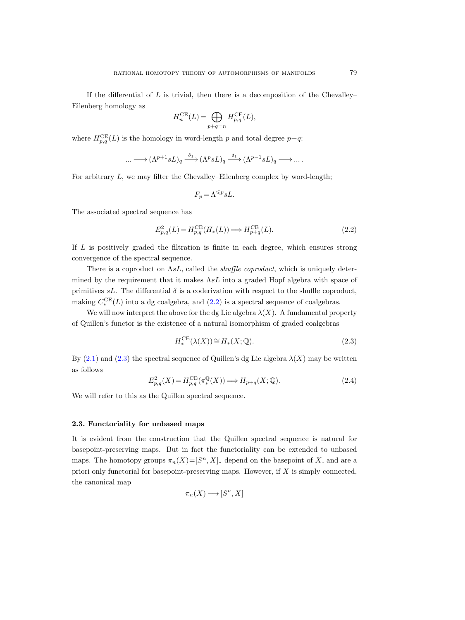If the differential of L is trivial, then there is a decomposition of the Chevalley– Eilenberg homology as

$$
H_n^{\text{CE}}(L) = \bigoplus_{p+q=n} H_{p,q}^{\text{CE}}(L),
$$

where  $H_{p,q}^{\text{CE}}(L)$  is the homology in word-length p and total degree  $p+q$ :

$$
\dots \longrightarrow (\Lambda^{p+1} sL)_q \xrightarrow{\delta_1} (\Lambda^p sL)_q \xrightarrow{\delta_1} (\Lambda^{p-1} sL)_q \longrightarrow \dots
$$

For arbitrary  $L$ , we may filter the Chevalley–Eilenberg complex by word-length;

$$
F_p\,{=}\,\Lambda^{\leqslant p} sL.
$$

The associated spectral sequence has

<span id="page-12-3"></span><span id="page-12-1"></span>
$$
E_{p,q}^2(L) = H_{p,q}^{\text{CE}}(H_*(L)) \Longrightarrow H_{p+q}^{\text{CE}}(L). \tag{2.2}
$$

If L is positively graded the filtration is finite in each degree, which ensures strong convergence of the spectral sequence.

There is a coproduct on  $\Lambda sL$ , called the *shuffle coproduct*, which is uniquely determined by the requirement that it makes  $\Lambda sL$  into a graded Hopf algebra with space of primitives sL. The differential  $\delta$  is a coderivation with respect to the shuffle coproduct, making  $C_*^{\text{CE}}(L)$  into a dg coalgebra, and  $(2.2)$  is a spectral sequence of coalgebras.

We will now interpret the above for the dg Lie algebra  $\lambda(X)$ . A fundamental property of Quillen's functor is the existence of a natural isomorphism of graded coalgebras

<span id="page-12-2"></span>
$$
H^{\mathrm{CE}}_{*}(\lambda(X)) \cong H_{*}(X; \mathbb{Q}). \tag{2.3}
$$

By  $(2.1)$  and  $(2.3)$  the spectral sequence of Quillen's dg Lie algebra  $\lambda(X)$  may be written as follows

<span id="page-12-5"></span><span id="page-12-4"></span>
$$
E_{p,q}^2(X) = H_{p,q}^{\text{CE}}(\pi_*^{\mathbb{Q}}(X)) \Longrightarrow H_{p+q}(X; \mathbb{Q}).
$$
\n(2.4)

We will refer to this as the Quillen spectral sequence.

# <span id="page-12-0"></span>2.3. Functoriality for unbased maps

It is evident from the construction that the Quillen spectral sequence is natural for basepoint-preserving maps. But in fact the functoriality can be extended to unbased maps. The homotopy groups  $\pi_n(X) = [S^n, X]_*$  depend on the basepoint of X, and are a priori only functorial for basepoint-preserving maps. However, if  $X$  is simply connected, the canonical map

$$
\pi_n(X) {\:\longrightarrow\:} [S^n,X]
$$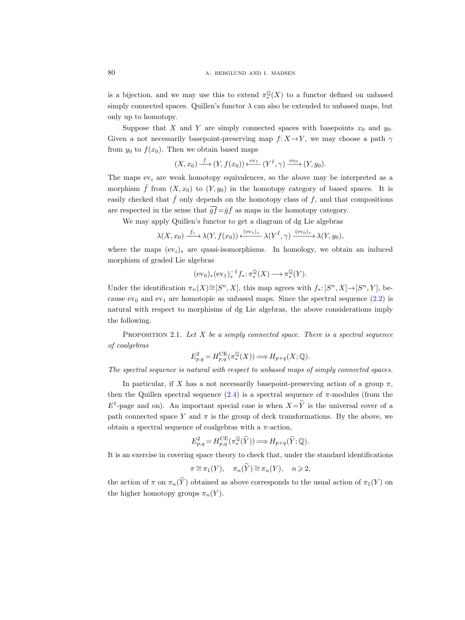is a bijection, and we may use this to extend  $\pi^{\mathbb{Q}}_*(X)$  to a functor defined on unbased simply connected spaces. Quillen's functor  $\lambda$  can also be extended to unbased maps, but only up to homotopy.

Suppose that X and Y are simply connected spaces with basepoints  $x_0$  and  $y_0$ . Given a not necessarily basepoint-preserving map  $f: X \rightarrow Y$ , we may choose a path  $\gamma$ from  $y_0$  to  $f(x_0)$ . Then we obtain based maps

$$
(X, x_0) \xrightarrow{f} (Y, f(x_0)) \xleftarrow{\text{ev}_1} (Y^I, \gamma) \xrightarrow{\text{ev}_0} (Y, y_0).
$$

The maps  $ev_i$  are weak homotopy equivalences, so the above may be interpreted as a morphism  $\bar{f}$  from  $(X, x_0)$  to  $(Y, y_0)$  in the homotopy category of based spaces. It is easily checked that  $\bar{f}$  only depends on the homotopy class of f, and that compositions are respected in the sense that  $\overline{gf} = \overline{g}\overline{f}$  as maps in the homotopy category.

We may apply Quillen's functor to get a diagram of dg Lie algebras

$$
\lambda(X, x_0) \xrightarrow{f_*} \lambda(Y, f(x_0)) \xleftarrow{(\text{ev}_1)_*} \lambda(Y^I, \gamma) \xrightarrow{(\text{ev}_0)_*} \lambda(Y, y_0),
$$

where the maps  $(ev_i)_*$  are quasi-isomorphisms. In homology, we obtain an induced morphism of graded Lie algebras

$$
(\mathrm{ev}_0)_*(\mathrm{ev}_1)_*^{-1}f_*\colon \pi^\mathbb{Q}_*(X)\longrightarrow \pi^\mathbb{Q}_*(Y).
$$

Under the identification  $\pi_n(X) \cong [S^n, X]$ , this map agrees with  $f_*: [S^n, X] \to [S^n, Y]$ , because  $ev_0$  and  $ev_1$  are homotopic as unbased maps. Since the spectral sequence  $(2.2)$  is natural with respect to morphisms of dg Lie algebras, the above considerations imply the following.

PROPOSITION 2.1. Let  $X$  be a simply connected space. There is a spectral sequence of coalgebras

$$
E_{p,q}^2 = H_{p,q}^{\text{CE}}(\pi_*^{\mathbb{Q}}(X)) \Longrightarrow H_{p+q}(X; \mathbb{Q}).
$$

The spectral sequence is natural with respect to unbased maps of simply connected spaces.

In particular, if X has a not necessarily basepoint-preserving action of a group  $\pi$ . then the Quillen spectral sequence  $(2.4)$  is a spectral sequence of  $\pi$ -modules (from the  $E^1$ -page and on). An important special case is when  $X=\widetilde{Y}$  is the universal cover of a path connected space Y and  $\pi$  is the group of deck transformations. By the above, we obtain a spectral sequence of coalgebras with a  $\pi$ -action,

$$
E_{p,q}^2 = H_{p,q}^{\mathrm{CE}}(\pi_*^{\mathbb{Q}}(\widetilde{Y})) \Longrightarrow H_{p+q}(\widetilde{Y}; \mathbb{Q}).
$$

It is an exercise in covering space theory to check that, under the standard identifications

$$
\pi \cong \pi_1(Y), \quad \pi_n(\widetilde{Y}) \cong \pi_n(Y), \quad n \geqslant 2,
$$

the action of  $\pi$  on  $\pi_n(\widetilde{Y})$  obtained as above corresponds to the usual action of  $\pi_1(Y)$  on the higher homotopy groups  $\pi_n(Y)$ .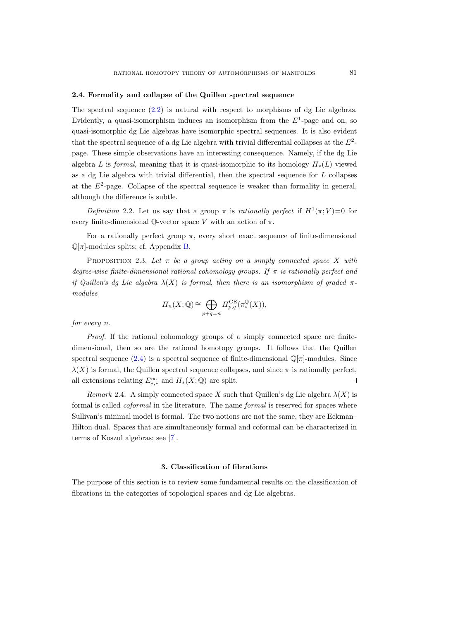## <span id="page-14-0"></span>2.4. Formality and collapse of the Quillen spectral sequence

The spectral sequence  $(2.2)$  is natural with respect to morphisms of dg Lie algebras. Evidently, a quasi-isomorphism induces an isomorphism from the  $E<sup>1</sup>$ -page and on, so quasi-isomorphic dg Lie algebras have isomorphic spectral sequences. It is also evident that the spectral sequence of a dg Lie algebra with trivial differential collapses at the  $E^2$ page. These simple observations have an interesting consequence. Namely, if the dg Lie algebra L is formal, meaning that it is quasi-isomorphic to its homology  $H_*(L)$  viewed as a dg Lie algebra with trivial differential, then the spectral sequence for  $L$  collapses at the  $E^2$ -page. Collapse of the spectral sequence is weaker than formality in general, although the difference is subtle.

Definition 2.2. Let us say that a group  $\pi$  is rationally perfect if  $H^1(\pi; V) = 0$  for every finite-dimensional  $\mathbb{O}\text{-vector space }V$  with an action of  $\pi$ .

For a rationally perfect group  $\pi$ , every short exact sequence of finite-dimensional  $\mathbb{Q}[\pi]$ -modules splits; cf. Appendix [B.](#page-108-2)

PROPOSITION 2.3. Let  $\pi$  be a group acting on a simply connected space X with degree-wise finite-dimensional rational cohomology groups. If  $\pi$  is rationally perfect and if Quillen's da Lie algebra  $\lambda(X)$  is formal, then there is an isomorphism of graded  $\pi$ modules

$$
H_n(X; \mathbb{Q}) \cong \bigoplus_{p+q=n} H_{p,q}^{\mathrm{CE}}(\pi_*^{\mathbb{Q}}(X)),
$$

for every n.

Proof. If the rational cohomology groups of a simply connected space are finitedimensional, then so are the rational homotopy groups. It follows that the Quillen spectral sequence [\(2.4\)](#page-12-5) is a spectral sequence of finite-dimensional  $\mathbb{Q}[\pi]$ -modules. Since  $\lambda(X)$  is formal, the Quillen spectral sequence collapses, and since  $\pi$  is rationally perfect, all extensions relating  $E^{\infty}_{*,*}$  and  $H_*(X; \mathbb{Q})$  are split.  $\Box$ 

Remark 2.4. A simply connected space X such that Quillen's dg Lie algebra  $\lambda(X)$  is formal is called *coformal* in the literature. The name *formal* is reserved for spaces where Sullivan's minimal model is formal. The two notions are not the same, they are Eckman– Hilton dual. Spaces that are simultaneously formal and coformal can be characterized in terms of Koszul algebras; see [\[7\]](#page-115-6).

# 3. Classification of fibrations

<span id="page-14-1"></span>The purpose of this section is to review some fundamental results on the classification of fibrations in the categories of topological spaces and dg Lie algebras.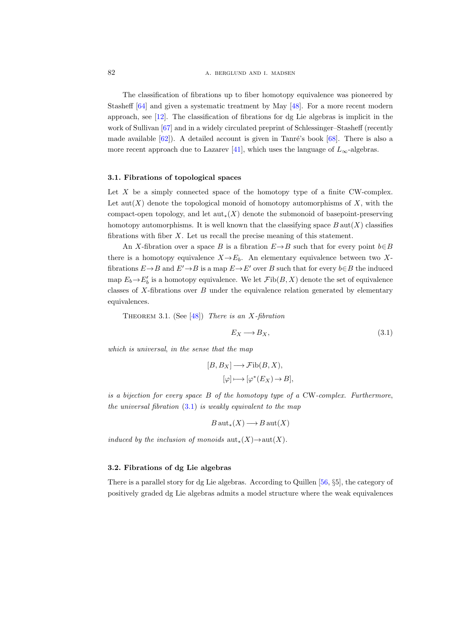The classification of fibrations up to fiber homotopy equivalence was pioneered by Stasheff [\[64\]](#page-117-2) and given a systematic treatment by May [\[48\]](#page-116-8). For a more recent modern approach, see [\[12\]](#page-115-7). The classification of fibrations for dg Lie algebras is implicit in the work of Sullivan [\[67\]](#page-117-3) and in a widely circulated preprint of Schlessinger–Stasheff (recently made available  $[62]$ ). A detailed account is given in Tanré's book  $[68]$ . There is also a more recent approach due to Lazarev [\[41\]](#page-116-9), which uses the language of  $L_{\infty}$ -algebras.

### <span id="page-15-0"></span>3.1. Fibrations of topological spaces

Let  $X$  be a simply connected space of the homotopy type of a finite CW-complex. Let  $\text{aut}(X)$  denote the topological monoid of homotopy automorphisms of X, with the compact-open topology, and let  $\text{aut}_*(X)$  denote the submonoid of basepoint-preserving homotopy automorphisms. It is well known that the classifying space  $B \text{aut}(X)$  classifies fibrations with fiber X. Let us recall the precise meaning of this statement.

An X-fibration over a space B is a fibration  $E \rightarrow B$  such that for every point  $b \in B$ there is a homotopy equivalence  $X \rightarrow E_b$ . An elementary equivalence between two Xfibrations  $E \rightarrow B$  and  $E' \rightarrow B$  is a map  $E \rightarrow E'$  over B such that for every  $b \in B$  the induced map  $E_b \to E'_b$  is a homotopy equivalence. We let  $\mathcal{F}ib(B, X)$  denote the set of equivalence classes of  $X$ -fibrations over  $B$  under the equivalence relation generated by elementary equivalences.

<span id="page-15-3"></span>THEOREM 3.1. (See  $[48]$ ) There is an X-fibration

<span id="page-15-2"></span>
$$
E_X \longrightarrow B_X,\tag{3.1}
$$

which is universal, in the sense that the map

$$
[B, B_X] \longrightarrow \mathcal{F}ib(B, X),
$$

$$
[\varphi] \longmapsto [\varphi^*(E_X) \to B],
$$

is a bijection for every space  $B$  of the homotopy type of a CW-complex. Furthermore, the universal fibration  $(3.1)$  is weakly equivalent to the map

$$
B\operatorname{aut}_*(X) \longrightarrow B\operatorname{aut}(X)
$$

induced by the inclusion of monoids  $\text{aut}_*(X) \to \text{aut}(X)$ .

#### <span id="page-15-1"></span>3.2. Fibrations of dg Lie algebras

There is a parallel story for dg Lie algebras. According to Quillen [\[56,](#page-117-1) §5], the category of positively graded dg Lie algebras admits a model structure where the weak equivalences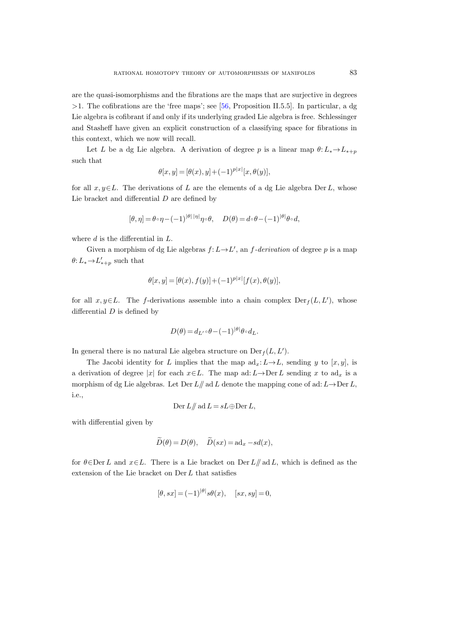are the quasi-isomorphisms and the fibrations are the maps that are surjective in degrees  $>1$ . The cofibrations are the 'free maps'; see [\[56,](#page-117-0) Proposition II.5.5]. In particular, a dg Lie algebra is cofibrant if and only if its underlying graded Lie algebra is free. Schlessinger and Stasheff have given an explicit construction of a classifying space for fibrations in this context, which we now will recall.

Let L be a dg Lie algebra. A derivation of degree p is a linear map  $\theta: L_* \to L_{*+p}$ such that

$$
\theta[x, y] = [\theta(x), y] + (-1)^{p|x|}[x, \theta(y)],
$$

for all  $x, y \in L$ . The derivations of L are the elements of a dg Lie algebra Der L, whose Lie bracket and differential  $D$  are defined by

$$
[\theta,\eta]=\theta\circ\eta-(-1)^{|\theta|\,|\eta|}\eta\circ\theta,\quad D(\theta)=d\circ\theta-(-1)^{|\theta|}\theta\circ d,
$$

where  $d$  is the differential in  $L$ .

Given a morphism of dg Lie algebras  $f: L \to L'$ , an f-derivation of degree p is a map  $\theta: L_* \to L'_{*+p}$  such that

$$
\theta[x, y] = [\theta(x), f(y)] + (-1)^{p|x|} [f(x), \theta(y)],
$$

for all  $x, y \in L$ . The f-derivations assemble into a chain complex  $Der_f(L, L')$ , whose differential  $D$  is defined by

$$
D(\theta) = d_{L'} \circ \theta - (-1)^{|\theta|} \theta \circ d_L.
$$

In general there is no natural Lie algebra structure on  $Der_f(L, L').$ 

The Jacobi identity for L implies that the map  $ad_x: L \to L$ , sending y to  $[x, y]$ , is a derivation of degree |x| for each  $x \in L$ . The map ad: L  $\rightarrow$  Der L sending x to ad<sub>x</sub> is a morphism of dg Lie algebras. Let Der  $L/\!\!/$  ad L denote the mapping cone of ad:  $L \rightarrow$ Der L, i.e.,

$$
Der L/\!\!/ \text{ ad } L = sL \oplus Der L,
$$

with differential given by

$$
\widetilde{D}(\theta) = D(\theta), \quad \widetilde{D}(sx) = \mathrm{ad}_x - sd(x),
$$

for  $\theta \in \text{Der } L$  and  $x \in L$ . There is a Lie bracket on Der  $L/\!\!/$  ad L, which is defined as the extension of the Lie bracket on Der L that satisfies

$$
[\theta, sx] = (-1)^{|\theta|} s\theta(x), \quad [sx, sy] = 0,
$$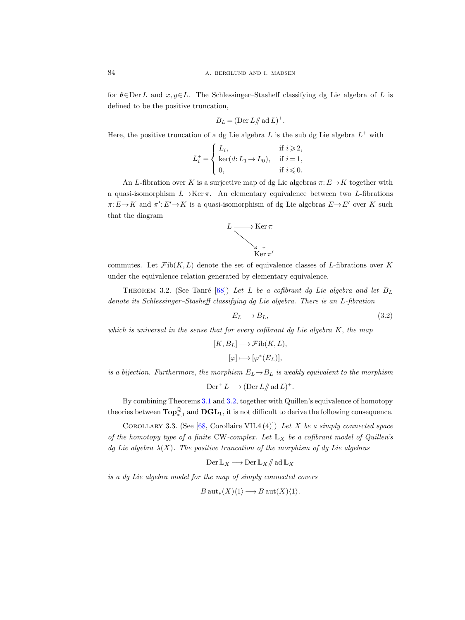for  $\theta \in \text{Der } L$  and  $x, y \in L$ . The Schlessinger–Stasheff classifying dg Lie algebra of L is defined to be the positive truncation,

$$
B_L = (\text{Der } L \mathop{/\!\!/} \text{ ad } L)^+.
$$

Here, the positive truncation of a dg Lie algebra  $L$  is the sub dg Lie algebra  $L^+$  with

$$
L_i^+ = \begin{cases} L_i, & \text{if } i \geqslant 2, \\ \ker(d: L_1 \to L_0), & \text{if } i = 1, \\ 0, & \text{if } i \leqslant 0. \end{cases}
$$

An L-fibration over K is a surjective map of dg Lie algebras  $\pi: E \to K$  together with a quasi-isomorphism  $L \rightarrow \text{Ker } \pi$ . An elementary equivalence between two L-fibrations  $\pi: E \to K$  and  $\pi': E' \to K$  is a quasi-isomorphism of dg Lie algebras  $E \to E'$  over K such that the diagram



commutes. Let  $\mathcal{F}ib(K, L)$  denote the set of equivalence classes of L-fibrations over K under the equivalence relation generated by elementary equivalence.

<span id="page-17-0"></span>THEOREM 3.2. (See Tanré [\[68\]](#page-117-5)) Let L be a cofibrant dg Lie algebra and let  $B_L$ denote its Schlessinger–Stasheff classifying dg Lie algebra. There is an L-fibration

$$
E_L \longrightarrow B_L,\tag{3.2}
$$

which is universal in the sense that for every cofibrant da Lie algebra  $K$ , the map

$$
[K, B_L] \longrightarrow \mathcal{F}ib(K, L),
$$

$$
[\varphi] \longmapsto [\varphi^*(E_L)],
$$

is a bijection. Furthermore, the morphism  $E_L \rightarrow B_L$  is weakly equivalent to the morphism

$$
Der^+ L \longrightarrow (Der L/\!\!/ \operatorname{ad} L)^+.
$$

By combining Theorems [3.1](#page-15-3) and [3.2,](#page-17-0) together with Quillen's equivalence of homotopy theories between  $\textbf{Top}^{\mathbb{Q}}_{*,1}$  and  $\textbf{DGL}_1$ , it is not difficult to derive the following consequence.

COROLLARY 3.3. (See [\[68,](#page-117-5) Corollaire VII.4 (4)]) Let X be a simply connected space of the homotopy type of a finite CW-complex. Let  $\mathbb{L}_X$  be a cofibrant model of Quillen's dg Lie algebra  $\lambda(X)$ . The positive truncation of the morphism of dg Lie algebras

$$
\mathrm{Der}\,\mathbb{L}_X\longrightarrow \mathrm{Der}\,\mathbb{L}_X/\!\!/ \, \mathrm{ad}\,\mathbb{L}_X
$$

is a dg Lie algebra model for the map of simply connected covers

$$
B \operatorname{aut}_*(X)\langle 1 \rangle \longrightarrow B \operatorname{aut}(X)\langle 1 \rangle.
$$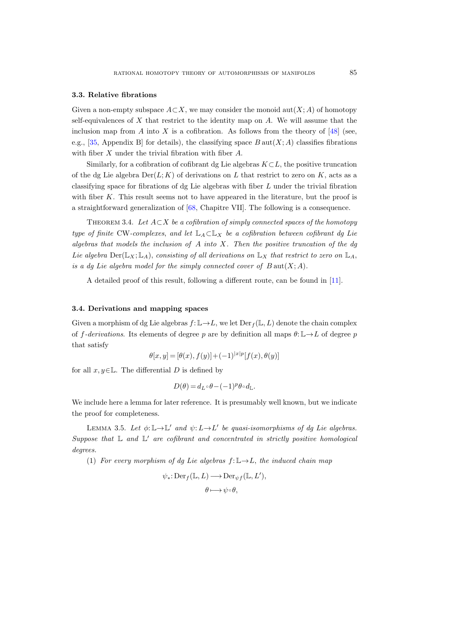# <span id="page-18-0"></span>3.3. Relative fibrations

Given a non-empty subspace  $A\subset X$ , we may consider the monoid  $\text{aut}(X; A)$  of homotopy self-equivalences of  $X$  that restrict to the identity map on  $A$ . We will assume that the inclusion map from A into X is a cofibration. As follows from the theory of  $[48]$  (see, e.g., [\[35,](#page-116-11) Appendix B] for details), the classifying space  $B \text{aut}(X; A)$  classifies fibrations with fiber X under the trivial fibration with fiber A.

Similarly, for a cofibration of cofibrant dg Lie algebras  $K\subset L$ , the positive truncation of the dg Lie algebra  $Der(L; K)$  of derivations on L that restrict to zero on K, acts as a classifying space for fibrations of dg Lie algebras with fiber L under the trivial fibration with fiber K. This result seems not to have appeared in the literature, but the proof is a straightforward generalization of [\[68,](#page-117-6) Chapitre VII]. The following is a consequence.

<span id="page-18-2"></span>THEOREM 3.4. Let  $A \subset X$  be a cofibration of simply connected spaces of the homotopy type of finite CW-complexes, and let  $\mathbb{L}_A \subset \mathbb{L}_X$  be a cofibration between cofibrant dg Lie algebras that models the inclusion of  $A$  into  $X$ . Then the positive truncation of the dq Lie algebra  $\text{Der}(\mathbb{L}_X;\mathbb{L}_A)$ , consisting of all derivations on  $\mathbb{L}_X$  that restrict to zero on  $\mathbb{L}_A$ , is a dg Lie algebra model for the simply connected cover of  $B \text{aut}(X; A)$ .

A detailed proof of this result, following a different route, can be found in [\[11\]](#page-115-8).

# <span id="page-18-1"></span>3.4. Derivations and mapping spaces

Given a morphism of dg Lie algebras  $f: \mathbb{L} \to L$ , we let  $\mathrm{Der}_f(\mathbb{L}, L)$  denote the chain complex of f-derivations. Its elements of degree p are by definition all maps  $\theta: \mathbb{L} \to L$  of degree p that satisfy

$$
\theta[x, y] = [\theta(x), f(y)] + (-1)^{|x|p}[f(x), \theta(y)]
$$

for all  $x, y \in \mathbb{L}$ . The differential D is defined by

$$
D(\theta) = d_{L} \circ \theta - (-1)^p \theta \circ d_{\mathbb{L}}.
$$

We include here a lemma for later reference. It is presumably well known, but we indicate the proof for completeness.

<span id="page-18-4"></span><span id="page-18-3"></span>LEMMA 3.5. Let  $\phi: \mathbb{L} \to \mathbb{L}'$  and  $\psi: L \to L'$  be quasi-isomorphisms of dg Lie algebras. Suppose that  $\mathbb L$  and  $\mathbb L'$  are cofibrant and concentrated in strictly positive homological degrees.

(1) For every morphism of dg Lie algebras  $f: \mathbb{L} \to L$ , the induced chain map

$$
\psi_*\colon \mathrm{Der}_f(\mathbb{L}, L) \longrightarrow \mathrm{Der}_{\psi f}(\mathbb{L}, L'),
$$

$$
\theta \longmapsto \psi \circ \theta,
$$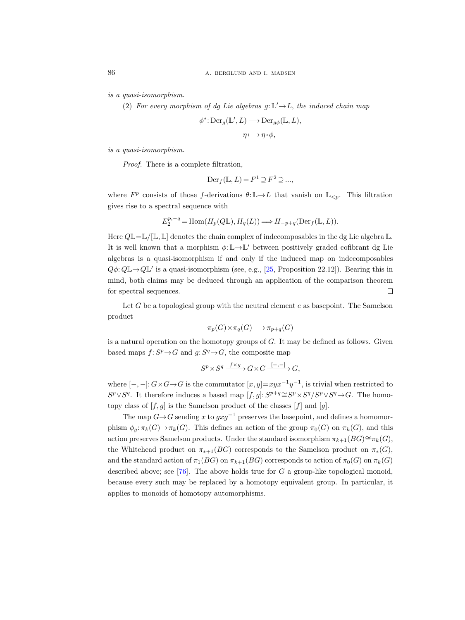is a quasi-isomorphism.

(2) For every morphism of dg Lie algebras  $g: \mathbb{L}' \rightarrow L$ , the induced chain map

$$
\phi^* \colon \text{Der}_{g}(\mathbb{L}', L) \longrightarrow \text{Der}_{g\phi}(\mathbb{L}, L),
$$

$$
\eta \longmapsto \eta \circ \phi,
$$

is a quasi-isomorphism.

Proof. There is a complete filtration,

$$
\operatorname{Der}_f(\mathbb{L}, L) = F^1 \supseteq F^2 \supseteq \dots,
$$

where  $F^p$  consists of those f-derivations  $\theta: \mathbb{L} \to L$  that vanish on  $\mathbb{L}_{\leq p}$ . This filtration gives rise to a spectral sequence with

$$
E_2^{p,-q} = \text{Hom}(H_p(Q\mathbb{L}), H_q(L)) \Longrightarrow H_{-p+q}(\text{Der}_f(\mathbb{L}, L)).
$$

Here  $Q \mathbb{L} = \mathbb{L}/[\mathbb{L}, \mathbb{L}]$  denotes the chain complex of indecomposables in the dg Lie algebra  $\mathbb{L}$ . It is well known that a morphism  $\phi: \mathbb{L} \to \mathbb{L}'$  between positively graded cofibrant dg Lie algebras is a quasi-isomorphism if and only if the induced map on indecomposables  $Q\phi: Q\mathbb{L} \to Q\mathbb{L}'$  is a quasi-isomorphism (see, e.g., [\[25,](#page-116-12) Proposition 22.12]). Bearing this in mind, both claims may be deduced through an application of the comparison theorem for spectral sequences.  $\Box$ 

Let  $G$  be a topological group with the neutral element  $e$  as basepoint. The Samelson product

$$
\pi_p(G) \times \pi_q(G) \longrightarrow \pi_{p+q}(G)
$$

is a natural operation on the homotopy groups of  $G$ . It may be defined as follows. Given based maps  $f: S^p \to G$  and  $g: S^q \to G$ , the composite map

$$
S^p \times S^q \xrightarrow{f \times g} G \times G \xrightarrow{[-,-]} G,
$$

where  $[-,-]: G \times G \rightarrow G$  is the commutator  $[x,y] = xyx^{-1}y^{-1}$ , is trivial when restricted to  $S^p \vee S^q$ . It therefore induces a based map  $[f, g]$ :  $S^{p+q} \cong S^p \times S^q / S^p \vee S^q \to G$ . The homotopy class of  $[f, g]$  is the Samelson product of the classes  $[f]$  and  $[g]$ .

The map  $G \rightarrow G$  sending x to  $gxq^{-1}$  preserves the basepoint, and defines a homomorphism  $\phi_q: \pi_k(G) \to \pi_k(G)$ . This defines an action of the group  $\pi_0(G)$  on  $\pi_k(G)$ , and this action preserves Samelson products. Under the standard isomorphism  $\pi_{k+1}(BG)\cong \pi_k(G)$ , the Whitehead product on  $\pi_{*+1}(BG)$  corresponds to the Samelson product on  $\pi_*(G)$ , and the standard action of  $\pi_1(BG)$  on  $\pi_{k+1}(BG)$  corresponds to action of  $\pi_0(G)$  on  $\pi_k(G)$ described above; see [\[76\]](#page-118-1). The above holds true for  $G$  a group-like topological monoid, because every such may be replaced by a homotopy equivalent group. In particular, it applies to monoids of homotopy automorphisms.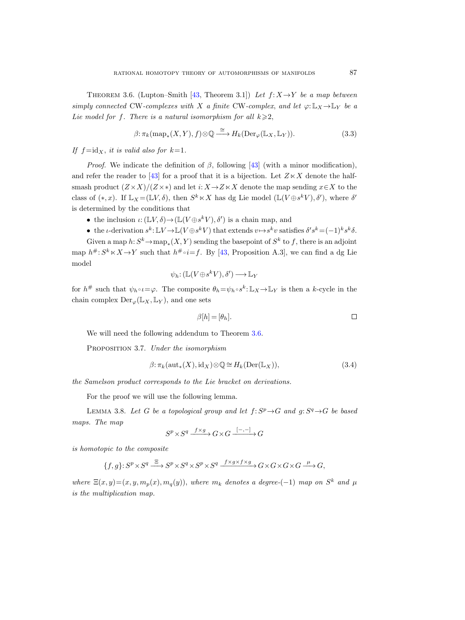<span id="page-20-0"></span>THEOREM 3.6. (Lupton–Smith [\[43,](#page-116-13) Theorem 3.1]) Let  $f: X \rightarrow Y$  be a map between simply connected CW-complexes with X a finite CW-complex, and let  $\varphi: \mathbb{L}_X \to \mathbb{L}_Y$  be a Lie model for f. There is a natural isomorphism for all  $k \geq 2$ ,

$$
\beta: \pi_k(\text{map}_*(X, Y), f) \otimes \mathbb{Q} \xrightarrow{\cong} H_k(\text{Der}_{\varphi}(\mathbb{L}_X, \mathbb{L}_Y)).
$$
\n(3.3)

If  $f = id_x$ , it is valid also for  $k=1$ .

*Proof.* We indicate the definition of  $\beta$ , following [\[43\]](#page-116-13) (with a minor modification), and refer the reader to [\[43\]](#page-116-13) for a proof that it is a bijection. Let  $Z \ltimes X$  denote the halfsmash product  $(Z \times X)/(Z \times *)$  and let  $i: X \to Z \times X$  denote the map sending  $x \in X$  to the class of  $(*,x)$ . If  $\mathbb{L}_X = (\mathbb{L}V, \delta)$ , then  $S^k \ltimes X$  has dg Lie model  $(\mathbb{L}(V \oplus s^k V), \delta')$ , where  $\delta'$ is determined by the conditions that

- the inclusion  $\iota: (\mathbb{L}V, \delta) \to (\mathbb{L}(V \oplus s^k V), \delta')$  is a chain map, and
- the *t*-derivation  $s^k$ :  $\mathbb{L}V \to \mathbb{L}(V \oplus s^k V)$  that extends  $v \mapsto s^k v$  satisfies  $\delta' s^k = (-1)^k s^k \delta$ .

Given a map  $h: S^k \to \text{map}_*(X, Y)$  sending the basepoint of  $S^k$  to f, there is an adjoint map  $h^{\#}: S^k \times X \to Y$  such that  $h^{\#} \circ i = f$ . By [\[43,](#page-116-13) Proposition A.3], we can find a dg Lie model

$$
\psi_h: (\mathbb{L}(V \oplus s^k V), \delta') \longrightarrow \mathbb{L}_Y
$$

for  $h^{\#}$  such that  $\psi_h \circ \iota = \varphi$ . The composite  $\theta_h = \psi_h \circ s^k : \mathbb{L}_X \to \mathbb{L}_Y$  is then a k-cycle in the chain complex  $Der_{\varphi}(\mathbb{L}_X, \mathbb{L}_Y)$ , and one sets

$$
\beta[h] = [\theta_h]. \Box
$$

We will need the following addendum to Theorem [3.6.](#page-20-0)

<span id="page-20-1"></span>PROPOSITION 3.7. Under the isomorphism

$$
\beta: \pi_k(\operatorname{aut}_*(X), \operatorname{id}_X) \otimes \mathbb{Q} \cong H_k(\operatorname{Der}(\mathbb{L}_X)),\tag{3.4}
$$

the Samelson product corresponds to the Lie bracket on derivations.

For the proof we will use the following lemma.

<span id="page-20-2"></span>LEMMA 3.8. Let G be a topological group and let  $f: S^p \to G$  and  $g: S^q \to G$  be based maps. The map

$$
S^p \times S^q \xrightarrow{f \times g} G \times G \xrightarrow{[-,-]} G
$$

is homotopic to the composite

$$
\{f,g\} \colon S^p \times S^q \xrightarrow{\Xi} S^p \times S^q \times S^p \times S^q \xrightarrow{f \times g \times f \times g} G \times G \times G \times G \xrightarrow{\mu} G,
$$

where  $\Xi(x,y)=(x, y, m_p(x), m_q(y))$ , where  $m_k$  denotes a degree-(-1) map on  $S^k$  and  $\mu$ is the multiplication map.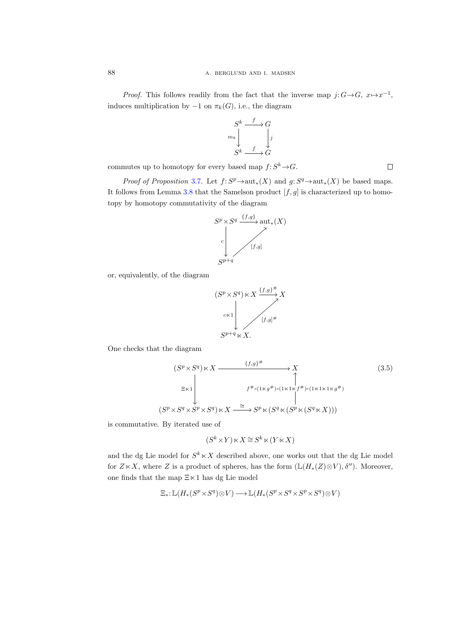*Proof.* This follows readily from the fact that the inverse map  $j: G \rightarrow G$ ,  $x \mapsto x^{-1}$ , induces multiplication by  $-1$  on  $\pi_k(G)$ , i.e., the diagram

$$
S^k \xrightarrow{f} G
$$

$$
m_k \downarrow \qquad \qquad \downarrow j
$$

$$
S^k \xrightarrow{f} G
$$

commutes up to homotopy for every based map  $f: S^k \to G$ .

*Proof of Proposition* [3.7](#page-20-1). Let  $f: S^p \to \text{aut}_*(X)$  and  $g: S^q \to \text{aut}_*(X)$  be based maps. It follows from Lemma [3.8](#page-20-2) that the Samelson product  $[f, g]$  is characterized up to homotopy by homotopy commutativity of the diagram



or, equivalently, of the diagram



One checks that the diagram

<span id="page-21-0"></span>
$$
(S^{p} \times S^{q}) \ltimes X \xrightarrow{\{f,g\}^{\#}} X
$$
  
\n
$$
\Xi \ltimes 1 \downarrow \qquad \qquad f^{\#_{\circ}(1 \ltimes g^{\#}) \circ (1 \ltimes 1 \ltimes f^{\#}) \circ (1 \ltimes 1 \ltimes 1 \ltimes g^{\#})}
$$
  
\n
$$
(S^{p} \times S^{q} \times S^{p} \times S^{q}) \ltimes X \xrightarrow{\cong} S^{p} \ltimes (S^{q} \ltimes (S^{p} \ltimes (S^{q} \ltimes X)))
$$
\n(3.5)

is commutative. By iterated use of

$$
(S^k \times Y) \ltimes X \cong S^k \ltimes (Y \ltimes X)
$$

and the dg Lie model for  $S^k \times X$  described above, one works out that the dg Lie model for  $Z \ltimes X$ , where Z is a product of spheres, has the form  $(\mathbb{L}(H_*(Z) \otimes V), \delta'')$ . Moreover, one finds that the map  $\Xi \ltimes 1$  has dg Lie model

$$
\Xi_*\!:\mathbb{L}\big(H_*(S^p \times S^q) \otimes V\big) \longrightarrow \mathbb{L}\big(H_*(S^p \times S^q \times S^p \times S^q) \otimes V\big)
$$

 $\Box$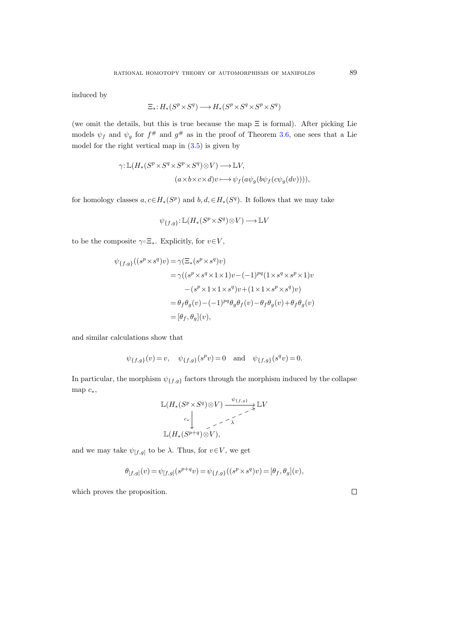induced by

$$
\Xi_*: H_*(S^p \times S^q) \longrightarrow H_*(S^p \times S^q \times S^p \times S^q)
$$

(we omit the details, but this is true because the map  $\Xi$  is formal). After picking Lie models  $\psi_f$  and  $\psi_g$  for  $f^{\#}$  and  $g^{\#}$  as in the proof of Theorem [3.6,](#page-20-0) one sees that a Lie model for the right vertical map in  $(3.5)$  is given by

$$
\gamma: \mathbb{L}(H_*(S^p \times S^q \times S^p \times S^q) \otimes V) \longrightarrow \mathbb{L}V,
$$
  

$$
(a \times b \times c \times d)v \longmapsto \psi_f(a\psi_g(b\psi_f(c\psi_g(dv))))
$$

for homology classes  $a, c \in H_*(S^p)$  and  $b, d, \in H_*(S^q)$ . It follows that we may take

$$
\psi_{\{f,g\}}\!:\mathbb{L}(H_*(S^p{\times}S^q){\otimes}V)\longrightarrow \mathbb{L}V
$$

to be the composite  $\gamma \in \Xi_*$ . Explicitly, for  $v \in V$ ,

$$
\psi_{\{f,g\}}((s^p \times s^q)v) = \gamma(\Xi_*(s^p \times s^q)v)
$$
  
\n
$$
= \gamma((s^p \times s^q \times 1 \times 1)v - (-1)^{pq}(1 \times s^q \times s^p \times 1)v
$$
  
\n
$$
-(s^p \times 1 \times 1 \times s^q)v + (1 \times 1 \times s^p \times s^q)v)
$$
  
\n
$$
= \theta_f \theta_g(v) - (-1)^{pq} \theta_g \theta_f(v) - \theta_f \theta_g(v) + \theta_f \theta_g(v)
$$
  
\n
$$
= [\theta_f, \theta_g](v),
$$

and similar calculations show that

$$
\psi_{\{f,g\}}(v) = v, \quad \psi_{\{f,g\}}(s^p v) = 0 \quad \text{and} \quad \psi_{\{f,g\}}(s^q v) = 0.
$$

In particular, the morphism  $\psi_{\{f,g\}}$  factors through the morphism induced by the collapse map  $c_*,$ 

$$
\mathbb{L}(H_*(S^p \times S^q) \otimes V) \xrightarrow{\psi_{\{f,g\}}} \mathbb{L}V
$$
  

$$
\downarrow \qquad \qquad \downarrow \qquad \qquad \downarrow
$$
  

$$
\mathbb{L}(H_*(S^{p+q}) \otimes V),
$$

and we may take  $\psi_{[f,g]}$  to be  $\lambda$ . Thus, for  $v \in V$ , we get

$$
\theta_{[f,g]}(v) = \psi_{[f,g]}(s^{p+q}v) = \psi_{\{f,g\}}((s^p \times s^q)v) = [\theta_f, \theta_g](v),
$$

which proves the proposition.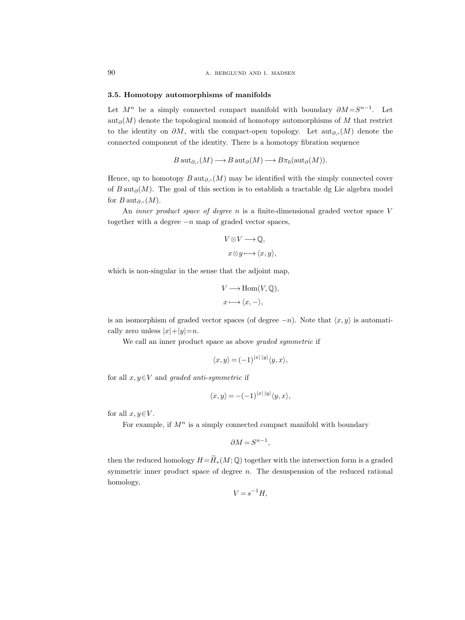#### <span id="page-23-0"></span>3.5. Homotopy automorphisms of manifolds

Let  $M^n$  be a simply connected compact manifold with boundary  $\partial M = S^{n-1}$ . Let  $\text{aut}_{\partial}(M)$  denote the topological monoid of homotopy automorphisms of M that restrict to the identity on  $\partial M$ , with the compact-open topology. Let aut<sub>∂</sub>,(M) denote the connected component of the identity. There is a homotopy fibration sequence

$$
B\operatorname{aut}_{\partial,\circ}(M)\longrightarrow B\operatorname{aut}_{\partial}(M)\longrightarrow B\pi_0(\operatorname{aut}_{\partial}(M)).
$$

Hence, up to homotopy  $B \text{aut}_{\partial_{\gamma}}(M)$  may be identified with the simply connected cover of B aut<sub>∂</sub>(M). The goal of this section is to establish a tractable dg Lie algebra model for  $B\operatorname{aut}_{\partial,\circ}(M)$ .

An *inner product space of degree n* is a finite-dimensional graded vector space V together with a degree  $-n$  map of graded vector spaces,

$$
V \otimes V \longrightarrow \mathbb{Q},
$$
  

$$
x \otimes y \longmapsto \langle x, y \rangle,
$$

which is non-singular in the sense that the adjoint map,

$$
V \longrightarrow \text{Hom}(V, \mathbb{Q}),
$$
  

$$
x \longmapsto \langle x, - \rangle,
$$

is an isomorphism of graded vector spaces (of degree  $-n$ ). Note that  $\langle x, y \rangle$  is automatically zero unless  $|x|+|y|=n$ .

We call an inner product space as above *graded symmetric* if

$$
\langle x, y \rangle = (-1)^{|x| |y|} \langle y, x \rangle,
$$

for all  $x, y \in V$  and graded anti-symmetric if

$$
\langle x, y \rangle = -(-1)^{|x| |y|} \langle y, x \rangle,
$$

for all  $x, y \in V$ .

For example, if  $M^n$  is a simply connected compact manifold with boundary

$$
\partial M = S^{n-1},
$$

then the reduced homology  $H=\widetilde{H}_*(M;\mathbb{Q})$  together with the intersection form is a graded symmetric inner product space of degree  $n$ . The desuspension of the reduced rational homology,

$$
V = s^{-1}H,
$$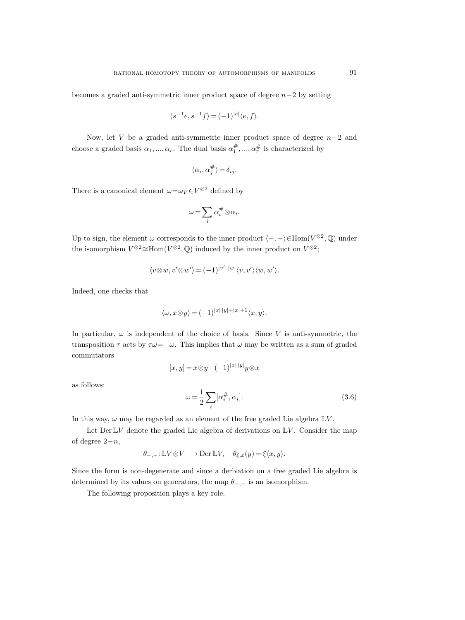becomes a graded anti-symmetric inner product space of degree  $n-2$  by setting

$$
\langle s^{-1}e, s^{-1}f \rangle = (-1)^{|e|} \langle e, f \rangle.
$$

Now, let V be a graded anti-symmetric inner product space of degree  $n-2$  and choose a graded basis  $\alpha_1, ..., \alpha_r$ . The dual basis  $\alpha_1^{\#}, ..., \alpha_r^{\#}$  is characterized by

$$
\langle \alpha_i, \alpha_j^{\#} \rangle = \delta_{ij}.
$$

There is a canonical element  $\omega = \omega_V \in V^{\otimes 2}$  defined by

$$
\omega = \sum_i \alpha_i^{\#} \otimes \alpha_i.
$$

Up to sign, the element  $\omega$  corresponds to the inner product  $\langle -, -\rangle \in \text{Hom}(V^{\otimes 2}, \mathbb{Q})$  under the isomorphism  $V^{\otimes 2} \cong \text{Hom}(V^{\otimes 2}, \mathbb{Q})$  induced by the inner product on  $V^{\otimes 2}$ ;

$$
\langle v \otimes w, v' \otimes w' \rangle = (-1)^{|v'| \, |w|} \langle v, v' \rangle \langle w, w' \rangle.
$$

Indeed, one checks that

$$
\langle \omega, x \otimes y \rangle = (-1)^{|x| \, |y| + |x| + 1} \langle x, y \rangle.
$$

In particular,  $\omega$  is independent of the choice of basis. Since V is anti-symmetric, the transposition  $\tau$  acts by  $\tau \omega = -\omega$ . This implies that  $\omega$  may be written as a sum of graded commutators

<span id="page-24-0"></span>
$$
[x, y] = x \otimes y - (-1)^{|x| |y|} y \otimes x
$$

as follows:

$$
\omega = \frac{1}{2} \sum_{i} [\alpha_i^{\#}, \alpha_i]. \tag{3.6}
$$

In this way,  $\omega$  may be regarded as an element of the free graded Lie algebra  $\mathbb{L}V$ .

Let Der  $\mathbb{L}V$  denote the graded Lie algebra of derivations on  $\mathbb{L}V$ . Consider the map of degree  $2-n$ ,

$$
\theta_{-,-}: \mathbb{L}V \otimes V \longrightarrow \text{Der }\mathbb{L}V, \quad \theta_{\xi,x}(y) = \xi \langle x, y \rangle.
$$

Since the form is non-degenerate and since a derivation on a free graded Lie algebra is determined by its values on generators, the map  $\theta_{-,-}$  is an isomorphism.

The following proposition plays a key role.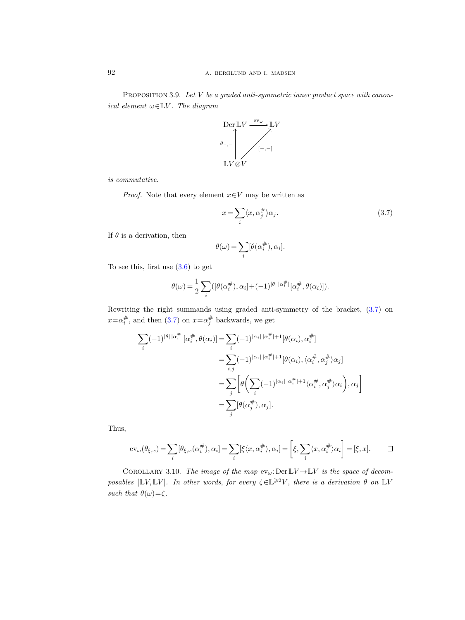<span id="page-25-2"></span>PROPOSITION 3.9. Let V be a graded anti-symmetric inner product space with canonical element  $\omega \in \mathbb{L}V$ . The diagram



is commutative.

*Proof.* Note that every element  $x \in V$  may be written as

<span id="page-25-0"></span>
$$
x = \sum_{i} \langle x, \alpha_j^{\#} \rangle \alpha_j.
$$
 (3.7)

If  $\theta$  is a derivation, then

$$
\theta(\omega) = \sum_{i} [\theta(\alpha_i^{\#}), \alpha_i].
$$

To see this, first use [\(3.6\)](#page-24-0) to get

$$
\theta(\omega) = \frac{1}{2} \sum_{i} \left( [\theta(\alpha_i^{\#}), \alpha_i] + (-1)^{|\theta| |\alpha_i^{\#}|} [\alpha_i^{\#}, \theta(\alpha_i)] \right).
$$

Rewriting the right summands using graded anti-symmetry of the bracket, [\(3.7\)](#page-25-0) on  $x = \alpha_i^{\#}$ , and then [\(3.7\)](#page-25-0) on  $x = \alpha_j^{\#}$  backwards, we get

$$
\sum_{i} (-1)^{|\theta| |\alpha_i^{\#}|} [\alpha_i^{\#}, \theta(\alpha_i)] = \sum_{i} (-1)^{|\alpha_i| |\alpha_i^{\#}|+1} [\theta(\alpha_i), \alpha_i^{\#}]
$$
  

$$
= \sum_{i,j} (-1)^{|\alpha_i| |\alpha_i^{\#}|+1} [\theta(\alpha_i), \langle \alpha_i^{\#}, \alpha_j^{\#} \rangle \alpha_j]
$$
  

$$
= \sum_{j} \left[ \theta \left( \sum_{i} (-1)^{|\alpha_i| |\alpha_i^{\#}|+1} \langle \alpha_i^{\#}, \alpha_j^{\#} \rangle \alpha_i \right), \alpha_j \right]
$$
  

$$
= \sum_{j} [\theta(\alpha_j^{\#}), \alpha_j].
$$

Thus,

$$
\text{ev}_{\omega}(\theta_{\xi,x}) = \sum_{i} [\theta_{\xi,x}(\alpha_i^{\#}), \alpha_i] = \sum_{i} [\xi \langle x, \alpha_i^{\#} \rangle, \alpha_i] = \left[ \xi, \sum_{i} \langle x, \alpha_i^{\#} \rangle \alpha_i \right] = [\xi, x]. \qquad \Box
$$

<span id="page-25-1"></span>COROLLARY 3.10. The image of the map  $ev_{\omega}$ : Der  $\mathbb{L}V \to \mathbb{L}V$  is the space of decomposables  $[\mathbb{L}V, \mathbb{L}V]$ . In other words, for every  $\zeta \in \mathbb{L}^{\geq 2}V$ , there is a derivation  $\theta$  on  $\mathbb{L}V$ such that  $\theta(\omega) = \zeta$ .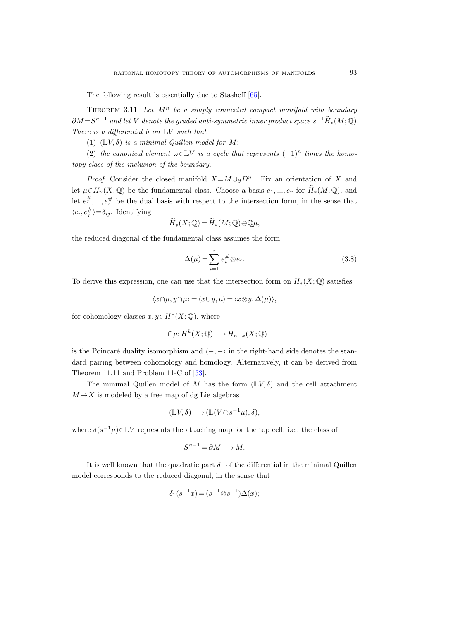The following result is essentially due to Stasheff [\[65\]](#page-117-7).

<span id="page-26-0"></span>THEOREM 3.11. Let  $M^n$  be a simply connected compact manifold with boundary  $\partial M = S^{n-1}$  and let V denote the graded anti-symmetric inner product space  $s^{-1}\widetilde{H}_*(M;\mathbb{Q})$ . There is a differential  $\delta$  on  $\mathbb{L}V$  such that

(1)  $(\mathbb{L}V, \delta)$  is a minimal Quillen model for M;

(2) the canonical element  $\omega \in \mathbb{L}V$  is a cycle that represents  $(-1)^n$  times the homotopy class of the inclusion of the boundary.

*Proof.* Consider the closed manifold  $X = M \cup_{\partial} D^n$ . Fix an orientation of X and let  $\mu \in H_n(X; \mathbb{Q})$  be the fundamental class. Choose a basis  $e_1, ..., e_r$  for  $H_*(M; \mathbb{Q})$ , and let  $e_1^{\#},...,e_r^{\#}$  be the dual basis with respect to the intersection form, in the sense that  $\langle e_i, e_j^{\#} \rangle = \delta_{ij}$ . Identifying

$$
\widetilde{H}_*(X;\mathbb{Q}) = \widetilde{H}_*(M;\mathbb{Q}) \oplus \mathbb{Q}\mu,
$$

the reduced diagonal of the fundamental class assumes the form

$$
\bar{\Delta}(\mu) = \sum_{i=1}^{r} e_i^{\#} \otimes e_i.
$$
\n(3.8)

To derive this expression, one can use that the intersection form on  $H_*(X; \mathbb{Q})$  satisfies

$$
\langle x \cap \mu, y \cap \mu \rangle = \langle x \cup y, \mu \rangle = \langle x \otimes y, \Delta(\mu) \rangle,
$$

for cohomology classes  $x, y \in H^*(X; \mathbb{Q})$ , where

$$
-\cap \mu: H^k(X; \mathbb{Q}) \longrightarrow H_{n-k}(X; \mathbb{Q})
$$

is the Poincaré duality isomorphism and  $\langle -, - \rangle$  in the right-hand side denotes the standard pairing between cohomology and homology. Alternatively, it can be derived from Theorem 11.11 and Problem 11-C of [\[53\]](#page-117-8).

The minimal Quillen model of M has the form  $(\mathbb{L}V,\delta)$  and the cell attachment  $M \rightarrow X$  is modeled by a free map of dg Lie algebras

$$
(\mathbb{L}V,\delta)\longrightarrow (\mathbb{L}(V\oplus s^{-1}\mu),\delta),
$$

where  $\delta(s^{-1}\mu) \in \mathbb{L}V$  represents the attaching map for the top cell, i.e., the class of

$$
S^{n-1} = \partial M \longrightarrow M.
$$

It is well known that the quadratic part  $\delta_1$  of the differential in the minimal Quillen model corresponds to the reduced diagonal, in the sense that

$$
\delta_1(s^{-1}x) = (s^{-1} \otimes s^{-1})\bar{\Delta}(x);
$$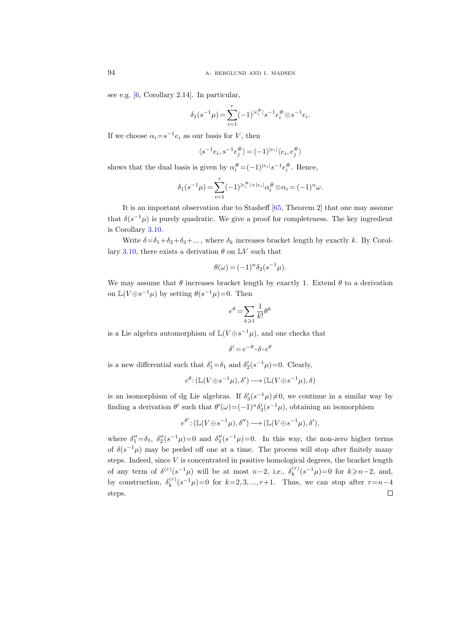see e.g. [\[6,](#page-115-9) Corollary 2.14]. In particular,

$$
\delta_1(s^{-1}\mu) = \sum_{i=1}^r (-1)^{|e_i^{\#}|} s^{-1} e_i^{\#} \otimes s^{-1} e_i.
$$

If we choose  $\alpha_i = s^{-1} e_i$  as our basis for V, then

$$
\langle s^{-1}e_i, s^{-1}e_j^{\#} \rangle = (-1)^{|e_i|} \langle e_i, e_j^{\#} \rangle
$$

shows that the dual basis is given by  $\alpha_i^{\#} = (-1)^{|e_i|} s^{-1} e_i^{\#}$ . Hence,

$$
\delta_1(s^{-1}\mu) = \sum_{i=1}^r (-1)^{|e_i^{\#}| + |e_i|} \alpha_i^{\#} \otimes \alpha_i = (-1)^n \omega.
$$

It is an important observation due to Stasheff [\[65,](#page-117-9) Theorem 2] that one may assume that  $\delta(s^{-1}\mu)$  is purely quadratic. We give a proof for completeness. The key ingredient is Corollary [3.10.](#page-25-1)

Write  $\delta = \delta_1 + \delta_2 + \delta_3 + ...$ , where  $\delta_k$  increases bracket length by exactly k. By Corol-lary [3.10,](#page-25-1) there exists a derivation  $\theta$  on  $\mathbb{L}V$  such that

$$
\theta(\omega) = (-1)^n \delta_2(s^{-1}\mu).
$$

We may assume that  $\theta$  increases bracket length by exactly 1. Extend  $\theta$  to a derivation on  $\mathbb{L}(V \oplus s^{-1} \mu)$  by setting  $\theta(s^{-1} \mu) = 0$ . Then

$$
e^{\theta} = \sum_{k \geqslant 1} \frac{1}{k!} \theta^k
$$

is a Lie algebra automorphism of  $\mathbb{L}(V \oplus s^{-1}\mu)$ , and one checks that

$$
\delta' = e^{-\theta} \circ \delta \circ e^{\theta}
$$

is a new differential such that  $\delta_1' = \delta_1$  and  $\delta_2'(s^{-1}\mu) = 0$ . Clearly,

$$
e^{\theta} \colon (\mathbb{L}(V \oplus s^{-1}\mu), \delta') \longrightarrow (\mathbb{L}(V \oplus s^{-1}\mu), \delta)
$$

is an isomorphism of dg Lie algebras. If  $\delta'_{3}(s^{-1}\mu) \neq 0$ , we continue in a similar way by finding a derivation  $\theta'$  such that  $\theta'(\omega) = (-1)^n \delta'_3(s^{-1}\mu)$ , obtaining an isomorphism

$$
e^{\theta'}\!:\!(\mathbb{L}(V\!\oplus\!s^{-1}\mu),\delta'')\!\longrightarrow (\mathbb{L}(V\!\oplus\!s^{-1}\mu),\delta'),
$$

where  $\delta_1'' = \delta_1$ ,  $\delta_2''(s^{-1}\mu) = 0$  and  $\delta_3''(s^{-1}\mu) = 0$ . In this way, the non-zero higher terms of  $\delta(s^{-1}\mu)$  may be peeled off one at a time. The process will stop after finitely many steps. Indeed, since  $V$  is concentrated in positive homological degrees, the bracket length of any term of  $\delta^{(r)}(s^{-1}\mu)$  will be at most  $n-2$ , i.e.,  $\delta_k^{(r)}$  $k_k^{(r)}(s^{-1}\mu) = 0$  for  $k \ge n-2$ , and, by construction,  $\delta_k^{(r)}$  $(k^{(r)})(s^{-1}\mu) = 0$  for  $k = 2, 3, ..., r+1$ . Thus, we can stop after  $r = n-4$ steps. $\Box$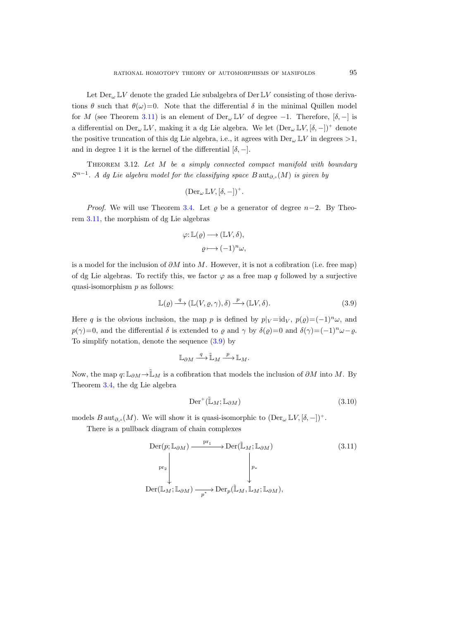Let  $Der_{\omega} \mathbb{L}V$  denote the graded Lie subalgebra of Der  $\mathbb{L}V$  consisting of those derivations  $\theta$  such that  $\theta(\omega)=0$ . Note that the differential  $\delta$  in the minimal Quillen model for M (see Theorem [3.11\)](#page-26-0) is an element of Der<sub> $\omega \mathbb{L}V$ </sub> of degree -1. Therefore,  $[\delta, -]$  is a differential on  $Der_{\omega}\mathbb{L}V$ , making it a dg Lie algebra. We let  $(Der_{\omega}\mathbb{L}V, [\delta, -])^+$  denote the positive truncation of this dg Lie algebra, i.e., it agrees with  $Der_{\omega} \mathbb{L} V$  in degrees  $>1$ , and in degree 1 it is the kernel of the differential  $[\delta, -]$ .

<span id="page-28-0"></span>THEOREM 3.12. Let  $M$  be a simply connected compact manifold with boundary  $S^{n-1}$ . A dg Lie algebra model for the classifying space  $B$  aut<sub> $\partial_{\gamma}S(M)$ </sub> is given by

$$
(\mathrm{Der}_{\omega} \mathop{\mathbb{L}} V,[\delta,-])^+.
$$

*Proof.* We will use Theorem [3.4.](#page-18-2) Let  $\rho$  be a generator of degree n–2. By Theorem [3.11,](#page-26-0) the morphism of dg Lie algebras

$$
\varphi: \mathbb{L}(\varrho) \longrightarrow (\mathbb{L}V, \delta),
$$

$$
\varrho \longmapsto (-1)^n \omega,
$$

is a model for the inclusion of  $\partial M$  into M. However, it is not a cofibration (i.e. free map) of dg Lie algebras. To rectify this, we factor  $\varphi$  as a free map q followed by a surjective quasi-isomorphism  $p$  as follows:

<span id="page-28-1"></span>
$$
\mathbb{L}(\varrho) \xrightarrow{q} (\mathbb{L}(V, \varrho, \gamma), \delta) \xrightarrow{p} (\mathbb{L}V, \delta).
$$
\n(3.9)

Here q is the obvious inclusion, the map p is defined by  $p|_V = id_V$ ,  $p(\rho) = (-1)^n \omega$ , and  $p(\gamma)=0$ , and the differential  $\delta$  is extended to  $\varrho$  and  $\gamma$  by  $\delta(\varrho)=0$  and  $\delta(\gamma)=(-1)^n\omega-\varrho$ . To simplify notation, denote the sequence [\(3.9\)](#page-28-1) by

$$
\mathbb{L}_{\partial M} \xrightarrow{q} \tilde{\mathbb{L}}_M \xrightarrow{p} \mathbb{L}_M.
$$

Now, the map  $q: \mathbb{L}_{\partial M} \to \mathbb{L}_M$  is a cofibration that models the inclusion of  $\partial M$  into M. By Theorem [3.4,](#page-18-2) the dg Lie algebra

$$
\text{Der}^+(\tilde{\mathbb{L}}_M; \mathbb{L}_{\partial M})\tag{3.10}
$$

models  $B \text{ aut}_{\partial,\circ}(M)$ . We will show it is quasi-isomorphic to  $(\text{Der}_{\omega} \mathbb{L} V, [\delta, -])^+$ .

<span id="page-28-2"></span>There is a pullback diagram of chain complexes

$$
\begin{array}{ccc}\n\text{Der}(p; \mathbb{L}_{\partial M}) & \xrightarrow{\text{pr}_1} & \text{Der}(\mathbb{L}_M; \mathbb{L}_{\partial M}) \\
& & \downarrow \\
\text{pr}_2 & & \downarrow \\
\text{Der}(\mathbb{L}_M; \mathbb{L}_{\partial M}) & \xrightarrow{p^*} \text{Der}_{p}(\mathbb{L}_M, \mathbb{L}_M; \mathbb{L}_{\partial M}),\n\end{array} \tag{3.11}
$$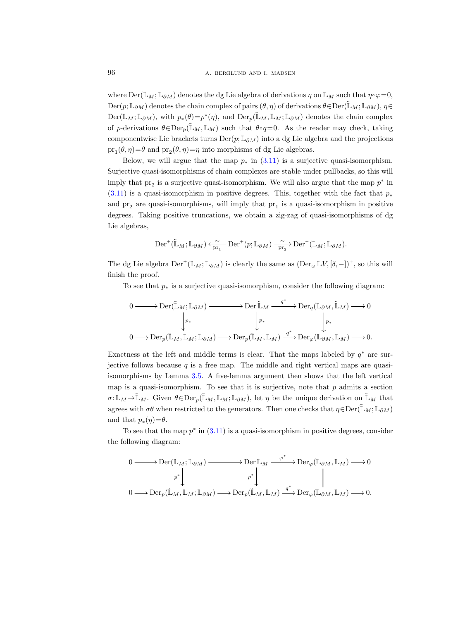where  $\text{Der}(\mathbb{L}_M;\mathbb{L}_{\partial M})$  denotes the dg Lie algebra of derivations  $\eta$  on  $\mathbb{L}_M$  such that  $\eta \circ \varphi = 0$ ,  $\text{Der}(p;\mathbb{L}_{\partial M})$  denotes the chain complex of pairs  $(\theta,\eta)$  of derivations  $\theta \in \text{Der}(\mathbb{L}_M;\mathbb{L}_{\partial M}), \eta \in$  $Der(\mathbb{L}_M;\mathbb{L}_{\partial M})$ , with  $p_*(\theta)=p^*(\eta)$ , and  $Der_p(\mathbb{L}_M,\mathbb{L}_M;\mathbb{L}_{\partial M})$  denotes the chain complex of p-derivations  $\theta \in \text{Der}_p(\mathbb{L}_M, \mathbb{L}_M)$  such that  $\theta \circ q=0$ . As the reader may check, taking componentwise Lie brackets turns  $\text{Der}(p;\mathbb{L}_{\partial M})$  into a dg Lie algebra and the projections  $pr_1(\theta, \eta) = \theta$  and  $pr_2(\theta, \eta) = \eta$  into morphisms of dg Lie algebras.

Below, we will argue that the map  $p_*$  in [\(3.11\)](#page-28-2) is a surjective quasi-isomorphism. Surjective quasi-isomorphisms of chain complexes are stable under pullbacks, so this will imply that  $pr_2$  is a surjective quasi-isomorphism. We will also argue that the map  $p^*$  in  $(3.11)$  is a quasi-isomorphism in positive degrees. This, together with the fact that  $p_*$ and  $pr_2$  are quasi-isomorphisms, will imply that  $pr_1$  is a quasi-isomorphism in positive degrees. Taking positive truncations, we obtain a zig-zag of quasi-isomorphisms of dg Lie algebras,

$$
\mathrm{Der}^+(\tilde{\mathbb{L}}_M;\mathbb{L}_{\partial M}) \xleftarrow{\sim} \mathrm{Der}^+(p;\mathbb{L}_{\partial M}) \xrightarrow{\sim} \mathrm{Der}^+(\mathbb{L}_M;\mathbb{L}_{\partial M}).
$$

The dg Lie algebra  $\mathrm{Der}^+(\mathbb{L}_M;\mathbb{L}_{\partial M})$  is clearly the same as  $(\mathrm{Der}_{\omega} \mathbb{L}V,[\delta,-])^+$ , so this will finish the proof.

To see that  $p_*$  is a surjective quasi-isomorphism, consider the following diagram:

$$
\begin{CD} 0 @>>> \mathrm{Der}(\widetilde{\mathbb{L}}_M;\mathbb{L}_{\partial M}) @>>> \mathrm{Der}^{\widetilde{\mathbb{L}}_M} @>{q^*}>> \mathrm{Der}_q(\mathbb{L}_{\partial M},\widetilde{\mathbb{L}}_M) @>>> 0 \\ & & \downarrow_{p_*} & & \downarrow_{p_*} \\ 0 @>>> \mathrm{Der}_p(\widetilde{\mathbb{L}}_M,\mathbb{L}_M;\mathbb{L}_{\partial M}) @>>> \mathrm{Der}_p(\widetilde{\mathbb{L}}_M,\mathbb{L}_M) @>{q^*}>> \mathrm{Der}_\varphi(\mathbb{L}_{\partial M},\mathbb{L}_M) @>>> 0. \end{CD}
$$

Exactness at the left and middle terms is clear. That the maps labeled by  $q^*$  are surjective follows because  $q$  is a free map. The middle and right vertical maps are quasiisomorphisms by Lemma [3.5.](#page-18-3) A five-lemma argument then shows that the left vertical map is a quasi-isomorphism. To see that it is surjective, note that  $p$  admits a section  $\sigma: \mathbb{L}_M \to \mathbb{L}_M$ . Given  $\theta \in \text{Der}_p(\mathbb{L}_M, \mathbb{L}_M; \mathbb{L}_{\partial M})$ , let  $\eta$  be the unique derivation on  $\mathbb{L}_M$  that agrees with  $\sigma\theta$  when restricted to the generators. Then one checks that  $\eta \in \text{Der}(\mathbb{L}_M; \mathbb{L}_{\partial M})$ and that  $p_*(\eta) = \theta$ .

To see that the map  $p^*$  in  $(3.11)$  is a quasi-isomorphism in positive degrees, consider the following diagram:

$$
\begin{CD} 0 @>>> \mathrm{Der}(\mathbb{L}_M;\mathbb{L}_{\partial M}) @>>> \mathrm{Der}\,\mathbb{L}_M @>\varphi^*>> \mathrm{Der}_{\varphi}(\mathbb{L}_{\partial M},\mathbb{L}_M) @>>> 0 \\ & & p^*VV @VVV \\ 0 @>>> \mathrm{Der}_p(\mathbb{L}_M,\mathbb{L}_M;\mathbb{L}_{\partial M}) @>>> \mathrm{Der}_p(\mathbb{L}_M,\mathbb{L}_M) @>\varphi^*>> \mathrm{Der}_{\varphi}(\mathbb{L}_{\partial M},\mathbb{L}_M) @>>> 0. \end{CD}
$$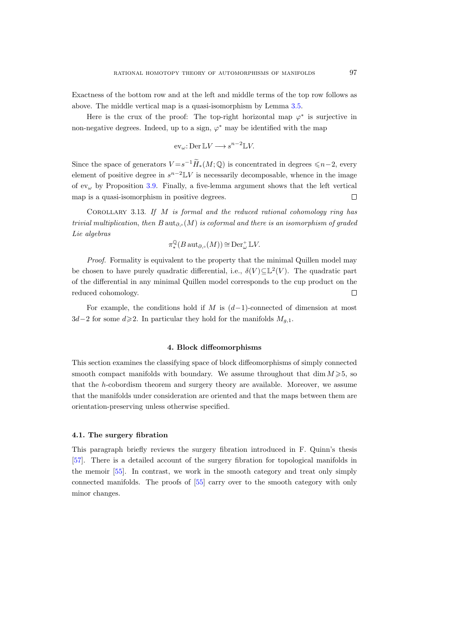Exactness of the bottom row and at the left and middle terms of the top row follows as above. The middle vertical map is a quasi-isomorphism by Lemma [3.5.](#page-18-4)

Here is the crux of the proof: The top-right horizontal map  $\varphi^*$  is surjective in non-negative degrees. Indeed, up to a sign,  $\varphi^*$  may be identified with the map

$$
\mathrm{ev}_{\omega} \colon \mathrm{Der} \, \mathbb{L}V \longrightarrow s^{n-2} \mathbb{L}V.
$$

Since the space of generators  $V = s^{-1} \tilde{H}_*(M; \mathbb{Q})$  is concentrated in degrees  $\leq n-2$ , every element of positive degree in  $s^{n-2}$ LV is necessarily decomposable, whence in the image of  $ev_{\omega}$  by Proposition [3.9.](#page-25-2) Finally, a five-lemma argument shows that the left vertical map is a quasi-isomorphism in positive degrees.  $\Box$ 

COROLLARY 3.13. If  $M$  is formal and the reduced rational cohomology ring has trivial multiplication, then B aut<sub>∂</sub>, $(M)$  is coformal and there is an isomorphism of graded Lie algebras

$$
\pi^\mathbb{Q}_*(B\operatorname{aut}_{\partial,\circ}(M))\cong \operatorname{Der}^+_\omega \mathbb{L} V.
$$

Proof. Formality is equivalent to the property that the minimal Quillen model may be chosen to have purely quadratic differential, i.e.,  $\delta(V) \subseteq \mathbb{L}^2(V)$ . The quadratic part of the differential in any minimal Quillen model corresponds to the cup product on the reduced cohomology.  $\Box$ 

For example, the conditions hold if M is  $(d-1)$ -connected of dimension at most  $3d-2$  for some  $d\geqslant 2$ . In particular they hold for the manifolds  $M_{q,1}$ .

## 4. Block diffeomorphisms

<span id="page-30-0"></span>This section examines the classifying space of block diffeomorphisms of simply connected smooth compact manifolds with boundary. We assume throughout that dim  $M \ge 5$ , so that the h-cobordism theorem and surgery theory are available. Moreover, we assume that the manifolds under consideration are oriented and that the maps between them are orientation-preserving unless otherwise specified.

#### <span id="page-30-1"></span>4.1. The surgery fibration

This paragraph briefly reviews the surgery fibration introduced in F. Quinn's thesis [\[57\]](#page-117-10). There is a detailed account of the surgery fibration for topological manifolds in the memoir [\[55\]](#page-117-11). In contrast, we work in the smooth category and treat only simply connected manifolds. The proofs of [\[55\]](#page-117-11) carry over to the smooth category with only minor changes.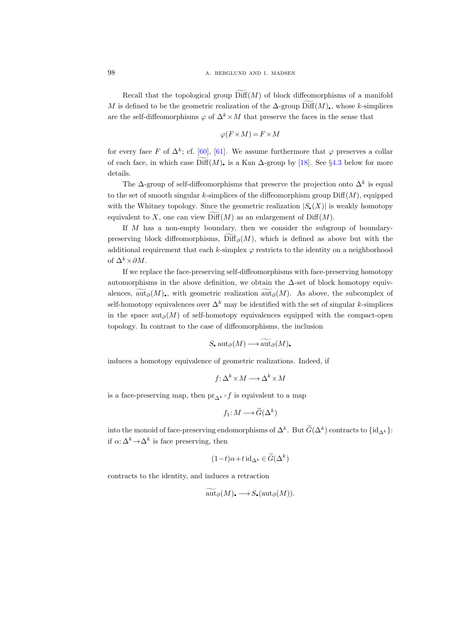Recall that the topological group  $\text{Diff}(M)$  of block diffeomorphisms of a manifold M is defined to be the geometric realization of the  $\Delta$ -group Diff $(M)$ , whose k-simplices are the self-diffeomorphisms  $\varphi$  of  $\Delta^k \times M$  that preserve the faces in the sense that

$$
\varphi(F \times M) = F \times M
$$

for every face F of  $\Delta^k$ ; cf. [\[60\]](#page-117-12), [\[61\]](#page-117-13). We assume furthermore that  $\varphi$  preserves a collar of each face, in which case  $\widetilde{\text{Diff}}(M)$ , is a Kan  $\Delta$ -group by [\[18\]](#page-115-10). See §[4.3](#page-40-1) below for more details.

The  $\Delta$ -group of self-diffeomorphisms that preserve the projection onto  $\Delta^k$  is equal to the set of smooth singular k-simplices of the diffeomorphism group  $\text{Diff}(M)$ , equipped with the Whitney topology. Since the geometric realization  $|S_{\epsilon}(X)|$  is weakly homotopy equivalent to X, one can view  $\text{Diff}(M)$  as an enlargement of  $\text{Diff}(M)$ .

If M has a non-empty boundary, then we consider the subgroup of boundarypreserving block diffeomorphisms,  $Diff_{\partial}(M)$ , which is defined as above but with the additional requirement that each k-simplex  $\varphi$  restricts to the identity on a neighborhood of  $\Delta^k \times \partial M$ .

If we replace the face-preserving self-diffeomorphisms with face-preserving homotopy automorphisms in the above definition, we obtain the  $\Delta$ -set of block homotopy equivalences,  $\tilde{\text{aut}}_{\partial}(M)$ , with geometric realization  $\tilde{\text{aut}}_{\partial}(M)$ . As above, the subcomplex of self-homotopy equivalences over  $\Delta^k$  may be identified with the set of singular k-simplices in the space aut<sub>∂</sub>(M) of self-homotopy equivalences equipped with the compact-open topology. In contrast to the case of diffeomorphisms, the inclusion

$$
S_{\bullet} \operatorname{aut}_{\partial}(M) \longrightarrow \widetilde{\operatorname{aut}}_{\partial}(M)
$$

induces a homotopy equivalence of geometric realizations. Indeed, if

$$
f: \Delta^k \times M \longrightarrow \Delta^k \times M
$$

is a face-preserving map, then pr<sub>∧k</sub> f is equivalent to a map

$$
f_1: M \longrightarrow \widetilde{G}(\Delta^k)
$$

into the monoid of face-preserving endomorphisms of  $\Delta^k$ . But  $G(\Delta^k)$  contracts to  $\{\mathrm{id}_{\Delta^k}\}$ : if  $\alpha: \Delta^k \to \Delta^k$  is face preserving, then

$$
(1-t)\alpha + t \operatorname{id}_{\Delta^k} \in \widetilde{G}(\Delta^k)
$$

contracts to the identity, and induces a retraction

$$
\operatorname{aut}_{\partial}(M) \longrightarrow S_{\bullet}(\operatorname{aut}_{\partial}(M)).
$$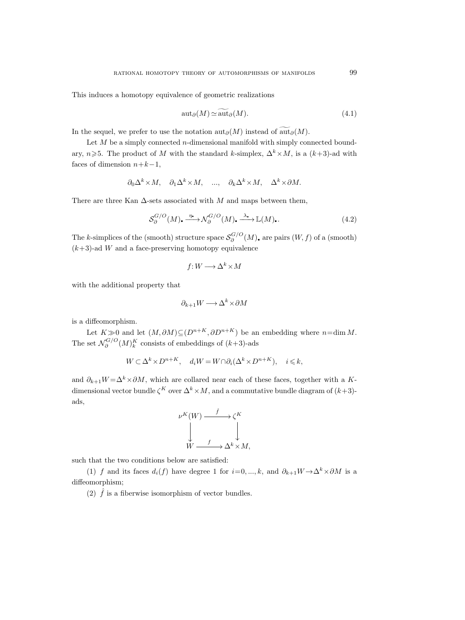This induces a homotopy equivalence of geometric realizations

$$
aut_{\partial}(M) \simeq aut_{\partial}(M). \tag{4.1}
$$

In the sequel, we prefer to use the notation  $\mathrm{aut}_{\partial}(M)$  instead of  $\widetilde{\mathrm{aut}}_{\partial}(M)$ .

Let  $M$  be a simply connected *n*-dimensional manifold with simply connected boundary,  $n\geqslant 5$ . The product of M with the standard k-simplex,  $\Delta^k \times M$ , is a  $(k+3)$ -ad with faces of dimension  $n+k-1$ ,

$$
\partial_0 \Delta^k \times M
$$
,  $\partial_1 \Delta^k \times M$ , ...,  $\partial_k \Delta^k \times M$ ,  $\Delta^k \times \partial M$ .

There are three Kan  $\Delta$ -sets associated with M and maps between them,

<span id="page-32-0"></span>
$$
\mathcal{S}_{\partial}^{G/O}(M), \xrightarrow{\eta_{\bullet}} \mathcal{N}_{\partial}^{G/O}(M), \xrightarrow{\lambda_{\bullet}} \mathbb{L}(M), \tag{4.2}
$$

The k-simplices of the (smooth) structure space  $S_{\partial}^{G/O}$  $\delta^{\mathbf{G/O}}_{\partial}(M)$ , are pairs  $(W, f)$  of a (smooth)  $(k+3)$ -ad W and a face-preserving homotopy equivalence

$$
f: W \longrightarrow \Delta^k \times M
$$

with the additional property that

$$
\partial_{k+1}W \longrightarrow \Delta^k \times \partial M
$$

is a diffeomorphism.

Let  $K\gg 0$  and let  $(M, \partial M) \subseteq (D^{n+K}, \partial D^{n+K})$  be an embedding where  $n=\dim M$ . The set  $\mathcal{N}_{\partial}^{G/O}$  $\delta^{G/O}(M)^K_k$  consists of embeddings of  $(k+3)$ -ads

$$
W \subset \Delta^k \times D^{n+K}, \quad d_i W = W \cap \partial_i (\Delta^k \times D^{n+K}), \quad i \leq k,
$$

and  $\partial_{k+1}W = \Delta^k \times \partial M$ , which are collared near each of these faces, together with a Kdimensional vector bundle  $\zeta^K$  over  $\Delta^k \times M$ , and a commutative bundle diagram of  $(k+3)$ ads,

$$
\begin{array}{ccc}\n\nu^K(W) & \xrightarrow{\hat{f}} & \zeta^K \\
\downarrow & & \downarrow \\
W & \xrightarrow{f} & \Delta^k \times M,\n\end{array}
$$

such that the two conditions below are satisfied:

(1) f and its faces  $d_i(f)$  have degree 1 for  $i=0, ..., k$ , and  $\partial_{k+1}W \to \Delta^k \times \partial M$  is a diffeomorphism;

(2)  $\hat{f}$  is a fiberwise isomorphism of vector bundles.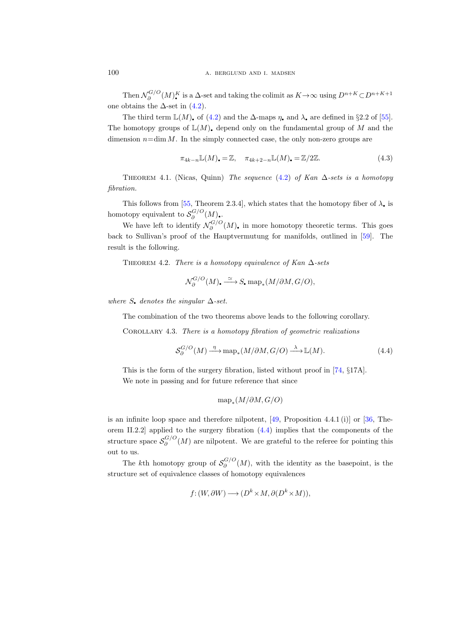Then  $\mathcal{N}_{\partial}^{G/O}$  $\partial_{\partial}^{G/O}(M)_{\bullet}^{K}$  is a  $\Delta$ -set and taking the colimit as  $K \to \infty$  using  $D^{n+K} \subset D^{n+K+1}$ one obtains the  $\Delta$ -set in  $(4.2)$ .

The third term  $\mathbb{L}(M)$ , of [\(4.2\)](#page-32-0) and the  $\Delta$ -maps  $\eta$ , and  $\lambda$ , are defined in §2.2 of [\[55\]](#page-117-14). The homotopy groups of  $\mathbb{L}(M)$ , depend only on the fundamental group of M and the dimension  $n=\dim M$ . In the simply connected case, the only non-zero groups are

$$
\pi_{4k-n} \mathbb{L}(M)_\bullet = \mathbb{Z}, \quad \pi_{4k+2-n} \mathbb{L}(M)_\bullet = \mathbb{Z}/2\mathbb{Z}.\tag{4.3}
$$

THEOREM 4.1. (Nicas, Quinn) The sequence [\(4.2\)](#page-32-0) of Kan  $\Delta$ -sets is a homotopy fibration.

This follows from [\[55,](#page-117-14) Theorem 2.3.4], which states that the homotopy fiber of  $\lambda$ , is homotopy equivalent to  $S_{\partial}^{G/O}$  $\delta^{\mathbf{G/O}}_{\partial}(M)$ .

We have left to identify  $\mathcal{N}_{\partial}^{G/O}$  $\delta^{G/O}(M)$ , in more homotopy theoretic terms. This goes back to Sullivan's proof of the Hauptvermutung for manifolds, outlined in [\[59\]](#page-117-15). The result is the following.

THEOREM 4.2. There is a homotopy equivalence of Kan  $\Delta$ -sets

$$
\mathcal{N}_{\partial}^{G/O}(M) \qquad \stackrel{\simeq}{\longrightarrow} S \qquad \text{map}_*(M/\partial M, G/O),
$$

where S, denotes the singular  $\Delta$ -set.

The combination of the two theorems above leads to the following corollary.

COROLLARY 4.3. There is a homotopy fibration of geometric realizations

<span id="page-33-0"></span>
$$
\mathcal{S}_{\partial}^{G/O}(M) \xrightarrow{\eta} \text{map}_{*}(M/\partial M, G/O) \xrightarrow{\lambda} \mathbb{L}(M). \tag{4.4}
$$

This is the form of the surgery fibration, listed without proof in [\[74,](#page-117-16) §17A]. We note in passing and for future reference that since

$$
\mathrm{map}_*(M/\partial M, G/O)
$$

is an infinite loop space and therefore nilpotent,  $[49,$  Proposition 4.4.1 (i)] or [\[36,](#page-116-14) Theorem II.2.2 applied to the surgery fibration  $(4.4)$  implies that the components of the structure space  $S_{\partial}^{G/O}$  $\delta_{\partial}^{\mathbf{G}/\mathbf{O}}(M)$  are nilpotent. We are grateful to the referee for pointing this out to us.

The k<sup>th</sup> homotopy group of  $S_{\partial}^{G/O}$  $\delta^{\mathbf{G/O}}_{\partial}(M)$ , with the identity as the basepoint, is the structure set of equivalence classes of homotopy equivalences

$$
f: (W, \partial W) \longrightarrow (D^k \times M, \partial (D^k \times M)),
$$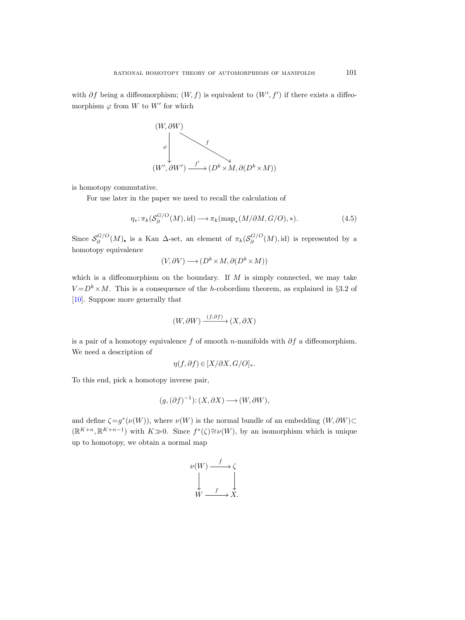with  $\partial f$  being a diffeomorphism;  $(W, f)$  is equivalent to  $(W', f')$  if there exists a diffeomorphism  $\varphi$  from W to W' for which



is homotopy commutative.

For use later in the paper we need to recall the calculation of

$$
\eta_*: \pi_k(S_\partial^{G/O}(M), \text{id}) \longrightarrow \pi_k(\text{map}_*(M/\partial M, G/O), *).
$$
\n(4.5)

Since  $S_{\partial}^{G/O}$  $\sigma_{\partial}^{G/O}(M)$ , is a Kan  $\Delta$ -set, an element of  $\pi_k(\mathcal{S}_{\partial}^{G/O})$  $\mathcal{O}_{\partial}^{\mathbf{G}/\mathbf{O}}(M)$ , id) is represented by a homotopy equivalence

$$
(V, \partial V) \longrightarrow (D^k \times M, \partial (D^k \times M))
$$

which is a diffeomorphism on the boundary. If  $M$  is simply connected, we may take  $V = D<sup>k</sup> \times M$ . This is a consequence of the h-cobordism theorem, as explained in §3.2 of [\[10\]](#page-115-0). Suppose more generally that

$$
(W, \partial W) \xrightarrow{(f, \partial f)} (X, \partial X)
$$

is a pair of a homotopy equivalence f of smooth n-manifolds with  $\partial f$  a diffeomorphism. We need a description of

$$
\eta(f,\partial f) \in [X/\partial X, G/O]_{*}.
$$

To this end, pick a homotopy inverse pair,

$$
(g,(\partial f)^{-1}) \colon (X,\partial X) \longrightarrow (W,\partial W),
$$

and define  $\zeta = g^*(\nu(W))$ , where  $\nu(W)$  is the normal bundle of an embedding  $(W, \partial W)$ ⊂  $(\mathbb{R}^{K+n}, \mathbb{R}^{K+n-1})$  with  $K \gg 0$ . Since  $f^*(\zeta) \cong \nu(W)$ , by an isomorphism which is unique up to homotopy, we obtain a normal map

$$
\nu(W) \xrightarrow{f} \zeta
$$
  
\n
$$
\downarrow \qquad \qquad \downarrow
$$
  
\n
$$
W \xrightarrow{f} X.
$$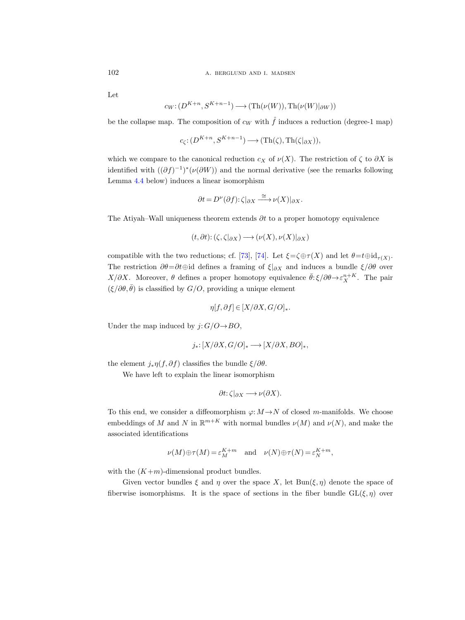Let

$$
c_W: (D^{K+n}, S^{K+n-1}) \longrightarrow (\text{Th}(\nu(W)), \text{Th}(\nu(W)|_{\partial W}))
$$

be the collapse map. The composition of  $c_W$  with  $\hat{f}$  induces a reduction (degree-1 map)

$$
c_{\zeta}:(D^{K+n},S^{K+n-1})\longrightarrow(\operatorname{Th}(\zeta),\operatorname{Th}(\zeta|_{\partial X})),
$$

which we compare to the canonical reduction  $c_X$  of  $\nu(X)$ . The restriction of  $\zeta$  to  $\partial X$  is identified with  $((\partial f)^{-1})^*(\nu(\partial W))$  and the normal derivative (see the remarks following Lemma [4.4](#page-36-0) below) induces a linear isomorphism

$$
\partial t = D^{\nu}(\partial f); \zeta|_{\partial X} \xrightarrow{\cong} \nu(X)|_{\partial X}.
$$

The Atiyah–Wall uniqueness theorem extends  $\partial t$  to a proper homotopy equivalence

$$
(t, \partial t): (\zeta, \zeta|_{\partial X}) \longrightarrow (\nu(X), \nu(X)|_{\partial X})
$$

compatible with the two reductions; cf. [\[73\]](#page-117-18), [\[74\]](#page-117-16). Let  $\xi = \zeta \oplus \tau(X)$  and let  $\theta = t \oplus id_{\tau(X)}$ . The restriction  $\partial \theta = \partial t \oplus id$  defines a framing of  $\xi|_{\partial X}$  and induces a bundle  $\xi/\partial \theta$  over  $X/\partial X$ . Moreover,  $\theta$  defines a proper homotopy equivalence  $\bar{\theta}$ :  $\xi/\partial \theta \rightarrow \varepsilon_X^{n+K}$ . The pair  $(\xi/\partial \theta, \bar{\theta})$  is classified by  $G/O$ , providing a unique element

$$
\eta[f,\partial f] \in [X/\partial X, G/O]_{*}.
$$

Under the map induced by  $j: G/O \rightarrow BO$ ,

$$
j_*\colon [X/\partial X, G/O]_* \longrightarrow [X/\partial X, BO]_*,
$$

the element  $j_*\eta(f,\partial f)$  classifies the bundle  $\xi/\partial\theta$ .

We have left to explain the linear isomorphism

$$
\partial t: \zeta|_{\partial X} \longrightarrow \nu(\partial X).
$$

To this end, we consider a diffeomorphism  $\varphi: M \to N$  of closed m-manifolds. We choose embeddings of M and N in  $\mathbb{R}^{m+K}$  with normal bundles  $\nu(M)$  and  $\nu(N)$ , and make the associated identifications

$$
\nu(M)\oplus\tau(M)=\varepsilon_M^{K+m}
$$
 and  $\nu(N)\oplus\tau(N)=\varepsilon_N^{K+m}$ ,

with the  $(K+m)$ -dimensional product bundles.

Given vector bundles  $\xi$  and  $\eta$  over the space X, let  $Bun(\xi, \eta)$  denote the space of fiberwise isomorphisms. It is the space of sections in the fiber bundle  $GL(\xi, \eta)$  over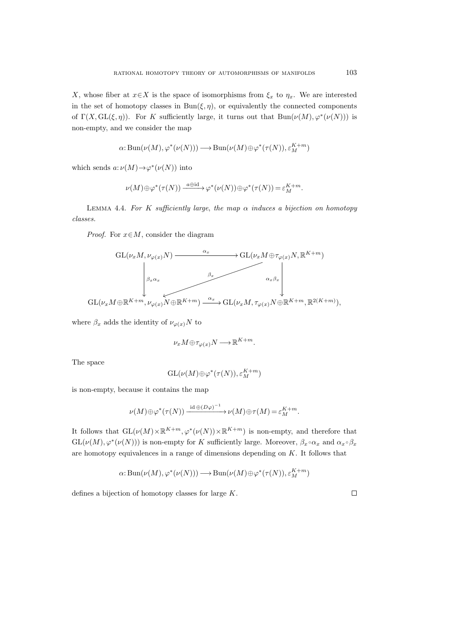X, whose fiber at  $x \in X$  is the space of isomorphisms from  $\xi_x$  to  $\eta_x$ . We are interested in the set of homotopy classes in  $Bun(\xi, \eta)$ , or equivalently the connected components of  $\Gamma(X, GL(\xi, \eta))$ . For K sufficiently large, it turns out that  $Bun(\nu(M), \varphi^*(\nu(N)))$  is non-empty, and we consider the map

$$
\alpha: \operatorname{Bun}(\nu(M), \varphi^*(\nu(N))) \longrightarrow \operatorname{Bun}(\nu(M) \oplus \varphi^*(\tau(N)), \varepsilon_M^{K+m})
$$

which sends  $a: \nu(M) \to \varphi^*(\nu(N))$  into

$$
\nu(M)\oplus\varphi^*(\tau(N))\xrightarrow{a\oplus\mathrm{id}}\varphi^*(\nu(N))\oplus\varphi^*(\tau(N))=\varepsilon_M^{K+m}.
$$

LEMMA 4.4. For K sufficiently large, the map  $\alpha$  induces a bijection on homotopy classes.

*Proof.* For  $x \in M$ , consider the diagram



where  $\beta_x$  adds the identity of  $\nu_{\varphi(x)}N$  to

$$
\nu_x M \oplus \tau_{\varphi(x)} N \longrightarrow \mathbb{R}^{K+m}.
$$

The space

$$
\mathrm{GL}(\nu(M)\oplus\varphi^*(\tau(N)),\varepsilon_M^{K+m})
$$

is non-empty, because it contains the map

$$
\nu(M)\oplus\varphi^*(\tau(N))\xrightarrow{\operatorname{id}\oplus (D\varphi)^{-1}}\nu(M)\oplus\tau(M)=\varepsilon_M^{K+m}.
$$

It follows that  $GL(\nu(M) \times \mathbb{R}^{K+m}, \varphi^*(\nu(N)) \times \mathbb{R}^{K+m})$  is non-empty, and therefore that  $\text{GL}(\nu(M), \varphi^*(\nu(N)))$  is non-empty for K sufficiently large. Moreover,  $\beta_x \circ \alpha_x$  and  $\alpha_x \circ \beta_x$ are homotopy equivalences in a range of dimensions depending on K. It follows that

$$
\alpha: \operatorname{Bun}(\nu(M), \varphi^*(\nu(N))) \longrightarrow \operatorname{Bun}(\nu(M) \oplus \varphi^*(\tau(N)), \varepsilon_M^{K+m})
$$

defines a bijection of homotopy classes for large K.

 $\Box$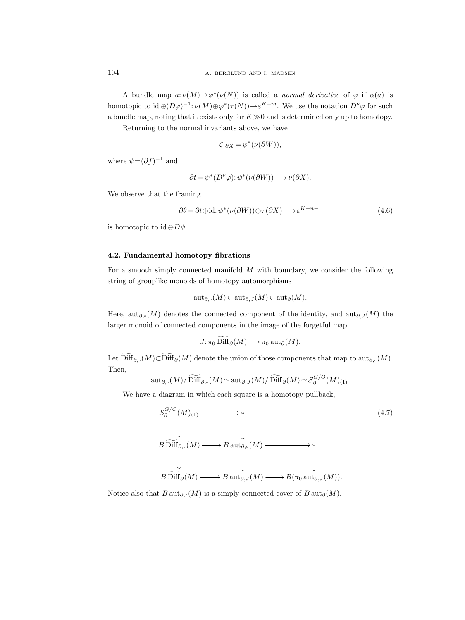A bundle map  $a: \nu(M) \to \varphi^*(\nu(N))$  is called a normal derivative of  $\varphi$  if  $\alpha(a)$  is homotopic to  $\mathrm{id}\oplus (D\varphi)^{-1}$ :  $\nu(M)\oplus \varphi^*(\tau(N))\to \varepsilon^{K+m}$ . We use the notation  $D^{\nu}\varphi$  for such a bundle map, noting that it exists only for  $K\gg 0$  and is determined only up to homotopy.

Returning to the normal invariants above, we have

$$
\zeta|_{\partial X} = \psi^*(\nu(\partial W)),
$$

where  $\psi = (\partial f)^{-1}$  and

$$
\partial t = \psi^*(D^{\nu}\varphi) : \psi^*(\nu(\partial W)) \longrightarrow \nu(\partial X).
$$

We observe that the framing

<span id="page-37-0"></span>
$$
\partial \theta = \partial t \oplus id : \psi^*(\nu(\partial W)) \oplus \tau(\partial X) \longrightarrow \varepsilon^{K+n-1}
$$
\n(4.6)

is homotopic to id  $\oplus D\psi$ .

## 4.2. Fundamental homotopy fibrations

For a smooth simply connected manifold M with boundary, we consider the following string of grouplike monoids of homotopy automorphisms

$$
{\rm aut}_{\partial, \circ}(M)\subset {\rm aut}_{\partial, J}(M)\subset {\rm aut}_{\partial}(M).
$$

Here, aut<sub>∂,</sub> $(M)$  denotes the connected component of the identity, and aut<sub>∂,J</sub> $(M)$  the larger monoid of connected components in the image of the forgetful map

$$
J: \pi_0 \operatorname{Diff}_{\partial}(M) \longrightarrow \pi_0 \operatorname{aut}_{\partial}(M).
$$

Let  $\widetilde{\text{Diff}}_{\partial,\circ}(M) \subset \widetilde{\text{Diff}}_{\partial}(M)$  denote the union of those components that map to  $\text{aut}_{\partial,\circ}(M)$ . Then,

$$
{\operatorname{aut}}_{\partial,\circ}(M)/\widetilde{\operatorname{Diff}}_{\partial,\circ}(M)\simeq {\operatorname{aut}}_{\partial,J}(M)/\widetilde{\operatorname{Diff}}_{\partial}(M)\simeq \mathcal{S}^{G/O}_{\partial}(M)_{(1)}.
$$

We have a diagram in which each square is a homotopy pullback,

$$
S_{\partial}^{G/O}(M)_{(1)} \longrightarrow * \qquad (4.7)
$$
\n
$$
B \widetilde{\text{Diff}}_{\partial,\circ}(M) \longrightarrow B \text{ aut}_{\partial,\circ}(M) \longrightarrow * \qquad (4.7)
$$
\n
$$
B \widetilde{\text{Diff}}_{\partial}(M) \longrightarrow B \text{ aut}_{\partial,J}(M) \longrightarrow B(\pi_0 \text{ aut}_{\partial,J}(M)).
$$

Notice also that  $B \text{aut}_{\partial} (M)$  is a simply connected cover of  $B \text{ aut}_{\partial} (M)$ .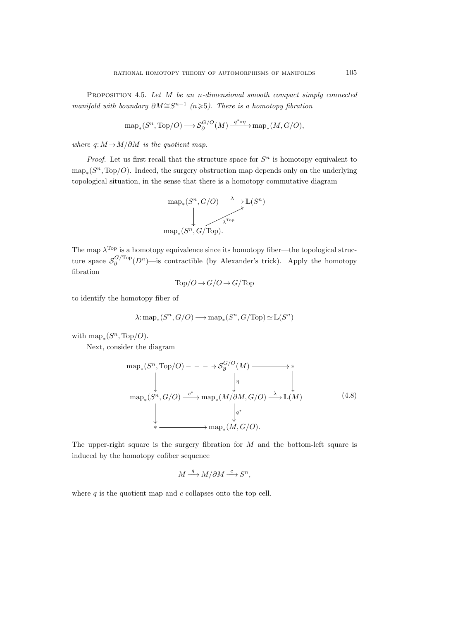<span id="page-38-0"></span>PROPOSITION 4.5. Let  $M$  be an n-dimensional smooth compact simply connected manifold with boundary  $\partial M \cong S^{n-1}$  (n>5). There is a homotopy fibration

$$
\text{map}_*(S^n, \text{Top}/O) \longrightarrow \mathcal{S}_{\partial}^{G/O}(M) \xrightarrow{q^* \circ \eta} \text{map}_*(M, G/O),
$$

where  $q: M \rightarrow M/\partial M$  is the quotient map.

*Proof.* Let us first recall that the structure space for  $S<sup>n</sup>$  is homotopy equivalent to  $\text{map}_*(S^n, \text{Top}/O)$ . Indeed, the surgery obstruction map depends only on the underlying topological situation, in the sense that there is a homotopy commutative diagram



The map  $\lambda^{\text{Top}}$  is a homotopy equivalence since its homotopy fiber—the topological structure space  $S_{\partial}^{G/\text{Top}}$  $\partial_{\partial}^{G/\text{Top}}(D^n)$ —is contractible (by Alexander's trick). Apply the homotopy fibration

$$
Top/O \to G/O \to G/Top
$$

to identify the homotopy fiber of

$$
\lambda: \mathrm{map}_*(S^n, G/O) \longrightarrow \mathrm{map}_*(S^n, G/\mathrm{Top}) \simeq \mathbb{L}(S^n)
$$

with  $\text{map}_*(S^n, \text{Top}/O).$ 

Next, consider the diagram

map<sup>∗</sup> (S <sup>n</sup>, Top/O) /S G/O ∂ (M) η /∗ map<sup>∗</sup> (S <sup>n</sup>, G/O) c ∗ /map<sup>∗</sup> (M/∂M, G/O) q ∗ <sup>λ</sup> /L(M) ∗ /map<sup>∗</sup> (M, G/O). (4.8)

The upper-right square is the surgery fibration for  $M$  and the bottom-left square is induced by the homotopy cofiber sequence

$$
M \xrightarrow{q} M/\partial M \xrightarrow{c} S^n,
$$

where  $q$  is the quotient map and  $c$  collapses onto the top cell.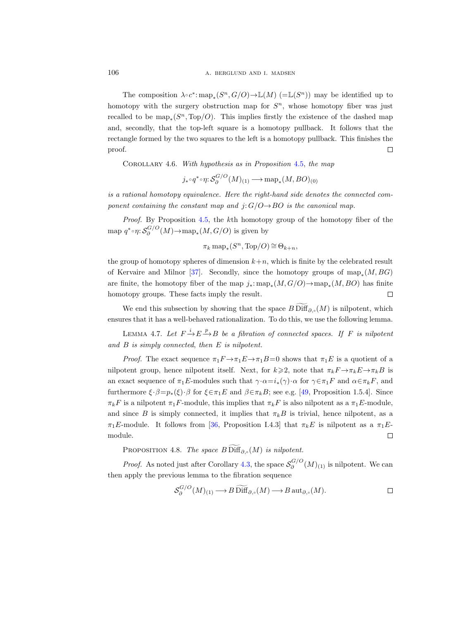The composition  $\lambda \circ c^* \colon \text{map}_*(S^n, G/O) \to \mathbb{L}(M)$  (= $\mathbb{L}(S^n)$ ) may be identified up to homotopy with the surgery obstruction map for  $S<sup>n</sup>$ , whose homotopy fiber was just recalled to be  $\text{map}_*(S^n, \text{Top}/O)$ . This implies firstly the existence of the dashed map and, secondly, that the top-left square is a homotopy pullback. It follows that the rectangle formed by the two squares to the left is a homotopy pullback. This finishes the proof.  $\Box$ 

<span id="page-39-1"></span>COROLLARY 4.6. With hypothesis as in Proposition [4.5,](#page-38-0) the map

 $j_*{\scriptstyle{\circ}}\, q^*{\scriptstyle{\circ}}\eta{:} \mathcal{S}^{G/O}_\partial$  $\bigcirc^{\mathbf{G}/\mathbf{C}}_{\partial}(M)_{(1)}$  → map<sub>\*</sub> $(M,BO)_{(0)}$ 

is a rational homotopy equivalence. Here the right-hand side denotes the connected component containing the constant map and  $j: G/O \rightarrow BO$  is the canonical map.

Proof. By Proposition [4.5,](#page-38-0) the kth homotopy group of the homotopy fiber of the map  $q^* \circ \eta$ :  $\mathcal{S}_{\partial}^{G/O}$  $\partial_{\partial}^{\mathcal{G}/\mathcal{O}}(M) \to \text{map}_*(M, G/O)$  is given by

$$
\pi_k \operatorname{map}_*(S^n, \operatorname{Top}/O) \cong \Theta_{k+n},
$$

the group of homotopy spheres of dimension  $k+n$ , which is finite by the celebrated result of Kervaire and Milnor [\[37\]](#page-116-0). Secondly, since the homotopy groups of  $\text{map}_*(M, BG)$ are finite, the homotopy fiber of the map  $j_*: \text{map}_*(M, G/O) \to \text{map}_*(M, BO)$  has finite homotopy groups. These facts imply the result.  $\Box$ 

We end this subsection by showing that the space  $B$  Diff<sub> $\partial_{\rho}$ </sub> $(M)$  is nilpotent, which ensures that it has a well-behaved rationalization. To do this, we use the following lemma.

<span id="page-39-0"></span>LEMMA 4.7. Let  $F \xrightarrow{i} E \xrightarrow{p} B$  be a fibration of connected spaces. If F is nilpotent and B is simply connected, then E is nilpotent.

*Proof.* The exact sequence  $\pi_1 F \to \pi_1 E \to \pi_1 B=0$  shows that  $\pi_1 E$  is a quotient of a nilpotent group, hence nilpotent itself. Next, for  $k \geq 2$ , note that  $\pi_k F \to \pi_k E \to \pi_k B$  is an exact sequence of  $\pi_1E$ -modules such that  $\gamma \cdot \alpha = i_*(\gamma) \cdot \alpha$  for  $\gamma \in \pi_1F$  and  $\alpha \in \pi_kF$ , and furthermore  $\xi \cdot \beta = p_*(\xi) \cdot \beta$  for  $\xi \in \pi_1 E$  and  $\beta \in \pi_k B$ ; see e.g. [\[49,](#page-117-0) Proposition 1.5.4]. Since  $\pi_k F$  is a nilpotent  $\pi_1 F$ -module, this implies that  $\pi_k F$  is also nilpotent as a  $\pi_1 E$ -module, and since B is simply connected, it implies that  $\pi_k B$  is trivial, hence nilpotent, as a  $\pi_1E$ -module. It follows from [\[36,](#page-116-1) Proposition I.4.3] that  $\pi_kE$  is nilpotent as a  $\pi_1E$ module.  $\Box$ 

PROPOSITION 4.8. The space B Diff<sub> $\partial_{\alpha}$ </sub> $(M)$  is nilpotent.

*Proof.* As noted just after Corollary [4.3,](#page-33-0) the space  $S_{\partial}^{G/O}$  $\delta^{\mathbf{G/O}}_{\partial}(M)_{(1)}$  is nilpotent. We can then apply the previous lemma to the fibration sequence

$$
\mathcal{S}_{\partial}^{G/O}(M)_{(1)} \longrightarrow B \widetilde{\text{Diff}}_{\partial,\circ}(M) \longrightarrow B \operatorname{aut}_{\partial,\circ}(M).
$$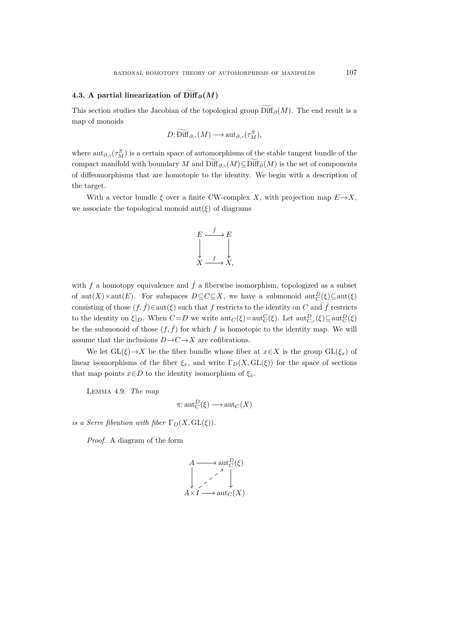# 4.3. A partial linearization of  $\widetilde{\text{Diff}}_{\partial}(M)$

This section studies the Jacobian of the topological group  $\text{Diff}_{\partial}(M)$ . The end result is a map of monoids

$$
D: \mathrm{Diff}_{\partial,\circ}(M) \longrightarrow \mathrm{aut}_{\partial,\circ}(\tau^S_M),
$$

where  $\text{aut}_{\partial,\circ}(\tau_M^S)$  is a certain space of automorphisms of the stable tangent bundle of the compact manifold with boundary M and  $\text{Diff}_{\partial,\circ}(M) \subseteq \text{Diff}_{\partial}(M)$  is the set of components of diffeomorphisms that are homotopic to the identity. We begin with a description of the target.

With a vector bundle  $\xi$  over a finite CW-complex X, with projection map  $E \rightarrow X$ , we associate the topological monoid  $\text{aut}(\xi)$  of diagrams



with f a homotopy equivalence and  $\hat{f}$  a fiberwise isomorphism, topologized as a subset of  $\operatorname{aut}(X) \times \operatorname{aut}(E)$ . For subspaces  $D \subseteq C \subseteq X$ , we have a submonoid  $\operatorname{aut}_C^D(\xi) \subseteq \operatorname{aut}(\xi)$ consisting of those  $(f, \hat{f}) \in \text{aut}(\xi)$  such that f restricts to the identity on C and  $\hat{f}$  restricts to the identity on  $\xi|_D$ . When  $C = D$  we write  $\text{aut}_C(\xi) = \text{aut}_C^C(\xi)$ . Let  $\text{aut}_{C,\circ}^D(\xi) \subseteq \text{aut}_C^D(\xi)$ be the submonoid of those  $(f, \hat{f})$  for which f is homotopic to the identity map. We will assume that the inclusions  $D \rightarrow C \rightarrow X$  are cofibrations.

We let  $GL(\xi) \to X$  be the fiber bundle whose fiber at  $x \in X$  is the group  $GL(\xi_x)$  of linear isomorphisms of the fiber  $\xi_x$ , and write  $\Gamma_D(X, GL(\xi))$  for the space of sections that map points  $x \in D$  to the identity isomorphism of  $\xi_x$ .

<span id="page-40-1"></span><span id="page-40-0"></span>Lemma 4.9. The map

$$
\pi: \operatorname{aut}_C^D(\xi) \longrightarrow \operatorname{aut}_C(X)
$$

is a Serre fibration with fiber  $\Gamma_D(X, GL(\xi))$ .

Proof. A diagram of the form

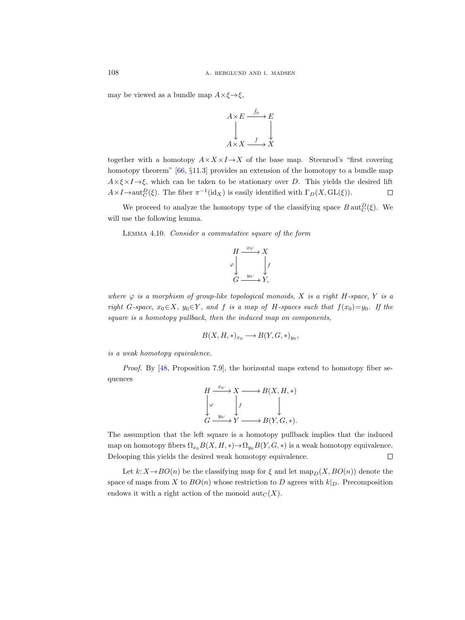may be viewed as a bundle map  $A \times \xi \rightarrow \xi$ ,



together with a homotopy  $A \times X \times I \rightarrow X$  of the base map. Steenrod's "first covering homotopy theorem" [\[66,](#page-117-1) §11.3] provides an extension of the homotopy to a bundle map  $A \times \xi \times I \rightarrow \xi$ , which can be taken to be stationary over D. This yields the desired lift  $A \times I \to \text{aut}_C^D(\xi)$ . The fiber  $\pi^{-1}(\text{id}_X)$  is easily identified with  $\Gamma_D(X, GL(\xi))$ .  $\Box$ 

We proceed to analyze the homotopy type of the classifying space  $B \text{aut}_C^D(\xi)$ . We will use the following lemma.

<span id="page-41-0"></span>Lemma 4.10. Consider a commutative square of the form



where  $\varphi$  is a morphism of group-like topological monoids, X is a right H-space, Y is a right G-space,  $x_0 \in X$ ,  $y_0 \in Y$ , and f is a map of H-spaces such that  $f(x_0)=y_0$ . If the square is a homotopy pullback, then the induced map on components,

$$
B(X, H, *)_{x_0} \longrightarrow B(Y, G, *)_{y_0},
$$

is a weak homotopy equivalence.

Proof. By [\[48,](#page-116-2) Proposition 7.9], the horizontal maps extend to homotopy fiber sequences



The assumption that the left square is a homotopy pullback implies that the induced map on homotopy fibers  $\Omega_{x_0}B(X, H, *) \to \Omega_{y_0}B(Y, G, *)$  is a weak homotopy equivalence. Delooping this yields the desired weak homotopy equivalence.  $\Box$ 

Let  $k: X \rightarrow BO(n)$  be the classifying map for  $\xi$  and let map<sub>p</sub>(X,  $BO(n)$ ) denote the space of maps from X to  $BO(n)$  whose restriction to D agrees with  $k|_D$ . Precomposition endows it with a right action of the monoid  $\mathrm{aut}_C(X)$ .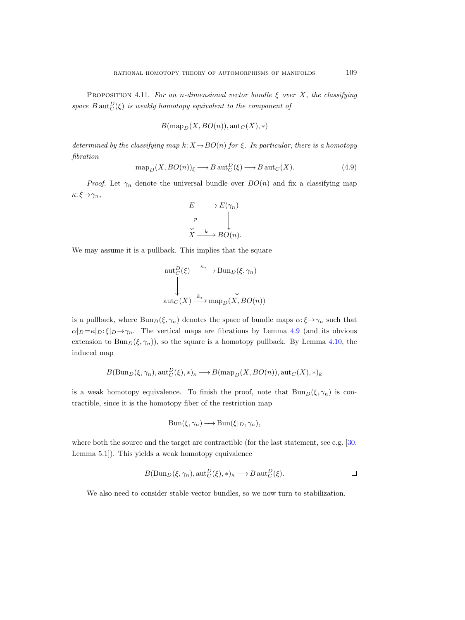<span id="page-42-0"></span>PROPOSITION 4.11. For an n-dimensional vector bundle  $\xi$  over X, the classifying space  $B \text{aut}_C^D(\xi)$  is weakly homotopy equivalent to the component of

$$
B(\text{map}_D(X,BO(n)), \text{aut}_C(X),*))
$$

determined by the classifying map  $k: X \to BO(n)$  for  $\xi$ . In particular, there is a homotopy fibration

$$
\operatorname{map}_D(X, BO(n))_{\xi} \longrightarrow B \operatorname{aut}_C^D(\xi) \longrightarrow B \operatorname{aut}_C(X). \tag{4.9}
$$

*Proof.* Let  $\gamma_n$  denote the universal bundle over  $BO(n)$  and fix a classifying map  $\kappa: \xi \rightarrow \gamma_n,$ 



We may assume it is a pullback. This implies that the square

$$
\begin{array}{c}\n\text{aut}_C^D(\xi) \xrightarrow{\kappa_*} \text{Bun}_D(\xi, \gamma_n) \\
\downarrow \qquad \qquad \downarrow \\
\text{aut}_C(X) \xrightarrow{k_*} \text{map}_D(X, BO(n))\n\end{array}
$$

is a pullback, where  $\text{Bun}_D(\xi, \gamma_n)$  denotes the space of bundle maps  $\alpha: \xi \to \gamma_n$  such that  $\alpha|_D = \kappa|_D: \xi|_D \to \gamma_n$ . The vertical maps are fibrations by Lemma [4.9](#page-40-0) (and its obvious extension to Bun<sub>D</sub>( $\xi$ ,  $\gamma_n$ )), so the square is a homotopy pullback. By Lemma [4.10,](#page-41-0) the induced map

$$
B(\text{Bun}_D(\xi,\gamma_n),\text{aut}_C^D(\xi),*)_\kappa \longrightarrow B(\text{map}_D(X,BO(n)),\text{aut}_C(X),*)_k
$$

is a weak homotopy equivalence. To finish the proof, note that  $Bun_D(\xi, \gamma_n)$  is contractible, since it is the homotopy fiber of the restriction map

$$
\operatorname{Bun}(\xi, \gamma_n) \longrightarrow \operatorname{Bun}(\xi|_D, \gamma_n),
$$

where both the source and the target are contractible (for the last statement, see e.g. [\[30,](#page-116-3) Lemma 5.1]). This yields a weak homotopy equivalence

$$
B(\mathrm{Bun}_D(\xi,\gamma_n),\mathrm{aut}_C^D(\xi),*)_\kappa\longrightarrow B\,\mathrm{aut}_C^D(\xi).
$$

We also need to consider stable vector bundles, so we now turn to stabilization.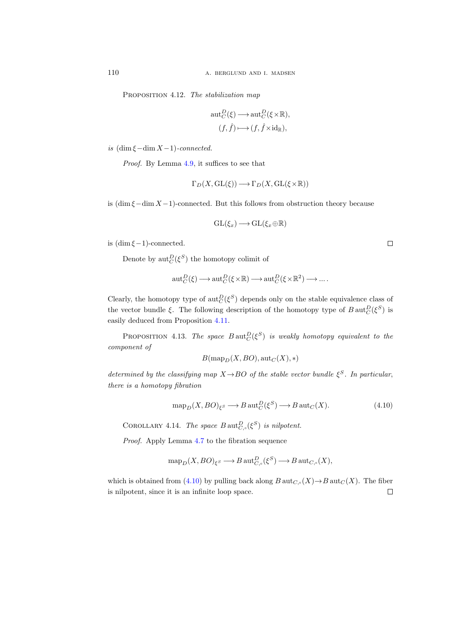PROPOSITION 4.12. The stabilization map

$$
aut_C^D(\xi) \longrightarrow aut_C^D(\xi \times \mathbb{R}),
$$
  

$$
(f, \hat{f}) \longmapsto (f, \hat{f} \times id_{\mathbb{R}}),
$$

is  $(\dim \xi - \dim X - 1)$ -connected.

Proof. By Lemma [4.9,](#page-40-1) it suffices to see that

$$
\Gamma_D(X,\operatorname{GL}(\xi))\longrightarrow \Gamma_D(X,\operatorname{GL}(\xi\times\mathbb{R}))
$$

is  $(\dim \xi - \dim X - 1)$ -connected. But this follows from obstruction theory because

$$
\operatorname{GL}(\xi_x)\longrightarrow \operatorname{GL}(\xi_x\oplus \mathbb{R})
$$

is  $(\dim \xi - 1)$ -connected.

Denote by  $\mathrm{aut}_{C}^{D}(\xi^{S})$  the homotopy colimit of

$$
\operatorname{aut}_C^D(\xi) \longrightarrow \operatorname{aut}_C^D(\xi \times \mathbb{R}) \longrightarrow \operatorname{aut}_C^D(\xi \times \mathbb{R}^2) \longrightarrow \dots.
$$

Clearly, the homotopy type of  $\mathrm{aut}_{C}^{D}(\xi^{S})$  depends only on the stable equivalence class of the vector bundle  $\xi$ . The following description of the homotopy type of  $B \text{aut}_C^D(\xi^S)$  is easily deduced from Proposition [4.11.](#page-42-0)

<span id="page-43-1"></span>PROPOSITION 4.13. The space  $B \text{aut}_C^D(\xi^S)$  is weakly homotopy equivalent to the component of

$$
B(\text{map}_D(X, BO), \text{aut}_C(X), *)
$$

determined by the classifying map  $X \rightarrow BO$  of the stable vector bundle  $\xi^S$ . In particular, there is a homotopy fibration

<span id="page-43-0"></span>
$$
\operatorname{map}_D(X, BO)_{\xi^S} \longrightarrow B \operatorname{aut}_C^D(\xi^S) \longrightarrow B \operatorname{aut}_C(X). \tag{4.10}
$$

COROLLARY 4.14. The space  $B \text{aut}_{C,\circ}^D(\xi^S)$  is nilpotent.

Proof. Apply Lemma [4.7](#page-39-0) to the fibration sequence

$$
\operatorname{map}_D(X, BO)_{\xi^S} \longrightarrow B \operatorname{aut}_{C,\circ}^D(\xi^S) \longrightarrow B \operatorname{aut}_{C,\circ}(X),
$$

which is obtained from [\(4.10\)](#page-43-0) by pulling back along  $B$  aut $_{C,\circ}(X) \to B$  aut $_C(X)$ . The fiber is nilpotent, since it is an infinite loop space. $\Box$ 

 $\Box$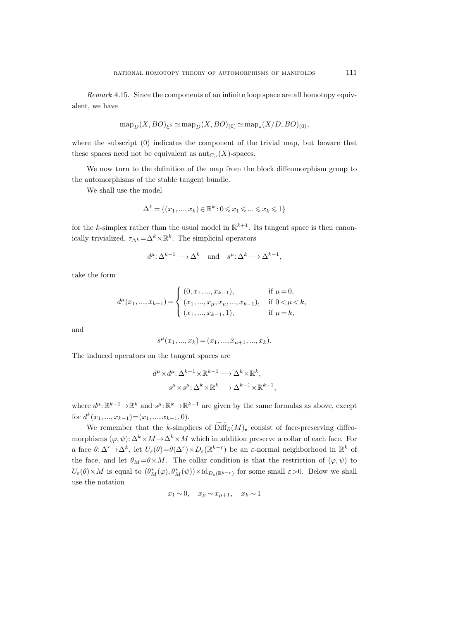Remark 4.15. Since the components of an infinite loop space are all homotopy equivalent, we have

$$
\operatorname{map}_D(X, BO)_{\xi^S} \simeq \operatorname{map}_D(X, BO)_{(0)} \simeq \operatorname{map}_*(X/D, BO)_{(0)},
$$

where the subscript (0) indicates the component of the trivial map, but beware that these spaces need not be equivalent as  $\mathrm{aut}_{C,\circ}(X)$ -spaces.

We now turn to the definition of the map from the block diffeomorphism group to the automorphisms of the stable tangent bundle.

We shall use the model

$$
\Delta^k = \{(x_1, ..., x_k) \in \mathbb{R}^k : 0 \leq x_1 \leq \dots \leq x_k \leq 1\}
$$

for the k-simplex rather than the usual model in  $\mathbb{R}^{k+1}$ . Its tangent space is then canonically trivialized,  $\tau_{\Delta^k} = \Delta^k \times \mathbb{R}^k$ . The simplicial operators

$$
d^{\mu}: \Delta^{k-1} \longrightarrow \Delta^k
$$
 and  $s^{\mu}: \Delta^k \longrightarrow \Delta^{k-1}$ ,

take the form

$$
d^{\mu}(x_1, ..., x_{k-1}) = \begin{cases} (0, x_1, ..., x_{k-1}), & \text{if } \mu = 0, \\ (x_1, ..., x_{\mu}, x_{\mu}, ..., x_{k-1}), & \text{if } 0 < \mu < k, \\ (x_1, ..., x_{k-1}, 1), & \text{if } \mu = k, \end{cases}
$$

and

$$
s^{\mu}(x_1, ..., x_k) = (x_1, ..., \hat{x}_{\mu+1}, ..., x_k).
$$

The induced operators on the tangent spaces are

$$
d^{\mu} \times d^{\mu} \colon \Delta^{k-1} \times \mathbb{R}^{k-1} \longrightarrow \Delta^{k} \times \mathbb{R}^{k},
$$
  

$$
s^{\mu} \times s^{\mu} \colon \Delta^{k} \times \mathbb{R}^{k} \longrightarrow \Delta^{k-1} \times \mathbb{R}^{k-1},
$$

where  $d^{\mu} \colon \mathbb{R}^{k-1} \to \mathbb{R}^k$  and  $s^{\mu} \colon \mathbb{R}^k \to \mathbb{R}^{k-1}$  are given by the same formulas as above, except for  $d^k(x_1, ..., x_{k-1}) = (x_1, ..., x_{k-1}, 0).$ 

We remember that the k-simplices of  $\text{Diff}_{\partial}(M)$ , consist of face-preserving diffeomorphisms  $(\varphi, \psi): \Delta^k \times M \to \Delta^k \times M$  which in addition preserve a collar of each face. For a face  $\theta: \Delta^r \to \Delta^k$ , let  $U_\varepsilon(\theta) = \theta(\Delta^r) \times D_\varepsilon(\mathbb{R}^{k-r})$  be an  $\varepsilon$ -normal neighborhood in  $\mathbb{R}^k$  of the face, and let  $\theta_M = \theta \times M$ . The collar condition is that the restriction of  $(\varphi, \psi)$  to  $U_{\varepsilon}(\theta) \times M$  is equal to  $(\theta^*_M(\varphi), \theta^*_M(\psi)) \times id_{D_{\varepsilon}(\mathbb{R}^{k-r})}$  for some small  $\varepsilon > 0$ . Below we shall use the notation

$$
x_1 \sim 0, \quad x_\mu \sim x_{\mu+1}, \quad x_k \sim 1
$$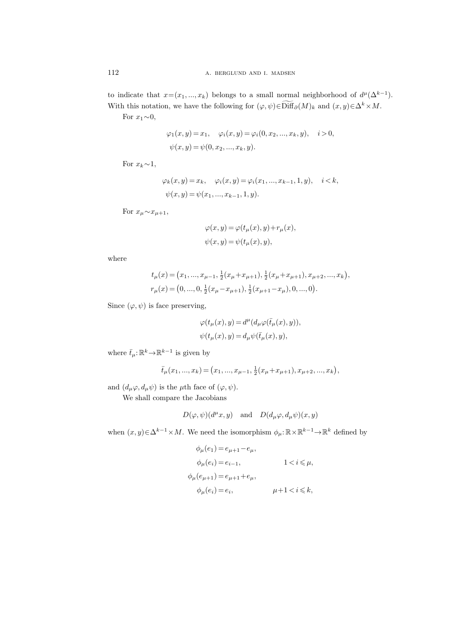to indicate that  $x=(x_1, ..., x_k)$  belongs to a small normal neighborhood of  $d^{\mu}(\Delta^{k-1})$ . With this notation, we have the following for  $(\varphi, \psi) \in \widetilde{\text{Diff}}_{\partial}(M)_k$  and  $(x, y) \in \Delta^k \times M$ .

For  $x_1 \sim 0$ ,

$$
\varphi_1(x, y) = x_1, \quad \varphi_i(x, y) = \varphi_i(0, x_2, ..., x_k, y), \quad i > 0,
$$
  

$$
\psi(x, y) = \psi(0, x_2, ..., x_k, y).
$$

For  $x_k \sim 1$ ,

$$
\varphi_k(x, y) = x_k, \quad \varphi_i(x, y) = \varphi_i(x_1, ..., x_{k-1}, 1, y), \quad i < k,
$$
  

$$
\psi(x, y) = \psi(x_1, ..., x_{k-1}, 1, y).
$$

For  $x_{\mu} \sim x_{\mu+1}$ ,

$$
\varphi(x, y) = \varphi(t_{\mu}(x), y) + r_{\mu}(x),
$$
  

$$
\psi(x, y) = \psi(t_{\mu}(x), y),
$$

where

$$
t_{\mu}(x) = (x_1, ..., x_{\mu-1}, \frac{1}{2}(x_{\mu} + x_{\mu+1}), \frac{1}{2}(x_{\mu} + x_{\mu+1}), x_{\mu+2}, ..., x_k),
$$
  

$$
r_{\mu}(x) = (0, ..., 0, \frac{1}{2}(x_{\mu} - x_{\mu+1}), \frac{1}{2}(x_{\mu+1} - x_{\mu}), 0, ..., 0).
$$

Since  $(\varphi, \psi)$  is face preserving,

$$
\begin{array}{l}\varphi(t_\mu(x),y)=d^\mu(d_\mu\varphi(\bar t_\mu(x),y)),\\ \\ \psi(t_\mu(x),y)=d_\mu\psi(\bar t_\mu(x),y),\end{array}
$$

where  $\bar{t}_{\mu}$ :  $\mathbb{R}^{k} \rightarrow \mathbb{R}^{k-1}$  is given by

$$
\bar{t}_{\mu}(x_1, ..., x_k) = (x_1, ..., x_{\mu-1}, \frac{1}{2}(x_{\mu} + x_{\mu+1}), x_{\mu+2}, ..., x_k),
$$

and  $(d_{\mu}\varphi, d_{\mu}\psi)$  is the  $\mu$ th face of  $(\varphi, \psi)$ .

We shall compare the Jacobians

$$
D(\varphi, \psi)(d^{\mu}x, y)
$$
 and  $D(d_{\mu}\varphi, d_{\mu}\psi)(x, y)$ 

when  $(x, y) \in \Delta^{k-1} \times M$ . We need the isomorphism  $\phi_\mu : \mathbb{R} \times \mathbb{R}^{k-1} \to \mathbb{R}^k$  defined by

$$
\begin{aligned} \phi_{\mu}(e_1) & = e_{\mu+1} - e_{\mu}, \\ \phi_{\mu}(e_i) & = e_{i-1}, & 1 < i &\leq \mu, \\ \phi_{\mu}(e_{\mu+1}) & = e_{\mu+1} + e_{\mu}, & \mu+1 < i &\leq k, \end{aligned}
$$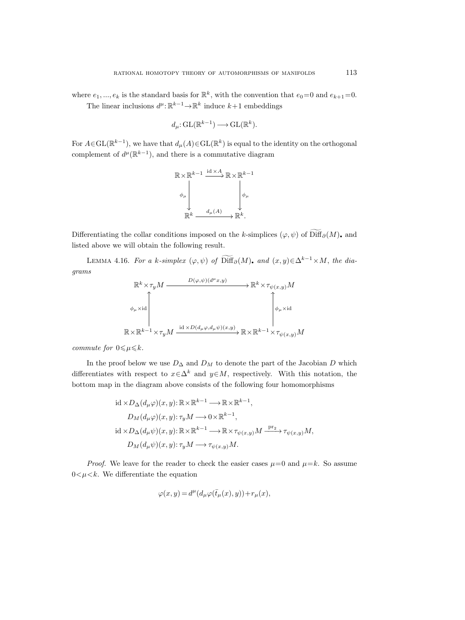where  $e_1, ..., e_k$  is the standard basis for  $\mathbb{R}^k$ , with the convention that  $e_0=0$  and  $e_{k+1}=0$ . The linear inclusions  $d^{\mu}$ :  $\mathbb{R}^{k-1} \to \mathbb{R}^k$  induce  $k+1$  embeddings

$$
d_{\mu}: GL(\mathbb{R}^{k-1}) \longrightarrow GL(\mathbb{R}^{k}).
$$

For  $A \in GL(\mathbb{R}^{k-1})$ , we have that  $d_{\mu}(A) \in GL(\mathbb{R}^{k})$  is equal to the identity on the orthogonal complement of  $d^{\mu}(\mathbb{R}^{k-1})$ , and there is a commutative diagram

$$
\mathbb{R} \times \mathbb{R}^{k-1} \xrightarrow{\mathrm{id} \times A} \mathbb{R} \times \mathbb{R}^{k-1}
$$
\n
$$
\phi_{\mu}
$$
\n
$$
\downarrow \phi_{\mu}
$$
\n
$$
\mathbb{R}^{k} \xrightarrow{d_{\mu}(A)} \mathbb{R}^{k}.
$$

Differentiating the collar conditions imposed on the k-simplices  $(\varphi, \psi)$  of  $\widetilde{\text{Diff}}_{\partial}(M)$ , and listed above we will obtain the following result.

<span id="page-46-0"></span>LEMMA 4.16. For a k-simplex  $(\varphi, \psi)$  of  $\widetilde{\text{Diff}}_{\partial}(M)$ , and  $(x, y) \in \Delta^{k-1} \times M$ , the diagrams

$$
\mathbb{R}^{k} \times \tau_{y} M \xrightarrow{D(\varphi, \psi)(d^{\mu}x, y)} \mathbb{R}^{k} \times \tau_{\psi(x, y)} M
$$
\n
$$
\phi_{\mu} \times \text{id}
$$
\n
$$
\mathbb{R} \times \mathbb{R}^{k-1} \times \tau_{y} M \xrightarrow{\text{id} \times D(d_{\mu}\varphi, d_{\mu}\psi)(x, y)} \mathbb{R} \times \mathbb{R}^{k-1} \times \tau_{\psi(x, y)} M
$$

commute for  $0 \leq \mu \leq k$ .

In the proof below we use  $D_{\Delta}$  and  $D_M$  to denote the part of the Jacobian D which differentiates with respect to  $x \in \Delta^k$  and  $y \in M$ , respectively. With this notation, the bottom map in the diagram above consists of the following four homomorphisms

$$
\label{eq:2.1} \begin{aligned} &\operatorname{id} \times D_{\Delta}(d_{\mu}\varphi)(x,y) \colon {\mathbb R} \times {\mathbb R}^{k-1} \longrightarrow {\mathbb R} \times {\mathbb R}^{k-1}, \\ &D_M(d_{\mu}\varphi)(x,y) \colon \tau_y M \longrightarrow 0 \times {\mathbb R}^{k-1}, \\ &\operatorname{id} \times D_{\Delta}(d_{\mu}\psi)(x,y) \colon {\mathbb R} \times {\mathbb R}^{k-1} \longrightarrow {\mathbb R} \times \tau_{\psi(x,y)} M \stackrel{\operatorname{pr}_2}{\longrightarrow} \tau_{\psi(x,y)} M, \\ &D_M(d_{\mu}\psi)(x,y) \colon \tau_y M \longrightarrow \tau_{\psi(x,y)} M. \end{aligned}
$$

*Proof.* We leave for the reader to check the easier cases  $\mu=0$  and  $\mu=k$ . So assume  $0 < \mu < k$ . We differentiate the equation

$$
\varphi(x,y) = d^{\mu}(d_{\mu}\varphi(\bar{t}_{\mu}(x),y)) + r_{\mu}(x),
$$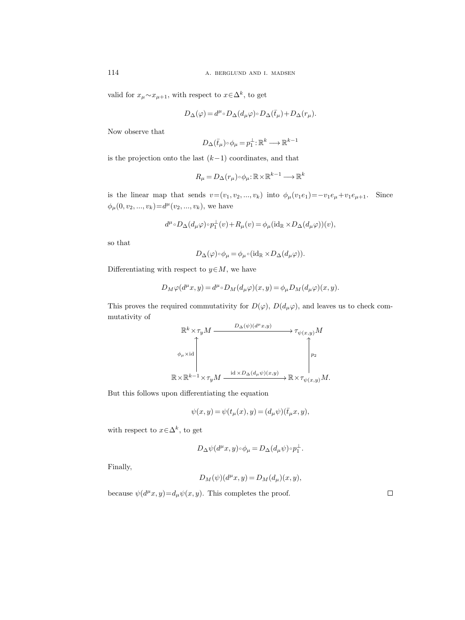valid for  $x_{\mu} \sim x_{\mu+1}$ , with respect to  $x \in \Delta^k$ , to get

$$
D_\Delta(\varphi)=d^{\mu_\circ}D_\Delta(d_\mu\varphi)\!\circ\! D_\Delta(\bar t_\mu)\!+\!D_\Delta(r_\mu).
$$

Now observe that

$$
D_{\Delta}(\bar{t}_\mu)\!\circ\!\phi_\mu\!=\!p_1^{\perp}{:}\mathbb{R}^k\!\longrightarrow\!\mathbb{R}^{k-1}
$$

is the projection onto the last  $(k-1)$  coordinates, and that

$$
R_{\mu} = D_{\Delta}(r_{\mu}) \circ \phi_{\mu} : \mathbb{R} \times \mathbb{R}^{k-1} \longrightarrow \mathbb{R}^{k}
$$

is the linear map that sends  $v=(v_1, v_2, ..., v_k)$  into  $\phi_\mu(v_1e_1)=-v_1e_\mu+v_1e_{\mu+1}$ . Since  $\phi_{\mu}(0, v_2, ..., v_k)=d^{\mu}(v_2, ..., v_k)$ , we have

$$
d^{\mu} \circ D_{\Delta}(d_{\mu}\varphi) \circ p_1^{\perp}(v) + R_{\mu}(v) = \phi_{\mu}(\mathrm{id}_{\mathbb{R}} \times D_{\Delta}(d_{\mu}\varphi))(v),
$$

so that

$$
D_{\Delta}(\varphi) \circ \phi_{\mu} = \phi_{\mu} \circ (\mathrm{id}_{\mathbb{R}} \times D_{\Delta}(d_{\mu}\varphi)).
$$

Differentiating with respect to  $y \in M$ , we have

$$
D_M\varphi(d^{\mu}x,y) = d^{\mu} \circ D_M(d_{\mu}\varphi)(x,y) = \phi_{\mu}D_M(d_{\mu}\varphi)(x,y).
$$

This proves the required commutativity for  $D(\varphi)$ ,  $D(d_{\mu}\varphi)$ , and leaves us to check commutativity of

$$
\mathbb{R}^{k} \times \tau_{y} M \xrightarrow{D_{\Delta}(\psi)(d^{\mu}x,y)} \tau_{\psi(x,y)} M
$$
\n
$$
\phi_{\mu} \times \mathrm{id} \downarrow \qquad \qquad \downarrow \qquad \qquad \downarrow \qquad \qquad \downarrow \qquad \downarrow \qquad \downarrow \qquad \downarrow \qquad \downarrow \qquad \downarrow \qquad \downarrow \qquad \downarrow \qquad \downarrow \qquad \downarrow \qquad \downarrow \qquad \downarrow \qquad \downarrow \qquad \downarrow \qquad \downarrow \qquad \downarrow \qquad \downarrow \qquad \downarrow \qquad \downarrow \qquad \downarrow \qquad \downarrow \qquad \downarrow \qquad \downarrow \qquad \downarrow \qquad \downarrow \qquad \downarrow \qquad \downarrow \qquad \downarrow \qquad \downarrow \qquad \downarrow \qquad \downarrow \qquad \downarrow \qquad \downarrow \qquad \downarrow \qquad \downarrow \qquad \downarrow \qquad \downarrow \qquad \downarrow \qquad \downarrow \qquad \downarrow \qquad \downarrow \qquad \downarrow \qquad \downarrow \qquad \downarrow \qquad \downarrow \qquad \downarrow \qquad \downarrow \qquad \downarrow \qquad \downarrow \qquad \downarrow \qquad \downarrow \qquad \downarrow \qquad \downarrow \qquad \downarrow \qquad \downarrow \qquad \downarrow \qquad \downarrow \qquad \downarrow \qquad \downarrow \qquad \downarrow \qquad \downarrow \qquad \downarrow \qquad \downarrow \qquad \downarrow \qquad \downarrow \qquad \downarrow \qquad \downarrow \qquad \downarrow \qquad \downarrow \qquad \downarrow \qquad \downarrow \qquad \downarrow \qquad \downarrow \qquad \downarrow \qquad \downarrow \qquad \downarrow \qquad \downarrow \qquad \downarrow \qquad \downarrow \qquad \downarrow \qquad \downarrow \qquad \downarrow \qquad \downarrow \qquad \downarrow \qquad \downarrow \qquad \downarrow \qquad \downarrow \qquad \downarrow \qquad \downarrow \qquad \downarrow \qquad \downarrow \qquad \downarrow \qquad \downarrow \qquad \downarrow \qquad \downarrow \qquad \downarrow \qquad \downarrow \qquad \downarrow \qquad \downarrow \qquad \downarrow \qquad \downarrow \qquad \downarrow \qquad \downarrow \qquad \downarrow \qquad \downarrow \qquad \downarrow \qquad \downarrow \qquad \downarrow \qquad \downarrow \qquad \downarrow \qquad \downarrow \qquad
$$

But this follows upon differentiating the equation

$$
\psi(x,y) = \psi(t_{\mu}(x),y) = (d_{\mu}\psi)(\bar{t}_{\mu}x,y),
$$

with respect to  $x \in \Delta^k$ , to get

$$
D_{\Delta}\psi(d^{\mu}x,y)\circ\phi_{\mu}=D_{\Delta}(d_{\mu}\psi)\circ p_{1}^{\perp}.
$$

Finally,

$$
D_M(\psi)(d^{\mu}x, y) = D_M(d_{\mu})(x, y),
$$

because  $\psi(d^{\mu}x, y) = d_{\mu}\psi(x, y)$ . This completes the proof.

 $\Box$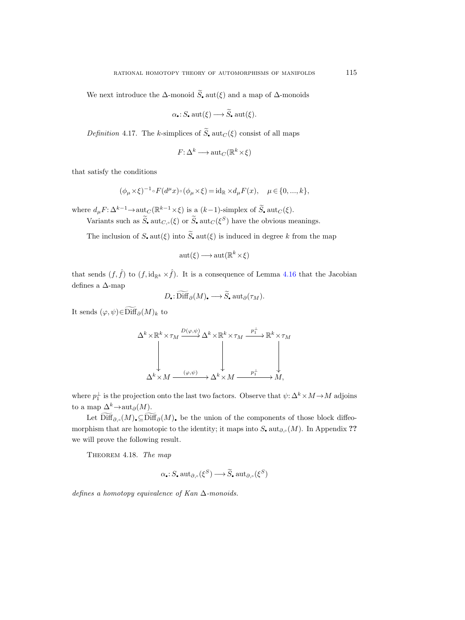We next introduce the  $\Delta$ -monoid  $\widetilde{S}_\bullet$  aut( $\xi$ ) and a map of  $\Delta$ -monoids

$$
\alpha
$$
: S. aut( $\xi$ )  $\longrightarrow$  S. aut( $\xi$ ).

Definition 4.17. The k-simplices of  $\widetilde{S}_n$  aut $_C(\xi)$  consist of all maps

$$
F: \Delta^k \longrightarrow \text{aut}_C(\mathbb{R}^k \times \xi)
$$

that satisfy the conditions

$$
(\phi_{\mu}\times\xi)^{-1}\circ F(d^{\mu}x)\circ(\phi_{\mu}\times\xi)=\mathrm{id}_{\mathbb{R}}\times d_{\mu}F(x),\quad \mu\in\{0,...,k\},
$$

where  $d_{\mu} F: \Delta^{k-1} \to \text{aut}_C (\mathbb{R}^{k-1} \times \xi)$  is a  $(k-1)$ -simplex of  $\widetilde{S}_\bullet$  aut $_C(\xi)$ .

Variants such as  $S$ ,  $\mathrm{aut}_{C,\circ}(\xi)$  or  $S$ ,  $\mathrm{aut}_C(\xi^S)$  have the obvious meanings.

The inclusion of S,  $\text{aut}(\xi)$  into  $\tilde{S}$ ,  $\text{aut}(\xi)$  is induced in degree k from the map

$$
aut(\xi) \longrightarrow aut(\mathbb{R}^k \times \xi)
$$

that sends  $(f, \hat{f})$  to  $(f, id_{\mathbb{R}^k} \times \hat{f})$ . It is a consequence of Lemma [4.16](#page-46-0) that the Jacobian defines a ∆-map

$$
D_{\bullet}: \widetilde{\mathrm{Diff}}_{\partial}(M)_{\bullet} \longrightarrow \widetilde{S}_{\bullet} \mathrm{aut}_{\partial}(\tau_M).
$$

It sends  $(\varphi, \psi) \in \widetilde{\text{Diff}}_{\partial}(M)_k$  to

$$
\Delta^k \times \mathbb{R}^k \times \tau_M \xrightarrow{D(\varphi, \psi)} \Delta^k \times \mathbb{R}^k \times \tau_M \xrightarrow{p_1^{\perp}} \mathbb{R}^k \times \tau_M
$$
\n
$$
\downarrow \qquad \qquad \downarrow \qquad \qquad \downarrow
$$
\n
$$
\Delta^k \times M \xrightarrow{(\varphi, \psi)} \Delta^k \times M \xrightarrow{p_1^{\perp}} M,
$$

where  $p_1^{\perp}$  is the projection onto the last two factors. Observe that  $\psi: \Delta^k \times M \to M$  adjoins to a map  $\Delta^k \to \text{aut}_{\partial}(M)$ .

Let  $\widetilde{\text{Diff}}_{\partial_{\rho}}(M)$ ,  $\subseteq \widetilde{\text{Diff}}_{\partial}(M)$ , be the union of the components of those block diffeomorphism that are homotopic to the identity; it maps into  $S_1$ , aut $_{\partial,\circ}(M)$ . In Appendix ?? we will prove the following result.

THEOREM 4.18. The map

$$
\alpha_{\bullet}: S_{\bullet} \operatorname{aut}_{\partial,\circ}(\xi^{S}) \longrightarrow \widetilde{S}_{\bullet} \operatorname{aut}_{\partial,\circ}(\xi^{S})
$$

defines a homotopy equivalence of Kan  $\Delta$ -monoids.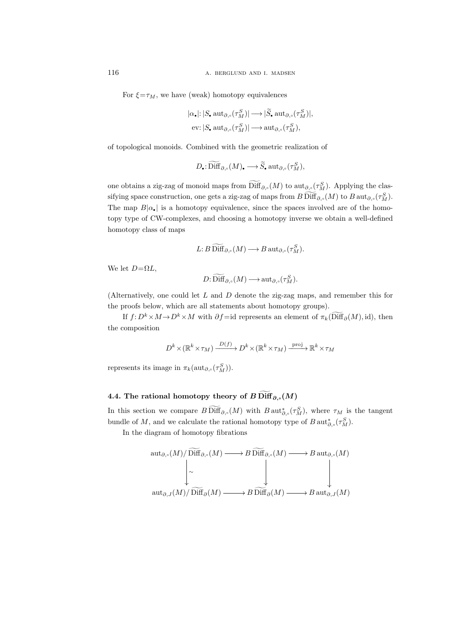For  $\xi = \tau_M$ , we have (weak) homotopy equivalences

$$
\begin{aligned} &|\alpha_{\bullet}|\colon |S_{\bullet}\operatorname{aut}_{\partial,\circ}(\tau_{M}^{S})|\longrightarrow|\widetilde{S}_{\bullet}\operatorname{aut}_{\partial,\circ}(\tau_{M}^{S})|,\\ &\text{ev}\colon |S_{\bullet}\operatorname{aut}_{\partial,\circ}(\tau_{M}^{S})|\longrightarrow\operatorname{aut}_{\partial,\circ}(\tau_{M}^{S}), \end{aligned}
$$

of topological monoids. Combined with the geometric realization of

$$
D_{\scriptscriptstyle\bullet}\colon\widetilde{\text{Diff}}_{\partial,\circ}(M)_{\scriptscriptstyle\bullet}\longrightarrow\widetilde{S}_{\scriptscriptstyle\bullet}\;\text{aut}_{\partial,\circ}(\tau^S_M),
$$

one obtains a zig-zag of monoid maps from  $\text{Diff}_{\partial,\circ}(M)$  to  $\text{aut}_{\partial,\circ}(\tau_M^S)$ . Applying the classifying space construction, one gets a zig-zag of maps from  $B \text{Diff}_{\partial,\circ}(M)$  to  $B \text{aut}_{\partial,\circ}(\tau_M^S)$ . The map  $B|\alpha_{\bullet}|$  is a homotopy equivalence, since the spaces involved are of the homotopy type of CW-complexes, and choosing a homotopy inverse we obtain a well-defined homotopy class of maps

$$
L: B\operatorname{Diff}_{\partial,\circ}(M)\longrightarrow B\operatorname{aut}_{\partial,\circ}(\tau_M^S).
$$

We let  $D=\Omega L$ ,

$$
D: \widetilde{\mathrm{Diff}}_{\partial,\circ}(M) \longrightarrow \mathrm{aut}_{\partial,\circ}(\tau^S_M).
$$

(Alternatively, one could let L and D denote the zig-zag maps, and remember this for the proofs below, which are all statements about homotopy groups).

If  $f: D^k \times M \to D^k \times M$  with  $\partial f = id$  represents an element of  $\pi_k(\widetilde{\text{Diff}}_{\partial}(M), id)$ , then the composition

$$
D^k \times (\mathbb{R}^k \times \tau_M) \xrightarrow{D(f)} D^k \times (\mathbb{R}^k \times \tau_M) \xrightarrow{\text{proj}} \mathbb{R}^k \times \tau_M
$$

represents its image in  $\pi_k(\operatorname{aut}_{\partial,\circ}(\tau_M^S)).$ 

# 4.4. The rational homotopy theory of B Diff<sub> $\partial_{\alpha}$ </sub> $(M)$

In this section we compare  $B\,\text{Diff}_{\partial,\circ}(M)$  with  $B\,\text{aut}_{\partial,\circ}^*(\tau_M^S)$ , where  $\tau_M$  is the tangent bundle of M, and we calculate the rational homotopy type of  $B \text{ aut}^*_{\partial,\circ}(\tau_M^S)$ .

In the diagram of homotopy fibrations

$$
\operatorname{aut}_{\partial,\circ}(M)/\operatorname{Diff}_{\partial,\circ}(M) \longrightarrow B \operatorname{Diff}_{\partial,\circ}(M) \longrightarrow B \operatorname{aut}_{\partial,\circ}(M)
$$
\n
$$
\downarrow \sim \qquad \qquad \downarrow \qquad \qquad \downarrow
$$
\n
$$
\operatorname{aut}_{\partial,J}(M)/\operatorname{Diff}_{\partial}(M) \longrightarrow B \operatorname{Diff}_{\partial}(M) \longrightarrow B \operatorname{aut}_{\partial,J}(M)
$$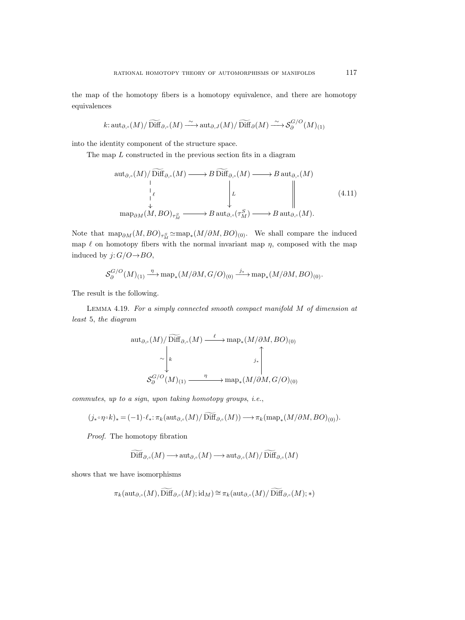the map of the homotopy fibers is a homotopy equivalence, and there are homotopy equivalences

$$
k: \operatorname{aut}_{\partial,\circ}(M)/\widetilde{\operatorname{Diff}}_{\partial,\circ}(M) \xrightarrow{\sim} \operatorname{aut}_{\partial,J}(M)/\widetilde{\operatorname{Diff}}_{\partial}(M) \xrightarrow{\sim} \mathcal{S}_{\partial}^{G/O}(M)_{(1)}
$$

into the identity component of the structure space.

The map L constructed in the previous section fits in a diagram

$$
\operatorname{aut}_{\partial,\circ}(M)/\widetilde{\operatorname{Diff}}_{\partial,\circ}(M) \longrightarrow B \widetilde{\operatorname{Diff}}_{\partial,\circ}(M) \longrightarrow B \operatorname{aut}_{\partial,\circ}(M)
$$
\n
$$
\downarrow \qquad \qquad \downarrow \qquad \qquad \downarrow \qquad \qquad \downarrow \qquad \qquad \downarrow \qquad \qquad \downarrow \qquad \qquad \downarrow \qquad \qquad \downarrow \qquad \qquad \downarrow \qquad \qquad \downarrow \qquad \qquad \downarrow \qquad \qquad \downarrow \qquad \qquad \downarrow \qquad \qquad \downarrow \qquad \qquad \downarrow \qquad \qquad \downarrow \qquad \qquad \downarrow \qquad \qquad \downarrow \qquad \qquad \downarrow \qquad \qquad \downarrow \qquad \qquad \downarrow \qquad \qquad \downarrow \qquad \qquad \downarrow \qquad \qquad \downarrow \qquad \qquad \downarrow \qquad \qquad \downarrow \qquad \qquad \downarrow \qquad \qquad \downarrow \qquad \qquad \downarrow \qquad \qquad \downarrow \qquad \qquad \downarrow \qquad \qquad \downarrow \qquad \qquad \downarrow \qquad \qquad \downarrow \qquad \qquad \downarrow \qquad \qquad \downarrow \qquad \qquad \downarrow \qquad \qquad \downarrow \qquad \qquad \downarrow \qquad \qquad \downarrow \qquad \qquad \downarrow \qquad \qquad \downarrow \qquad \qquad \downarrow \qquad \qquad \downarrow \qquad \qquad \downarrow \qquad \qquad \downarrow \qquad \qquad \downarrow \qquad \qquad \downarrow \qquad \qquad \downarrow \qquad \qquad \downarrow \qquad \qquad \downarrow \qquad \qquad \downarrow \qquad \qquad \downarrow \qquad \qquad \downarrow \qquad \qquad \downarrow \qquad \qquad \downarrow \qquad \qquad \downarrow \qquad \qquad \downarrow \qquad \qquad \downarrow \qquad \qquad \downarrow \qquad \qquad \downarrow \qquad \qquad \downarrow \qquad \qquad \downarrow \qquad \qquad \downarrow \qquad \qquad \downarrow \qquad \qquad \downarrow \qquad \qquad \downarrow \qquad \qquad \downarrow \qquad \qquad \downarrow \qquad \qquad \downarrow \qquad \qquad \downarrow \qquad \qquad \downarrow \qquad \qquad \downarrow \qquad \qquad \downarrow \qquad \qquad \downarrow \qquad \qquad \downarrow \qquad \qquad
$$

<span id="page-50-1"></span>Note that  $\text{map}_{\partial M}(M,BO)_{\tau_M^S} \simeq \text{map}_*(M/\partial M,BO)_{(0)}$ . We shall compare the induced map  $\ell$  on homotopy fibers with the normal invariant map  $\eta$ , composed with the map induced by  $j: G/O \rightarrow BO$ ,

$$
\mathcal{S}_{\partial}^{G/O}(M)_{(1)} \xrightarrow{\eta} \operatorname{map}_*(M/\partial M, G/O)_{(0)} \xrightarrow{j_*} \operatorname{map}_*(M/\partial M, BO)_{(0)}.
$$

The result is the following.

<span id="page-50-0"></span>Lemma 4.19. For a simply connected smooth compact manifold M of dimension at least 5, the diagram

aut∂,(M)/ Diff <sup>g</sup>∂,(M) ∼ k ` /map<sup>∗</sup> (M/∂M, BO)(0) S G/O ∂ (M)(1) η /map<sup>∗</sup> (M/∂M, G/O)(0) j∗ OO

commutes, up to a sign, upon taking homotopy groups, i.e.,

$$
(j_* \circ \eta \circ k)_* = (-1) \cdot \ell_* \colon \pi_k(\operatorname{aut}_{\partial, \circ}(M)/\widetilde{\operatorname{Diff}}_{\partial, \circ}(M)) \longrightarrow \pi_k(\operatorname{map}_*(M/\partial M, BO)_{(0)}).
$$

Proof. The homotopy fibration

$$
\widetilde{\text{Diff}}_{\partial,\circ}(M) \longrightarrow \text{aut}_{\partial,\circ}(M) \longrightarrow \text{aut}_{\partial,\circ}(M)/\widetilde{\text{Diff}}_{\partial,\circ}(M)
$$

shows that we have isomorphisms

$$
\pi_k(\operatorname{aut}_{\partial,\circ}(M),\widetilde{\operatorname{Diff}}_{\partial,\circ}(M);\operatorname{id}_M)\cong \pi_k(\operatorname{aut}_{\partial,\circ}(M)/\widetilde{\operatorname{Diff}}_{\partial,\circ}(M);*)
$$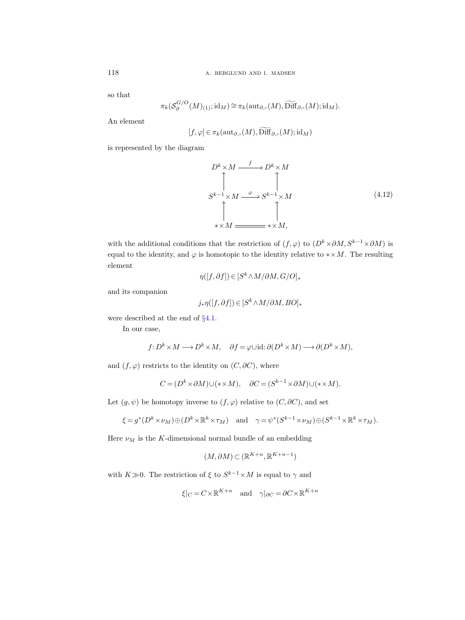so that

$$
\pi_k(\mathcal{S}_{\partial}^{G/O}(M)_{(1)}; \mathrm{id}_M) \cong \pi_k(\mathrm{aut}_{\partial,\circ}(M), \widetilde{\mathrm{Diff}}_{\partial,\circ}(M); \mathrm{id}_M).
$$

An element

$$
[f, \varphi] \in \pi_k(\operatorname{aut}_{\partial, \circ}(M), \widetilde{\operatorname{Diff}}_{\partial, \circ}(M); \operatorname{id}_M)
$$

<span id="page-51-0"></span>is represented by the diagram

$$
D^{k} \times M \xrightarrow{f} D^{k} \times M
$$
  
\n
$$
\uparrow \qquad \qquad \uparrow
$$
  
\n
$$
S^{k-1} \times M \xrightarrow{\varphi} S^{k-1} \times M
$$
  
\n
$$
\uparrow \qquad \qquad (4.12)
$$
  
\n
$$
\uparrow \qquad \qquad (4.13)
$$
  
\n
$$
\uparrow \qquad \qquad (4.14)
$$
  
\n
$$
\downarrow \qquad \qquad (4.15)
$$

with the additional conditions that the restriction of  $(f, \varphi)$  to  $(D^k \times \partial M, S^{k-1} \times \partial M)$  is equal to the identity, and  $\varphi$  is homotopic to the identity relative to  $*\times M$ . The resulting element

$$
\eta([f,\partial f])\,{\in}\,[S^k\,{\wedge}\,M/\partial M,G/O]_*
$$

and its companion

$$
j_*\eta([f,\partial f]) \in [S^k \wedge M/\partial M,BO]_*
$$

were described at the end of §[4.1.](#page-30-0)

In our case,

$$
f: D^k \times M \longrightarrow D^k \times M
$$
,  $\partial f = \varphi \cup id: \partial (D^k \times M) \longrightarrow \partial (D^k \times M)$ ,

and  $(f, \varphi)$  restricts to the identity on  $(C, \partial C)$ , where

$$
C = (D^k \times \partial M) \cup (* \times M), \quad \partial C = (S^{k-1} \times \partial M) \cup (* \times M).
$$

Let  $(g, \psi)$  be homotopy inverse to  $(f, \varphi)$  relative to  $(C, \partial C)$ , and set

$$
\xi = g^*(D^k \times \nu_M) \oplus (D^k \times \mathbb{R}^k \times \tau_M)
$$
 and  $\gamma = \psi^*(S^{k-1} \times \nu_M) \oplus (S^{k-1} \times \mathbb{R}^k \times \tau_M).$ 

Here  $\nu_M$  is the  $K\text{-dimensional normal bundle of an embedding}$ 

$$
(M, \partial M) \subset (\mathbb{R}^{K+n}, \mathbb{R}^{K+n-1})
$$

with  $K\gg 0$ . The restriction of  $\xi$  to  $S^{k-1}\times M$  is equal to  $\gamma$  and

$$
\xi|_C = C \times \mathbb{R}^{K+n}
$$
 and  $\gamma|_{\partial C} = \partial C \times \mathbb{R}^{K+n}$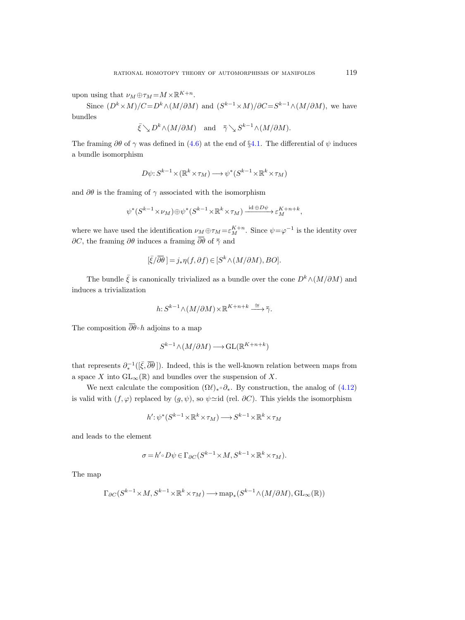upon using that  $\nu_M \oplus \tau_M = M \times \mathbb{R}^{K+n}$ .

Since  $(D^k \times M)/C = D^k \wedge (M/\partial M)$  and  $(S^{k-1} \times M)/\partial C = S^{k-1} \wedge (M/\partial M)$ , we have bundles

$$
\bar{\xi} \searrow D^k \wedge (M/\partial M)
$$
 and  $\bar{\gamma} \searrow S^{k-1} \wedge (M/\partial M)$ .

The framing  $\partial\theta$  of  $\gamma$  was defined in [\(4.6\)](#page-37-0) at the end of §[4.1.](#page-30-1) The differential of  $\psi$  induces a bundle isomorphism

$$
D\psi: S^{k-1} \times (\mathbb{R}^k \times \tau_M) \longrightarrow \psi^*(S^{k-1} \times \mathbb{R}^k \times \tau_M)
$$

and  $\partial\theta$  is the framing of  $\gamma$  associated with the isomorphism

$$
\psi^*(S^{k-1} \times \nu_M) \oplus \psi^*(S^{k-1} \times \mathbb{R}^k \times \tau_M) \xrightarrow{\mathrm{id} \oplus D\psi} \varepsilon_M^{K+n+k},
$$

where we have used the identification  $\nu_M \oplus \tau_M = \varepsilon_M^{K+n}$ . Since  $\psi = \varphi^{-1}$  is the identity over  $\partial C$ , the framing  $\partial \theta$  induces a framing  $\overline{\partial \theta}$  of  $\overline{\gamma}$  and

$$
[\bar{\xi}/\overline{\partial}\bar{\theta}] = j_* \eta(f, \partial f) \in [S^k \wedge (M/\partial M), BO].
$$

The bundle  $\bar{\xi}$  is canonically trivialized as a bundle over the cone  $D^k \wedge (M/\partial M)$  and induces a trivialization

$$
h: S^{k-1} \wedge (M/\partial M) \times \mathbb{R}^{K+n+k} \xrightarrow{\cong} \overline{\gamma}.
$$

The composition  $\overline{\partial}_{\theta} \circ h$  adjoins to a map

$$
S^{k-1} \wedge (M/\partial M) \longrightarrow \text{GL}(\mathbb{R}^{K+n+k})
$$

that represents  $\partial_{*}^{-1}([\bar{\xi}, \bar{\partial}\bar{\theta}])$ . Indeed, this is the well-known relation between maps from a space X into  $GL_{\infty}(\mathbb{R})$  and bundles over the suspension of X.

We next calculate the composition  $(\Omega \ell)_* \circ \partial_*$ . By construction, the analog of  $(4.12)$ is valid with  $(f, \varphi)$  replaced by  $(g, \psi)$ , so  $\psi \approx id$  (rel.  $\partial C$ ). This yields the isomorphism

$$
h' : \psi^*(S^{k-1} \times \mathbb{R}^k \times \tau_M) \longrightarrow S^{k-1} \times \mathbb{R}^k \times \tau_M
$$

and leads to the element

$$
\sigma = h' \circ D\psi \in \Gamma_{\partial C}(S^{k-1} \times M, S^{k-1} \times \mathbb{R}^k \times \tau_M).
$$

The map

$$
\Gamma_{\partial C}(S^{k-1} \times M, S^{k-1} \times {\mathbb R}^k \times \tau_M) \longrightarrow {\rm map}_*(S^{k-1} \wedge (M/\partial M), {\rm GL}_\infty({\mathbb R}))
$$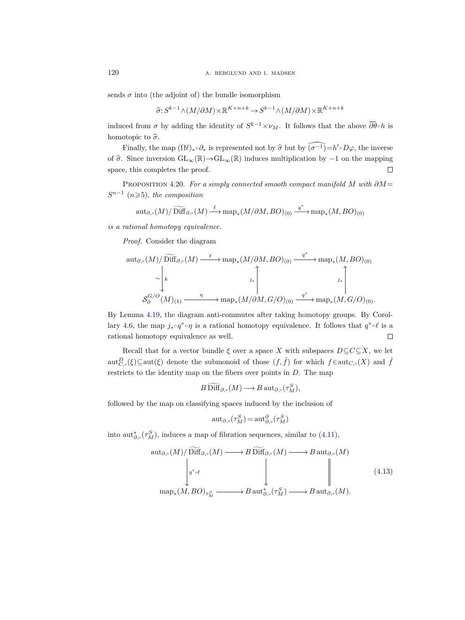sends  $\sigma$  into (the adjoint of) the bundle isomorphism

$$
\widehat{\sigma}: S^{k-1} \wedge (M/\partial M) \times \mathbb{R}^{K+n+k} \to S^{k-1} \wedge (M/\partial M) \times \mathbb{R}^{K+n+k}
$$

induced from  $\sigma$  by adding the identity of  $S^{k-1} \times \nu_M$ . It follows that the above  $\overline{\partial}\theta \circ h$  is homotopic to  $\hat{\sigma}$ .

Finally, the map  $(\Omega \ell)_{*} \circ \partial_{*}$  is represented not by  $\widehat{\sigma}$  but by  $\widehat{(\sigma^{-1})} = h' \circ D\varphi$ , the inverse of  $\hat{\sigma}$ . Since inversion  $GL_{\infty}(\mathbb{R}) \rightarrow GL_{\infty}(\mathbb{R})$  induces multiplication by  $-1$  on the mapping space, this completes the proof. space, this completes the proof.

PROPOSITION 4.20. For a simply connected smooth compact manifold M with  $\partial M =$  $S^{n-1}$  (n  $\geqslant$  5), the composition

$$
\operatorname{aut}_{\partial,\circ}(M)/\widetilde{\operatorname{Diff}}_{\partial,\circ}(M)\stackrel{\ell}{\longrightarrow}\operatorname{map}_*(M/\partial M,BO)_{(0)}\stackrel{q^*}{\longrightarrow}\operatorname{map}_*(M,BO)_{(0)}
$$

is a rational homotopy equivalence.

Proof. Consider the diagram

$$
\operatorname{aut}_{\partial,\circ}(M)/\widetilde{\text{Diff}}_{\partial,\circ}(M) \xrightarrow{\ell} \operatorname{map}_*(M/\partial M, BO)_{(0)} \xrightarrow{q^*} \operatorname{map}_*(M, BO)_{(0)}
$$

$$
\sim \left| \begin{matrix} k & & & j_* \\ & & & j_* \\ & & & & j_* \\ & & & & \end{matrix} \right|
$$

$$
\mathcal{S}^{G/O}_{\partial}(M)_{(1)} \xrightarrow{\eta} \operatorname{map}_*(M/\partial M, G/O)_{(0)} \xrightarrow{q^*} \operatorname{map}_*(M, G/O)_{(0)}.
$$

By Lemma [4.19,](#page-50-0) the diagram anti-commutes after taking homotopy groups. By Corol-lary [4.6,](#page-39-1) the map  $j_* \circ q^* \circ \eta$  is a rational homotopy equivalence. It follows that  $q^* \circ \ell$  is a rational homotopy equivalence as well.  $\Box$ 

Recall that for a vector bundle  $\xi$  over a space X with subspaces  $D \subseteq C \subseteq X$ , we let  $\mathrm{aut}_{C,\circ}^D(\xi) \subseteq \mathrm{aut}(\xi)$  denote the submonoid of those  $(f,\hat{f})$  for which  $f \in \mathrm{aut}_{C,\circ}(X)$  and  $\hat{f}$ restricts to the identity map on the fibers over points in D. The map

$$
B\,\mathrm{Diff}_{\partial,\circ}(M)\longrightarrow B\,\mathrm{aut}_{\partial,\circ}(\tau^S_M),
$$

followed by the map on classifying spaces induced by the inclusion of

$$
\operatorname{aut}_{\partial,\circ}(\tau_M^S)=\operatorname{aut}_{\partial,\circ}^{\partial}(\tau_M^S)
$$

into aut<sup>\*</sup><sub>∂,</sub>  $(\tau_M^S)$ , induces a map of fibration sequences, similar to [\(4.11\)](#page-50-1),

$$
\operatorname{aut}_{\partial,\circ}(M)/\operatorname{Diff}_{\partial,\circ}(M) \longrightarrow B \operatorname{Diff}_{\partial,\circ}(M) \longrightarrow B \operatorname{aut}_{\partial,\circ}(M)
$$
\n
$$
\downarrow \qquad \qquad \downarrow \qquad \qquad \downarrow \qquad \qquad \downarrow \qquad \qquad \downarrow \qquad \qquad \downarrow \qquad \qquad \downarrow \qquad \qquad (4.13)
$$
\n
$$
\operatorname{map}_*(M, BO)_{\tau^S_M} \longrightarrow B \operatorname{aut}_{\partial,\circ}^*(\tau^S_M) \longrightarrow B \operatorname{aut}_{\partial,\circ}(M).
$$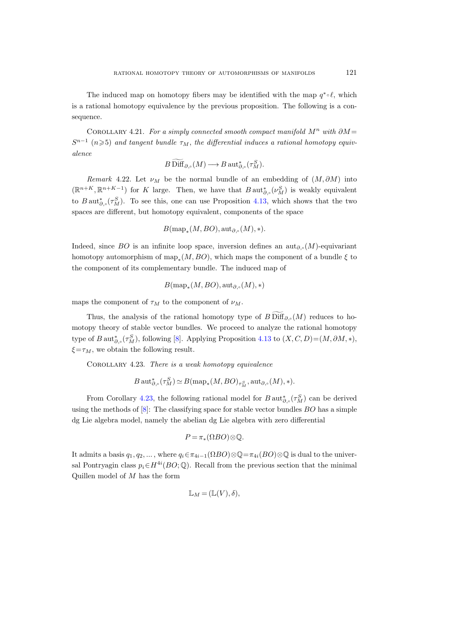The induced map on homotopy fibers may be identified with the map  $q^* \circ \ell$ , which is a rational homotopy equivalence by the previous proposition. The following is a consequence.

COROLLARY 4.21. For a simply connected smooth compact manifold  $M^n$  with  $\partial M =$  $S^{n-1}$  (n $\geqslant$ 5) and tangent bundle  $\tau_M$ , the differential induces a rational homotopy equivalence

$$
B\operatorname{Diff}_{\partial,\circ}(M)\longrightarrow B\operatorname{aut}^*_{\partial,\circ}(\tau^S_M).
$$

Remark 4.22. Let  $\nu_M$  be the normal bundle of an embedding of  $(M, \partial M)$  into  $(\mathbb{R}^{n+K}, \mathbb{R}^{n+K-1})$  for K large. Then, we have that  $B$  aut $_{\partial,\circ}^*(\nu_M^S)$  is weakly equivalent to  $B \text{ aut}_{\partial,\circ}^s(\tau_M^S)$ . To see this, one can use Proposition [4.13,](#page-43-1) which shows that the two spaces are different, but homotopy equivalent, components of the space

$$
B(\operatorname{map}_*(M,BO), \operatorname{aut}_{\partial,\circ}(M), *).
$$

Indeed, since BO is an infinite loop space, inversion defines an aut<sub> $\partial_{\gamma}$ </sub>(M)-equivariant homotopy automorphism of  $\text{map}_*(M,BO)$ , which maps the component of a bundle  $\xi$  to the component of its complementary bundle. The induced map of

$$
B(\mathrm{map}_*(M,BO),\mathrm{aut}_{\partial,\circ}(M),*)
$$

maps the component of  $\tau_M$  to the component of  $\nu_M$ .

Thus, the analysis of the rational homotopy type of  $B\,\mathrm{Diff}_{\partial\, \circ}(M)$  reduces to homotopy theory of stable vector bundles. We proceed to analyze the rational homotopy type of B aut<sub> $\partial_{\gamma}$ </sub> ( $\tau_M^S$ ), following [\[8\]](#page-115-0). Applying Proposition [4.13](#page-43-1) to  $(X, C, D) = (M, \partial M, *)$ ,  $\xi = \tau_M$ , we obtain the following result.

<span id="page-54-0"></span>COROLLARY 4.23. There is a weak homotopy equivalence

$$
B\operatorname{{\rm aut}}^*_{\partial,\circ}(\tau^S_M)\simeq B(\operatorname{{\rm map}}_*(M,BO)_{\tau^S_M},\operatorname{{\rm aut}}_{\partial,\circ}(M),*).
$$

From Corollary [4.23,](#page-54-0) the following rational model for  $B\,\text{aut}_{\partial,\circ}^*(\tau_M^S)$  can be derived using the methods of  $[8]$ : The classifying space for stable vector bundles  $BO$  has a simple dg Lie algebra model, namely the abelian dg Lie algebra with zero differential

$$
P = \pi_*(\Omega BO) \otimes \mathbb{Q}.
$$

It admits a basis  $q_1, q_2, \ldots$ , where  $q_i \in \pi_{4i-1}(\Omega BO) \otimes \mathbb{Q} = \pi_{4i}(BO) \otimes \mathbb{Q}$  is dual to the universal Pontryagin class  $p_i \in H^{4i}(BO; \mathbb{Q})$ . Recall from the previous section that the minimal Quillen model of  $M$  has the form

$$
\mathbb{L}_M = (\mathbb{L}(V), \delta),
$$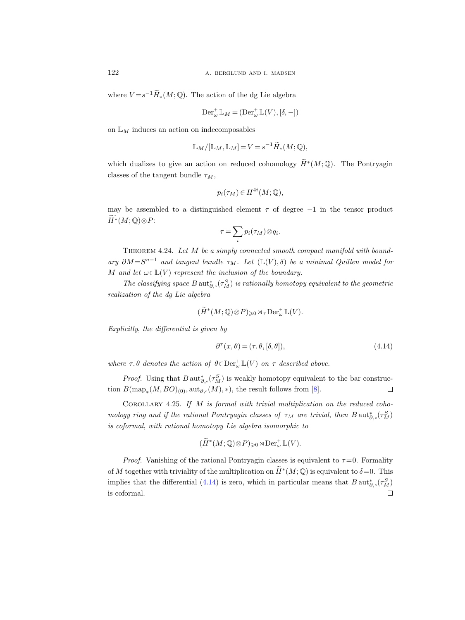where  $V = s^{-1} \widetilde{H}_*(M; \mathbb{Q})$ . The action of the dg Lie algebra

$$
\operatorname{Der}^+_{\omega} \mathbb{L}_M = (\operatorname{Der}^+_{\omega} \mathbb{L}(V), [\delta, -])
$$

on  $\mathbb{L}_M$  induces an action on indecomposables

$$
\mathbb{L}_M/[\mathbb{L}_M, \mathbb{L}_M] = V = s^{-1} \widetilde{H}_*(M; \mathbb{Q}),
$$

which dualizes to give an action on reduced cohomology  $\widetilde{H}^*(M; \mathbb{Q})$ . The Pontryagin classes of the tangent bundle  $\tau_M$ ,

$$
p_i(\tau_M) \in H^{4i}(M; \mathbb{Q}),
$$

may be assembled to a distinguished element  $\tau$  of degree  $-1$  in the tensor product  $\widetilde{H}^*(M; \mathbb{Q})\otimes P$ :

$$
\tau = \sum_i p_i(\tau_M) \otimes q_i.
$$

Theorem 4.24. Let M be a simply connected smooth compact manifold with boundary  $\partial M = S^{n-1}$  and tangent bundle  $\tau_M$ . Let  $(\mathbb{L}(V), \delta)$  be a minimal Quillen model for M and let  $\omega \in \mathbb{L}(V)$  represent the inclusion of the boundary.

The classifying space  $B$  aut<sub> $\partial_{\gamma}$ </sub> $(\tau_M^S)$  is rationally homotopy equivalent to the geometric realization of the dg Lie algebra

$$
(\widetilde{H}^*(M; \mathbb{Q}) \otimes P)_{\geq 0} \rtimes_{\tau} \mathrm{Der}_{\omega}^+ \mathbb{L}(V).
$$

Explicitly, the differential is given by

<span id="page-55-1"></span><span id="page-55-0"></span>
$$
\partial^{\tau}(x,\theta) = (\tau, \theta, [\delta, \theta]),\tag{4.14}
$$

where  $\tau$ .  $\theta$  denotes the action of  $\theta \in \text{Der}_{\omega}^{+}\mathbb{L}(V)$  on  $\tau$  described above.

*Proof.* Using that  $B \text{ aut}_{\partial,\circ}^*(\tau_M^S)$  is weakly homotopy equivalent to the bar construction  $B(\text{map}_*(M,BO)_{(0)}, \text{aut}_{\partial,\circ}(M), *)$ , the result follows from [\[8\]](#page-115-1).  $\Box$ 

COROLLARY 4.25. If  $M$  is formal with trivial multiplication on the reduced cohomology ring and if the rational Pontryagin classes of  $\tau_M$  are trivial, then  $B \text{aut}_{\partial,\circ}^*(\tau_M^S)$ is coformal, with rational homotopy Lie algebra isomorphic to

$$
(\widetilde{H}^*(M;{\mathbb Q})\otimes P)_{\geq 0}\rtimes \operatorname{Der}^+_{\omega} \mathbb{L}(V).
$$

*Proof.* Vanishing of the rational Pontryagin classes is equivalent to  $\tau = 0$ . Formality of M together with triviality of the multiplication on  $\widetilde{H}^*(M; \mathbb{Q})$  is equivalent to  $\delta = 0$ . This implies that the differential [\(4.14\)](#page-55-0) is zero, which in particular means that  $B \text{ aut}_{\partial,\circ}^* (\tau_M^S)$ is coformal. $\Box$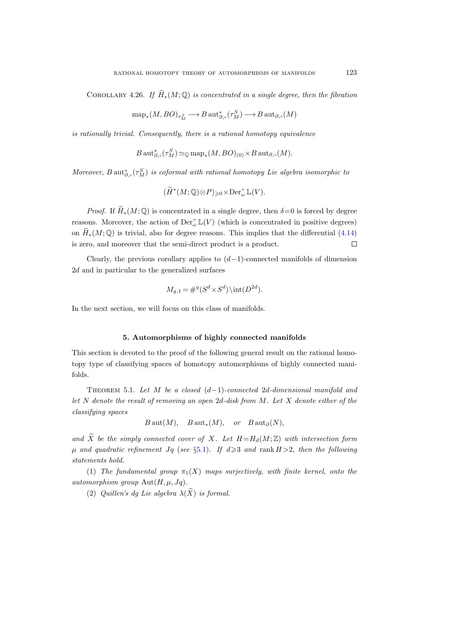COROLLARY 4.26. If  $\widetilde{H}_*(M;\mathbb{Q})$  is concentrated in a single degree, then the fibration

$$
\operatorname{{\rm map}}_*(M,BO)_{\tau^S_M} \longrightarrow B \operatorname{{\rm aut}}^*_{\partial, \circ}(\tau^S_M) \longrightarrow B \operatorname{{\rm aut}}_{\partial, \circ}(M)
$$

is rationally trivial. Consequently, there is a rational homotopy equivalence

$$
B\operatorname{{\rm aut}}^*_{\partial,\circ}(\tau^S_M)\simeq_\mathbb{Q}\operatorname{{\rm map}}_*(M,BO)_{(0)}\times B\operatorname{{\rm aut}}_{\partial,\circ}(M).
$$

Moreover,  $B\operatorname{{\rm aut}}^*_{\partial,\circ}(\tau^S_M)$  is coformal with rational homotopy Lie algebra isomorphic to

$$
(\widetilde{H}^*(M; \mathbb{Q}) \otimes P)_{\geq 0} \times \mathrm{Der}^+_{\omega} \mathbb{L}(V).
$$

*Proof.* If  $\widetilde{H}_*(M; \mathbb{Q})$  is concentrated in a single degree, then  $\delta = 0$  is forced by degree reasons. Moreover, the action of  $\mathrm{Der}^+_{\omega} \mathbb{L}(V)$  (which is concentrated in positive degrees) on  $\widetilde{H}_*(M; \mathbb{Q})$  is trivial, also for degree reasons. This implies that the differential [\(4.14\)](#page-55-1) is zero, and moreover that the semi-direct product is a product. is zero, and moreover that the semi-direct product is a product.

Clearly, the previous corollary applies to  $(d-1)$ -connected manifolds of dimension 2d and in particular to the generalized surfaces

$$
M_{g,1} = \#^g(S^d \times S^d) \setminus \text{int}(D^{2d}).
$$

In the next section, we will focus on this class of manifolds.

### 5. Automorphisms of highly connected manifolds

This section is devoted to the proof of the following general result on the rational homotopy type of classifying spaces of homotopy automorphisms of highly connected manifolds.

<span id="page-56-0"></span>THEOREM 5.1. Let M be a closed  $(d-1)$ -connected 2d-dimensional manifold and let N denote the result of removing an open  $2d$ -disk from M. Let X denote either of the classifying spaces

 $B\operatorname{aut}(M)$ ,  $B\operatorname{aut}_*(M)$ , or  $B\operatorname{aut}_\partial(N)$ ,

and  $\widetilde{X}$  be the simply connected cover of X. Let  $H=H_d(M;\mathbb{Z})$  with intersection form  $\mu$  and quadratic refinement Jq (see §[5.1\)](#page-57-0). If  $d \geq 3$  and rank  $H > 2$ , then the following statements hold.

(1) The fundamental group  $\pi_1(X)$  maps surjectively, with finite kernel, onto the automorphism group  $Aut(H, \mu, Jq)$ .

(2) Quillen's dg Lie algebra  $\lambda(\widetilde{X})$  is formal.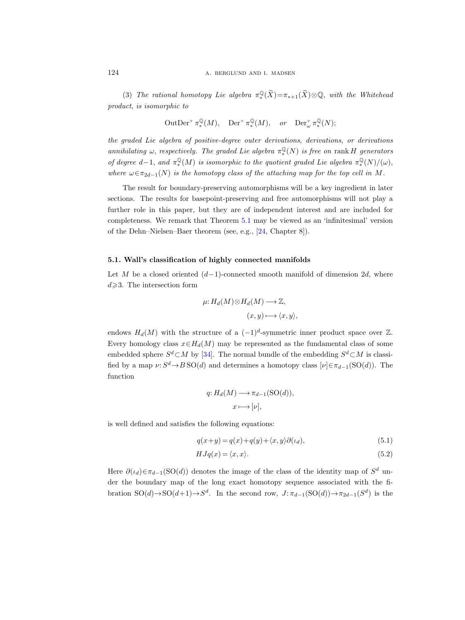(3) The rational homotopy Lie algebra  $\pi_*^{\mathbb{Q}}(\widetilde{X}) = \pi_{*+1}(\widetilde{X}) \otimes \mathbb{Q}$ , with the Whitehead product, is isomorphic to

$$
\operatorname{OutDer}^+ \pi^\mathbb{Q}_*(M), \quad \operatorname{Der}^+ \pi^\mathbb{Q}_*(M), \quad or \quad \operatorname{Der}^+_\omega \pi^\mathbb{Q}_*(N);
$$

the graded Lie algebra of positive-degree outer derivations, derivations, or derivations annihilating  $\omega$ , respectively. The graded Lie algebra  $\pi^{\mathbb{Q}}_{*}(N)$  is free on rank H generators of degree  $d-1$ , and  $\pi^{\mathbb{Q}}_{*}(M)$  is isomorphic to the quotient graded Lie algebra  $\pi^{\mathbb{Q}}_{*}(N)/(\omega)$ , where  $\omega \in \pi_{2d-1}(N)$  is the homotopy class of the attaching map for the top cell in M.

The result for boundary-preserving automorphisms will be a key ingredient in later sections. The results for basepoint-preserving and free automorphisms will not play a further role in this paper, but they are of independent interest and are included for completeness. We remark that Theorem [5.1](#page-56-0) may be viewed as an 'infinitesimal' version of the Dehn–Nielsen–Baer theorem (see, e.g., [\[24,](#page-115-2) Chapter 8]).

## <span id="page-57-3"></span><span id="page-57-0"></span>5.1. Wall's classification of highly connected manifolds

Let M be a closed oriented  $(d-1)$ -connected smooth manifold of dimension 2d, where  $d \geqslant 3$ . The intersection form

$$
\mu: H_d(M) \otimes H_d(M) \longrightarrow \mathbb{Z},
$$
  

$$
(x, y) \longmapsto \langle x, y \rangle,
$$

endows  $H_d(M)$  with the structure of a  $(-1)^d$ -symmetric inner product space over Z. Every homology class  $x \in H_d(M)$  may be represented as the fundamental class of some embedded sphere  $S^d \subset M$  by [\[34\]](#page-116-4). The normal bundle of the embedding  $S^d \subset M$  is classified by a map  $\nu: S^d \to B\operatorname{SO}(d)$  and determines a homotopy class  $[\nu] \in \pi_{d-1}(\operatorname{SO}(d))$ . The function

<span id="page-57-2"></span><span id="page-57-1"></span>
$$
q: H_d(M) \longrightarrow \pi_{d-1}(\text{SO}(d)),
$$

$$
x \longmapsto [\nu],
$$

is well defined and satisfies the following equations:

$$
q(x+y) = q(x) + q(y) + \langle x, y \rangle \partial(\iota_d), \tag{5.1}
$$

$$
HJq(x) = \langle x, x \rangle.
$$
\n(5.2)

Here  $\partial(\iota_d)\in \pi_{d-1}(\mathrm{SO}(d))$  denotes the image of the class of the identity map of  $S^d$  under the boundary map of the long exact homotopy sequence associated with the fibration  $SO(d) \to SO(d+1) \to S^d$ . In the second row,  $J: \pi_{d-1}(SO(d)) \to \pi_{2d-1}(S^d)$  is the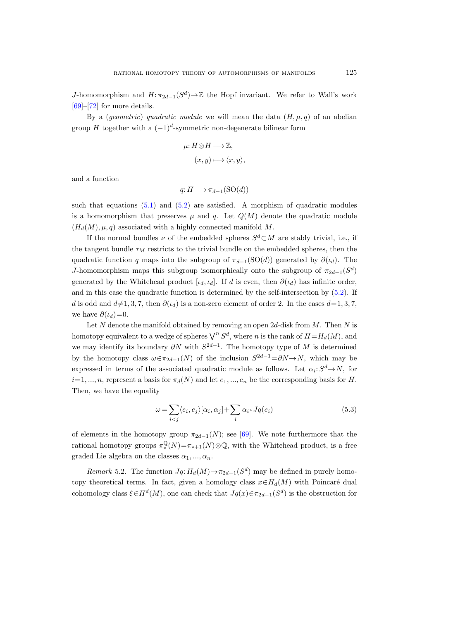J-homomorphism and  $H: \pi_{2d-1}(S^d) \to \mathbb{Z}$  the Hopf invariant. We refer to Wall's work [\[69\]](#page-117-2)–[\[72\]](#page-117-3) for more details.

By a (*geometric*) quadratic module we will mean the data  $(H, \mu, q)$  of an abelian group H together with a  $(-1)^d$ -symmetric non-degenerate bilinear form

$$
\mu: H \otimes H \longrightarrow \mathbb{Z},
$$

$$
(x, y) \longmapsto \langle x, y \rangle,
$$

and a function

$$
q: H \longrightarrow \pi_{d-1}(\mathrm{SO}(d))
$$

such that equations  $(5.1)$  and  $(5.2)$  are satisfied. A morphism of quadratic modules is a homomorphism that preserves  $\mu$  and q. Let  $Q(M)$  denote the quadratic module  $(H_d(M), \mu, q)$  associated with a highly connected manifold M.

If the normal bundles  $\nu$  of the embedded spheres  $S^d \subset M$  are stably trivial, i.e., if the tangent bundle  $\tau_M$  restricts to the trivial bundle on the embedded spheres, then the quadratic function q maps into the subgroup of  $\pi_{d-1}(SO(d))$  generated by  $\partial(\iota_d)$ . The J-homomorphism maps this subgroup isomorphically onto the subgroup of  $\pi_{2d-1}(S^d)$ generated by the Whitehead product [ $\iota_d$ ,  $\iota_d$ ]. If d is even, then  $\partial(\iota_d)$  has infinite order, and in this case the quadratic function is determined by the self-intersection by [\(5.2\)](#page-57-2). If d is odd and  $d\neq 1, 3, 7$ , then  $\partial(t_d)$  is a non-zero element of order 2. In the cases  $d=1, 3, 7$ , we have  $\partial(\iota_d)=0$ .

Let N denote the manifold obtained by removing an open  $2d$ -disk from M. Then N is homotopy equivalent to a wedge of spheres  $\bigvee^n S^d$ , where n is the rank of  $H=H_d(M)$ , and we may identify its boundary  $\partial N$  with  $S^{2d-1}$ . The homotopy type of M is determined by the homotopy class  $\omega \in \pi_{2d-1}(N)$  of the inclusion  $S^{2d-1} = \partial N \to N$ , which may be expressed in terms of the associated quadratic module as follows. Let  $\alpha_i: S^d \to N$ , for  $i=1, ..., n$ , represent a basis for  $\pi_d(N)$  and let  $e_1, ..., e_n$  be the corresponding basis for H. Then, we have the equality

$$
\omega = \sum_{i < j} \langle e_i, e_j \rangle [\alpha_i, \alpha_j] + \sum_i \alpha_i \circ Jq(e_i) \tag{5.3}
$$

of elements in the homotopy group  $\pi_{2d-1}(N)$ ; see [\[69\]](#page-117-2). We note furthermore that the rational homotopy groups  $\pi_*^{\mathbb{Q}}(N) = \pi_{*+1}(N) \otimes \mathbb{Q}$ , with the Whitehead product, is a free graded Lie algebra on the classes  $\alpha_1, ..., \alpha_n$ .

<span id="page-58-0"></span>*Remark* 5.2. The function  $Jq: H_d(M) \to \pi_{2d-1}(S^d)$  may be defined in purely homotopy theoretical terms. In fact, given a homology class  $x \in H_d(M)$  with Poincaré dual cohomology class  $\xi \in H^d(M)$ , one can check that  $Jq(x) \in \pi_{2d-1}(S^d)$  is the obstruction for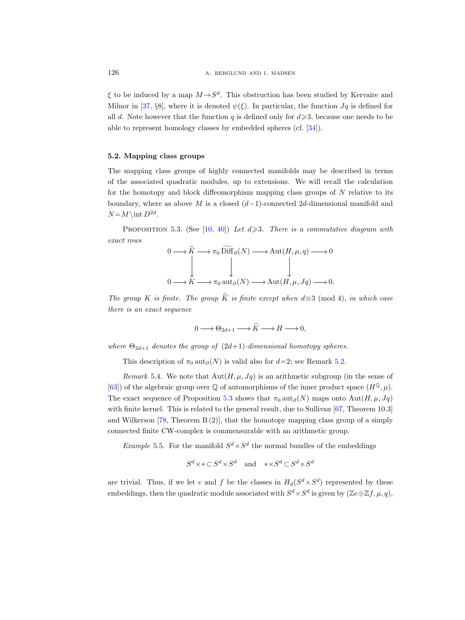$\xi$  to be induced by a map  $M \rightarrow S^d$ . This obstruction has been studied by Kervaire and Milnor in [\[37,](#page-116-0) §8], where it is denoted  $\psi(\xi)$ . In particular, the function  $J\mathfrak{g}$  is defined for all d. Note however that the function q is defined only for  $d \geqslant 3$ , because one needs to be able to represent homology classes by embedded spheres (cf. [\[34\]](#page-116-4)).

### 5.2. Mapping class groups

The mapping class groups of highly connected manifolds may be described in terms of the associated quadratic modules, up to extensions. We will recall the calculation for the homotopy and block diffeomorphism mapping class groups of  $N$  relative to its boundary, where as above M is a closed  $(d-1)$ -connected 2d-dimensional manifold and  $N = M \in D^{2d}$ .

<span id="page-59-0"></span>PROPOSITION 5.3. (See [\[10,](#page-115-3) [40\]](#page-116-5)) Let  $d \geqslant 3$ . There is a commutative diagram with exact rows

<span id="page-59-1"></span>
$$
0 \longrightarrow \widetilde{K} \longrightarrow \pi_0 \widetilde{\text{Diff}}_{\partial}(N) \longrightarrow \text{Aut}(H, \mu, q) \longrightarrow 0
$$
  

$$
\downarrow \qquad \qquad \downarrow
$$
  

$$
0 \longrightarrow K \longrightarrow \pi_0 \text{ aut}_{\partial}(N) \longrightarrow \text{Aut}(H, \mu, Jq) \longrightarrow 0.
$$

The group K is finite. The group  $\widetilde{K}$  is finite except when  $d\equiv 3 \pmod{4}$ , in which case there is an exact sequence

 $0 \longrightarrow \Theta_{2d+1} \longrightarrow \widetilde{K} \longrightarrow H \longrightarrow 0,$ 

where  $\Theta_{2d+1}$  denotes the group of  $(2d+1)$ -dimensional homotopy spheres.

This description of  $\pi_0$  aut $_{\partial}(N)$  is valid also for  $d=2$ ; see Remark [5.2.](#page-58-0)

<span id="page-59-2"></span>Remark 5.4. We note that  $\text{Aut}(H, \mu, Jq)$  is an arithmetic subgroup (in the sense of [\[63\]](#page-117-4)) of the algebraic group over  $\mathbb Q$  of automorphisms of the inner product space  $(H^{\mathbb Q}, \mu)$ . The exact sequence of Proposition [5.3](#page-59-0) shows that  $\pi_0$  aut $_{\partial}(N)$  maps onto Aut $(H, \mu, Jq)$ with finite kernel. This is related to the general result, due to Sullivan [\[67,](#page-117-5) Theorem 10.3] and Wilkerson  $[78,$  Theorem  $B(2)$ , that the homotopy mapping class group of a simply connected finite CW-complex is commensurable with an arithmetic group.

*Example* 5.5. For the manifold  $S^d \times S^d$  the normal bundles of the embeddings

$$
S^d \times \ast \subset S^d \times S^d
$$
 and  $\ast \times S^d \subset S^d \times S^d$ 

are trivial. Thus, if we let e and f be the classes in  $H_d(S^d \times S^d)$  represented by these embeddings, then the quadratic module associated with  $S^d \times S^d$  is given by  $(\mathbb{Z}_e \oplus \mathbb{Z}_f, \mu, q)$ ,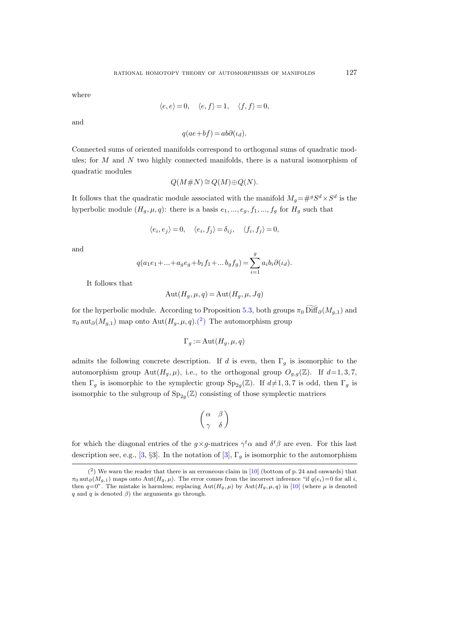where

$$
\langle e, e \rangle = 0, \quad \langle e, f \rangle = 1, \quad \langle f, f \rangle = 0,
$$

and

$$
q(ae+bf) = ab\partial(\iota_d).
$$

Connected sums of oriented manifolds correspond to orthogonal sums of quadratic modules; for  $M$  and  $N$  two highly connected manifolds, there is a natural isomorphism of quadratic modules

$$
Q(M \# N) \cong Q(M) \oplus Q(N).
$$

It follows that the quadratic module associated with the manifold  $M_g = #^gS^d \times S^d$  is the hyperbolic module  $(H_g, \mu, q)$ : there is a basis  $e_1, ..., e_g, f_1, ..., f_g$  for  $H_g$  such that

$$
\langle e_i, e_j \rangle = 0, \quad \langle e_i, f_j \rangle = \delta_{ij}, \quad \langle f_i, f_j \rangle = 0,
$$

and

$$
q(a_1e_1 + ... + a_ge_g + b_1f_1 + ... b_gf_g) = \sum_{i=1}^g a_ib_i\partial(\iota_d).
$$

It follows that

$$
Aut(H_g, \mu, q) = Aut(H_g, \mu, Jq)
$$

for the hyperbolic module. According to Proposition [5.3,](#page-59-1) both groups  $\pi_0$  Diff $_{\partial}(M_{q,1})$  and  $\pi_0$  aut $_{\partial}(M_{g,1})$  map onto  $\text{Aut}(H_g,\mu,q)$ .<sup>(2</sup>) The automorphism group

$$
\Gamma_g := \text{Aut}(H_g, \mu, q)
$$

admits the following concrete description. If d is even, then  $\Gamma_q$  is isomorphic to the automorphism group Aut $(H_q, \mu)$ , i.e., to the orthogonal group  $O_{q,q}(\mathbb{Z})$ . If  $d=1, 3, 7$ , then  $\Gamma_g$  is isomorphic to the symplectic group  $\text{Sp}_{2g}(\mathbb{Z})$ . If  $d\neq 1, 3, 7$  is odd, then  $\Gamma_g$  is isomorphic to the subgroup of  $\text{Sp}_{2g}(\mathbb{Z})$  consisting of those symplectic matrices

$$
\begin{pmatrix} \alpha & \beta \\ \gamma & \delta \end{pmatrix}
$$

for which the diagonal entries of the  $g \times g$ -matrices  $\gamma^t \alpha$  and  $\delta^t \beta$  are even. For this last description see, e.g., [\[3,](#page-115-4) §3]. In the notation of [\[3\]](#page-115-4),  $\Gamma_g$  is isomorphic to the automorphism

<span id="page-60-0"></span> $(2)$  We warn the reader that there is an erroneous claim in [\[10\]](#page-115-5) (bottom of p. 24 and onwards) that  $\pi_0$  aut<sub>∂</sub>( $M_{g,1}$ ) maps onto Aut( $H_g$ ,  $\mu$ ). The error comes from the incorrect inference "if  $q(e_i)=0$  for all i, then  $q=0$ ". The mistake is harmless; replacing Aut $(H_g, \mu)$  by Aut $(H_g, \mu, q)$  in [\[10\]](#page-115-5) (where  $\mu$  is denoted q and q is denoted  $\beta$ ) the arguments go through.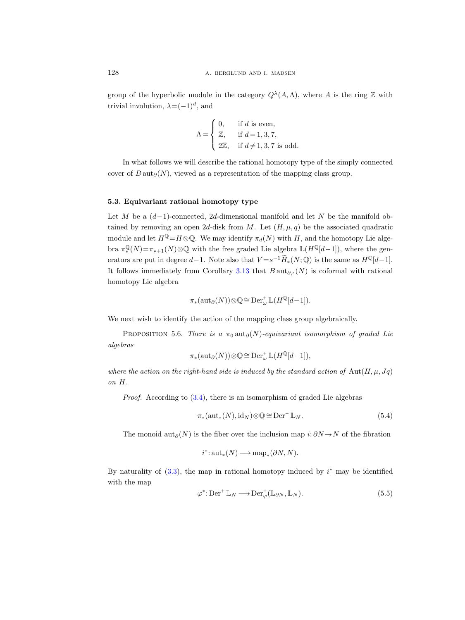group of the hyperbolic module in the category  $Q^{\lambda}(A,\Lambda)$ , where A is the ring Z with trivial involution,  $\lambda = (-1)^d$ , and

$$
\Lambda = \begin{cases} 0, & \text{if } d \text{ is even,} \\ \mathbb{Z}, & \text{if } d = 1, 3, 7, \\ 2\mathbb{Z}, & \text{if } d \neq 1, 3, 7 \text{ is odd.} \end{cases}
$$

In what follows we will describe the rational homotopy type of the simply connected cover of  $B \text{aut}_{\partial}(N)$ , viewed as a representation of the mapping class group.

## 5.3. Equivariant rational homotopy type

Let M be a  $(d-1)$ -connected, 2d-dimensional manifold and let N be the manifold obtained by removing an open 2d-disk from M. Let  $(H, \mu, q)$  be the associated quadratic module and let  $H^{\mathbb{Q}}=H\otimes\mathbb{Q}$ . We may identify  $\pi_d(N)$  with H, and the homotopy Lie algebra  $\pi^{\mathbb{Q}}_*(N) = \pi_{*+1}(N) \otimes \mathbb{Q}$  with the free graded Lie algebra  $\mathbb{L}(H^{\mathbb{Q}}[d-1])$ , where the generators are put in degree  $d-1$ . Note also that  $V = s^{-1} \widetilde{H}_*(N; \mathbb{Q})$  is the same as  $H^{\mathbb{Q}}[d-1]$ . It follows immediately from Corollary [3.13](#page-30-2) that  $B \text{aut}_{\partial s}(N)$  is coformal with rational homotopy Lie algebra

$$
\pi_*(\mathrm{aut}_{\partial}(N))\otimes\mathbb{Q}\cong \mathrm{Der}^+_{\omega}\mathbb{L}(H^{\mathbb{Q}}[d-1]).
$$

We next wish to identify the action of the mapping class group algebraically.

PROPOSITION 5.6. There is a  $\pi_0$  aut $_{\partial}(N)$ -equivariant isomorphism of graded Lie algebras

$$
\pi_*(\mathrm{aut}_{\partial}(N))\otimes\mathbb{Q}\cong \mathrm{Der}^+_{\omega}\mathbb{L}(H^{\mathbb{Q}}[d-1]),
$$

where the action on the right-hand side is induced by the standard action of  $\text{Aut}(H, \mu, Jq)$ on H.

Proof. According to [\(3.4\)](#page-20-0), there is an isomorphism of graded Lie algebras

<span id="page-61-1"></span>
$$
\pi_*(\operatorname{aut}_*(N), \operatorname{id}_N) \otimes \mathbb{Q} \cong \operatorname{Der}^+ \mathbb{L}_N. \tag{5.4}
$$

The monoid aut<sub>∂</sub>(N) is the fiber over the inclusion map  $i: \partial N \rightarrow N$  of the fibration

$$
i^* \colon \mathrm{aut}_*(N) \longrightarrow \mathrm{map}_*(\partial N, N).
$$

By naturality of  $(3.3)$ , the map in rational homotopy induced by  $i^*$  may be identified with the map

<span id="page-61-0"></span>
$$
\varphi^* \colon \text{Der}^+ \mathbb{L}_N \longrightarrow \text{Der}^+_{\varphi}(\mathbb{L}_{\partial N}, \mathbb{L}_N). \tag{5.5}
$$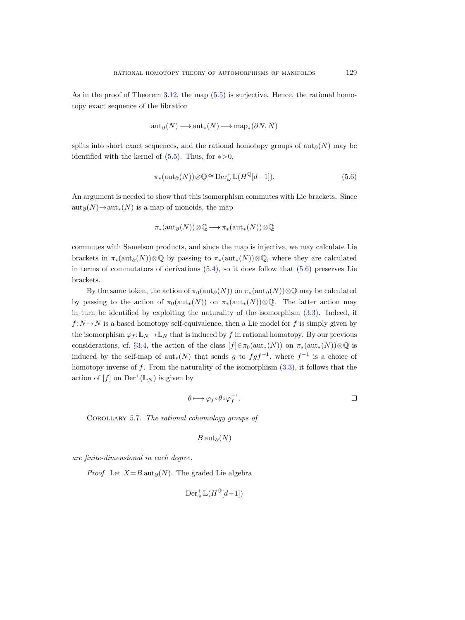As in the proof of Theorem [3.12,](#page-28-0) the map  $(5.5)$  is surjective. Hence, the rational homotopy exact sequence of the fibration

$$
\operatorname{aut}_{\partial}(N) \longrightarrow \operatorname{aut}_*(N) \longrightarrow \operatorname{map}_*(\partial N, N)
$$

splits into short exact sequences, and the rational homotopy groups of aut<sub>∂</sub>(N) may be identified with the kernel of  $(5.5)$ . Thus, for  $\ast > 0$ ,

<span id="page-62-0"></span>
$$
\pi_*({\rm aut}_{\partial}(N))\otimes\mathbb{Q}\cong{\rm Der}^+_{\omega}\mathbb{L}(H^{\mathbb{Q}}[d-1]).\tag{5.6}
$$

An argument is needed to show that this isomorphism commutes with Lie brackets. Since  $\operatorname{aut}_{\partial}(N) \to \operatorname{aut}_*(N)$  is a map of monoids, the map

$$
\pi_*(\mathrm{aut}_{\partial}(N))\otimes\mathbb{Q}\longrightarrow \pi_*(\mathrm{aut}_*(N))\otimes\mathbb{Q}
$$

commutes with Samelson products, and since the map is injective, we may calculate Lie brackets in  $\pi_*(\text{aut}_{\partial}(N))\otimes\mathbb{Q}$  by passing to  $\pi_*(\text{aut}_*(N))\otimes\mathbb{Q}$ , where they are calculated in terms of commutators of derivations  $(5.4)$ , so it does follow that  $(5.6)$  preserves Lie brackets.

By the same token, the action of  $\pi_0(\text{aut}_{\partial}(N))$  on  $\pi_*(\text{aut}_{\partial}(N))\otimes\mathbb{Q}$  may be calculated by passing to the action of  $\pi_0(\text{aut}_*(N))$  on  $\pi_*(\text{aut}_*(N))\otimes\mathbb{Q}$ . The latter action may in turn be identified by exploiting the naturality of the isomorphism [\(3.3\)](#page-20-2). Indeed, if  $f: N \to N$  is a based homotopy self-equivalence, then a Lie model for f is simply given by the isomorphism  $\varphi_f : \mathbb{L}_N \to \mathbb{L}_N$  that is induced by f in rational homotopy. By our previous considerations, cf. §[3.4,](#page-18-0) the action of the class  $[f] \in \pi_0(\mathrm{aut}_*(N))$  on  $\pi_*(\mathrm{aut}_*(N)) \otimes \mathbb{Q}$  is induced by the self-map of  $\text{aut}_*(N)$  that sends g to  $fgf^{-1}$ , where  $f^{-1}$  is a choice of homotopy inverse of f. From the naturality of the isomorphism  $(3.3)$ , it follows that the action of  $[f]$  on  $\mathrm{Der}^+(\mathbb{L}_N)$  is given by

$$
\theta \longmapsto \varphi_f \circ \theta \circ \varphi_f^{-1}.
$$

COROLLARY 5.7. The rational cohomology groups of

$$
B\operatorname{aut}_\partial(N)
$$

are finite-dimensional in each degree.

*Proof.* Let  $X = B \text{ aut}_{\partial}(N)$ . The graded Lie algebra

$$
\operatorname{Der}^+_\omega \mathbb{L}(H^\mathbb{Q}[d-1])
$$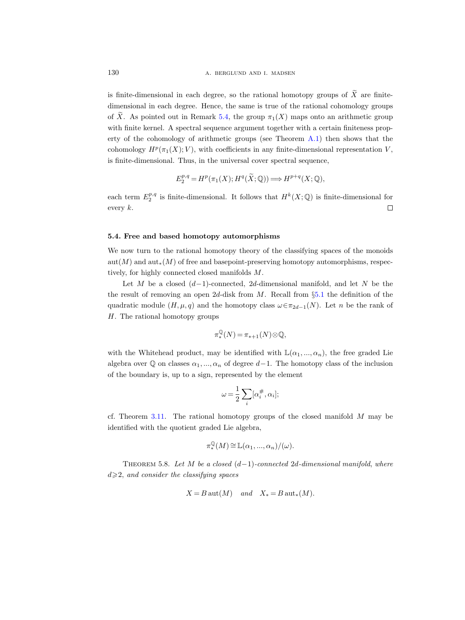is finite-dimensional in each degree, so the rational homotopy groups of  $\widetilde{X}$  are finitedimensional in each degree. Hence, the same is true of the rational cohomology groups of  $\widetilde{X}$ . As pointed out in Remark [5.4,](#page-59-2) the group  $\pi_1(X)$  maps onto an arithmetic group with finite kernel. A spectral sequence argument together with a certain finiteness property of the cohomology of arithmetic groups (see Theorem [A.1\)](#page-108-0) then shows that the cohomology  $H^p(\pi_1(X); V)$ , with coefficients in any finite-dimensional representation V, is finite-dimensional. Thus, in the universal cover spectral sequence,

$$
E_2^{p,q} = H^p(\pi_1(X); H^q(\widetilde{X}; \mathbb{Q})) \Longrightarrow H^{p+q}(X; \mathbb{Q}),
$$

each term  $E_2^{p,q}$  is finite-dimensional. It follows that  $H^k(X; \mathbb{Q})$  is finite-dimensional for every k.  $\Box$ 

#### 5.4. Free and based homotopy automorphisms

We now turn to the rational homotopy theory of the classifying spaces of the monoids  $\text{aut}(M)$  and  $\text{aut}_*(M)$  of free and basepoint-preserving homotopy automorphisms, respectively, for highly connected closed manifolds M.

Let M be a closed  $(d-1)$ -connected, 2d-dimensional manifold, and let N be the the result of removing an open  $2d$ -disk from M. Recall from  $\S 5.1$  $\S 5.1$  the definition of the quadratic module  $(H, \mu, q)$  and the homotopy class  $\omega \in \pi_{2d-1}(N)$ . Let n be the rank of H. The rational homotopy groups

$$
\pi^\mathbb{Q}_*(N) = \pi_{*+1}(N) \otimes \mathbb{Q},
$$

with the Whitehead product, may be identified with  $\mathbb{L}(\alpha_1, ..., \alpha_n)$ , the free graded Lie algebra over  $\mathbb Q$  on classes  $\alpha_1, ..., \alpha_n$  of degree d−1. The homotopy class of the inclusion of the boundary is, up to a sign, represented by the element

$$
\omega=\frac{1}{2}\sum_i[\alpha_i^\#,\alpha_i];
$$

cf. Theorem [3.11.](#page-26-0) The rational homotopy groups of the closed manifold  $M$  may be identified with the quotient graded Lie algebra,

$$
\pi^{\mathbb{Q}}_{*}(M) \cong \mathbb{L}(\alpha_1, ..., \alpha_n)/(\omega).
$$

<span id="page-63-0"></span>THEOREM 5.8. Let M be a closed  $(d-1)$ -connected 2d-dimensional manifold, where  $d \geqslant 2$ , and consider the classifying spaces

$$
X = B \operatorname{aut}(M) \quad and \quad X_* = B \operatorname{aut}_*(M).
$$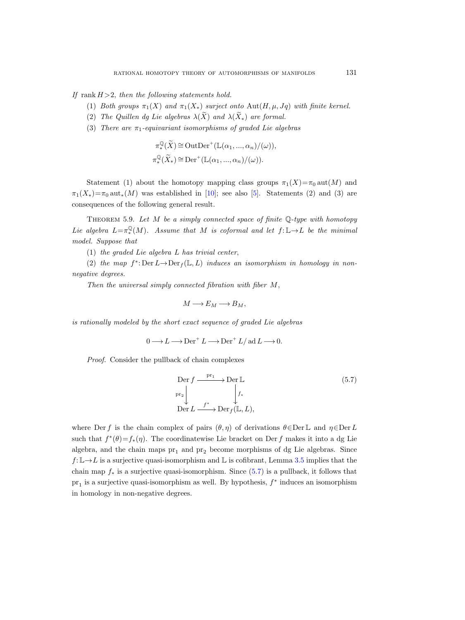If rank  $H > 2$ , then the following statements hold.

- (1) Both groups  $\pi_1(X)$  and  $\pi_1(X_*)$  surject onto  $\text{Aut}(H,\mu,Jq)$  with finite kernel.
- (2) The Quillen dg Lie algebras  $\lambda(\widetilde{X})$  and  $\lambda(\widetilde{X}_*)$  are formal.
- (3) There are  $\pi_1$ -equivariant isomorphisms of graded Lie algebras

$$
\pi^{\mathbb{Q}}_*(\widetilde{X}) \cong \text{OutDer}^+(\mathbb{L}(\alpha_1, ..., \alpha_n)/(\omega)),
$$
  

$$
\pi^{\mathbb{Q}}_*(\widetilde{X}_*) \cong \text{Der}^+(\mathbb{L}(\alpha_1, ..., \alpha_n)/(\omega)).
$$

Statement (1) about the homotopy mapping class groups  $\pi_1(X)=\pi_0$  aut $(M)$  and  $\pi_1(X_*)=\pi_0 \text{aut}_*(M)$  was established in [\[10\]](#page-115-5); see also [\[5\]](#page-115-6). Statements (2) and (3) are consequences of the following general result.

<span id="page-64-1"></span>THEOREM 5.9. Let M be a simply connected space of finite  $\mathbb{Q}\text{-type}$  with homotopy Lie algebra  $L = \pi^{\mathbb{Q}}_*(M)$ . Assume that M is coformal and let  $f: \mathbb{L} \to L$  be the minimal model. Suppose that

(1) the graded Lie algebra L has trivial center,

(2) the map  $f^*$ : Der  $L \to \text{Der}_f(\mathbb{L}, L)$  induces an isomorphism in homology in nonnegative degrees.

Then the universal simply connected fibration with fiber M,

$$
M \longrightarrow E_M \longrightarrow B_M,
$$

is rationally modeled by the short exact sequence of graded Lie algebras

$$
0 \longrightarrow L \longrightarrow \text{Der}^+ L \longrightarrow \text{Der}^+ L / \text{ad} L \longrightarrow 0.
$$

Proof. Consider the pullback of chain complexes

<span id="page-64-0"></span>
$$
\begin{array}{ccc}\n\text{Der } f & \xrightarrow{\text{pr}_1} & \text{Der } \mathbb{L} \\
\downarrow^{\text{pr}_2} & & f^* \\
\text{Der } L & \xrightarrow{f^*} & \text{Der}_f(\mathbb{L}, L),\n\end{array} \tag{5.7}
$$

where Der f is the chain complex of pairs  $(\theta, \eta)$  of derivations  $\theta \in \text{Der } \mathbb{L}$  and  $\eta \in \text{Der } L$ such that  $f^*(\theta) = f_*(\eta)$ . The coordinatewise Lie bracket on Der f makes it into a dg Lie algebra, and the chain maps  $pr_1$  and  $pr_2$  become morphisms of dg Lie algebras. Since  $f: \mathbb{L} \to L$  is a surjective quasi-isomorphism and  $\mathbb{L}$  is cofibrant, Lemma [3.5](#page-18-1) implies that the chain map  $f_*$  is a surjective quasi-isomorphism. Since [\(5.7\)](#page-64-0) is a pullback, it follows that  $pr_1$  is a surjective quasi-isomorphism as well. By hypothesis,  $f^*$  induces an isomorphism in homology in non-negative degrees.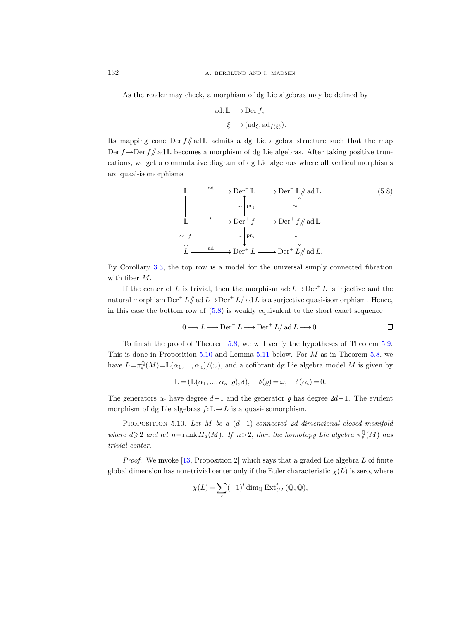As the reader may check, a morphism of dg Lie algebras may be defined by

$$
\text{ad: } \mathbb{L} \longrightarrow \text{Der } f,
$$

$$
\xi \longmapsto (\text{ad}_{\xi}, \text{ad}_{f(\xi)}).
$$

Its mapping cone Der  $f/\mathcal{A} \subset \mathbb{L}$  admits a dg Lie algebra structure such that the map Der  $f \rightarrow Der f/\!\!/$  ad L becomes a morphism of dg Lie algebras. After taking positive truncations, we get a commutative diagram of dg Lie algebras where all vertical morphisms are quasi-isomorphisms

<span id="page-65-0"></span>
$$
\mathbb{L} \xrightarrow{\text{ad}} \text{Der}^+ \mathbb{L} \longrightarrow \text{Der}^+ \mathbb{L} \text{ and } \mathbb{L} \tag{5.8}
$$
\n
$$
\mathbb{L} \xrightarrow{\qquad \qquad \qquad \qquad}_{\text{I}} \qquad \qquad \sim \text{Der}^+ f \qquad \qquad \sim \text{Der}^+ f \text{ and } \mathbb{L}
$$
\n
$$
\sim \downarrow f \qquad \qquad \sim \text{Per}^+ f \qquad \qquad \sim \text{Der}^+ f \text{ and } \mathbb{L}
$$
\n
$$
L \xrightarrow{\text{ad}} \text{Der}^+ L \longrightarrow \text{Der}^+ L \text{ and } L.
$$

By Corollary [3.3,](#page-17-0) the top row is a model for the universal simply connected fibration with fiber M.

If the center of L is trivial, then the morphism ad:  $L \rightarrow Der^+ L$  is injective and the natural morphism  $\text{Der}^+ L/\!\!/ \text{ad } L \rightarrow \text{Der}^+ L/\text{ad } L$  is a surjective quasi-isomorphism. Hence, in this case the bottom row of  $(5.8)$  is weakly equivalent to the short exact sequence

$$
0 \longrightarrow L \longrightarrow \text{Der}^+ L \longrightarrow \text{Der}^+ L / \text{ad} L \longrightarrow 0.
$$

To finish the proof of Theorem [5.8,](#page-63-0) we will verify the hypotheses of Theorem [5.9.](#page-64-1) This is done in Proposition [5.10](#page-65-1) and Lemma [5.11](#page-66-0) below. For  $M$  as in Theorem [5.8,](#page-63-0) we have  $L = \pi_*^{\mathbb{Q}}(M) = \mathbb{L}(\alpha_1, ..., \alpha_n)/(\omega)$ , and a cofibrant dg Lie algebra model M is given by

$$
\mathbb{L} = (\mathbb{L}(\alpha_1, ..., \alpha_n, \varrho), \delta), \quad \delta(\varrho) = \omega, \quad \delta(\alpha_i) = 0.
$$

The generators  $\alpha_i$  have degree  $d-1$  and the generator  $\varrho$  has degree 2d−1. The evident morphism of dg Lie algebras  $f: \mathbb{L} \to L$  is a quasi-isomorphism.

<span id="page-65-1"></span>PROPOSITION 5.10. Let M be a  $(d-1)$ -connected 2d-dimensional closed manifold where  $d \geqslant 2$  and let  $n = \text{rank } H_d(M)$ . If  $n > 2$ , then the homotopy Lie algebra  $\pi^{\mathbb{Q}}_*(M)$  has trivial center.

*Proof.* We invoke  $[13,$  Proposition 2 which says that a graded Lie algebra L of finite global dimension has non-trivial center only if the Euler characteristic  $\chi(L)$  is zero, where

$$
\chi(L) = \sum_{i} (-1)^i \dim_{\mathbb{Q}} \operatorname{Ext}_{UL}^i(\mathbb{Q}, \mathbb{Q}),
$$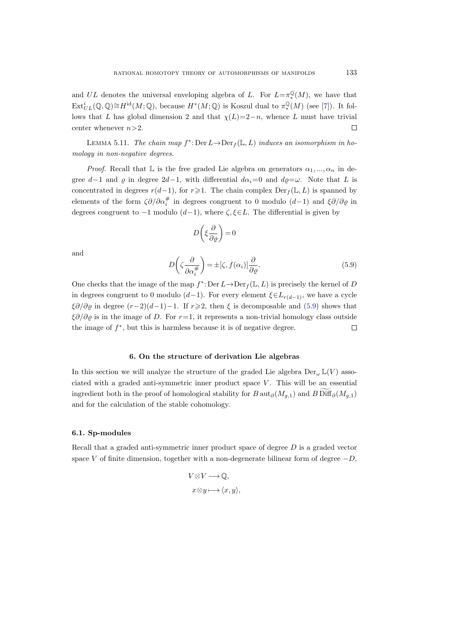and UL denotes the universal enveloping algebra of L. For  $L=\pi_*^{\mathbb{Q}}(M)$ , we have that  $\mathrm{Ext}^i_{UL}(\mathbb{Q}, \mathbb{Q}) \cong H^{\mathrm{id}}(M; \mathbb{Q})$ , because  $H^*(M; \mathbb{Q})$  is Koszul dual to  $\pi_*^{\mathbb{Q}}(M)$  (see [\[7\]](#page-115-8)). It follows that L has global dimension 2 and that  $\chi(L)=2-n$ , whence L must have trivial center whenever  $n>2$ .  $\Box$ 

<span id="page-66-0"></span>LEMMA 5.11. The chain map  $f^*$ : Der  $L \to \text{Der}_f(\mathbb{L}, L)$  induces an isomorphism in homology in non-negative degrees.

*Proof.* Recall that L is the free graded Lie algebra on generators  $\alpha_1, ..., \alpha_n$  in degree d–1 and  $\varrho$  in degree  $2d-1$ , with differential  $d\alpha_i=0$  and  $d\varrho=\omega$ . Note that L is concentrated in degrees  $r(d-1)$ , for  $r\geqslant1$ . The chain complex Der<sub>f</sub> (L, L) is spanned by elements of the form  $\zeta \partial/\partial \alpha_i^{\#}$  in degrees congruent to 0 modulo  $(d-1)$  and  $\xi \partial/\partial \varrho$  in degrees congruent to  $-1$  modulo  $(d-1)$ , where  $\zeta, \xi \in L$ . The differential is given by

$$
D\left(\xi \frac{\partial}{\partial \varrho}\right) = 0
$$

and

<span id="page-66-1"></span>
$$
D\left(\zeta \frac{\partial}{\partial \alpha_i^{\#}}\right) = \pm [\zeta, f(\alpha_i)] \frac{\partial}{\partial \varrho}.
$$
\n(5.9)

One checks that the image of the map  $f^*$ : Der  $L \to \text{Der}_f(\mathbb{L}, L)$  is precisely the kernel of D in degrees congruent to 0 modulo (d-1). For every element  $\xi \in L_{r(d-1)}$ , we have a cycle  $\xi \partial/\partial \varrho$  in degree  $(r-2)(d-1)-1$ . If  $r \geqslant 2$ , then  $\xi$  is decomposable and [\(5.9\)](#page-66-1) shows that  $\zeta\partial/\partial\rho$  is in the image of D. For r=1, it represents a non-trivial homology class outside the image of  $f^*$ , but this is harmless because it is of negative degree.  $\Box$ 

#### 6. On the structure of derivation Lie algebras

In this section we will analyze the structure of the graded Lie algebra  $Der_{\omega} \mathbb{L}(V)$  associated with a graded anti-symmetric inner product space  $V$ . This will be an essential ingredient both in the proof of homological stability for  $B$  aut $_{\partial}(M_{q,1})$  and  $B$  Diff $_{\partial}(M_{q,1})$ and for the calculation of the stable cohomology.

#### 6.1. Sp-modules

Recall that a graded anti-symmetric inner product space of degree  $D$  is a graded vector space V of finite dimension, together with a non-degenerate bilinear form of degree  $-D$ ,

$$
V\otimes V\longrightarrow \mathbb{Q},
$$
  

$$
x\otimes y\longmapsto \langle x,y\rangle,
$$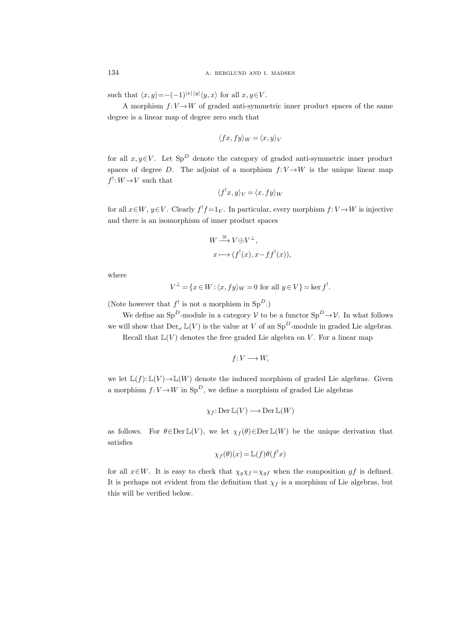such that  $\langle x, y \rangle = -(-1)^{|x| |y|} \langle y, x \rangle$  for all  $x, y \in V$ .

A morphism  $f: V \rightarrow W$  of graded anti-symmetric inner product spaces of the same degree is a linear map of degree zero such that

$$
\langle fx, fy \rangle_W = \langle x, y \rangle_V
$$

for all  $x, y \in V$ . Let Sp<sup>D</sup> denote the category of graded anti-symmetric inner product spaces of degree D. The adjoint of a morphism  $f: V \to W$  is the unique linear map  $f$ <sup>!</sup>:  $W \rightarrow V$  such that

$$
\langle f'x, y \rangle_V = \langle x, fy \rangle_W
$$

for all  $x \in W$ ,  $y \in V$ . Clearly  $f'f = 1_V$ . In particular, every morphism  $f: V \to W$  is injective and there is an isomorphism of inner product spaces

$$
W \stackrel{\cong}{\longrightarrow} V \oplus V^{\perp},
$$
  

$$
x \longmapsto (f^{!}(x), x - ff^{!}(x)),
$$

where

$$
V^{\perp} = \{x \in W : \langle x, fy \rangle_W = 0 \text{ for all } y \in V\} = \ker f^!.
$$

(Note however that  $f'$  is not a morphism in  $Sp^D$ .)

We define an Sp<sup>D</sup>-module in a category  $V$  to be a functor  $Sp^D \to V$ . In what follows we will show that  $Der_{\omega} \mathbb{L}(V)$  is the value at V of an  $Sp^D$ -module in graded Lie algebras.

Recall that  $\mathbb{L}(V)$  denotes the free graded Lie algebra on V. For a linear map

$$
f\colon V\longrightarrow W,
$$

we let  $\mathbb{L}(f): \mathbb{L}(V) \to \mathbb{L}(W)$  denote the induced morphism of graded Lie algebras. Given a morphism  $f: V \to W$  in  $Sp^D$ , we define a morphism of graded Lie algebras

$$
\chi_f\colon \mathrm{Der}\, \mathbb{L}(V) \longrightarrow \mathrm{Der}\, \mathbb{L}(W)
$$

as follows. For  $\theta \in \text{Der } L(V)$ , we let  $\chi_f(\theta) \in \text{Der } L(W)$  be the unique derivation that satisfies

$$
\chi_f(\theta)(x) = \mathbb{L}(f)\theta(f^!x)
$$

for all  $x \in W$ . It is easy to check that  $\chi_g \chi_f = \chi_{gf}$  when the composition  $gf$  is defined. It is perhaps not evident from the definition that  $\chi_f$  is a morphism of Lie algebras, but this will be verified below.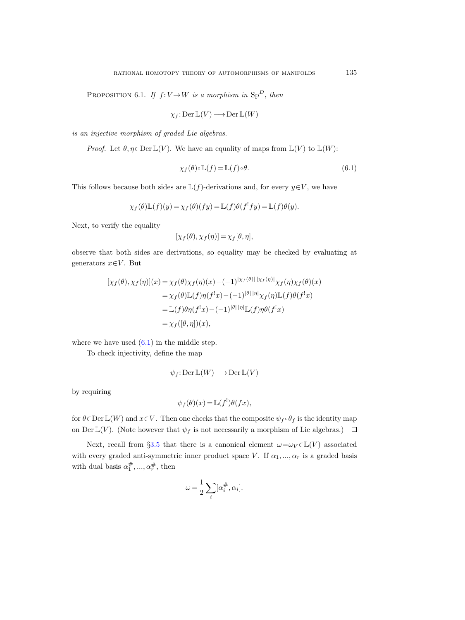PROPOSITION 6.1. If  $f: V \rightarrow W$  is a morphism in Sp<sup>D</sup>, then

$$
\chi_f\colon \mathrm{Der}\, \mathbb{L}(V)\longrightarrow \mathrm{Der}\, \mathbb{L}(W)
$$

is an injective morphism of graded Lie algebras.

*Proof.* Let  $\theta, \eta \in \text{Der } \mathbb{L}(V)$ . We have an equality of maps from  $\mathbb{L}(V)$  to  $\mathbb{L}(W)$ :

<span id="page-68-0"></span>
$$
\chi_f(\theta) \circ \mathbb{L}(f) = \mathbb{L}(f) \circ \theta.
$$
\n(6.1)

This follows because both sides are  $\mathbb{L}(f)$ -derivations and, for every  $y \in V$ , we have

$$
\chi_f(\theta)\mathbb{L}(f)(y) = \chi_f(\theta)(fy) = \mathbb{L}(f)\theta(f^!fy) = \mathbb{L}(f)\theta(y).
$$

Next, to verify the equality

$$
[\chi_f(\theta), \chi_f(\eta)] = \chi_f[\theta, \eta],
$$

observe that both sides are derivations, so equality may be checked by evaluating at generators  $x \in V$ . But

$$
[\chi_f(\theta), \chi_f(\eta)](x) = \chi_f(\theta)\chi_f(\eta)(x) - (-1)^{|\chi_f(\theta)| |\chi_f(\eta)|}\chi_f(\eta)\chi_f(\theta)(x)
$$
  
\n
$$
= \chi_f(\theta)\mathbb{L}(f)\eta(f^!x) - (-1)^{|\theta| |\eta|}\chi_f(\eta)\mathbb{L}(f)\theta(f^!x)
$$
  
\n
$$
= \mathbb{L}(f)\theta\eta(f^!x) - (-1)^{|\theta| |\eta|}\mathbb{L}(f)\eta\theta(f^!x)
$$
  
\n
$$
= \chi_f([\theta, \eta])(x),
$$

where we have used  $(6.1)$  in the middle step.

To check injectivity, define the map

$$
\psi_f\colon \mathrm{Der}\, \mathbb{L}(W)\longrightarrow \mathrm{Der}\, \mathbb{L}(V)
$$

by requiring

$$
\psi_f(\theta)(x) = \mathbb{L}(f^!) \theta(fx),
$$

for  $\theta \in \text{Der } \mathbb{L}(W)$  and  $x \in V$ . Then one checks that the composite  $\psi_f \circ \theta_f$  is the identity map on Der  $\mathbb{L}(V)$ . (Note however that  $\psi_f$  is not necessarily a morphism of Lie algebras.)  $\Box$ 

Next, recall from §[3.5](#page-23-0) that there is a canonical element  $\omega = \omega_V \in \mathbb{L}(V)$  associated with every graded anti-symmetric inner product space V. If  $\alpha_1, ..., \alpha_r$  is a graded basis with dual basis  $\alpha_1^{\#},...,\alpha_r^{\#}$ , then

$$
\omega = \frac{1}{2} \sum_{i} [\alpha_i^{\#}, \alpha_i].
$$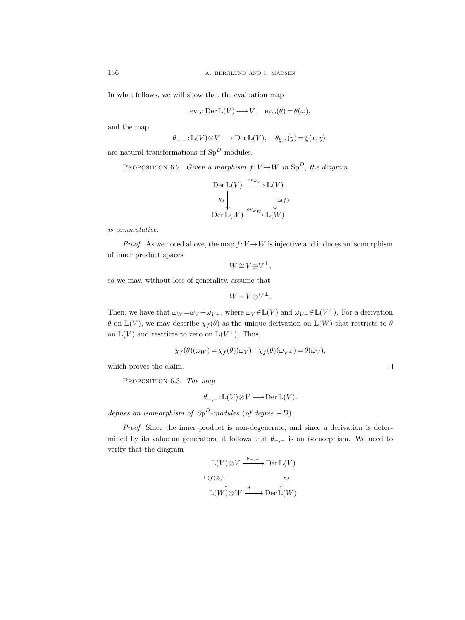In what follows, we will show that the evaluation map

$$
\operatorname{ev}_{\omega} : \operatorname{Der} \mathbb{L}(V) \longrightarrow V, \quad \operatorname{ev}_{\omega}(\theta) = \theta(\omega),
$$

and the map

$$
\theta_{-,-}: \mathbb{L}(V) \otimes V \longrightarrow \mathrm{Der}\, \mathbb{L}(V), \quad \theta_{\xi,x}(y) = \xi \langle x, y \rangle,
$$

are natural transformations of  $Sp^D$ -modules.

PROPOSITION 6.2. Given a morphism  $f: V \rightarrow W$  in  $\text{Sp}^D$ , the diagram

$$
\begin{array}{c}\n\text{Der}\, \mathbb{L}(V) \xrightarrow{\text{ev}_{\omega_V}} \mathbb{L}(V) \\
\chi_f \downarrow \qquad \qquad \downarrow \mathbb{L}(f) \\
\text{Der}\, \mathbb{L}(W) \xrightarrow{\text{ev}_{\omega_W}} \mathbb{L}(W)\n\end{array}
$$

is commutative.

*Proof.* As we noted above, the map  $f: V \to W$  is injective and induces an isomorphism of inner product spaces

$$
W \cong V \oplus V^{\perp},
$$

so we may, without loss of generality, assume that

$$
W = V \oplus V^{\perp}.
$$

Then, we have that  $\omega_W = \omega_V + \omega_{V}$ , where  $\omega_V \in \mathbb{L}(V)$  and  $\omega_{V} \in \mathbb{L}(V^{\perp})$ . For a derivation θ on  $\mathbb{L}(V)$ , we may describe  $\chi_f(\theta)$  as the unique derivation on  $\mathbb{L}(W)$  that restricts to θ on  $\mathbb{L}(V)$  and restricts to zero on  $\mathbb{L}(V^{\perp})$ . Thus,

$$
\chi_f(\theta)(\omega_W) = \chi_f(\theta)(\omega_V) + \chi_f(\theta)(\omega_{V^{\perp}}) = \theta(\omega_V),
$$

which proves the claim.

PROPOSITION 6.3. The map

$$
\theta_{-,-}: \mathbb{L}(V) \otimes V \longrightarrow \text{Der } \mathbb{L}(V).
$$

defines an isomorphism of  $Sp^D$ -modules (of degree  $-D$ ).

Proof. Since the inner product is non-degenerate, and since a derivation is determined by its value on generators, it follows that  $\theta_{-,-}$  is an isomorphism. We need to verify that the diagram

$$
\mathbb{L}(V) \otimes V \xrightarrow{\theta_{-,-}} \text{Der } \mathbb{L}(V)
$$
  

$$
\mathbb{L}(f) \otimes f \downarrow \qquad \qquad \downarrow x_f
$$
  

$$
\mathbb{L}(W) \otimes W \xrightarrow{\theta_{-,-}} \text{Der } \mathbb{L}(W)
$$

 $\Box$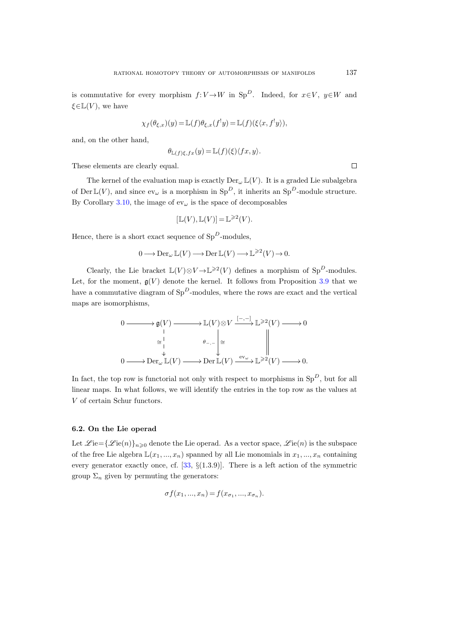is commutative for every morphism  $f: V \to W$  in Sp<sup>D</sup>. Indeed, for  $x \in V$ ,  $y \in W$  and  $\xi \in \mathbb{L}(V)$ , we have

$$
\chi_f(\theta_{\xi,x})(y) = \mathbb{L}(f)\theta_{\xi,x}(f^!y) = \mathbb{L}(f)(\xi\langle x, f^!y\rangle),
$$

and, on the other hand,

$$
\theta_{\mathbb{L}(f)\xi,fx}(y) = \mathbb{L}(f)(\xi)\langle fx, y \rangle.
$$

These elements are clearly equal.

The kernel of the evaluation map is exactly  $Der_{\omega}[V]$ . It is a graded Lie subalgebra of Der  $\mathbb{L}(V)$ , and since  $ev_{\omega}$  is a morphism in  $Sp^D$ , it inherits an  $Sp^D$ -module structure. By Corollary [3.10,](#page-25-0) the image of  $ev_{\omega}$  is the space of decomposables

$$
[\mathbb{L}(V), \mathbb{L}(V)] = \mathbb{L}^{\geqslant 2}(V).
$$

Hence, there is a short exact sequence of  $Sp^D$ -modules,

$$
0 \longrightarrow \operatorname{Der}_{\omega} \mathbb{L}(V) \longrightarrow \operatorname{Der} \mathbb{L}(V) \longrightarrow \mathbb{L}^{\geqslant 2}(V) \longrightarrow 0.
$$

Clearly, the Lie bracket  $\mathbb{L}(V) \otimes V \to \mathbb{L}^{\geq 2}(V)$  defines a morphism of Sp<sup>D</sup>-modules. Let, for the moment,  $g(V)$  denote the kernel. It follows from Proposition [3.9](#page-25-1) that we have a commutative diagram of  $Sp^D$ -modules, where the rows are exact and the vertical maps are isomorphisms,

$$
\begin{array}{ccc}\n0 & \longrightarrow & \mathfrak{g}(V) \longrightarrow & \mathbb{L}(V) \otimes V \xrightarrow{[-,-]} \mathbb{L}^{\geqslant 2}(V) \longrightarrow 0 \\
 & \xrightarrow{\cong} & & \mathbb{L} \\
 & \downarrow & & \mathbb{P}_{\neg} \downarrow \\
0 & \longrightarrow & \mathbb{D}\text{er}_{\omega} \mathbb{L}(V) \longrightarrow \mathbb{D}\text{er}\mathbb{L}(V) \xrightarrow{\text{ev}_{\omega}} \mathbb{L}^{\geqslant 2}(V) \longrightarrow 0.\n\end{array}
$$

In fact, the top row is functorial not only with respect to morphisms in  $Sp^D$ , but for all linear maps. In what follows, we will identify the entries in the top row as the values at V of certain Schur functors.

## 6.2. On the Lie operad

Let  $\mathscr{L}$ ie $={\mathscr{L}$ ie $(n)$ <sub>n</sub> $\geq 0$  denote the Lie operad. As a vector space,  $\mathscr{L}$ ie $(n)$  is the subspace of the free Lie algebra  $\mathbb{L}(x_1, ..., x_n)$  spanned by all Lie monomials in  $x_1, ..., x_n$  containing every generator exactly once, cf. [\[33,](#page-116-6) §(1.3.9)]. There is a left action of the symmetric group  $\Sigma_n$  given by permuting the generators:

$$
\sigma f(x_1, ..., x_n) = f(x_{\sigma_1}, ..., x_{\sigma_n}).
$$

 $\Box$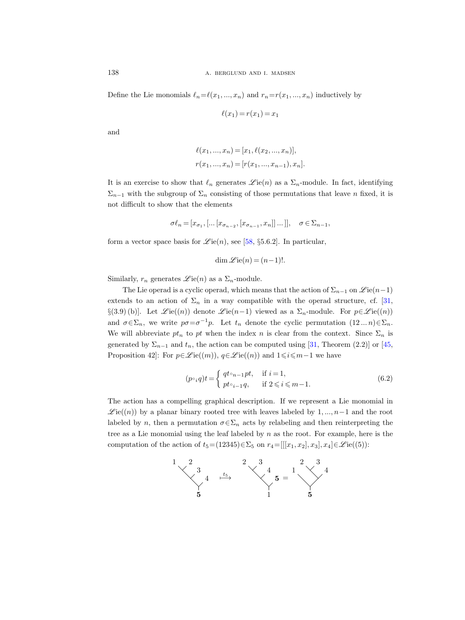Define the Lie monomials  $\ell_n=\ell(x_1, ..., x_n)$  and  $r_n=r(x_1, ..., x_n)$  inductively by

$$
\ell(x_1) = r(x_1) = x_1
$$

and

$$
\ell(x_1, ..., x_n) = [x_1, \ell(x_2, ..., x_n)],
$$
  

$$
r(x_1, ..., x_n) = [r(x_1, ..., x_{n-1}), x_n].
$$

It is an exercise to show that  $\ell_n$  generates  $\mathscr{L}$  ie(n) as a  $\Sigma_n$ -module. In fact, identifying  $\Sigma_{n-1}$  with the subgroup of  $\Sigma_n$  consisting of those permutations that leave n fixed, it is not difficult to show that the elements

$$
\sigma \ell_n = [x_{\sigma_1}, [... [x_{\sigma_{n-2}}, [x_{\sigma_{n-1}}, x_n]] ...]], \quad \sigma \in \Sigma_{n-1},
$$

form a vector space basis for  $\mathcal{L}ie(n)$ , see [\[58,](#page-117-6) §5.6.2]. In particular,

$$
\dim \mathcal{L}ie(n) = (n-1)!.
$$

Similarly,  $r_n$  generates  $\mathscr{L}$ ie $(n)$  as a  $\Sigma_n$ -module.

The Lie operad is a cyclic operad, which means that the action of  $\Sigma_{n-1}$  on  $\mathscr{L}ie(n-1)$ extends to an action of  $\Sigma_n$  in a way compatible with the operad structure, cf. [\[31,](#page-116-7) §(3.9) (b). Let  $\mathcal{L}$  ie $((n))$  denote  $\mathcal{L}$  ie $(n-1)$  viewed as a  $\Sigma_n$ -module. For  $p \in \mathcal{L}$  ie $((n))$ and  $\sigma \in \Sigma_n$ , we write  $p\sigma = \sigma^{-1}p$ . Let  $t_n$  denote the cyclic permutation  $(12...n)\in \Sigma_n$ . We will abbreviate  $pt_n$  to  $pt$  when the index n is clear from the context. Since  $\Sigma_n$  is generated by  $\Sigma_{n-1}$  and  $t_n$ , the action can be computed using [\[31,](#page-116-7) Theorem (2.2)] or [\[45,](#page-116-8) Proposition 42]: For  $p \in \mathcal{L}$  ie $((m))$ ,  $q \in \mathcal{L}$  ie $((n))$  and  $1 \leq i \leq m-1$  we have

$$
(p \circ_i q)t =\begin{cases} qt \circ_{n-1} pt, & \text{if } i = 1, \\ pt \circ_{i-1} q, & \text{if } 2 \leq i \leq m-1. \end{cases}
$$
\n
$$
(6.2)
$$

The action has a compelling graphical description. If we represent a Lie monomial in  $\mathscr{L}ie((n))$  by a planar binary rooted tree with leaves labeled by 1, ..., n-1 and the root labeled by n, then a permutation  $\sigma \in \Sigma_n$  acts by relabeling and then reinterpreting the tree as a Lie monomial using the leaf labeled by  $n$  as the root. For example, here is the computation of the action of  $t_5=(12345)\in\Sigma_5$  on  $r_4=[[[x_1, x_2], x_3], x_4]\in\mathscr{L}\mathrm{ie}((5))$ :

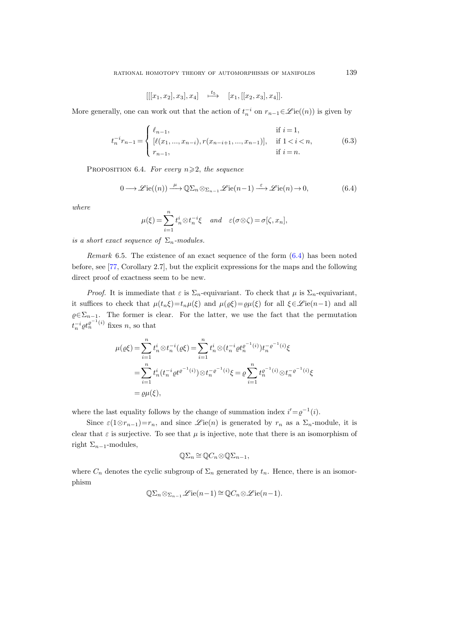$$
[[[x_1, x_2], x_3], x_4] \xrightarrow{t_5} [x_1, [[x_2, x_3], x_4]].
$$

<span id="page-72-1"></span>More generally, one can work out that the action of  $t_n^{-i}$  on  $r_{n-1} \in \mathcal{L}ie((n))$  is given by

$$
t_n^{-i}r_{n-1} = \begin{cases} \ell_{n-1}, & \text{if } i = 1, \\ \left[ \ell(x_1, ..., x_{n-i}), r(x_{n-i+1}, ..., x_{n-1}) \right], & \text{if } 1 < i < n, \\ r_{n-1}, & \text{if } i = n. \end{cases}
$$
(6.3)

<span id="page-72-3"></span><span id="page-72-2"></span>PROPOSITION 6.4. For every  $n \geq 2$ , the sequence

<span id="page-72-0"></span>
$$
0 \longrightarrow \mathcal{L}\mathrm{ie}((n)) \xrightarrow{\mu} \mathbb{Q}\Sigma_n \otimes_{\Sigma_{n-1}} \mathcal{L}\mathrm{ie}(n-1) \xrightarrow{\varepsilon} \mathcal{L}\mathrm{ie}(n) \to 0,
$$
 (6.4)

where

$$
\mu(\xi) = \sum_{i=1}^n t_n^i \otimes t_n^{-i} \xi \quad and \quad \varepsilon(\sigma \otimes \zeta) = \sigma[\zeta, x_n],
$$

is a short exact sequence of  $\Sigma_n$ -modules.

Remark 6.5. The existence of an exact sequence of the form [\(6.4\)](#page-72-0) has been noted before, see [\[77,](#page-118-0) Corollary 2.7], but the explicit expressions for the maps and the following direct proof of exactness seem to be new.

*Proof.* It is immediate that  $\varepsilon$  is  $\Sigma_n$ -equivariant. To check that  $\mu$  is  $\Sigma_n$ -equivariant, it suffices to check that  $\mu(t_n\xi)=t_n\mu(\xi)$  and  $\mu(\varrho\xi)=\varrho\mu(\xi)$  for all  $\xi\in\mathscr{L}$  ie $(n-1)$  and all  $\varrho \in \Sigma_{n-1}$ . The former is clear. For the latter, we use the fact that the permutation  $t_n^{-i} \rho t_n^{\rho^{-1}(i)}$  fixes n, so that

$$
\mu(\varrho\xi) = \sum_{i=1}^{n} t_n^i \otimes t_n^{-i}(\varrho\xi) = \sum_{i=1}^{n} t_n^i \otimes (t_n^{-i} \varrho t_n^{\varrho^{-1}(i)}) t_n^{-\varrho^{-1}(i)} \xi
$$
  
= 
$$
\sum_{i=1}^{n} t_n^i (t_n^{-i} \varrho t^{\varrho^{-1}(i)}) \otimes t_n^{-\varrho^{-1}(i)} \xi = \varrho \sum_{i=1}^{n} t_n^{\varrho^{-1}(i)} \otimes t_n^{-\varrho^{-1}(i)} \xi
$$
  
= 
$$
\varrho \mu(\xi),
$$

where the last equality follows by the change of summation index  $i' = \varrho^{-1}(i)$ .

Since  $\varepsilon(1\otimes r_{n-1})=r_n$ , and since  $\mathscr{L}$  ie $(n)$  is generated by  $r_n$  as a  $\Sigma_n$ -module, it is clear that  $\varepsilon$  is surjective. To see that  $\mu$  is injective, note that there is an isomorphism of right  $\Sigma_{n-1}$ -modules,

$$
\mathbb{Q}\Sigma_n \cong \mathbb{Q}C_n \otimes \mathbb{Q}\Sigma_{n-1},
$$

where  $C_n$  denotes the cyclic subgroup of  $\Sigma_n$  generated by  $t_n$ . Hence, there is an isomorphism

$$
\mathbb{Q}\Sigma_n \otimes_{\Sigma_{n-1}} \mathcal{L}\mathrm{ie}(n-1) \cong \mathbb{Q}C_n \otimes \mathcal{L}\mathrm{ie}(n-1).
$$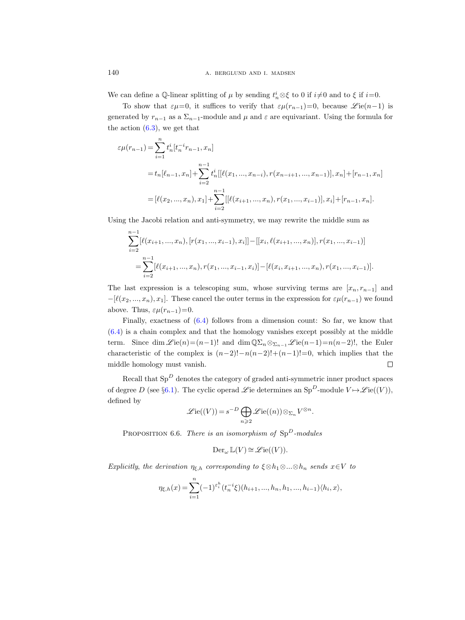We can define a Q-linear splitting of  $\mu$  by sending  $t_n^i \otimes \xi$  to 0 if  $i \neq 0$  and to  $\xi$  if  $i=0$ .

To show that  $\varepsilon\mu=0$ , it suffices to verify that  $\varepsilon\mu(r_{n-1})=0$ , because  $\mathscr{L}$  ie $(n-1)$  is generated by  $r_{n-1}$  as a  $\Sigma_{n-1}$ -module and  $\mu$  and  $\varepsilon$  are equivariant. Using the formula for the action  $(6.3)$ , we get that

$$
\varepsilon\mu(r_{n-1}) = \sum_{i=1}^{n} t_n^i [t_n^{-i}r_{n-1}, x_n]
$$
  
=  $t_n[\ell_{n-1}, x_n] + \sum_{i=2}^{n-1} t_n^i [[\ell(x_1, ..., x_{n-i}), r(x_{n-i+1}, ..., x_{n-1})], x_n] + [r_{n-1}, x_n]$   
=  $[\ell(x_2, ..., x_n), x_1] + \sum_{i=2}^{n-1} [[\ell(x_{i+1}, ..., x_n), r(x_1, ..., x_{i-1})], x_i] + [r_{n-1}, x_n].$ 

Using the Jacobi relation and anti-symmetry, we may rewrite the middle sum as

$$
\sum_{i=2}^{n-1} [\ell(x_{i+1},...,x_n), [r(x_1,...,x_{i-1}),x_i]] - [[x_i, \ell(x_{i+1},...,x_n)], r(x_1,...,x_{i-1})]
$$
  
= 
$$
\sum_{i=2}^{n-1} [\ell(x_{i+1},...,x_n), r(x_1,...,x_{i-1},x_i)] - [\ell(x_i,x_{i+1},...,x_n), r(x_1,...,x_{i-1})].
$$

The last expression is a telescoping sum, whose surviving terms are  $[x_n, r_{n-1}]$  and  $-[\ell(x_2, ..., x_n), x_1]$ . These cancel the outer terms in the expression for  $\varepsilon\mu(r_{n-1})$  we found above. Thus,  $\varepsilon\mu(r_{n-1})=0$ .

Finally, exactness of [\(6.4\)](#page-72-2) follows from a dimension count: So far, we know that [\(6.4\)](#page-72-2) is a chain complex and that the homology vanishes except possibly at the middle term. Since dim  $\mathscr{L}ie(n)=(n-1)!$  and dim  $\mathbb{Q}\Sigma_n\otimes_{\Sigma_{n-1}}\mathscr{L}ie(n-1)=n(n-2)!$ , the Euler characteristic of the complex is  $(n-2)!-n(n-2)!+(n-1)!=0$ , which implies that the middle homology must vanish.  $\Box$ 

Recall that  $Sp^D$  denotes the category of graded anti-symmetric inner product spaces of degree D (see §[6.1\)](#page-66-0). The cyclic operad  $\mathscr{L}$  ie determines an Sp<sup>D</sup>-module  $V \mapsto \mathscr{L}$  ie((V)), defined by

$$
\mathscr{L}\mathrm{ie}((V)) = s^{-D} \bigoplus_{n \geq 2} \mathscr{L}\mathrm{ie}((n)) \otimes_{\Sigma_n} V^{\otimes n}.
$$

<span id="page-73-1"></span><span id="page-73-0"></span>PROPOSITION 6.6. There is an isomorphism of  $Sp^D$ -modules

$$
\mathrm{Der}_{\omega} \mathbb{L}(V) \cong \mathscr{L}\mathrm{ie}((V)).
$$

Explicitly, the derivation  $\eta_{\xi,h}$  corresponding to  $\xi \otimes h_1 \otimes ... \otimes h_n$  sends  $x \in V$  to

$$
\eta_{\xi,h}(x) = \sum_{i=1}^n (-1)^{\varepsilon_i^h} (t_n^{-i}\xi)(h_{i+1},...,h_n,h_1,...,h_{i-1}) \langle h_i, x \rangle,
$$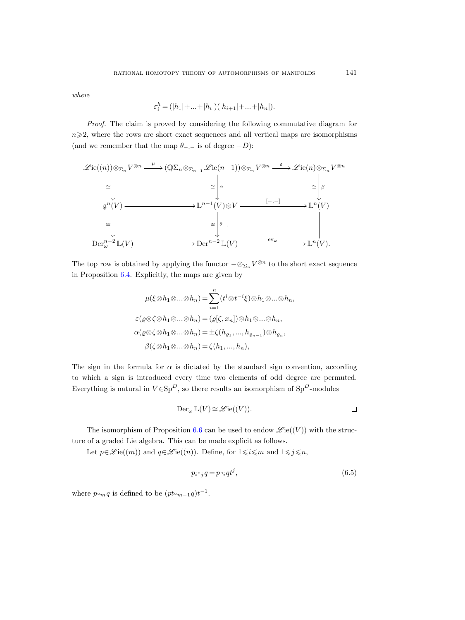where

$$
\varepsilon_i^h = (|h_1| + \dots + |h_i|)(|h_{i+1}| + \dots + |h_n|).
$$

Proof. The claim is proved by considering the following commutative diagram for  $n\geqslant2$ , where the rows are short exact sequences and all vertical maps are isomorphisms (and we remember that the map  $\theta_{-,-}$  is of degree  $-D$ ):



The top row is obtained by applying the functor  $-\otimes_{\Sigma_n} V^{\otimes n}$  to the short exact sequence in Proposition [6.4.](#page-72-3) Explicitly, the maps are given by

$$
\mu(\xi \otimes h_1 \otimes \ldots \otimes h_n) = \sum_{i=1}^n (t^i \otimes t^{-i} \xi) \otimes h_1 \otimes \ldots \otimes h_n,
$$
  
\n
$$
\varepsilon(\varrho \otimes \zeta \otimes h_1 \otimes \ldots \otimes h_n) = (\varrho[\zeta, x_n]) \otimes h_1 \otimes \ldots \otimes h_n,
$$
  
\n
$$
\alpha(\varrho \otimes \zeta \otimes h_1 \otimes \ldots \otimes h_n) = \pm \zeta(h_{\varrho_1}, \ldots, h_{\varrho_{n-1}}) \otimes h_{\varrho_n},
$$
  
\n
$$
\beta(\zeta \otimes h_1 \otimes \ldots \otimes h_n) = \zeta(h_1, \ldots, h_n),
$$

The sign in the formula for  $\alpha$  is dictated by the standard sign convention, according to which a sign is introduced every time two elements of odd degree are permuted. Everything is natural in  $V \in \text{Sp}^D$ , so there results an isomorphism of  $\text{Sp}^D\text{-modules}$ 

$$
\operatorname{Der}_{\omega} \mathbb{L}(V) \cong \mathscr{L}\mathrm{ie}((V)). \qquad \qquad \square
$$

The isomorphism of Proposition [6.6](#page-73-0) can be used to endow  $\mathscr{L}\mathrm{ie}((V))$  with the structure of a graded Lie algebra. This can be made explicit as follows.

Let  $p \in \mathcal{L}$  ie $((m))$  and  $q \in \mathcal{L}$  ie $((n))$ . Define, for  $1 \leq i \leq m$  and  $1 \leq j \leq n$ ,

<span id="page-74-0"></span>
$$
p_i \circ_j q = p \circ_i qt^j,\tag{6.5}
$$

where  $p \circ_m q$  is defined to be  $(pt \circ_{m-1} q)t^{-1}$ .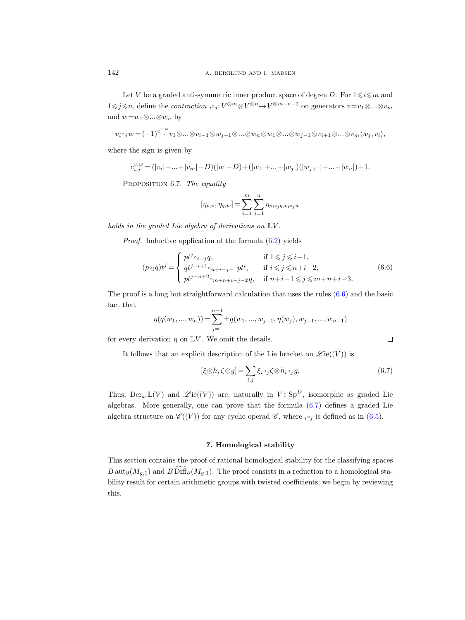Let V be a graded anti-symmetric inner product space of degree D. For  $1 \leq i \leq m$  and 1≤j≤n, define the *contraction*  $i^{\circ}j: V^{\otimes m} \otimes V^{\otimes n} \to V^{\otimes m+n-2}$  on generators  $v = v_1 \otimes ... \otimes v_m$ and  $w=w_1\otimes...\otimes w_n$  by

$$
v_i\circ_j w = (-1)^{c_{i,j}^{v,w}} v_1 \otimes \ldots \otimes v_{i-1} \otimes w_{j+1} \otimes \ldots \otimes w_n \otimes w_1 \otimes \ldots \otimes w_{j-1} \otimes v_{i+1} \otimes \ldots \otimes v_m \langle w_j, v_i \rangle,
$$

where the sign is given by

$$
c_{i,j}^{v,w} = (|v_i| + \dots + |v_m| - D)(|w| - D) + (|w_1| + \dots + |w_j|)(|w_{j+1}| + \dots + |w_n|) + 1.
$$

PROPOSITION 6.7. The equality

$$
[\eta_{p,v},\eta_{q,w}]=\sum_{i=1}^m\sum_{j=1}^n\eta_{p_{i^{\circ}j}q,v_{i^{\circ}j}w}
$$

holds in the graded Lie algebra of derivations on  $\mathbb{L}V$ .

Proof. Inductive application of the formula [\(6.2\)](#page-71-0) yields

<span id="page-75-0"></span>
$$
(p \circ_i q) t^j = \begin{cases} p t^j \circ_{i-j} q, & \text{if } 1 \leq j \leq i-1, \\ q t^{j-i+1} \circ_{n+i-j-1} p t^i, & \text{if } i \leq j \leq n+i-2, \\ p t^{j-n+2} \circ_{m+n+i-j-2} q, & \text{if } n+i-1 \leq j \leq m+n+i-3. \end{cases}
$$
(6.6)

The proof is a long but straightforward calculation that uses the rules [\(6.6\)](#page-75-0) and the basic fact that

$$
\eta(q(w_1, ..., w_n)) = \sum_{j=1}^{n-1} \pm q(w_1, ..., w_{j-1}, \eta(w_j), w_{j+1}, ..., w_{n-1})
$$

for every derivation  $\eta$  on  $\mathbb{L}V$ . We omit the details.

It follows that an explicit description of the Lie bracket on  $\mathscr{L}ie((V))$  is

<span id="page-75-2"></span><span id="page-75-1"></span>
$$
[\xi \otimes h, \zeta \otimes g] = \sum_{i,j} \xi_i \circ_j \zeta \otimes h_i \circ_j g. \tag{6.7}
$$

Thus,  $Der_{\omega} \mathbb{L}(V)$  and  $\mathscr{L}ie((V))$  are, naturally in  $V \in Sp^D$ , isomorphic as graded Lie algebras. More generally, one can prove that the formula [\(6.7\)](#page-75-1) defines a graded Lie algebra structure on  $\mathscr{C}((V))$  for any cyclic operad  $\mathscr{C}$ , where  $i \circ i$  is defined as in [\(6.5\)](#page-74-0).

# 7. Homological stability

This section contains the proof of rational homological stability for the classifying spaces B aut<sub>∂</sub>( $M_{g,1}$ ) and B Diff<sub>∂</sub>( $M_{g,1}$ ). The proof consists in a reduction to a homological stability result for certain arithmetic groups with twisted coefficients; we begin by reviewing this.

 $\Box$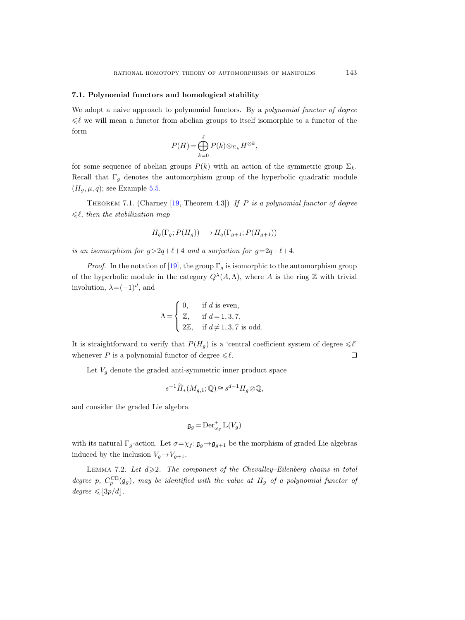# 7.1. Polynomial functors and homological stability

We adopt a naive approach to polynomial functors. By a *polynomial functor of degree*  $\leq \ell$  we will mean a functor from abelian groups to itself isomorphic to a functor of the form

$$
P(H) = \bigoplus_{k=0}^{\ell} P(k) \otimes_{\Sigma_k} H^{\otimes k},
$$

for some sequence of abelian groups  $P(k)$  with an action of the symmetric group  $\Sigma_k$ . Recall that  $\Gamma_g$  denotes the automorphism group of the hyperbolic quadratic module  $(H_g, \mu, q)$ ; see Example [5.5.](#page-59-0)

<span id="page-76-0"></span>THEOREM 7.1. (Charney [\[19,](#page-115-0) Theorem 4.3]) If P is a polynomial functor of degree  $\leq \ell$ , then the stabilization map

$$
H_q(\Gamma_g; P(H_g)) \longrightarrow H_q(\Gamma_{g+1}; P(H_{g+1}))
$$

is an isomorphism for  $q>2q+\ell+4$  and a surjection for  $q=2q+\ell+4$ .

*Proof.* In the notation of [\[19\]](#page-115-0), the group  $\Gamma_q$  is isomorphic to the automorphism group of the hyperbolic module in the category  $Q^{\lambda}(A,\Lambda)$ , where A is the ring Z with trivial involution,  $\lambda = (-1)^d$ , and

$$
\Lambda = \begin{cases} 0, & \text{if } d \text{ is even,} \\ \mathbb{Z}, & \text{if } d = 1, 3, 7, \\ 2\mathbb{Z}, & \text{if } d \neq 1, 3, 7 \text{ is odd.} \end{cases}
$$

It is straightforward to verify that  $P(H_q)$  is a 'central coefficient system of degree  $\leq \ell'$ ' whenever P is a polynomial functor of degree  $\leq \ell$ .  $\Box$ 

Let  $V_g$  denote the graded anti-symmetric inner product space

$$
s^{-1}\widetilde{H}_*(M_{g,1};\mathbb{Q}) \cong s^{d-1}H_g \otimes \mathbb{Q},
$$

and consider the graded Lie algebra

$$
\mathfrak{g}_g = \mathrm{Der}^+_{\omega_g} \mathbb{L}(V_g)
$$

with its natural  $\Gamma_q$ -action. Let  $\sigma = \chi_f : \mathfrak{g}_q \to \mathfrak{g}_{q+1}$  be the morphism of graded Lie algebras induced by the inclusion  $V_g \rightarrow V_{g+1}$ .

<span id="page-76-1"></span>LEMMA 7.2. Let  $d \geqslant 2$ . The component of the Chevalley–Eilenberg chains in total degree p,  $C_p^{\text{CE}}(\mathfrak{g}_g)$ , may be identified with the value at  $H_g$  of a polynomial functor of  $degree \leqslant |3p/d|$ .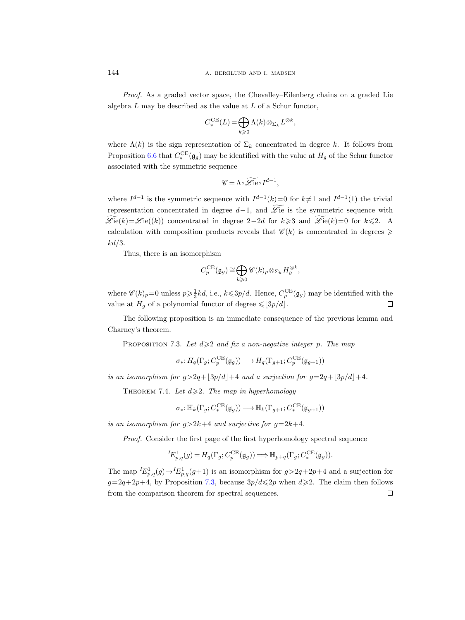Proof. As a graded vector space, the Chevalley–Eilenberg chains on a graded Lie algebra L may be described as the value at L of a Schur functor,

$$
C_*^{\sf CE}(L)\!=\! \bigoplus_{k\geqslant 0}\Lambda(k)\!\otimes_{\Sigma_k}L^{\otimes k},
$$

where  $\Lambda(k)$  is the sign representation of  $\Sigma_k$  concentrated in degree k. It follows from Proposition [6.6](#page-73-1) that  $C_*^{\text{CE}}(\mathfrak{g}_g)$  may be identified with the value at  $H_g$  of the Schur functor associated with the symmetric sequence

$$
\mathscr{C} = \Lambda \circ \widetilde{\mathscr{L}ie} \circ I^{d-1},
$$

where  $I^{d-1}$  is the symmetric sequence with  $I^{d-1}(k)=0$  for  $k\neq 1$  and  $I^{d-1}(1)$  the trivial representation concentrated in degree  $d-1$ , and  $\widetilde{\mathscr{L}}$ ie is the symmetric sequence with  $\mathscr{L}\mathrm{ie}(k)=\mathscr{L}\mathrm{ie}((k))$  concentrated in degree 2−2d for k>3 and  $\widetilde{\mathscr{L}\mathrm{ie}}(k)=0$  for k  $\leq 2$ . A calculation with composition products reveals that  $\mathscr{C}(k)$  is concentrated in degrees  $\geqslant$  $kd/3$ .

Thus, there is an isomorphism

$$
C_p^{\sf CE}(\mathfrak{g}_g)\cong \bigoplus_{k\geqslant 0}\mathscr{C}(k)_p\otimes_{\Sigma_k}H_g^{\otimes k},
$$

where  $\mathscr{C}(k)_p=0$  unless  $p\geqslant \frac{1}{3}kd$ , i.e.,  $k\leqslant 3p/d$ . Hence,  $C_p^{\text{CE}}(\mathfrak{g}_g)$  may be identified with the value at  $H<sub>g</sub>$  of a polynomial functor of degree  $\leq 3p/d$ .  $\Box$ 

The following proposition is an immediate consequence of the previous lemma and Charney's theorem.

<span id="page-77-0"></span>PROPOSITION 7.3. Let  $d \geqslant 2$  and fix a non-negative integer p. The map

$$
\sigma_*\colon H_q(\Gamma_g; C_p^{\sf CE}(\mathfrak{g}_g)) \longrightarrow H_q(\Gamma_{g+1}; C_p^{\sf CE}(\mathfrak{g}_{g+1}))
$$

<span id="page-77-1"></span>is an isomorphism for  $g>2q+3p/d+4$  and a surjection for  $g=2q+3p/d+4$ .

THEOREM 7.4. Let  $d \geqslant 2$ . The map in hyperhomology

$$
\sigma_*\colon\mathbb{H}_k(\Gamma_g;C^{\sf CE}_*(\mathfrak{g}_g))\longrightarrow\mathbb{H}_k(\Gamma_{g+1};C^{\sf CE}_*(\mathfrak{g}_{g+1}))
$$

is an isomorphism for  $g>2k+4$  and surjective for  $g=2k+4$ .

Proof. Consider the first page of the first hyperhomology spectral sequence

$$
{}^{I}E_{p,q}^{1}(g) = H_{q}(\Gamma_{g}; C_{p}^{\text{CE}}(\mathfrak{g}_{g})) \Longrightarrow \mathbb{H}_{p+q}(\Gamma_{g}; C_{*}^{\text{CE}}(\mathfrak{g}_{g})).
$$

The map  ${}^{I}E_{p,q}^{1}(g) \rightarrow {}^{I}E_{p,q}^{1}(g+1)$  is an isomorphism for  $g > 2q+2p+4$  and a surjection for  $g=2q+2p+4$ , by Proposition [7.3,](#page-77-0) because  $3p/d \leq 2p$  when  $d \geq 2$ . The claim then follows from the comparison theorem for spectral sequences. $\Box$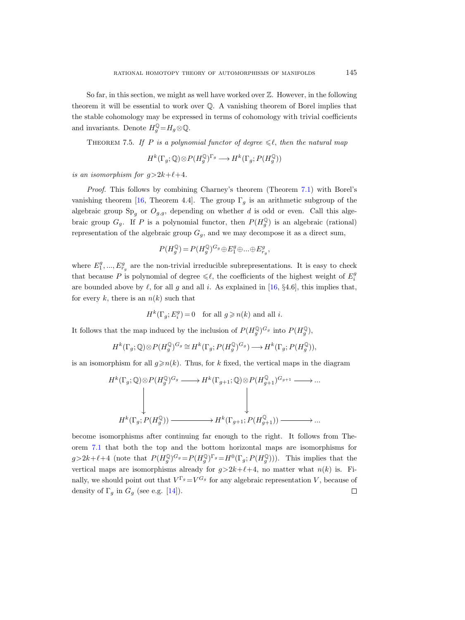So far, in this section, we might as well have worked over  $\mathbb{Z}$ . However, in the following theorem it will be essential to work over  $\mathbb Q$ . A vanishing theorem of Borel implies that the stable cohomology may be expressed in terms of cohomology with trivial coefficients and invariants. Denote  $H_g^{\mathbb{Q}} = H_g \otimes \mathbb{Q}$ .

<span id="page-78-1"></span><span id="page-78-0"></span>THEOREM 7.5. If P is a polynomial functor of degree  $\leq \ell$ , then the natural map

$$
H^k(\Gamma_g; \mathbb{Q}) \otimes P(H_g^{\mathbb{Q}})^{\Gamma_g} \longrightarrow H^k(\Gamma_g; P(H_g^{\mathbb{Q}}))
$$

is an isomorphism for  $q>2k+\ell+4$ .

Proof. This follows by combining Charney's theorem (Theorem [7.1\)](#page-76-0) with Borel's vanishing theorem [\[16,](#page-115-1) Theorem 4.4]. The group  $\Gamma_q$  is an arithmetic subgroup of the algebraic group  $Sp<sub>g</sub>$  or  $O<sub>g,g</sub>$ , depending on whether d is odd or even. Call this algebraic group  $G_g$ . If P is a polynomial functor, then  $P(H_g^{\mathbb{Q}})$  is an algebraic (rational) representation of the algebraic group  $G_q$ , and we may decompose it as a direct sum,

$$
P(H_g^{\mathbb{Q}}) = P(H_g^{\mathbb{Q}})^{G_g} \oplus E_1^g \oplus \dots \oplus E_{r_g}^g,
$$

where  $E_1^g, ..., E_{r_g}^g$  are the non-trivial irreducible subrepresentations. It is easy to check that because P is polynomial of degree  $\leq \ell$ , the coefficients of the highest weight of  $E_i^g$ are bounded above by  $\ell$ , for all g and all i. As explained in [\[16,](#page-115-1) §4.6], this implies that, for every k, there is an  $n(k)$  such that

$$
H^k(\Gamma_g; E_i^g) = 0 \quad \text{for all } g \geqslant n(k) \text{ and all } i.
$$

It follows that the map induced by the inclusion of  $P(H_g^{\mathbb{Q}})^{G_g}$  into  $P(H_g^{\mathbb{Q}})$ ,

$$
H^k(\Gamma_g; \mathbb{Q}) \otimes P(H_g^{\mathbb{Q}})^{G_g} \cong H^k(\Gamma_g; P(H_g^{\mathbb{Q}})^{G_g}) \longrightarrow H^k(\Gamma_g; P(H_g^{\mathbb{Q}})),
$$

is an isomorphism for all  $q \geq n(k)$ . Thus, for k fixed, the vertical maps in the diagram

$$
\begin{array}{ccc}\nH^k(\Gamma_g;\mathbb{Q})\otimes P(H_g^{\mathbb{Q}})^{G_g} & \longrightarrow & H^k(\Gamma_{g+1};\mathbb{Q})\otimes P(H_{g+1}^{\mathbb{Q}})^{G_{g+1}} \longrightarrow \dots \\
& & & \bigcup & \\
H^k(\Gamma_g;P(H_g^{\mathbb{Q}})) & \longrightarrow & H^k(\Gamma_{g+1};P(H_{g+1}^{\mathbb{Q}})) \longrightarrow \dots\n\end{array}
$$

become isomorphisms after continuing far enough to the right. It follows from Theorem [7.1](#page-76-0) that both the top and the bottom horizontal maps are isomorphisms for  $g>2k+\ell+4$  (note that  $P(H_g^{\mathbb{Q}})^{G_g}=P(H_g^{\mathbb{Q}})^{\Gamma_g}=H^0(\Gamma_g;P(H_g^{\mathbb{Q}})))$ . This implies that the vertical maps are isomorphisms already for  $g>2k+\ell+4$ , no matter what  $n(k)$  is. Finally, we should point out that  $V^{\Gamma_g} = V^{G_g}$  for any algebraic representation V, because of density of  $\Gamma_g$  in  $G_g$  (see e.g. [\[14\]](#page-115-2)).  $\Box$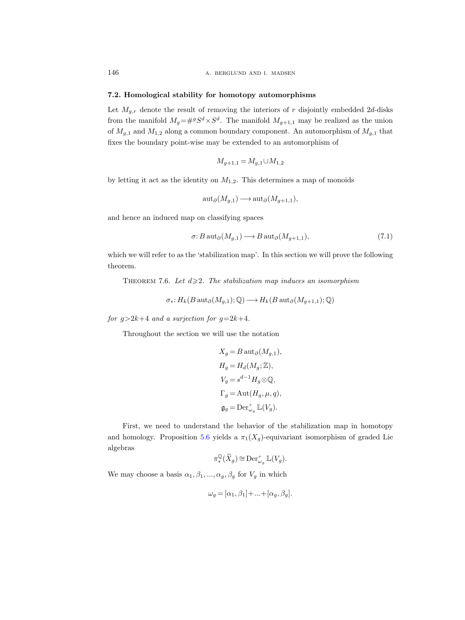#### <span id="page-79-1"></span>7.2. Homological stability for homotopy automorphisms

Let  $M_{q,r}$  denote the result of removing the interiors of r disjointly embedded 2d-disks from the manifold  $M_g = \#^g S^d \times S^d$ . The manifold  $M_{g+1,1}$  may be realized as the union of  $M_{q,1}$  and  $M_{1,2}$  along a common boundary component. An automorphism of  $M_{q,1}$  that fixes the boundary point-wise may be extended to an automorphism of

$$
M_{g+1,1} = M_{g,1} \cup M_{1,2}
$$

by letting it act as the identity on  $M_{1,2}$ . This determines a map of monoids

$$
\operatorname{aut}_{\partial}(M_{g,1}) \longrightarrow \operatorname{aut}_{\partial}(M_{g+1,1}),
$$

and hence an induced map on classifying spaces

$$
\sigma: B \operatorname{aut}_{\partial}(M_{g,1}) \longrightarrow B \operatorname{aut}_{\partial}(M_{g+1,1}), \tag{7.1}
$$

which we will refer to as the 'stabilization map'. In this section we will prove the following theorem.

<span id="page-79-0"></span>THEOREM 7.6. Let  $d \geq 2$ . The stabilization map induces an isomorphism

$$
\sigma_*: H_k(B \operatorname{aut}_{\partial}(M_{g,1}); \mathbb{Q}) \longrightarrow H_k(B \operatorname{aut}_{\partial}(M_{g+1,1}); \mathbb{Q})
$$

for  $g > 2k+4$  and a surjection for  $g = 2k+4$ .

Throughout the section we will use the notation

$$
\begin{aligned} X_g &= B \, \mathrm{aut}_\partial(M_{g,1}), \\ H_g &= H_d(M_g; \mathbb{Z}), \\ V_g &= s^{d-1} H_g \otimes \mathbb{Q}, \\ \Gamma_g &= \mathrm{Aut}(H_g, \mu, q), \\ \mathfrak{g}_g &= \mathrm{Der}^+_{\omega_g} \, \mathbb{L}(V_g). \end{aligned}
$$

First, we need to understand the behavior of the stabilization map in homotopy and homology. Proposition [5.6](#page-61-0) yields a  $\pi_1(X_g)$ -equivariant isomorphism of graded Lie algebras

$$
\pi^{\mathbb{Q}}_*(\widetilde{X}_g) \cong \mathrm{Der}^+_{\omega_g} \mathbb{L}(V_g).
$$

We may choose a basis  $\alpha_1, \beta_1, ..., \alpha_g, \beta_g$  for  $V_g$  in which

$$
\omega_g = [\alpha_1, \beta_1] + \ldots + [\alpha_g, \beta_g].
$$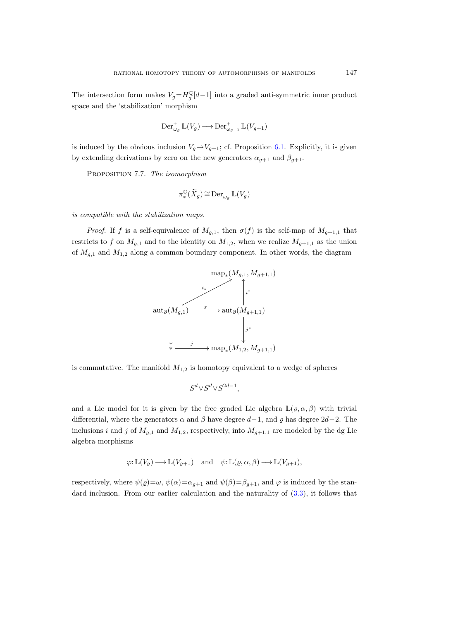The intersection form makes  $V_g = H_g^{\mathbb{Q}}[d-1]$  into a graded anti-symmetric inner product space and the 'stabilization' morphism

$$
\operatorname{Der}^+_{\omega_g} \mathbb{L}(V_g) \longrightarrow \operatorname{Der}^+_{\omega_{g+1}} \mathbb{L}(V_{g+1})
$$

is induced by the obvious inclusion  $V_q \rightarrow V_{q+1}$ ; cf. Proposition [6.1.](#page-68-0) Explicitly, it is given by extending derivations by zero on the new generators  $\alpha_{g+1}$  and  $\beta_{g+1}$ .

<span id="page-80-0"></span>PROPOSITION 7.7. The isomorphism

$$
\pi^{\mathbb{Q}}_*(\widetilde{X}_g) \cong \mathrm{Der}^+_{\omega_g} \mathbb{L}(V_g)
$$

is compatible with the stabilization maps.

*Proof.* If f is a self-equivalence of  $M_{q,1}$ , then  $\sigma(f)$  is the self-map of  $M_{q+1,1}$  that restricts to f on  $M_{g,1}$  and to the identity on  $M_{1,2}$ , when we realize  $M_{g+1,1}$  as the union of  $M_{q,1}$  and  $M_{1,2}$  along a common boundary component. In other words, the diagram



is commutative. The manifold  $M_{1,2}$  is homotopy equivalent to a wedge of spheres

S

$$
S^d{\vee}S^d{\vee}S^{2d-1},
$$

and a Lie model for it is given by the free graded Lie algebra  $\mathbb{L}(\varrho, \alpha, \beta)$  with trivial differential, where the generators  $\alpha$  and  $\beta$  have degree  $d-1$ , and  $\rho$  has degree  $2d-2$ . The inclusions i and j of  $M_{g,1}$  and  $M_{1,2}$ , respectively, into  $M_{g+1,1}$  are modeled by the dg Lie algebra morphisms

$$
\varphi: \mathbb{L}(V_g) \longrightarrow \mathbb{L}(V_{g+1}) \quad \text{and} \quad \psi: \mathbb{L}(\varrho, \alpha, \beta) \longrightarrow \mathbb{L}(V_{g+1}),
$$

respectively, where  $\psi(\rho) = \omega$ ,  $\psi(\alpha) = \alpha_{g+1}$  and  $\psi(\beta) = \beta_{g+1}$ , and  $\varphi$  is induced by the standard inclusion. From our earlier calculation and the naturality of [\(3.3\)](#page-20-0), it follows that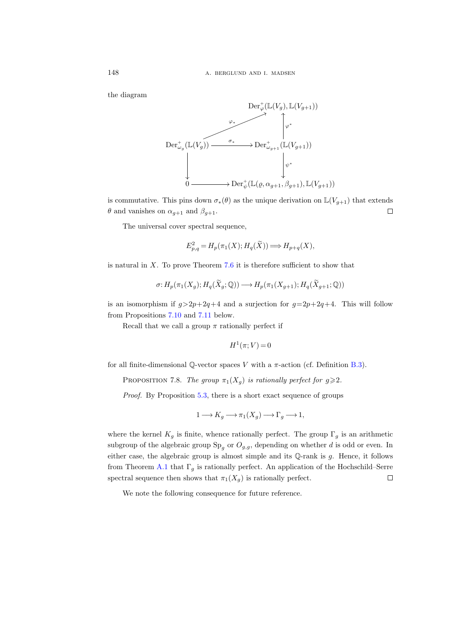the diagram



is commutative. This pins down  $\sigma_*(\theta)$  as the unique derivation on  $\mathbb{L}(V_{q+1})$  that extends  $\theta$  and vanishes on  $\alpha_{g+1}$  and  $\beta_{g+1}$ .  $\Box$ 

The universal cover spectral sequence,

$$
E_{p,q}^2 = H_p(\pi_1(X); H_q(\widetilde{X})) \Longrightarrow H_{p+q}(X),
$$

is natural in  $X$ . To prove Theorem [7.6](#page-79-0) it is therefore sufficient to show that

$$
\sigma: H_p(\pi_1(X_g); H_q(\widetilde{X}_g; \mathbb{Q})) \longrightarrow H_p(\pi_1(X_{g+1}); H_q(\widetilde{X}_{g+1}; \mathbb{Q}))
$$

is an isomorphism if  $g>2p+2q+4$  and a surjection for  $g=2p+2q+4$ . This will follow from Propositions [7.10](#page-82-0) and [7.11](#page-82-1) below.

Recall that we call a group  $\pi$  rationally perfect if

$$
H^1(\pi;V) = 0
$$

<span id="page-81-1"></span>for all finite-dimensional Q-vector spaces V with a  $\pi$ -action (cf. Definition [B.3\)](#page-110-0).

<span id="page-81-0"></span>PROPOSITION 7.8. The group  $\pi_1(X_g)$  is rationally perfect for  $g \geq 2$ .

Proof. By Proposition [5.3,](#page-59-1) there is a short exact sequence of groups

$$
1 \longrightarrow K_g \longrightarrow \pi_1(X_g) \longrightarrow \Gamma_g \longrightarrow 1,
$$

where the kernel  $K_g$  is finite, whence rationally perfect. The group  $\Gamma_g$  is an arithmetic subgroup of the algebraic group  $Sp<sub>g</sub>$  or  $O<sub>g,g</sub>$ , depending on whether d is odd or even. In either case, the algebraic group is almost simple and its  $\mathbb{Q}$ -rank is  $g$ . Hence, it follows from Theorem [A.1](#page-108-0) that  $\Gamma_q$  is rationally perfect. An application of the Hochschild–Serre spectral sequence then shows that  $\pi_1(X_g)$  is rationally perfect.  $\Box$ 

We note the following consequence for future reference.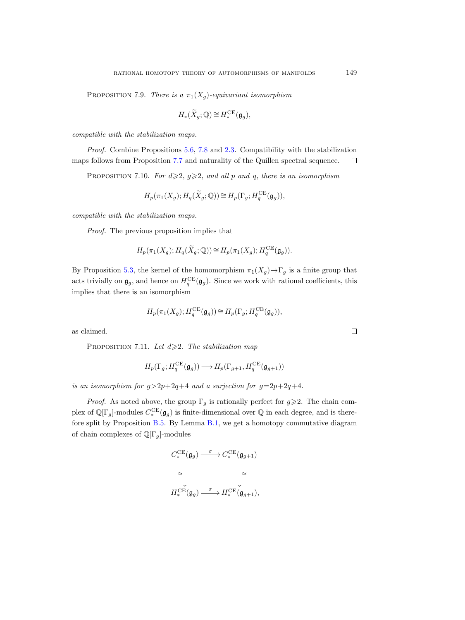<span id="page-82-2"></span>PROPOSITION 7.9. There is a  $\pi_1(X_q)$ -equivariant isomorphism

$$
H_*(\widetilde{X}_g; \mathbb{Q}) \cong H_*^{\mathrm{CE}}(\mathfrak{g}_g),
$$

compatible with the stabilization maps.

<span id="page-82-0"></span>Proof. Combine Propositions [5.6,](#page-61-1) [7.8](#page-81-0) and [2.3.](#page-14-0) Compatibility with the stabilization maps follows from Proposition [7.7](#page-80-0) and naturality of the Quillen spectral sequence.  $\Box$ 

PROPOSITION 7.10. For  $d \geqslant 2$ ,  $g \geqslant 2$ , and all p and q, there is an isomorphism

$$
H_p(\pi_1(X_g); H_q(\widetilde{X}_g; \mathbb{Q})) \cong H_p(\Gamma_g; H_q^{\sf CE}(\mathfrak{g}_g)),
$$

compatible with the stabilization maps.

Proof. The previous proposition implies that

$$
H_p(\pi_1(X_g); H_q(\widetilde{X}_g; \mathbb{Q})) \cong H_p(\pi_1(X_g); H_q^{\sf CE}(\mathfrak{g}_g)).
$$

By Proposition [5.3,](#page-59-2) the kernel of the homomorphism  $\pi_1(X_q) \to \Gamma_q$  is a finite group that acts trivially on  $\mathfrak{g}_g$ , and hence on  $H_q^{\text{CE}}(\mathfrak{g}_g)$ . Since we work with rational coefficients, this implies that there is an isomorphism

$$
H_p(\pi_1(X_g); H_q^{\sf CE}(\mathfrak{g}_g)) \cong H_p(\Gamma_g; H_q^{\sf CE}(\mathfrak{g}_g)),
$$

<span id="page-82-3"></span><span id="page-82-1"></span>as claimed.

PROPOSITION 7.11. Let  $d \geq 2$ . The stabilization map

$$
H_p(\Gamma_g; H_q^{\sf CE}(\mathfrak{g}_g)) \longrightarrow H_p(\Gamma_{g+1}, H_q^{\sf CE}(\mathfrak{g}_{g+1}))
$$

is an isomorphism for  $g > 2p+2q+4$  and a surjection for  $g = 2p+2q+4$ .

*Proof.* As noted above, the group  $\Gamma_g$  is rationally perfect for  $g \geq 2$ . The chain complex of  $\mathbb{Q}[\Gamma_g]$ -modules  $C_*^{\text{CE}}(\mathfrak{g}_g)$  is finite-dimensional over  $\mathbb Q$  in each degree, and is therefore split by Proposition [B.5.](#page-110-1) By Lemma [B.1,](#page-109-0) we get a homotopy commutative diagram of chain complexes of  $\mathbb{Q}[\Gamma_q]$ -modules

$$
\begin{aligned}\nC_*^{\text{CE}}(\mathfrak{g}_g) &\xrightarrow{\sigma} C_*^{\text{CE}}(\mathfrak{g}_{g+1}) \\
&\simeq \left| \begin{matrix} \downarrow \\ \downarrow \end{matrix} \right| \simeq \\
H_*^{\text{CE}}(\mathfrak{g}_g) &\xrightarrow{\sigma} H_*^{\text{CE}}(\mathfrak{g}_{g+1}),\n\end{aligned}
$$

 $\Box$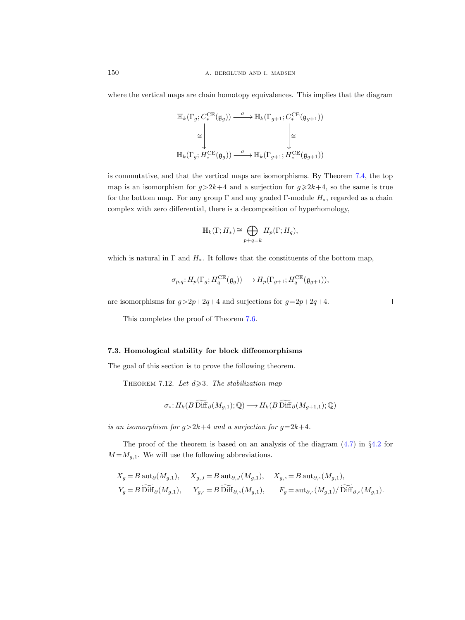where the vertical maps are chain homotopy equivalences. This implies that the diagram

$$
\label{eq:21} \begin{split} \mathbb{H}_k(\Gamma_g; C_*^{\rm CE}(\mathfrak{g}_g)) \stackrel{\sigma}{\longrightarrow} \mathbb{H}_k(\Gamma_{g+1}; C_*^{\rm CE}(\mathfrak{g}_{g+1})) \\ \cong \Bigg\downarrow \qquad \qquad \Bigg\downarrow \cong \\ \mathbb{H}_k(\Gamma_g; H_*^{\rm CE}(\mathfrak{g}_g)) \stackrel{\sigma}{\longrightarrow} \mathbb{H}_k(\Gamma_{g+1}; H_*^{\rm CE}(\mathfrak{g}_{g+1})) \end{split}
$$

is commutative, and that the vertical maps are isomorphisms. By Theorem [7.4,](#page-77-1) the top map is an isomorphism for  $g>2k+4$  and a surjection for  $g\geq 2k+4$ , so the same is true for the bottom map. For any group  $\Gamma$  and any graded  $\Gamma$ -module  $H_*$ , regarded as a chain complex with zero differential, there is a decomposition of hyperhomology,

$$
\mathbb{H}_k(\Gamma; H_*) \cong \bigoplus_{p+q=k} H_p(\Gamma; H_q),
$$

which is natural in  $\Gamma$  and  $H_*$ . It follows that the constituents of the bottom map,

$$
\sigma_{p,q}: H_p(\Gamma_g; H_q^{\sf CE}(\mathfrak{g}_g)) \longrightarrow H_p(\Gamma_{g+1}; H_q^{\sf CE}(\mathfrak{g}_{g+1})),
$$

are isomorphisms for  $g > 2p+2q+4$  and surjections for  $g=2p+2q+4$ .

This completes the proof of Theorem [7.6.](#page-79-0)

# <span id="page-83-2"></span>7.3. Homological stability for block diffeomorphisms

<span id="page-83-0"></span>The goal of this section is to prove the following theorem.

<span id="page-83-1"></span>THEOREM 7.12. Let  $d \geqslant 3$ . The stabilization map

$$
\sigma_*: H_k(B\widetilde{\text{Diff}}_\partial(M_{g,1});\mathbb{Q}) \longrightarrow H_k(B\widetilde{\text{Diff}}_\partial(M_{g+1,1});\mathbb{Q})
$$

is an isomorphism for  $g > 2k+4$  and a surjection for  $g = 2k+4$ .

The proof of the theorem is based on an analysis of the diagram  $(4.7)$  in  $\S4.2$  $\S4.2$  for  $M = M_{g,1}$ . We will use the following abbreviations.

$$
X_g = B \operatorname{aut}_{\partial}(M_{g,1}), \quad X_{g,J} = B \operatorname{aut}_{\partial,J}(M_{g,1}), \quad X_{g,\circ} = B \operatorname{aut}_{\partial,\circ}(M_{g,1}),
$$
  
\n
$$
Y_g = B \widetilde{\operatorname{Diff}}_{\partial}(M_{g,1}), \quad Y_{g,\circ} = B \widetilde{\operatorname{Diff}}_{\partial,\circ}(M_{g,1}), \quad F_g = \operatorname{aut}_{\partial,\circ}(M_{g,1})/\widetilde{\operatorname{Diff}}_{\partial,\circ}(M_{g,1}).
$$

 $\Box$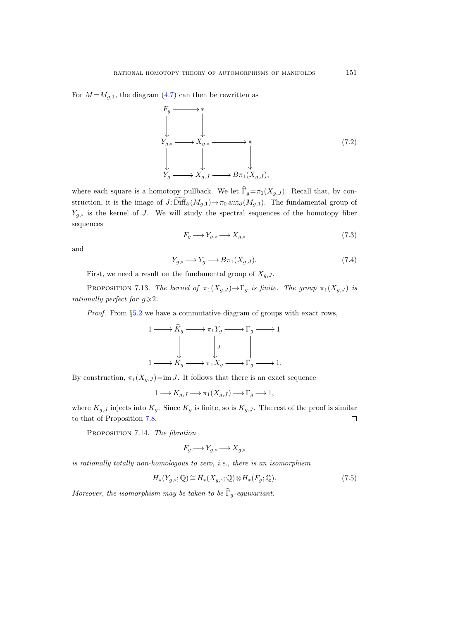<span id="page-84-1"></span>For  $M = M_{q,1}$ , the diagram [\(4.7\)](#page-37-2) can then be rewritten as



where each square is a homotopy pullback. We let  $\widehat{\Gamma}_g=\pi_1(X_{g,J})$ . Recall that, by construction, it is the image of  $J: \widetilde{\text{Diff}}_{\partial}(M_{g,1}) \to \pi_0 \text{aut}_{\partial}(M_{g,1})$ . The fundamental group of  $Y_{g,\circ}$  is the kernel of J. We will study the spectral sequences of the homotopy fiber sequences

<span id="page-84-0"></span>
$$
F_g \longrightarrow Y_{g,\circ} \longrightarrow X_{g,\circ} \tag{7.3}
$$

and

<span id="page-84-3"></span>
$$
Y_{g,\circ} \longrightarrow Y_g \longrightarrow B\pi_1(X_{g,J}).\tag{7.4}
$$

First, we need a result on the fundamental group of  $X_{q,J}$ .

<span id="page-84-4"></span>PROPOSITION 7.13. The kernel of  $\pi_1(X_{g,J}) \to \Gamma_g$  is finite. The group  $\pi_1(X_{g,J})$  is rationally perfect for  $g \geqslant 2$ .

Proof. From §[5.2](#page-59-3) we have a commutative diagram of groups with exact rows,

$$
1 \longrightarrow \widetilde{K}_g \longrightarrow \pi_1 Y_g \longrightarrow \Gamma_g \longrightarrow 1
$$
  
\n
$$
\downarrow \qquad \qquad \downarrow \qquad \qquad \downarrow
$$
  
\n
$$
1 \longrightarrow K_g \longrightarrow \pi_1 X_g \longrightarrow \Gamma_g \longrightarrow 1.
$$

By construction,  $\pi_1(X_{g,J})=im J$ . It follows that there is an exact sequence

$$
1\longrightarrow K_{g,J}\longrightarrow \pi_1(X_{g,J})\longrightarrow \Gamma_g\longrightarrow 1,
$$

where  $K_{g,J}$  injects into  $K_g$ . Since  $K_g$  is finite, so is  $K_{g,J}$ . The rest of the proof is similar to that of Proposition [7.8.](#page-81-0)  $\Box$ 

PROPOSITION 7.14. The fibration

$$
F_g \longrightarrow Y_{g,\circ} \longrightarrow X_{g,\circ}
$$

is rationally totally non-homologous to zero, i.e., there is an isomorphism

<span id="page-84-2"></span>
$$
H_*(Y_{g,\circ}; \mathbb{Q}) \cong H_*(X_{g,\circ}; \mathbb{Q}) \otimes H_*(F_g; \mathbb{Q}).\tag{7.5}
$$

Moreover, the isomorphism may be taken to be  $\widehat{\Gamma}_q$ -equivariant.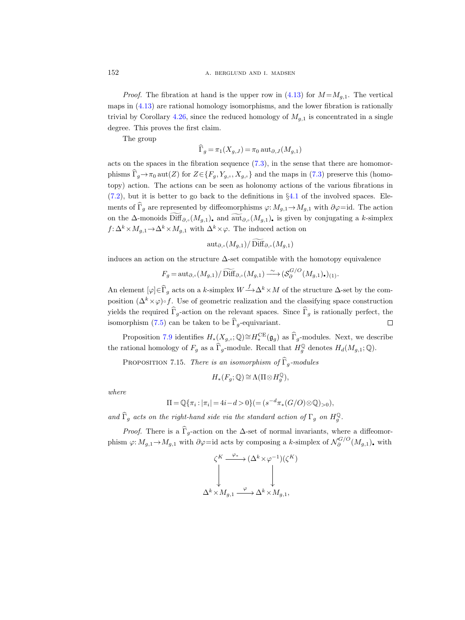*Proof.* The fibration at hand is the upper row in  $(4.13)$  for  $M = M_{q,1}$ . The vertical maps in [\(4.13\)](#page-53-0) are rational homology isomorphisms, and the lower fibration is rationally trivial by Corollary [4.26,](#page-56-0) since the reduced homology of  $M_{g,1}$  is concentrated in a single degree. This proves the first claim.

The group

$$
\Gamma_g = \pi_1(X_{g,J}) = \pi_0 \operatorname{aut}_{\partial,J}(M_{g,1})
$$

acts on the spaces in the fibration sequence  $(7.3)$ , in the sense that there are homomorphisms  $\widehat{\Gamma}_q \to \pi_0$  aut(Z) for  $Z \in \{F_q, Y_{q,\circ}, X_{q,\circ}\}\$  and the maps in [\(7.3\)](#page-84-0) preserve this (homotopy) action. The actions can be seen as holonomy actions of the various fibrations in  $(7.2)$ , but it is better to go back to the definitions in  $\S 4.1$  $\S 4.1$  of the involved spaces. Elements of  $\widehat{\Gamma}_g$  are represented by diffeomorphisms  $\varphi: M_{g,1} \to M_{g,1}$  with  $\partial \varphi = id$ . The action on the ∆-monoids  $\widetilde{\text{Diff}}_{\partial,\circ}(M_{g,1})$ , and  $\widetilde{\text{aut}}_{\partial,\circ}(M_{g,1})$ , is given by conjugating a k-simplex  $f: \Delta^k \times M_{q,1} \to \Delta^k \times M_{q,1}$  with  $\Delta^k \times \varphi$ . The induced action on

$$
\operatorname{aut}_{\partial,\circ}(M_{g,1})/\operatorname{Diff}_{\partial,\circ}(M_{g,1})
$$

induces an action on the structure  $\Delta$ -set compatible with the homotopy equivalence

$$
F_g = \operatorname{aut}_{\partial,\circ}(M_{g,1})/\widetilde{\operatorname{Diff}}_{\partial,\circ}(M_{g,1}) \xrightarrow{\sim} (\mathcal{S}^{G/O}_{\partial}(M_{g,1})_{\bullet})_{(1)}.
$$

An element  $[\varphi] \in \widehat{\Gamma}_g$  acts on a k-simplex  $W \longrightarrow \Delta^k \times M$  of the structure  $\Delta$ -set by the composition  $(\Delta^k \times \varphi) \circ f$ . Use of geometric realization and the classifying space construction yields the required  $\widehat{\Gamma}_g$ -action on the relevant spaces. Since  $\widehat{\Gamma}_g$  is rationally perfect, the isomorphism [\(7.5\)](#page-84-2) can be taken to be  $\widehat{\Gamma}_q$ -equivariant. □

Proposition [7.9](#page-82-2) identifies  $H_*(X_{g,\cdot};\mathbb{Q})\cong H_*^{\text{CE}}(\mathfrak{g}_g)$  as  $\widehat{\Gamma}_g$ -modules. Next, we describe the rational homology of  $F_g$  as a  $\widehat{\Gamma}_g$ -module. Recall that  $H_g^{\mathbb{Q}}$  denotes  $H_d(M_{g,1}; \mathbb{Q})$ .

<span id="page-85-0"></span>PROPOSITION 7.15. There is an isomorphism of  $\widehat{\Gamma}_q$ -modules

$$
H_*(F_g; \mathbb{Q}) \cong \Lambda(\Pi \otimes H_g^{\mathbb{Q}}),
$$

where

$$
\Pi = \mathbb{Q}\{\pi_i : |\pi_i| = 4i - d > 0\} (= (s^{-d}\pi_*(G/O) \otimes \mathbb{Q})_{>0}),
$$

and  $\widehat{\Gamma}_g$  acts on the right-hand side via the standard action of  $\Gamma_g$  on  $H_g^{\mathbb{Q}}$ .

*Proof.* There is a  $\hat{\Gamma}_q$ -action on the  $\Delta$ -set of normal invariants, where a diffeomorphism  $\varphi: M_{g,1} \to M_{g,1}$  with  $\partial \varphi = id$  acts by composing a k-simplex of  $\mathcal{N}_{\partial}^{G/O}$  $\delta^{G/O}(M_{g,1})$ , with

$$
\begin{array}{ccc}\n\zeta^K & \xrightarrow{\varphi_*} & (\Delta^k \times \varphi^{-1}) (\zeta^K) \\
\downarrow & & \downarrow \\
\Delta^k \times M_{g,1} & \xrightarrow{\varphi} & \Delta^k \times M_{g,1},\n\end{array}
$$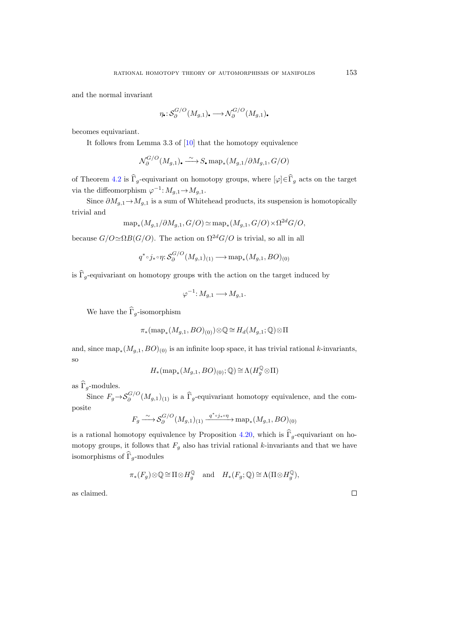and the normal invariant

$$
\eta_{\scriptscriptstyle\bullet} : \mathcal{S}_{\partial}^{G/O}(M_{g,1})_{\scriptscriptstyle\bullet} \longrightarrow \mathcal{N}_{\partial}^{G/O}(M_{g,1})_{\scriptscriptstyle\bullet}
$$

becomes equivariant.

It follows from Lemma 3.3 of [\[10\]](#page-115-3) that the homotopy equivalence

$$
\mathcal{N}_{\partial}^{G/O}(M_{g,1})_{\bullet} \stackrel{\sim}{\longrightarrow} S_{\bullet} \operatorname{map}_*(M_{g,1}/\partial M_{g,1}, G/O)
$$

of Theorem [4.2](#page-33-0) is  $\widehat{\Gamma}_g$ -equivariant on homotopy groups, where  $[\varphi]\in \widehat{\Gamma}_g$  acts on the target via the diffeomorphism  $\varphi^{-1}: M_{g,1} \to M_{g,1}$ .

Since  $\partial M_{q,1} \to M_{q,1}$  is a sum of Whitehead products, its suspension is homotopically trivial and

$$
\mathrm{map}_*(M_{g,1}/\partial M_{g,1},G/O)\simeq \mathrm{map}_*(M_{g,1},G/O)\times \Omega^{2d}G/O,
$$

because  $G/O \simeq \Omega B(G/O)$ . The action on  $\Omega^{2d}G/O$  is trivial, so all in all

$$
q^* \circ j_* \circ \eta \colon \mathcal{S}_{\partial}^{G/O}(M_{g,1})_{(1)} \longrightarrow \mathrm{map}_*(M_{g,1},BO)_{(0)}
$$

is  $\widehat{\Gamma}_q$ -equivariant on homotopy groups with the action on the target induced by

$$
\varphi^{-1} \colon M_{g,1} \longrightarrow M_{g,1}.
$$

We have the  $\widehat{\Gamma}_q$ -isomorphism

$$
\pi_*(\operatorname{map}_*(M_{g,1},BO)_{(0)})\otimes\mathbb{Q}\cong H_d(M_{g,1};\mathbb{Q})\otimes\Pi
$$

and, since  $\text{map}_*(M_{g,1}, BO)_{(0)}$  is an infinite loop space, it has trivial rational k-invariants, so

$$
H_*(\operatorname{map}_*(M_{g,1},BO)_{(0)}; \mathbb{Q}) \cong \Lambda(H_g^\mathbb{Q} \otimes \Pi)
$$

as  $\widehat{\Gamma}_q$ -modules.

Since  $F_g \rightarrow \mathcal{S}_{\partial}^{G/O}$  $\int_{\partial}^{G/O} (M_{g,1})_{(1)}$  is a  $\Gamma_g$ -equivariant homotopy equivalence, and the composite

$$
F_g \xrightarrow{\sim} \mathcal{S}_\partial^{G/O}(M_{g,1})_{(1)} \xrightarrow{q^* \circ j_* \circ \eta} \text{map}_*(M_{g,1}, BO)_{(0)}
$$

is a rational homotopy equivalence by Proposition [4.20,](#page-53-1) which is  $\hat{\Gamma}_q$ -equivariant on homotopy groups, it follows that  $F_g$  also has trivial rational k-invariants and that we have isomorphisms of  $\widehat{\Gamma}_g$ -modules

$$
\pi_*(F_g) \otimes \mathbb{Q} \cong \Pi \otimes H_g^{\mathbb{Q}}
$$
 and  $H_*(F_g; \mathbb{Q}) \cong \Lambda(\Pi \otimes H_g^{\mathbb{Q}}),$ 

as claimed.

 $\Box$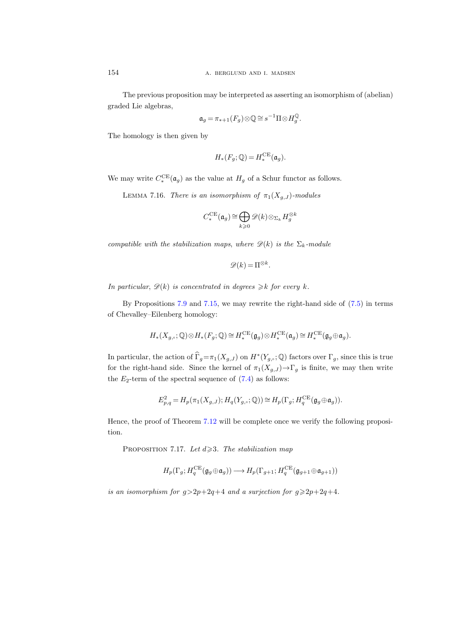The previous proposition may be interpreted as asserting an isomorphism of (abelian) graded Lie algebras,

$$
\mathfrak{a}_g = \pi_{*+1}(F_g) \otimes \mathbb{Q} \cong s^{-1} \Pi \otimes H_g^{\mathbb{Q}}.
$$

The homology is then given by

$$
H_*(F_g; \mathbb{Q}) = H_*^{\mathrm{CE}}(\mathfrak{a}_g).
$$

We may write  $C_*^{\text{CE}}(\mathfrak{a}_g)$  as the value at  $H_g$  of a Schur functor as follows.

<span id="page-87-0"></span>LEMMA 7.16. There is an isomorphism of  $\pi_1(X_{q,J})$ -modules

$$
C_*^{\sf CE}(\mathfrak{a}_g)\cong\bigoplus_{k\geqslant 0}\mathscr{D}(k)\otimes_{\Sigma_k}H_g^{\otimes k}
$$

compatible with the stabilization maps, where  $\mathscr{D}(k)$  is the  $\Sigma_k$ -module

$$
\mathscr{D}(k) = \Pi^{\otimes k}.
$$

In particular,  $\mathscr{D}(k)$  is concentrated in degrees  $\geq k$  for every k.

By Propositions [7.9](#page-82-2) and [7.15,](#page-85-0) we may rewrite the right-hand side of [\(7.5\)](#page-84-2) in terms of Chevalley–Eilenberg homology:

$$
H_*(X_{g,\circ};\mathbb{Q})\otimes H_*(F_g;\mathbb{Q})\cong H_*^{\sf CE}(\mathfrak{g}_g)\otimes H_*^{\sf CE}(\mathfrak{a}_g)\cong H_*^{\sf CE}(\mathfrak{g}_g\oplus\mathfrak{a}_g).
$$

In particular, the action of  $\widehat{\Gamma}_g = \pi_1(X_{g,J})$  on  $H^*(Y_{g,\cdot}; \mathbb{Q})$  factors over  $\Gamma_g$ , since this is true for the right-hand side. Since the kernel of  $\pi_1(X_{g,J}) \to \Gamma_g$  is finite, we may then write the  $E_2$ -term of the spectral sequence of  $(7.4)$  as follows:

$$
E_{p,q}^2 = H_p(\pi_1(X_{g,J}); H_q(Y_{g,\circ}; \mathbb{Q})) \cong H_p(\Gamma_g; H_q^{\text{CE}}(\mathfrak{g}_g \oplus \mathfrak{a}_g)).
$$

Hence, the proof of Theorem [7.12](#page-83-0) will be complete once we verify the following proposition.

PROPOSITION 7.17. Let  $d \geq 3$ . The stabilization map

$$
H_p(\Gamma_g;H_q^{\sf CE}(\mathfrak{g}_g\oplus\mathfrak{a}_g))\longrightarrow H_p(\Gamma_{g+1};H_q^{\sf CE}(\mathfrak{g}_{g+1}\oplus\mathfrak{a}_{g+1}))
$$

is an isomorphism for  $g > 2p+2q+4$  and a surjection for  $g \ge 2p+2q+4$ .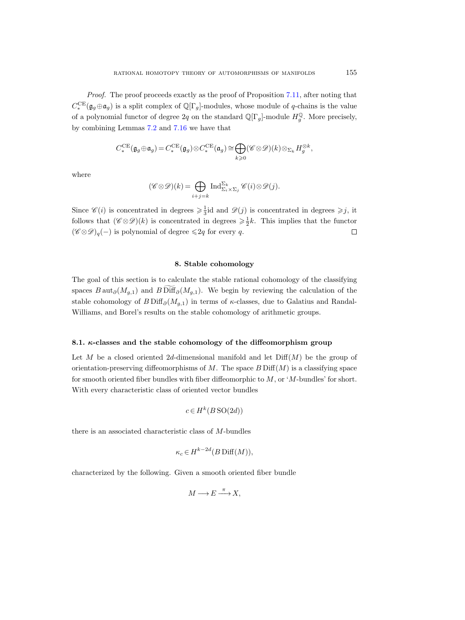Proof. The proof proceeds exactly as the proof of Proposition [7.11,](#page-82-3) after noting that  $C_*^{\text{CE}}(\mathfrak{g}_g \oplus \mathfrak{a}_g)$  is a split complex of  $\mathbb{Q}[\Gamma_g]$ -modules, whose module of q-chains is the value of a polynomial functor of degree  $2q$  on the standard  $\mathbb{Q}[\Gamma_g]$ -module  $H_g^{\mathbb{Q}}$ . More precisely, by combining Lemmas [7.2](#page-76-1) and [7.16](#page-87-0) we have that

$$
C_*^{\sf CE}(\mathfrak{g}_g\oplus\mathfrak{a}_g)=C_*^{\sf CE}(\mathfrak{g}_g)\otimes C_*^{\sf CE}(\mathfrak{a}_g)\cong\bigoplus_{k\geqslant 0}(\mathscr{C}\otimes\mathscr{D})(k)\otimes_{\Sigma_k}H_g^{\otimes k},
$$

where

$$
(\mathscr{C} \otimes \mathscr{D})(k) = \bigoplus_{i+j=k} \operatorname{Ind}_{\Sigma_i \times \Sigma_j}^{\Sigma_k} \mathscr{C}(i) \otimes \mathscr{D}(j).
$$

Since  $\mathscr{C}(i)$  is concentrated in degrees  $\geq \frac{1}{3}$  id and  $\mathscr{D}(j)$  is concentrated in degrees  $\geq j$ , it follows that  $(\mathscr{C} \otimes \mathscr{D})(k)$  is concentrated in degrees  $\geq \frac{1}{2}k$ . This implies that the functor  $(\mathscr{C} \otimes \mathscr{D})_q(-)$  is polynomial of degree  $\leq 2q$  for every q.  $\Box$ 

# 8. Stable cohomology

The goal of this section is to calculate the stable rational cohomology of the classifying spaces  $B \text{aut}_{\partial}(M_{q,1})$  and  $B \text{Diff}_{\partial}(M_{q,1})$ . We begin by reviewing the calculation of the stable cohomology of  $B\mathrm{Diff}_{\partial}(M_{q,1})$  in terms of  $\kappa$ -classes, due to Galatius and Randal-Williams, and Borel's results on the stable cohomology of arithmetic groups.

# 8.1.  $\kappa$ -classes and the stable cohomology of the diffeomorphism group

Let M be a closed oriented 2d-dimensional manifold and let  $\text{Diff}(M)$  be the group of orientation-preserving diffeomorphisms of  $M$ . The space  $B$  Diff $(M)$  is a classifying space for smooth oriented fiber bundles with fiber diffeomorphic to  $M$ , or ' $M$ -bundles' for short. With every characteristic class of oriented vector bundles

$$
c \in H^k(B\operatorname{SO}(2d))
$$

there is an associated characteristic class of M-bundles

$$
\kappa_c \in H^{k-2d}(B\operatorname{Diff}(M)),
$$

characterized by the following. Given a smooth oriented fiber bundle

$$
M \longrightarrow E \xrightarrow{\pi} X,
$$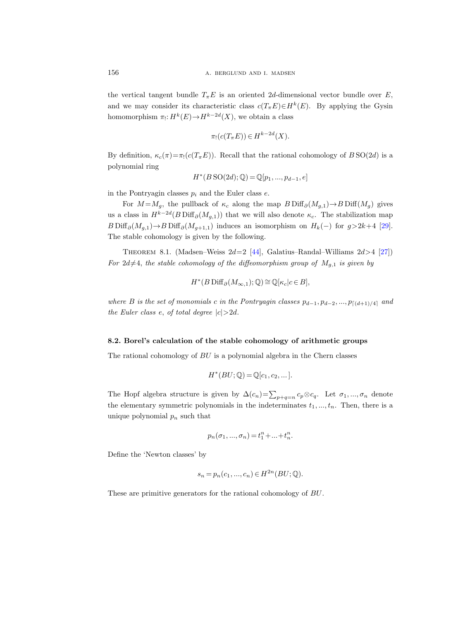the vertical tangent bundle  $T_{\pi}E$  is an oriented 2d-dimensional vector bundle over E, and we may consider its characteristic class  $c(T_{\pi}E) \in H^k(E)$ . By applying the Gysin homomorphism  $\pi_! : H^k(E) {\rightarrow} H^{k-2d}(X)$ , we obtain a class

$$
\pi_!(c(T_{\pi}E)) \in H^{k-2d}(X).
$$

By definition,  $\kappa_c(\pi) = \pi_1(c(T_\pi E))$ . Recall that the rational cohomology of BSO(2d) is a polynomial ring

$$
H^*(B\,\text{SO}(2d); \mathbb{Q}) = \mathbb{Q}[p_1, ..., p_{d-1}, e]
$$

in the Pontryagin classes  $p_i$  and the Euler class  $e$ .

For  $M = M_q$ , the pullback of  $\kappa_c$  along the map  $B \text{Diff}_\partial(M_{q,1}) \to B \text{Diff}(M_q)$  gives us a class in  $H^{k-2d}(B\operatorname{Diff}_{\partial}(M_{g,1}))$  that we will also denote  $\kappa_c$ . The stabilization map  $B$ Diff $_{\partial}(M_{g,1}) \rightarrow B$ Diff $_{\partial}(M_{g+1,1})$  induces an isomorphism on  $H_k(-)$  for  $g>2k+4$  [\[29\]](#page-116-0). The stable cohomology is given by the following.

<span id="page-89-0"></span>THEOREM 8.1. (Madsen–Weiss  $2d=2$  [\[44\]](#page-116-1), Galatius–Randal–Williams  $2d>4$  [\[27\]](#page-116-2)) For  $2d\neq 4$ , the stable cohomology of the diffeomorphism group of  $M_{g,1}$  is given by

$$
H^*(B\operatorname{Diff}_{\partial}(M_{\infty,1});\mathbb{Q})\cong\mathbb{Q}[\kappa_c|c\in B],
$$

where B is the set of monomials c in the Pontryagin classes  $p_{d-1}, p_{d-2}, ..., p_{\lceil (d+1)/4 \rceil}$  and the Euler class e, of total degree  $|c|>2d$ .

### 8.2. Borel's calculation of the stable cohomology of arithmetic groups

The rational cohomology of BU is a polynomial algebra in the Chern classes

$$
H^*(BU; \mathbb{Q}) = \mathbb{Q}[c_1, c_2, \dots].
$$

The Hopf algebra structure is given by  $\Delta(c_n) = \sum_{p+q=n} c_p \otimes c_q$ . Let  $\sigma_1, ..., \sigma_n$  denote the elementary symmetric polynomials in the indeterminates  $t_1, \ldots, t_n$ . Then, there is a unique polynomial  $p_n$  such that

$$
p_n(\sigma_1,...,\sigma_n)=t_1^n+...+t_n^n.
$$

Define the 'Newton classes' by

$$
s_n = p_n(c_1, ..., c_n) \in H^{2n}(BU; \mathbb{Q}).
$$

These are primitive generators for the rational cohomology of BU.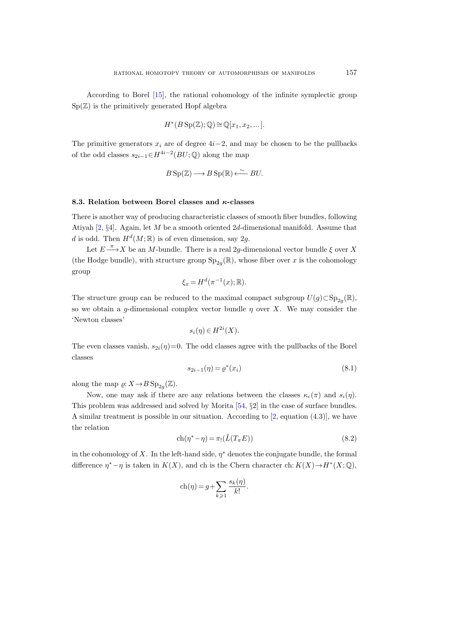According to Borel [\[15\]](#page-115-4), the rational cohomology of the infinite symplectic group  $Sp(\mathbb{Z})$  is the primitively generated Hopf algebra

$$
H^*(B\operatorname{Sp}(\mathbb{Z});\mathbb{Q})\cong \mathbb{Q}[x_1,x_2,\dots].
$$

The primitive generators  $x_i$  are of degree  $4i-2$ , and may be chosen to be the pullbacks of the odd classes  $s_{2i-1} \in H^{4i-2}(BU; \mathbb{Q})$  along the map

$$
B\operatorname{Sp}(\mathbb{Z}) \longrightarrow B\operatorname{Sp}(\mathbb{R}) \stackrel{\sim}{\longleftarrow} BU.
$$

# 8.3. Relation between Borel classes and  $\kappa$ -classes

There is another way of producing characteristic classes of smooth fiber bundles, following Atiyah  $[2, §4]$ . Again, let M be a smooth oriented 2d-dimensional manifold. Assume that d is odd. Then  $H^d(M;\mathbb{R})$  is of even dimension, say 2g.

Let  $E \stackrel{\pi}{\longrightarrow} X$  be an M-bundle. There is a real 2g-dimensional vector bundle  $\xi$  over X (the Hodge bundle), with structure group  $\text{Sp}_{2g}(\mathbb{R})$ , whose fiber over x is the cohomology group

$$
\xi_x = H^d(\pi^{-1}(x); \mathbb{R}).
$$

The structure group can be reduced to the maximal compact subgroup  $U(g) \subset \mathrm{Sp}_{2g}(\mathbb{R})$ , so we obtain a g-dimensional complex vector bundle  $\eta$  over X. We may consider the 'Newton classes'

$$
s_i(\eta) \in H^{2i}(X).
$$

The even classes vanish,  $s_{2i}(\eta)=0$ . The odd classes agree with the pullbacks of the Borel classes

<span id="page-90-1"></span>
$$
s_{2i-1}(\eta) = \varrho^*(x_i)
$$
\n(8.1)

along the map  $\varrho: X \to B \text{ Sp}_{2g}(\mathbb{Z})$ .

Now, one may ask if there are any relations between the classes  $\kappa_c(\pi)$  and  $s_i(\eta)$ . This problem was addressed and solved by Morita [\[54,](#page-117-0) §2] in the case of surface bundles. A similar treatment is possible in our situation. According to [\[2,](#page-115-5) equation (4.3)], we have the relation

<span id="page-90-0"></span>
$$
ch(\eta^* - \eta) = \pi_! (\tilde{L}(T_\pi E))
$$
\n(8.2)

in the cohomology of X. In the left-hand side,  $\eta^*$  denotes the conjugate bundle, the formal difference  $\eta^* - \eta$  is taken in  $K(X)$ , and ch is the Chern character ch:  $K(X) \to H^*(X; \mathbb{Q})$ ,

$$
ch(\eta) = g + \sum_{k \geqslant 1} \frac{s_k(\eta)}{k!}.
$$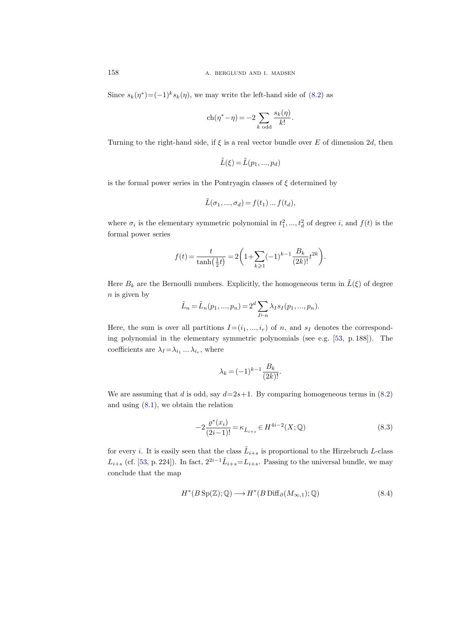Since  $s_k(\eta^*) = (-1)^k s_k(\eta)$ , we may write the left-hand side of [\(8.2\)](#page-90-0) as

$$
ch(\eta^* - \eta) = -2 \sum_{k \text{ odd}} \frac{s_k(\eta)}{k!}.
$$

Turning to the right-hand side, if  $\xi$  is a real vector bundle over E of dimension 2d, then

$$
\tilde{L}(\xi) = \tilde{L}(p_1, ..., p_d)
$$

is the formal power series in the Pontryagin classes of  $\xi$  determined by

$$
\tilde{L}(\sigma_1, ..., \sigma_d) = f(t_1) ... f(t_d),
$$

where  $\sigma_i$  is the elementary symmetric polynomial in  $t_1^2, ..., t_d^2$  of degree i, and  $f(t)$  is the formal power series

$$
f(t) = \frac{t}{\tanh(\frac{1}{2}t)} = 2\left(1 + \sum_{k\geq 1} (-1)^{k-1} \frac{B_k}{(2k)!} t^{2k}\right).
$$

Here  $B_k$  are the Bernoulli numbers. Explicitly, the homogeneous term in  $\tilde{L}(\xi)$  of degree  $n$  is given by

$$
\tilde{L}_n = \tilde{L}_n(p_1, ..., p_n) = 2^d \sum_{I \vdash n} \lambda_I s_I(p_1, ..., p_n).
$$

Here, the sum is over all partitions  $I=(i_1,...,i_r)$  of n, and  $s_I$  denotes the corresponding polynomial in the elementary symmetric polynomials (see e.g. [\[53,](#page-117-1) p. 188]). The coefficients are  $\lambda_I = \lambda_{i_1} \dots \lambda_{i_r}$ , where

$$
\lambda_k = (-1)^{k-1} \frac{B_k}{(2k)!}.
$$

We are assuming that d is odd, say  $d=2s+1$ . By comparing homogeneous terms in [\(8.2\)](#page-90-0) and using [\(8.1\)](#page-90-1), we obtain the relation

$$
-2\frac{\varrho^{*}(x_i)}{(2i-1)!} = \kappa_{\tilde{L}_{i+s}} \in H^{4i-2}(X; \mathbb{Q})
$$
\n(8.3)

for every *i*. It is easily seen that the class  $\tilde{L}_{i+s}$  is proportional to the Hirzebruch L-class  $L_{i+s}$  (cf. [\[53,](#page-117-1) p. 224]). In fact,  $2^{2i-1}\tilde{L}_{i+s} = L_{i+s}$ . Passing to the universal bundle, we may conclude that the map

$$
H^*(B\operatorname{Sp}(\mathbb{Z});\mathbb{Q}) \longrightarrow H^*(B\operatorname{Diff}_{\partial}(M_{\infty,1});\mathbb{Q})
$$
\n(8.4)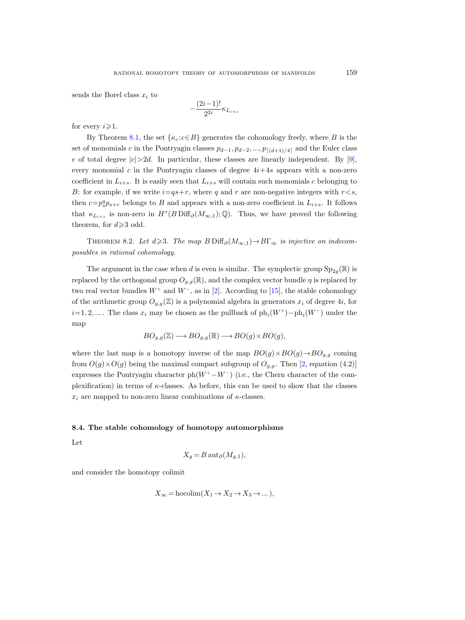sends the Borel class  $x_i$  to

$$
-\frac{(2i-1)!}{2^{2i}}\kappa_{L_{i+s}}
$$

for every  $i \geq 1$ .

By Theorem [8.1,](#page-89-0) the set  $\{\kappa_c : c \in B\}$  generates the cohomology freely, where B is the set of monomials c in the Pontryagin classes  $p_{d-1}, p_{d-2}, ..., p_{\lceil (d+1)/4 \rceil}$  and the Euler class e of total degree  $|c|>2d$ . In particular, these classes are linearly independent. By [\[9\]](#page-115-6), every monomial c in the Pontryagin classes of degree  $4i+4s$  appears with a non-zero coefficient in  $L_{i+s}$ . It is easily seen that  $L_{i+s}$  will contain such monomials c belonging to B: for example, if we write  $i=qs+r$ , where q and r are non-negative integers with  $r < s$ , then  $c=p_s^q p_{s+r}$  belongs to B and appears with a non-zero coefficient in  $L_{i+s}$ . It follows that  $\kappa_{L_{i+s}}$  is non-zero in  $H^*(B\operatorname{Diff}_{\partial}(M_{\infty,1});\mathbb{Q})$ . Thus, we have proved the following theorem, for  $d \geqslant 3$  odd.

<span id="page-92-0"></span>THEOREM 8.2. Let  $d \geq 3$ . The map  $B \text{Diff}_{\partial}(M_{\infty,1}) \rightarrow B\Gamma_{\infty}$  is injective on indecomposables in rational cohomology.

The argument in the case when d is even is similar. The symplectic group  $\text{Sp}_{2g}(\mathbb{R})$  is replaced by the orthogonal group  $O_{q,q}(\mathbb{R})$ , and the complex vector bundle  $\eta$  is replaced by two real vector bundles  $W^+$  and  $W^-$ , as in [\[2\]](#page-115-5). According to [\[15\]](#page-115-4), the stable cohomology of the arithmetic group  $O_{q,q}(\mathbb{Z})$  is a polynomial algebra in generators  $x_i$  of degree 4i, for  $i=1, 2, ...$  The class  $x_i$  may be chosen as the pullback of  $ph_i(W^+) - ph_i(W^-)$  under the map

$$
BO_{g,g}(\mathbb{Z}) \longrightarrow BO_{g,g}(\mathbb{R}) \longrightarrow BO(g) \times BO(g),
$$

where the last map is a homotopy inverse of the map  $BO(g) \times BO(g) \rightarrow BO_{g,g}$  coming from  $O(g) \times O(g)$  being the maximal compact subgroup of  $O_{g,g}$ . Then [\[2,](#page-115-5) equation (4.2)] expresses the Pontryagin character  $ph(W^+ - W^-)$  (i.e., the Chern character of the complexification) in terms of  $\kappa$ -classes. As before, this can be used to show that the classes  $x_i$  are mapped to non-zero linear combinations of  $\kappa$ -classes.

### 8.4. The stable cohomology of homotopy automorphisms

Let

$$
X_g = B \operatorname{aut}_{\partial}(M_{g,1}),
$$

and consider the homotopy colimit

$$
X_{\infty} = \text{hocolim}(X_1 \to X_2 \to X_3 \to \dots),
$$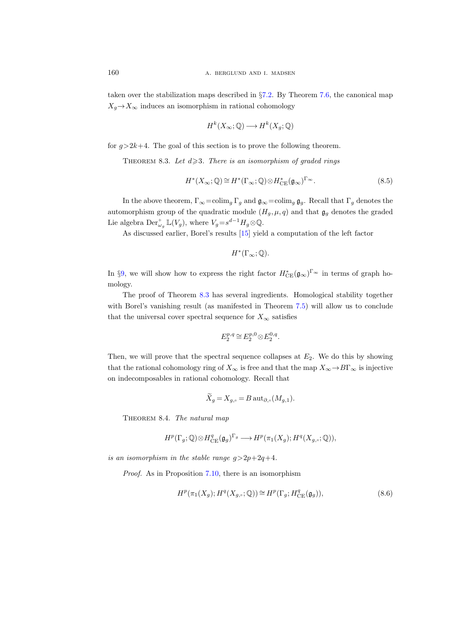taken over the stabilization maps described in §[7.2.](#page-79-1) By Theorem [7.6,](#page-79-0) the canonical map  $X_q \rightarrow X_\infty$  induces an isomorphism in rational cohomology

$$
H^k(X_\infty; \mathbb{Q}) \longrightarrow H^k(X_g; \mathbb{Q})
$$

<span id="page-93-0"></span>for  $q>2k+4$ . The goal of this section is to prove the following theorem.

<span id="page-93-3"></span>THEOREM 8.3. Let  $d \geq 3$ . There is an isomorphism of graded rings

$$
H^*(X_{\infty}; \mathbb{Q}) \cong H^*(\Gamma_{\infty}; \mathbb{Q}) \otimes H^*_{\mathrm{CE}}(\mathfrak{g}_{\infty})^{\Gamma_{\infty}}.
$$
\n(8.5)

In the above theorem,  $\Gamma_{\infty} = \text{colim}_{g} \Gamma_{g}$  and  $\mathfrak{g}_{\infty} = \text{colim}_{g} \mathfrak{g}_{g}$ . Recall that  $\Gamma_{g}$  denotes the automorphism group of the quadratic module  $(H_q, \mu, q)$  and that  $\mathfrak{g}_q$  denotes the graded Lie algebra  $\mathrm{Der}^{\dagger}_{\omega_g} \mathbb{L}(V_g)$ , where  $V_g = s^{d-1} H_g \otimes \mathbb{Q}$ .

As discussed earlier, Borel's results [\[15\]](#page-115-7) yield a computation of the left factor

$$
H^*(\Gamma_\infty;\mathbb{Q}).
$$

In §[9,](#page-97-0) we will show how to express the right factor  $H^*_{CE}(\mathfrak{g}_{\infty})^{\Gamma_{\infty}}$  in terms of graph homology.

The proof of Theorem [8.3](#page-93-0) has several ingredients. Homological stability together with Borel's vanishing result (as manifested in Theorem [7.5\)](#page-78-0) will allow us to conclude that the universal cover spectral sequence for  $X_{\infty}$  satisfies

$$
E_2^{p,q} \cong E_2^{p,0} \otimes E_2^{0,q}.
$$

Then, we will prove that the spectral sequence collapses at  $E_2$ . We do this by showing that the rational cohomology ring of  $X_{\infty}$  is free and that the map  $X_{\infty} \to B\Gamma_{\infty}$  is injective on indecomposables in rational cohomology. Recall that

$$
X_g = X_{g,\circ} = B \operatorname{aut}_{\partial,\circ}(M_{g,1}).
$$

<span id="page-93-2"></span>THEOREM 8.4. The natural map

$$
H^p(\Gamma_g; \mathbb{Q}) \otimes H^q_{\mathrm{CE}}(\mathfrak{g}_g)^{\Gamma_g} \longrightarrow H^p(\pi_1(X_g); H^q(X_{g,\circ}; \mathbb{Q})),
$$

is an isomorphism in the stable range  $q>2p+2q+4$ .

Proof. As in Proposition [7.10,](#page-82-0) there is an isomorphism

<span id="page-93-1"></span>
$$
H^p(\pi_1(X_g); H^q(X_{g,\circ}; \mathbb{Q})) \cong H^p(\Gamma_g; H^q_{\mathrm{CE}}(\mathfrak{g}_g)),\tag{8.6}
$$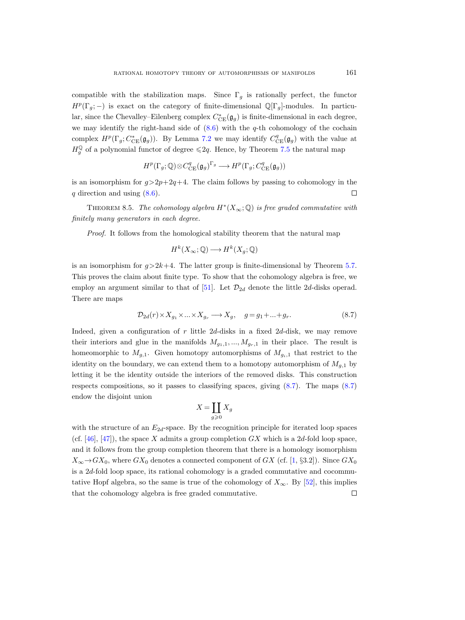compatible with the stabilization maps. Since  $\Gamma_g$  is rationally perfect, the functor  $H^p(\Gamma_g; -)$  is exact on the category of finite-dimensional  $\mathbb{Q}[\Gamma_g]$ -modules. In particular, since the Chevalley–Eilenberg complex  $C^*_{CE}(\mathfrak{g}_g)$  is finite-dimensional in each degree, we may identify the right-hand side of  $(8.6)$  with the q-th cohomology of the cochain complex  $H^p(\Gamma_g; C^*_{CE}(\mathfrak{g}_g))$ . By Lemma [7.2](#page-76-1) we may identify  $C^q_{CE}(\mathfrak{g}_g)$  with the value at  $H_g^{\mathbb{Q}}$  of a polynomial functor of degree  $\leq 2q$ . Hence, by Theorem [7.5](#page-78-1) the natural map

$$
H^p(\Gamma_g; \mathbb{Q}) \otimes C^q_{\mathrm{CE}}(\mathfrak{g}_g)^{\Gamma_g} \longrightarrow H^p(\Gamma_g; C^q_{\mathrm{CE}}(\mathfrak{g}_g))
$$

is an isomorphism for  $q>2p+2q+4$ . The claim follows by passing to cohomology in the q direction and using  $(8.6)$ .  $\Box$ 

<span id="page-94-1"></span>THEOREM 8.5. The cohomology algebra  $H^*(X_\infty; \mathbb{Q})$  is free graded commutative with finitely many generators in each degree.

Proof. It follows from the homological stability theorem that the natural map

$$
H^k(X_\infty; \mathbb{Q}) \longrightarrow H^k(X_g; \mathbb{Q})
$$

is an isomorphism for  $g > 2k+4$ . The latter group is finite-dimensional by Theorem [5.7.](#page-62-0) This proves the claim about finite type. To show that the cohomology algebra is free, we employ an argument similar to that of [\[51\]](#page-117-2). Let  $\mathcal{D}_{2d}$  denote the little 2d-disks operad. There are maps

<span id="page-94-0"></span>
$$
\mathcal{D}_{2d}(r) \times X_{g_1} \times \ldots \times X_{g_r} \longrightarrow X_g, \quad g = g_1 + \ldots + g_r. \tag{8.7}
$$

Indeed, given a configuration of r little 2d-disks in a fixed 2d-disk, we may remove their interiors and glue in the manifolds  $M_{g_1,1},...,M_{g_r,1}$  in their place. The result is homeomorphic to  $M_{g,1}$ . Given homotopy automorphisms of  $M_{g,i,1}$  that restrict to the identity on the boundary, we can extend them to a homotopy automorphism of  $M_{q,1}$  by letting it be the identity outside the interiors of the removed disks. This construction respects compositions, so it passes to classifying spaces, giving  $(8.7)$ . The maps  $(8.7)$ endow the disjoint union

$$
X = \coprod_{g \geqslant 0} X_g
$$

with the structure of an  $E_{2d}$ -space. By the recognition principle for iterated loop spaces (cf.  $[46]$ ,  $[47]$ ), the space X admits a group completion GX which is a 2d-fold loop space, and it follows from the group completion theorem that there is a homology isomorphism  $X_{\infty} \rightarrow GX_0$ , where  $GX_0$  denotes a connected component of  $GX$  (cf. [\[1,](#page-115-8) §3.2]). Since  $GX_0$ is a  $2d$ -fold loop space, its rational cohomology is a graded commutative and cocommutative Hopf algebra, so the same is true of the cohomology of  $X_{\infty}$ . By [\[52\]](#page-117-3), this implies that the cohomology algebra is free graded commutative. $\Box$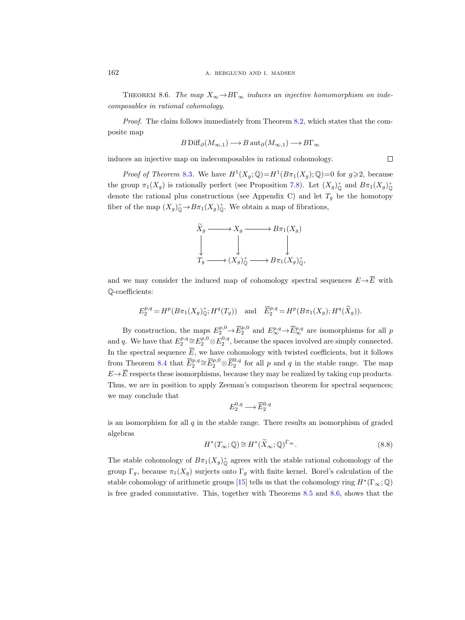<span id="page-95-0"></span>THEOREM 8.6. The map  $X_{\infty} \to B\Gamma_{\infty}$  induces an injective homomorphism on indecomposables in rational cohomology.

Proof. The claim follows immediately from Theorem [8.2,](#page-92-0) which states that the composite map

$$
B\operatorname{Diff}_{\partial}(M_{\infty,1})\longrightarrow B\operatorname{aut}_{\partial}(M_{\infty,1})\longrightarrow B\Gamma_{\infty}
$$

 $\Box$ 

induces an injective map on indecomposables in rational cohomology.

*Proof of Theorem [8.3](#page-93-0).* We have  $H^1(X_g; \mathbb{Q}) = H^1(B\pi_1(X_g); \mathbb{Q}) = 0$  for  $g \geq 2$ , because the group  $\pi_1(X_g)$  is rationally perfect (see Proposition [7.8\)](#page-81-1). Let  $(X_g)^+_0$  and  $B\pi_1(X_g)^+_0$ denote the rational plus constructions (see Appendix C) and let  $T_g$  be the homotopy fiber of the map  $(X_g)_{\mathbb{Q}}^+ \to B_{\pi_1}(X_g)_{\mathbb{Q}}^+$ . We obtain a map of fibrations,

$$
\widetilde{X}_g \longrightarrow X_g \longrightarrow B\pi_1(X_g)
$$
\n
$$
\downarrow \qquad \qquad \downarrow \qquad \qquad \downarrow
$$
\n
$$
T_g \longrightarrow (X_g)^+_{\mathbb{Q}} \longrightarrow B\pi_1(X_g)^+_{\mathbb{Q}},
$$

and we may consider the induced map of cohomology spectral sequences  $E \rightarrow \overline{E}$  with Q-coefficients:

$$
E_2^{p,q} = H^p(B\pi_1(X_g)_{\mathbb{Q}}^+; H^q(T_g)) \quad \text{and} \quad \overline{E}_2^{p,q} = H^p(B\pi_1(X_g); H^q(\widetilde{X}_g)).
$$

By construction, the maps  $E_2^{p,0} \to \overline{E}_2^{p,0}$  and  $E_{\infty}^{p,q} \to \overline{E}_{\infty}^{p,q}$  are isomorphisms for all  $p$ and q. We have that  $E_2^{p,q} \cong E_2^{p,0} \otimes E_2^{0,q}$ , because the spaces involved are simply connected. In the spectral sequence  $\overline{E}$ , we have cohomology with twisted coefficients, but it follows from Theorem [8.4](#page-93-2) that  $\overline{E}_2^{p,q} \cong \overline{E}_2^{p,0} \otimes \overline{E}_2^{0,q}$  for all p and q in the stable range. The map  $E \rightarrow \overline{E}$  respects these isomorphisms, because they may be realized by taking cup products. Thus, we are in position to apply Zeeman's comparison theorem for spectral sequences; we may conclude that

$$
E_2^{0,q} \longrightarrow \overline{E}_2^{0,q}
$$

is an isomorphism for all  $q$  in the stable range. There results an isomorphism of graded algebras

<span id="page-95-1"></span>
$$
H^*(T_\infty; \mathbb{Q}) \cong H^*(\widetilde{X}_\infty; \mathbb{Q})^{\Gamma_\infty}.
$$
\n(8.8)

The stable cohomology of  $B_{\pi_1}(X_g)_{\mathbb{Q}}^+$  agrees with the stable rational cohomology of the group  $\Gamma_g$ , because  $\pi_1(X_g)$  surjects onto  $\Gamma_g$  with finite kernel. Borel's calculation of the stable cohomology of arithmetic groups [\[15\]](#page-115-7) tells us that the cohomology ring  $H^*(\Gamma_\infty; \mathbb{Q})$ is free graded commutative. This, together with Theorems [8.5](#page-94-1) and [8.6,](#page-95-0) shows that the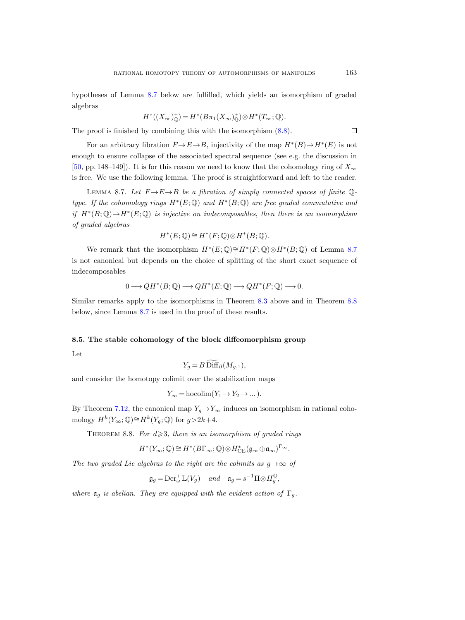hypotheses of Lemma [8.7](#page-96-0) below are fulfilled, which yields an isomorphism of graded algebras

$$
H^*((X_{\infty})^+_{\mathbb{Q}})=H^*(B\pi_1(X_{\infty})^+_{\mathbb{Q}})\otimes H^*(T_{\infty};\mathbb{Q}).
$$

The proof is finished by combining this with the isomorphism [\(8.8\)](#page-95-1).

For an arbitrary fibration  $F \to E \to B$ , injectivity of the map  $H^*(B) \to H^*(E)$  is not enough to ensure collapse of the associated spectral sequence (see e.g. the discussion in [\[50,](#page-117-4) pp. 148–149]). It is for this reason we need to know that the cohomology ring of  $X_{\infty}$ is free. We use the following lemma. The proof is straightforward and left to the reader.

<span id="page-96-0"></span>LEMMA 8.7. Let  $F \rightarrow E \rightarrow B$  be a fibration of simply connected spaces of finite Qtype. If the cohomology rings  $H^*(E; \mathbb{Q})$  and  $H^*(B; \mathbb{Q})$  are free graded commutative and if  $H^*(B; \mathbb{Q}) \to H^*(E; \mathbb{Q})$  is injective on indecomposables, then there is an isomorphism of graded algebras

$$
H^*(E; \mathbb{Q}) \cong H^*(F; \mathbb{Q}) \otimes H^*(B; \mathbb{Q}).
$$

We remark that the isomorphism  $H^*(E; \mathbb{Q}) \cong H^*(F; \mathbb{Q}) \otimes H^*(B; \mathbb{Q})$  of Lemma [8.7](#page-96-0) is not canonical but depends on the choice of splitting of the short exact sequence of indecomposables

$$
0 \longrightarrow QH^*(B; \mathbb{Q}) \longrightarrow QH^*(E; \mathbb{Q}) \longrightarrow QH^*(F; \mathbb{Q}) \longrightarrow 0.
$$

Similar remarks apply to the isomorphisms in Theorem [8.3](#page-93-3) above and in Theorem [8.8](#page-96-1) below, since Lemma [8.7](#page-96-0) is used in the proof of these results.

### 8.5. The stable cohomology of the block diffeomorphism group

Let

$$
Y_g = B \widetilde{\text{Diff}}_\partial(M_{g,1}),
$$

and consider the homotopy colimit over the stabilization maps

$$
Y_{\infty} = \text{hocolim}(Y_1 \to Y_2 \to \dots).
$$

By Theorem [7.12,](#page-83-1) the canonical map  $Y_q \to Y_\infty$  induces an isomorphism in rational cohomology  $H^k(Y_\infty; \mathbb{Q}) \cong H^k(Y_g; \mathbb{Q})$  for  $g > 2k+4$ .

<span id="page-96-1"></span>THEOREM 8.8. For  $d \geq 3$ , there is an isomorphism of graded rings

$$
H^*(Y_\infty;\mathbb{Q})\cong H^*(B\Gamma_\infty;\mathbb{Q})\otimes H^*_{\rm CE}(\mathfrak{g}_\infty\oplus\mathfrak{a}_\infty)^{\Gamma_\infty}.
$$

The two graded Lie algebras to the right are the colimits as  $q \rightarrow \infty$  of

$$
\mathfrak{g}_g = \textup{Der}_{\omega}^+ \mathbb{L}(V_g) \quad and \quad \mathfrak{a}_g = s^{-1} \Pi \otimes H_g^{\mathbb{Q}},
$$

where  $a_q$  is abelian. They are equipped with the evident action of  $\Gamma_q$ .

 $\Box$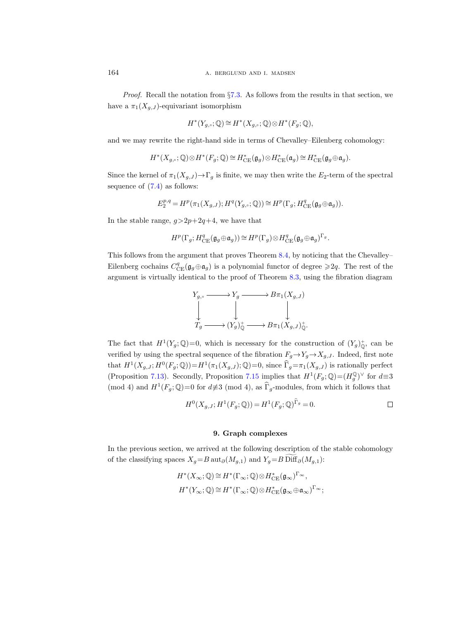*Proof.* Recall the notation from  $\S7.3$ . As follows from the results in that section, we have a  $\pi_1(X_{q,J})$ -equivariant isomorphism

$$
H^*(Y_{g,\circ};\mathbb{Q})\cong H^*(X_{g,\circ};\mathbb{Q})\otimes H^*(F_g;\mathbb{Q}),
$$

and we may rewrite the right-hand side in terms of Chevalley–Eilenberg cohomology:

$$
H^*(X_{g,\circ};\mathbb{Q}) \otimes H^*(F_g;\mathbb{Q}) \cong H^*_{\mathrm{CE}}(\mathfrak{g}_g) \otimes H^*_{\mathrm{CE}}(\mathfrak{a}_g) \cong H^*_{\mathrm{CE}}(\mathfrak{g}_g \oplus \mathfrak{a}_g).
$$

Since the kernel of  $\pi_1(X_{g,J}) \to \Gamma_g$  is finite, we may then write the  $E_2$ -term of the spectral sequence of [\(7.4\)](#page-84-3) as follows:

$$
E_2^{p,q} = H^p(\pi_1(X_{g,J}); H^q(Y_{g,\circ}; \mathbb{Q})) \cong H^p(\Gamma_g; H^q_{\mathrm{CE}}(\mathfrak{g}_g \oplus \mathfrak{a}_g)).
$$

In the stable range,  $q>2p+2q+4$ , we have that

$$
H^p(\Gamma_g;H^q_{\mathrm{CE}}(\mathfrak{g}_g\oplus\mathfrak{a}_g))\cong H^p(\Gamma_g)\otimes H^q_{\mathrm{CE}}(\mathfrak{g}_g\oplus\mathfrak{a}_g)^{\Gamma_g}.
$$

This follows from the argument that proves Theorem [8.4,](#page-93-2) by noticing that the Chevalley– Eilenberg cochains  $C_{\text{CE}}^q(\mathfrak{g}_g \oplus \mathfrak{a}_g)$  is a polynomial functor of degree  $\geq 2q$ . The rest of the argument is virtually identical to the proof of Theorem [8.3,](#page-93-0) using the fibration diagram



The fact that  $H^1(Y_g; \mathbb{Q})=0$ , which is necessary for the construction of  $(Y_g)^+_{\mathbb{Q}}$ , can be verified by using the spectral sequence of the fibration  $F_g \rightarrow Y_g \rightarrow X_{g,J}$ . Indeed, first note that  $H^1(X_{g,J}; H^0(F_g; \mathbb{Q})) = H^1(\pi_1(X_{g,J}); \mathbb{Q}) = 0$ , since  $\widehat{\Gamma}_g = \pi_1(X_{g,J})$  is rationally perfect (Proposition [7.13\)](#page-84-4). Secondly, Proposition [7.15](#page-85-0) implies that  $H^1(F_g; \mathbb{Q}) = (H_g^{\mathbb{Q}})^{\vee}$  for  $d \equiv 3$ (mod 4) and  $H^1(F_g; \mathbb{Q})=0$  for  $d \neq 3$  (mod 4), as  $\widehat{\Gamma}_g$ -modules, from which it follows that

$$
H^{0}(X_{g,J}; H^{1}(F_g; \mathbb{Q})) = H^{1}(F_g; \mathbb{Q})^{\Gamma_g} = 0.
$$

# 9. Graph complexes

<span id="page-97-0"></span>In the previous section, we arrived at the following description of the stable cohomology of the classifying spaces  $X_g=B \operatorname{aut}_{\partial}(M_{g,1})$  and  $Y_g=B \operatorname{Diff}_{\partial}(M_{g,1})$ :

$$
\begin{split} &H^*(X_\infty;\mathbb{Q})\cong H^*(\Gamma_\infty;\mathbb{Q})\otimes H^*_{\mathrm{CE}}(\mathfrak{g}_\infty)^{\Gamma_\infty},\\ &H^*(Y_\infty;\mathbb{Q})\cong H^*(\Gamma_\infty;\mathbb{Q})\otimes H^*_{\mathrm{CE}}(\mathfrak{g}_\infty\oplus\mathfrak{a}_\infty)^{\Gamma_\infty}; \end{split}
$$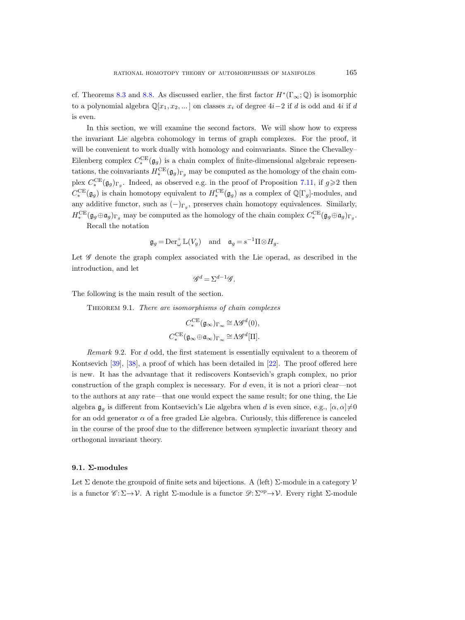cf. Theorems [8.3](#page-93-3) and [8.8.](#page-96-1) As discussed earlier, the first factor  $H^*(\Gamma_\infty;\mathbb{Q})$  is isomorphic to a polynomial algebra  $\mathbb{Q}[x_1, x_2, \dots]$  on classes  $x_i$  of degree  $4i-2$  if d is odd and  $4i$  if d is even.

In this section, we will examine the second factors. We will show how to express the invariant Lie algebra cohomology in terms of graph complexes. For the proof, it will be convenient to work dually with homology and coinvariants. Since the Chevalley– Eilenberg complex  $C_*^{\text{CE}}(\mathfrak{g}_g)$  is a chain complex of finite-dimensional algebraic representations, the coinvariants  $H_*^{\text{CE}}(\mathfrak{g}_g)_{\Gamma_g}$  may be computed as the homology of the chain complex  $C_*^{\text{CE}}(\mathfrak{g}_g)_{\Gamma_g}$ . Indeed, as observed e.g. in the proof of Proposition [7.11,](#page-82-3) if  $g \geq 2$  then  $C_*^{\text{CE}}(\mathfrak{g}_g)$  is chain homotopy equivalent to  $H_*^{\text{CE}}(\mathfrak{g}_g)$  as a complex of  $\mathbb{Q}[\Gamma_g]$ -modules, and any additive functor, such as  $(-)_{\Gamma_g}$ , preserves chain homotopy equivalences. Similarly,  $H_*^{\text{CE}}(\mathfrak{g}_g \oplus \mathfrak{a}_g)_{\Gamma_g}$  may be computed as the homology of the chain complex  $C_*^{\text{CE}}(\mathfrak{g}_g \oplus \mathfrak{a}_g)_{\Gamma_g}$ .

Recall the notation

$$
\mathfrak{g}_g = \text{Der}_{\omega}^+ \mathbb{L}(V_g) \quad \text{and} \quad \mathfrak{a}_g = s^{-1} \Pi \otimes H_g.
$$

Let  $\mathscr G$  denote the graph complex associated with the Lie operad, as described in the introduction, and let

$$
\mathscr{G}^d = \Sigma^{d-1} \mathscr{G}.
$$

<span id="page-98-0"></span>The following is the main result of the section.

THEOREM 9.1. There are isomorphisms of chain complexes

$$
\begin{gathered} C_*^{\sf CE}(\mathfrak{g}_\infty)_{\Gamma_\infty}\cong\Lambda\mathscr{G}^d(0),\\ C_*^{\sf CE}(\mathfrak{g}_\infty\oplus\mathfrak{a}_\infty)_{\Gamma_\infty}\cong\Lambda\mathscr{G}^d[\Pi].\end{gathered}
$$

Remark 9.2. For d odd, the first statement is essentially equivalent to a theorem of Kontsevich [\[39\]](#page-116-5), [\[38\]](#page-116-6), a proof of which has been detailed in [\[22\]](#page-115-9). The proof offered here is new. It has the advantage that it rediscovers Kontsevich's graph complex, no prior construction of the graph complex is necessary. For  $d$  even, it is not a priori clear—not to the authors at any rate—that one would expect the same result; for one thing, the Lie algebra  $\mathfrak{g}_g$  is different from Kontsevich's Lie algebra when d is even since, e.g.,  $[\alpha, \alpha] \neq 0$ for an odd generator  $\alpha$  of a free graded Lie algebra. Curiously, this difference is canceled in the course of the proof due to the difference between symplectic invariant theory and orthogonal invariant theory.

#### 9.1.  $\Sigma$ -modules

Let  $\Sigma$  denote the groupoid of finite sets and bijections. A (left)  $\Sigma$ -module in a category  $\mathcal V$ is a functor  $\mathscr{C} : \Sigma \to \mathcal{V}$ . A right  $\Sigma$ -module is a functor  $\mathscr{D} : \Sigma^{op} \to \mathcal{V}$ . Every right  $\Sigma$ -module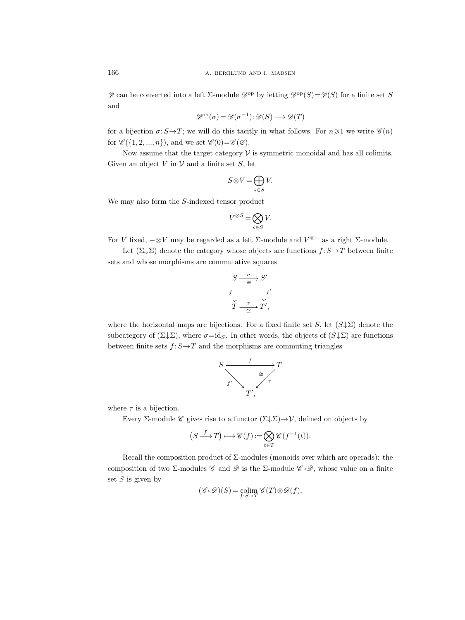$\mathscr{D}$  can be converted into a left  $\Sigma$ -module  $\mathscr{D}^{\text{op}}$  by letting  $\mathscr{D}^{\text{op}}(S)=\mathscr{D}(S)$  for a finite set S and

$$
\mathcal{D}^{\mathrm{op}}(\sigma) = \mathcal{D}(\sigma^{-1}) \colon \mathcal{D}(S) \longrightarrow \mathcal{D}(T)
$$

for a bijection  $\sigma: S \rightarrow T$ ; we will do this tacitly in what follows. For  $n \geq 1$  we write  $\mathscr{C}(n)$ for  $\mathscr{C}(\{1, 2, ..., n\})$ , and we set  $\mathscr{C}(0) = \mathscr{C}(\emptyset)$ .

Now assume that the target category  $\mathcal V$  is symmetric monoidal and has all colimits. Given an object  $V$  in  $V$  and a finite set  $S$ , let

$$
S\!\otimes\! V\!=\!\bigoplus_{s\in S} V.
$$

We may also form the S-indexed tensor product

$$
V^{\otimes S} = \bigotimes_{s \in S} V.
$$

For V fixed,  $-\otimes V$  may be regarded as a left  $\Sigma$ -module and  $V^{\otimes -}$  as a right  $\Sigma$ -module.

Let  $(\Sigma \downarrow \Sigma)$  denote the category whose objects are functions  $f: S \rightarrow T$  between finite sets and whose morphisms are commutative squares

$$
S \xrightarrow{\sigma} S'
$$
  

$$
f \downarrow^{\tau} \xrightarrow{\tau} T'
$$
  

$$
T \xrightarrow{\tau} T'
$$

where the horizontal maps are bijections. For a fixed finite set S, let  $(S \downarrow \Sigma)$  denote the subcategory of  $(\Sigma \downarrow \Sigma)$ , where  $\sigma = id_S$ . In other words, the objects of  $(S \downarrow \Sigma)$  are functions between finite sets  $f: S \to T$  and the morphisms are commuting triangles



where  $\tau$  is a bijection.

Every Σ-module *C* gives rise to a functor  $(\Sigma \downarrow \Sigma) \rightarrow \mathcal{V}$ , defined on objects by

$$
(S \xrightarrow{f} T) \longmapsto \mathscr{C}(f) := \bigotimes_{t \in T} \mathscr{C}(f^{-1}(t)).
$$

Recall the composition product of  $\Sigma$ -modules (monoids over which are operads): the composition of two Σ-modules C and D is the Σ-module  $\mathscr{C}\circ\mathscr{D}$ , whose value on a finite set  $S$  is given by

$$
(\mathscr{C}\circ\mathscr{D})(S)=\operatornamewithlimits{colim}_{f:S\rightarrow T}\mathscr{C}(T)\otimes\mathscr{D}(f),
$$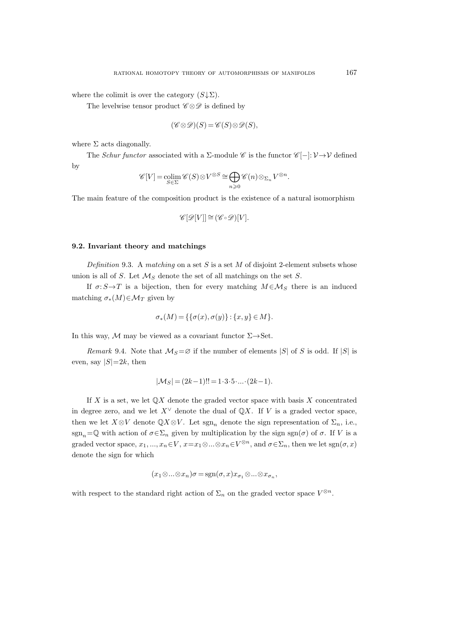where the colimit is over the category  $(S\downarrow \Sigma)$ .

The levelwise tensor product  $\mathscr{C} \otimes \mathscr{D}$  is defined by

$$
(\mathscr{C} \otimes \mathscr{D})(S) = \mathscr{C}(S) \otimes \mathscr{D}(S),
$$

where  $\Sigma$  acts diagonally.

The Schur functor associated with a  $\Sigma$ -module C is the functor  $\mathscr{C}[-]: \mathcal{V} \to \mathcal{V}$  defined by

$$
\mathscr{C}[V] = \operatorname*{colim}_{S \in \Sigma} \mathscr{C}(S) \otimes V^{\otimes S} \cong \bigoplus_{n \geqslant 0} \mathscr{C}(n) \otimes_{\Sigma_n} V^{\otimes n}.
$$

The main feature of the composition product is the existence of a natural isomorphism

$$
\mathscr{C}[\mathscr{D}[V]] \cong (\mathscr{C} \circ \mathscr{D})[V].
$$

## 9.2. Invariant theory and matchings

Definition 9.3. A matching on a set S is a set M of disjoint 2-element subsets whose union is all of S. Let  $\mathcal{M}_S$  denote the set of all matchings on the set S.

If  $\sigma: S \rightarrow T$  is a bijection, then for every matching  $M \in \mathcal{M}_S$  there is an induced matching  $\sigma_*(M) \in \mathcal{M}_T$  given by

$$
\sigma_*(M) = \{ \{ \sigma(x), \sigma(y) \} : \{x, y \} \in M \}.
$$

In this way, M may be viewed as a covariant functor  $\Sigma \rightarrow$  Set.

Remark 9.4. Note that  $\mathcal{M}_S = \emptyset$  if the number of elements |S| of S is odd. If |S| is even, say  $|S|=2k$ , then

$$
|\mathcal{M}_S| = (2k-1)!! = 1 \cdot 3 \cdot 5 \cdot \dots \cdot (2k-1).
$$

If X is a set, we let  $\mathbb{Q}X$  denote the graded vector space with basis X concentrated in degree zero, and we let  $X^{\vee}$  denote the dual of  $\mathbb{Q}X$ . If V is a graded vector space, then we let  $X\otimes V$  denote  $\mathbb{Q}X\otimes V$ . Let  $\text{sgn}_n$  denote the sign representation of  $\Sigma_n$ , i.e., sgn<sub>n</sub>=Q with action of  $\sigma \in \Sigma_n$  given by multiplication by the sign sgn( $\sigma$ ) of  $\sigma$ . If V is a graded vector space,  $x_1, ..., x_n \in V$ ,  $x = x_1 \otimes ... \otimes x_n \in V^{\otimes n}$ , and  $\sigma \in \Sigma_n$ , then we let  $sgn(\sigma, x)$ denote the sign for which

$$
(x_1 \otimes \ldots \otimes x_n)\sigma = \operatorname{sgn}(\sigma, x)x_{\sigma_1} \otimes \ldots \otimes x_{\sigma_n},
$$

with respect to the standard right action of  $\Sigma_n$  on the graded vector space  $V^{\otimes n}$ .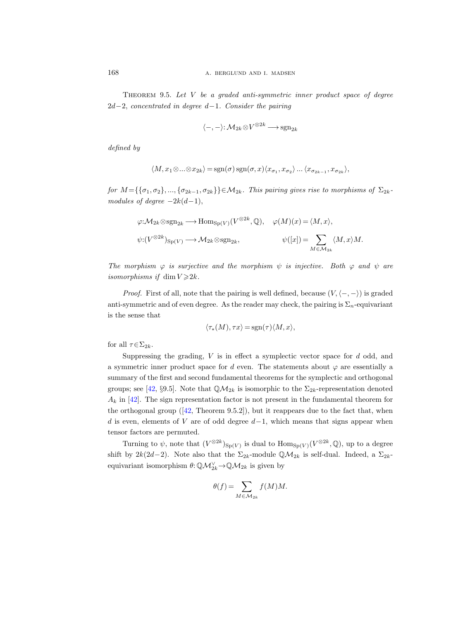<span id="page-101-0"></span>THEOREM 9.5. Let  $V$  be a graded anti-symmetric inner product space of degree  $2d-2$ , concentrated in degree d-1. Consider the pairing

$$
\langle -, - \rangle: \mathcal{M}_{2k} \otimes V^{\otimes 2k} \longrightarrow \mathrm{sgn}_{2k}
$$

defined by

$$
\langle M, x_1 \otimes \ldots \otimes x_{2k} \rangle = \text{sgn}(\sigma) \, \text{sgn}(\sigma, x) \langle x_{\sigma_1}, x_{\sigma_2} \rangle \ldots \langle x_{\sigma_{2k-1}}, x_{\sigma_{2k}} \rangle,
$$

for  $M = {\{\sigma_1, \sigma_2\}, ..., \{\sigma_{2k-1}, \sigma_{2k}\}\}\in \mathcal{M}_{2k}$ . This pairing gives rise to morphisms of  $\Sigma_{2k}$ modules of degree  $-2k(d-1)$ ,

$$
\varphi: \mathcal{M}_{2k} \otimes \text{sgn}_{2k} \longrightarrow \text{Hom}_{\text{Sp}(V)}(V^{\otimes 2k}, \mathbb{Q}), \quad \varphi(M)(x) = \langle M, x \rangle,
$$
  

$$
\psi: (V^{\otimes 2k})_{\text{Sp}(V)} \longrightarrow \mathcal{M}_{2k} \otimes \text{sgn}_{2k}, \qquad \psi([x]) = \sum_{M \in \mathcal{M}_{2k}} \langle M, x \rangle M.
$$

The morphism  $\varphi$  is surjective and the morphism  $\psi$  is injective. Both  $\varphi$  and  $\psi$  are isomorphisms if  $\dim V \geq 2k$ .

*Proof.* First of all, note that the pairing is well defined, because  $(V, \langle -, -\rangle)$  is graded anti-symmetric and of even degree. As the reader may check, the pairing is  $\Sigma_n$ -equivariant is the sense that

$$
\langle \tau_*(M), \tau x \rangle = \text{sgn}(\tau) \langle M, x \rangle,
$$

for all  $\tau \in \Sigma_{2k}$ .

Suppressing the grading,  $V$  is in effect a symplectic vector space for  $d$  odd, and a symmetric inner product space for d even. The statements about  $\varphi$  are essentially a summary of the first and second fundamental theorems for the symplectic and orthogonal groups; see [\[42,](#page-116-7) §9.5]. Note that  $\mathbb{Q}_{A_k}$  is isomorphic to the  $\Sigma_{2k}$ -representation denoted  $A_k$  in [\[42\]](#page-116-7). The sign representation factor is not present in the fundamental theorem for theorthogonal group  $(42,$  Theorem  $9.5.2$ ), but it reappears due to the fact that, when d is even, elements of V are of odd degree  $d-1$ , which means that signs appear when tensor factors are permuted.

Turning to  $\psi$ , note that  $(V^{\otimes 2k})_{\text{Sp}(V)}$  is dual to  $\text{Hom}_{\text{Sp}(V)}(V^{\otimes 2k}, \mathbb{Q})$ , up to a degree shift by  $2k(2d-2)$ . Note also that the  $\Sigma_{2k}$ -module  $\mathbb{Q}M_{2k}$  is self-dual. Indeed, a  $\Sigma_{2k}$ equivariant isomorphism  $\theta$ :  $\mathbb{Q}M_{2k}^{\vee} \rightarrow \mathbb{Q}M_{2k}$  is given by

$$
\theta(f) = \sum_{M \in \mathcal{M}_{2k}} f(M) M.
$$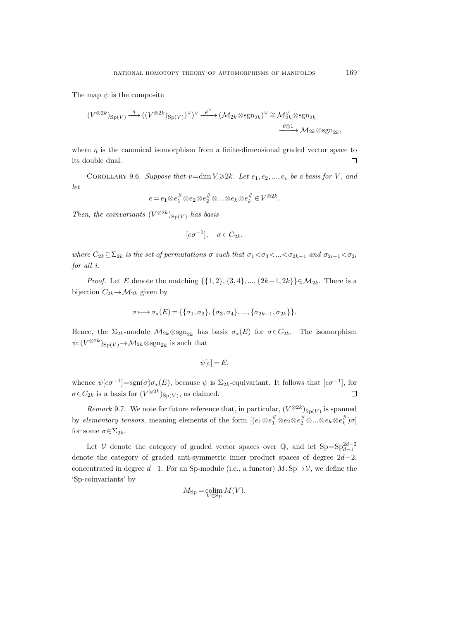The map  $\psi$  is the composite

$$
(V^{\otimes 2k})_{\mathrm{Sp}(V)} \xrightarrow{\eta} ((V^{\otimes 2k})_{\mathrm{Sp}(V)})^{\vee})^{\vee} \xrightarrow{\varphi^{\vee}} (\mathcal{M}_{2k} \otimes \mathrm{sgn}_{2k})^{\vee} \cong \mathcal{M}_{2k}^{\vee} \otimes \mathrm{sgn}_{2k}
$$

$$
\xrightarrow{\theta \otimes 1} \mathcal{M}_{2k} \otimes \mathrm{sgn}_{2k},
$$

where  $\eta$  is the canonical isomorphism from a finite-dimensional graded vector space to its double dual.  $\Box$ 

<span id="page-102-0"></span>COROLLARY 9.6. Suppose that  $v=\dim V \geqslant 2k$ . Let  $e_1, e_2, ..., e_v$  be a basis for V, and let

$$
e=e_1{\mathord{ \otimes } } e_1^\#{\mathord{ \otimes } } e_2{\mathord{ \otimes } } e_2^\#{\mathord{ \otimes } } ...\!{\mathord{ \otimes } } e_k{\mathord{ \otimes } } e_k^\# \in V^{{\mathord{ \otimes } } 2k}.
$$

Then, the coinvariants  $(V^{\otimes 2k})_{\text{Sp}(V)}$  has basis

$$
[e\sigma^{-1}], \quad \sigma \in C_{2k},
$$

where  $C_{2k} \subseteq \Sigma_{2k}$  is the set of permutations  $\sigma$  such that  $\sigma_1 < \sigma_3 < ... < \sigma_{2k-1}$  and  $\sigma_{2i-1} < \sigma_{2i}$ for all i.

*Proof.* Let E denote the matching  $\{\{1, 2\}, \{3, 4\}, ..., \{2k-1, 2k\}\} \in \mathcal{M}_{2k}$ . There is a bijection  $C_{2k} \rightarrow M_{2k}$  given by

$$
\sigma \longmapsto \sigma_*(E) = \{\{\sigma_1, \sigma_2\}, \{\sigma_3, \sigma_4\}, ..., \{\sigma_{2k-1}, \sigma_{2k}\}\}.
$$

Hence, the  $\Sigma_{2k}$ -module  $\mathcal{M}_{2k} \otimes \text{sgn}_{2k}$  has basis  $\sigma_*(E)$  for  $\sigma \in C_{2k}$ . The isomorphism  $\psi: (V^{\otimes 2k})_{\text{Sp}(V)} \to \mathcal{M}_{2k} \otimes \text{sgn}_{2k}$  is such that

$$
\psi[e] = E,
$$

whence  $\psi[e\sigma^{-1}]=sgn(\sigma)\sigma_*(E)$ , because  $\psi$  is  $\Sigma_{2k}$ -equivariant. It follows that  $[e\sigma^{-1}]$ , for  $\sigma \in C_{2k}$  is a basis for  $(V^{\otimes 2k})_{\text{Sp}(V)}$ , as claimed.  $\Box$ 

*Remark* 9.7. We note for future reference that, in particular,  $(V^{\otimes 2k})_{\text{Sp}(V)}$  is spanned by *elementary tensors*, meaning elements of the form  $[(e_1 \otimes e_1^{\#} \otimes e_2 \otimes e_2^{\#} \otimes ... \otimes e_k \otimes e_k^{\#})\sigma]$ for some  $\sigma \in \Sigma_{2k}$ .

Let V denote the category of graded vector spaces over  $\mathbb{Q}$ , and let  $\text{Sp}=\text{Sp}_{d-1}^{2d-2}$ denote the category of graded anti-symmetric inner product spaces of degree  $2d-2$ , concentrated in degree d−1. For an Sp-module (i.e., a functor)  $M: Sp\to V$ , we define the 'Sp-coinvariants' by

$$
M_{\rm Sp} = \operatornamewithlimits{colim}_{V \in \rm Sp} M(V).
$$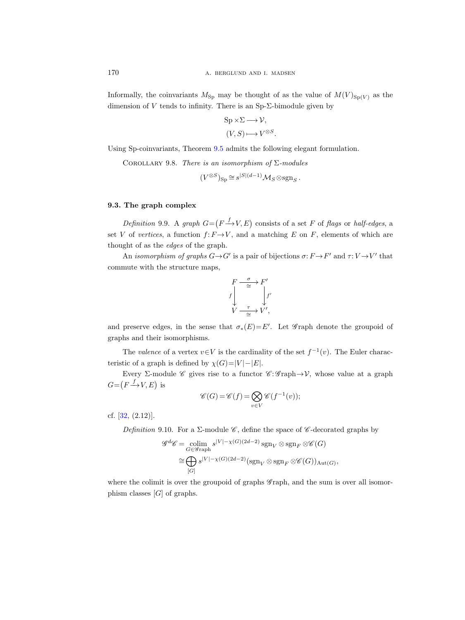Informally, the coinvariants  $M_{\text{Sp}}$  may be thought of as the value of  $M(V)_{\text{Sp}(V)}$  as the dimension of V tends to infinity. There is an  $Sp-\Sigma$ -bimodule given by

$$
Sp \times \Sigma \longrightarrow \mathcal{V},
$$

$$
(V, S) \longmapsto V^{\otimes S}.
$$

<span id="page-103-0"></span>Using Sp-coinvariants, Theorem [9.5](#page-101-0) admits the following elegant formulation.

COROLLARY 9.8. There is an isomorphism of  $\Sigma$ -modules

$$
(V^{\otimes S})_{\text{Sp}} \cong s^{|S|(d-1)} \mathcal{M}_S \otimes \text{sgn}_S.
$$

# 9.3. The graph complex

Definition 9.9. A graph  $G = (F \xrightarrow{f} V, E)$  consists of a set F of flags or half-edges, a set V of vertices, a function  $f: F \to V$ , and a matching E on F, elements of which are thought of as the edges of the graph.

An *isomorphism of graphs*  $G \rightarrow G'$  is a pair of bijections  $\sigma: F \rightarrow F'$  and  $\tau: V \rightarrow V'$  that commute with the structure maps,



and preserve edges, in the sense that  $\sigma_*(E) = E'$ . Let G raph denote the groupoid of graphs and their isomorphisms.

The valence of a vertex  $v \in V$  is the cardinality of the set  $f^{-1}(v)$ . The Euler characteristic of a graph is defined by  $\chi(G)=|V|-|E|$ .

Every Σ-module *C* gives rise to a functor  $C: \mathscr{G}$  raph  $\rightarrow V$ , whose value at a graph  $G = (F \xrightarrow{f} V, E)$  is

$$
\mathscr{C}(G) = \mathscr{C}(f) = \bigotimes_{v \in V} \mathscr{C}(f^{-1}(v));
$$

cf. [\[32,](#page-116-8) (2.12)].

Definition 9.10. For a  $\Sigma$ -module  $\mathscr{C}$ , define the space of  $\mathscr{C}$ -decorated graphs by

$$
\mathscr{G}^d \mathscr{C} = \underset{G \in \mathscr{G}^{\text{rank}}}{\text{colim}} s^{|V| - \chi(G)(2d - 2)} \operatorname{sgn}_V \otimes \operatorname{sgn}_F \otimes \mathscr{C}(G)
$$

$$
\cong \bigoplus s^{|V| - \chi(G)(2d - 2)} (\operatorname{sgn}_V \otimes \operatorname{sgn}_F \otimes \mathscr{C}(G))_{\text{Aut}(G)},
$$

$$
[G]
$$

where the colimit is over the groupoid of graphs  $\mathscr{G}$  raph, and the sum is over all isomorphism classes  $[G]$  of graphs.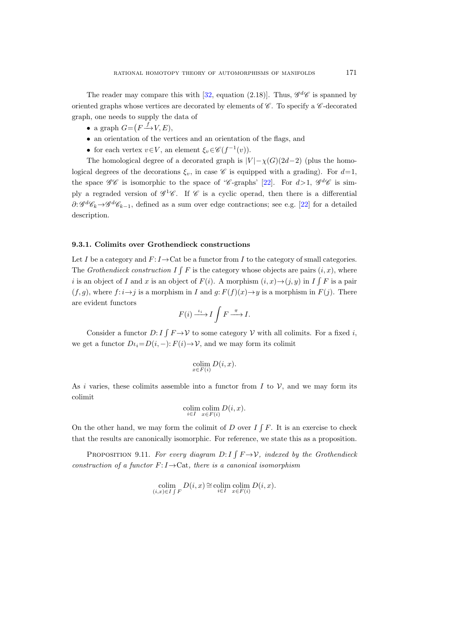The reader may compare this with [\[32,](#page-116-9) equation (2.18)]. Thus,  $\mathscr{G}^d\mathscr{C}$  is spanned by oriented graphs whose vertices are decorated by elements of  $\mathscr C$ . To specify a  $\mathscr C$ -decorated graph, one needs to supply the data of

- a graph  $G = (F \xrightarrow{f} V, E),$
- an orientation of the vertices and an orientation of the flags, and
- for each vertex  $v \in V$ , an element  $\xi_v \in \mathscr{C}(f^{-1}(v))$ .

The homological degree of a decorated graph is  $|V| - \chi(G)(2d-2)$  (plus the homological degrees of the decorations  $\xi_v$ , in case  $\mathscr C$  is equipped with a grading). For  $d=1$ , the space  $\mathscr{GC}$  is isomorphic to the space of 'C-graphs' [\[22\]](#page-115-9). For  $d>1$ ,  $\mathscr{G}^d\mathscr{C}$  is simply a regraded version of  $\mathscr{G}^1\mathscr{C}$ . If  $\mathscr{C}$  is a cyclic operad, then there is a differential  $\partial: \mathscr{G}^d \mathscr{C}_k \to \mathscr{G}^d \mathscr{C}_{k-1}$ , defined as a sum over edge contractions; see e.g. [\[22\]](#page-115-9) for a detailed description.

# 9.3.1. Colimits over Grothendieck constructions

Let I be a category and  $F: I \rightarrow Cat$  be a functor from I to the category of small categories. The Grothendieck construction  $I \int F$  is the category whose objects are pairs  $(i, x)$ , where i is an object of I and x is an object of  $F(i)$ . A morphism  $(i, x) \rightarrow (j, y)$  in I  $\int F$  is a pair  $(f, g)$ , where  $f: i \rightarrow j$  is a morphism in I and  $g: F(f)(x) \rightarrow y$  is a morphism in  $F(j)$ . There are evident functors

$$
F(i) \xrightarrow{\iota_i} I \int F \xrightarrow{\pi} I.
$$

Consider a functor  $D: I \int F \to V$  to some category V with all colimits. For a fixed i, we get a functor  $D_{i}=D(i, -): F(i) \to V$ , and we may form its colimit

$$
\operatornamewithlimits{colim}_{x\in F(i)}D(i,x).
$$

As i varies, these colimits assemble into a functor from I to  $\mathcal V$ , and we may form its colimit

$$
\underset{i \in I}{\text{colim}} \underset{x \in F(i)}{\text{colim}} D(i, x).
$$

On the other hand, we may form the colimit of D over  $I \int F$ . It is an exercise to check that the results are canonically isomorphic. For reference, we state this as a proposition.

<span id="page-104-1"></span><span id="page-104-0"></span>PROPOSITION 9.11. For every diagram  $D: I \int F \to V$ , indexed by the Grothendieck construction of a functor  $F: I \to \text{Cat}$ , there is a canonical isomorphism

$$
\operatorname*{colim}_{(i,x)\in I\int F} D(i,x) \cong \operatorname*{colim}_{i\in I} \operatorname*{colim}_{x\in F(i)} D(i,x).
$$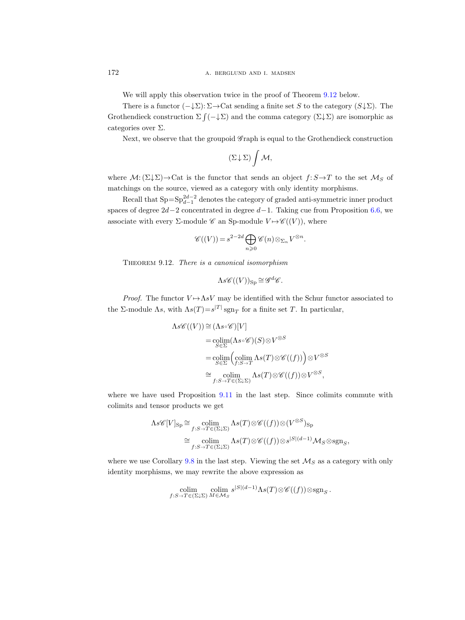We will apply this observation twice in the proof of Theorem [9.12](#page-105-0) below.

There is a functor  $(-\downarrow \Sigma): \Sigma \to \text{Cat}$  sending a finite set S to the category  $(S \downarrow \Sigma)$ . The Grothendieck construction  $\Sigma \int (-\n\downarrow \Sigma)$  and the comma category  $(\Sigma \downarrow \Sigma)$  are isomorphic as categories over Σ.

Next, we observe that the groupoid  $\mathscr{G}$  raph is equal to the Grothendieck construction

$$
(\Sigma\!\downarrow\!\Sigma)\int\mathcal{M},
$$

where  $\mathcal{M}: (\Sigma \downarrow \Sigma) \to \text{Cat}$  is the functor that sends an object  $f: S \to T$  to the set  $\mathcal{M}_S$  of matchings on the source, viewed as a category with only identity morphisms.

Recall that  $Sp = Sp_{d-1}^{2d-2}$  denotes the category of graded anti-symmetric inner product spaces of degree  $2d-2$  concentrated in degree  $d-1$ . Taking cue from Proposition [6.6,](#page-73-1) we associate with every  $\Sigma$ -module  $\mathscr C$  an Sp-module  $V \mapsto \mathscr C((V))$ , where

$$
\mathscr{C}((V)) = s^{2-2d} \bigoplus_{n \geq 0} \mathscr{C}(n) \otimes_{\Sigma_n} V^{\otimes n}.
$$

<span id="page-105-1"></span><span id="page-105-0"></span>THEOREM 9.12. There is a canonical isomorphism

$$
\Lambda s\mathscr{C}((V))_{\text{Sp}}\cong \mathscr{G}^d\mathscr{C}.
$$

*Proof.* The functor  $V \mapsto \Lambda sV$  may be identified with the Schur functor associated to the  $\Sigma$ -module  $\Lambda s$ , with  $\Lambda s(T)=s^{|T|}\operatorname{sgn}_T$  for a finite set T. In particular,

$$
\Lambda s\mathscr{C}((V)) \cong (\Lambda s \circ \mathscr{C})[V]
$$
  
= colim $(\Lambda s \circ \mathscr{C})(S) \otimes V^{\otimes S}$   
= colim $\left(\text{colim}_{f:S \to T} \Lambda s(T) \otimes \mathscr{C}((f))\right) \otimes V^{\otimes S}$   
 $\cong \text{colim}_{f:S \to T \in (\Sigma \downarrow \Sigma)} \Lambda s(T) \otimes \mathscr{C}((f)) \otimes V^{\otimes S},$ 

where we have used Proposition [9.11](#page-104-0) in the last step. Since colimits commute with colimits and tensor products we get

$$
\Lambda s\mathscr{C}[V]_{\text{Sp}} \cong \underset{f:S \to T \in (\Sigma \downarrow \Sigma)}{\text{colim}} \Lambda s(T) \otimes \mathscr{C}((f)) \otimes (V^{\otimes S})_{\text{Sp}}
$$

$$
\cong \underset{f:S \to T \in (\Sigma \downarrow \Sigma)}{\text{colim}} \Lambda s(T) \otimes \mathscr{C}((f)) \otimes s^{|S|(d-1)} \mathcal{M}_S \otimes \text{sgn}_S,
$$

where we use Corollary [9.8](#page-103-0) in the last step. Viewing the set  $\mathcal{M}_S$  as a category with only identity morphisms, we may rewrite the above expression as

$$
\underset{f:S\to T\in(\Sigma\downarrow\Sigma)}{\text{colim}} \underset{M\in\mathcal{M}_S}{\text{colim}} s^{|S|(d-1)} \Lambda s(T) \otimes \mathscr{C}((f)) \otimes \text{sgn}_S.
$$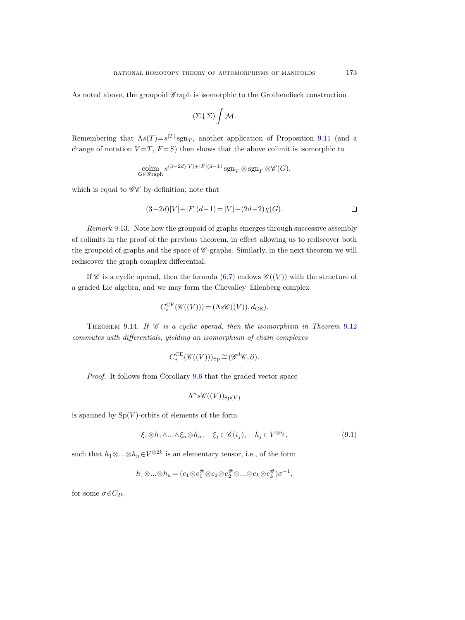As noted above, the groupoid  $\mathscr{G}$  raph is isomorphic to the Grothendieck construction

$$
(\Sigma\!\downarrow\!\Sigma)\int\mathcal{M}.
$$

Remembering that  $\Lambda s(T) = s^{|T|} \operatorname{sgn}_T$ , another application of Proposition [9.11](#page-104-1) (and a change of notation  $V = T$ ,  $F = S$ ) then shows that the above colimit is isomorphic to

$$
\operatornamewithlimits{colim}_{G\in\operatorname{\mathscr{G}raph}}s^{(3-2d)|V|+|F|(d-1)}\operatornamewithlimits{sgn}_V\otimes\operatornamewithlimits{sgn}_F\otimes\operatorname{\mathscr{C}}(G),
$$

which is equal to  $\mathscr{GC}$  by definition; note that

$$
(3-2d)|V| + |F|(d-1) = |V| - (2d-2)\chi(G).
$$

Remark 9.13. Note how the groupoid of graphs emerges through successive assembly of colimits in the proof of the previous theorem, in effect allowing us to rediscover both the groupoid of graphs and the space of  $\mathscr{C}$ -graphs. Similarly, in the next theorem we will rediscover the graph complex differential.

If  $\mathscr C$  is a cyclic operad, then the formula [\(6.7\)](#page-75-2) endows  $\mathscr C((V))$  with the structure of a graded Lie algebra, and we may form the Chevalley–Eilenberg complex

$$
C_*^{\mathrm{CE}}(\mathscr{C}((V))) = (\Lambda s \mathscr{C}((V)), d_{\mathrm{CE}}).
$$

<span id="page-106-1"></span>THEOREM 9.14. If  $\mathscr C$  is a cyclic operad, then the isomorphism in Theorem [9.12](#page-105-1) commutes with differentials, yielding an isomorphism of chain complexes

$$
C^{\sf CE}_*(\mathscr{C}((V)))_{\rm Sp} \cong (\mathscr{G}^d\mathscr{C}, \partial).
$$

Proof. It follows from Corollary [9.6](#page-102-0) that the graded vector space

$$
\Lambda^n s\mathscr{C}((V))_{\text{Sp}(V)}
$$

is spanned by  $Sp(V)$ -orbits of elements of the form

<span id="page-106-0"></span>
$$
\xi_1 \otimes h_1 \wedge \ldots \wedge \xi_n \otimes h_n, \quad \xi_j \in \mathscr{C}(i_j), \quad h_j \in V^{\otimes i_j},\tag{9.1}
$$

such that  $h_1 \otimes ... \otimes h_n \in V^{\otimes 2k}$  is an elementary tensor, i.e., of the form

$$
h_1{\mathord{\otimes\ldots\otimes}} h_n=(e_1{\mathord{\otimes}} e_1^\#\,{\mathord{\otimes}} e_2{\mathord{\otimes}} e_2^\#\,{\mathord{\otimes\ldots\otimes}} e_k{\mathord{\otimes}} e_k^\#)\sigma^{-1},
$$

for some  $\sigma \in C_{2k}$ .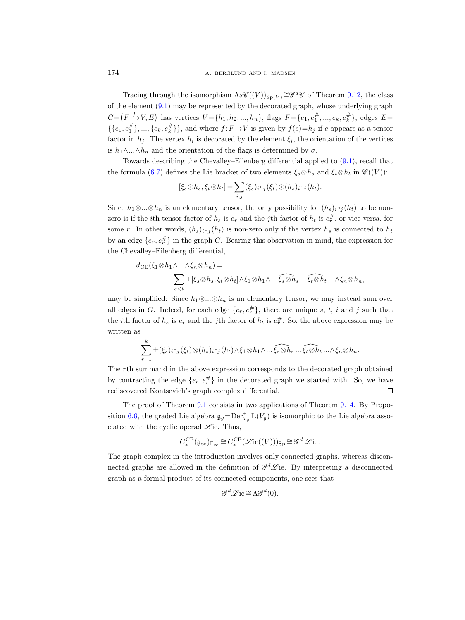Tracing through the isomorphism  $\Lambda s\mathscr{C}((V))_{Sp(V)} \cong \mathscr{G}^d\mathscr{C}$  of Theorem [9.12,](#page-105-0) the class of the element [\(9.1\)](#page-106-0) may be represented by the decorated graph, whose underlying graph  $G = (F \xrightarrow{f} V, E)$  has vertices  $V = \{h_1, h_2, ..., h_n\}$ , flags  $F = \{e_1, e_1^{\#}, ..., e_k, e_k^{\#}\}$ , edges  $E =$  $\{\{e_1, e_1^{\#}\}, ..., \{e_k, e_k^{\#}\}\}\$ , and where  $f: F \to V$  is given by  $f(e) = h_j$  if e appears as a tensor factor in  $h_j$ . The vertex  $h_i$  is decorated by the element  $\xi_i$ , the orientation of the vertices is  $h_1 \wedge ... \wedge h_n$  and the orientation of the flags is determined by  $\sigma$ .

Towards describing the Chevalley–Eilenberg differential applied to [\(9.1\)](#page-106-0), recall that the formula [\(6.7\)](#page-75-1) defines the Lie bracket of two elements  $\xi_s \otimes h_s$  and  $\xi_t \otimes h_t$  in  $\mathscr{C}((V))$ :

$$
[\xi_s \otimes h_s, \xi_t \otimes h_t] = \sum_{i,j} (\xi_s)_{i \circ j} (\xi_t) \otimes (h_s)_{i \circ j} (h_t).
$$

Since  $h_1 \otimes \ldots \otimes h_n$  is an elementary tensor, the only possibility for  $(h_s)_{i} \circ_i (h_t)$  to be nonzero is if the *i*<sup>th</sup> tensor factor of  $h_s$  is  $e_r$  and the *j*<sup>th</sup> factor of  $h_t$  is  $e_r^{\#}$ , or vice versa, for some r. In other words,  $(h_s)_{i \in j} (h_t)$  is non-zero only if the vertex  $h_s$  is connected to  $h_t$ by an edge  $\{e_r, e_r^{\#}\}\$ in the graph G. Bearing this observation in mind, the expression for the Chevalley–Eilenberg differential,

$$
d_{\mathrm{CE}}(\xi_1 \otimes h_1 \wedge \ldots \wedge \xi_n \otimes h_n) =
$$
  

$$
\sum_{s < t} \pm [\xi_s \otimes h_s, \xi_t \otimes h_t] \wedge \xi_1 \otimes h_1 \wedge \ldots \widehat{\xi_s \otimes h_s} \ldots \widehat{\xi_t \otimes h_t} \ldots \wedge \xi_n \otimes h_n,
$$

may be simplified: Since  $h_1 \otimes ... \otimes h_n$  is an elementary tensor, we may instead sum over all edges in G. Indeed, for each edge  $\{e_r, e_r^{\#}\}\$ , there are unique s, t, i and j such that the *i*th factor of  $h_s$  is  $e_r$  and the *j*th factor of  $h_t$  is  $e_r^{\#}$ . So, the above expression may be written as

$$
\sum_{r=1}^k \pm (\xi_s)_{i \circ j} (\xi_t) \otimes (h_s)_{i \circ j} (h_t) \wedge \xi_1 \otimes h_1 \wedge \dots \widehat{\xi_s \otimes h_s} \dots \widehat{\xi_t \otimes h_t} \dots \wedge \xi_n \otimes h_n.
$$

The rth summand in the above expression corresponds to the decorated graph obtained by contracting the edge  $\{e_r, e_r^{\#}\}\$ in the decorated graph we started with. So, we have rediscovered Kontsevich's graph complex differential.  $\Box$ 

The proof of Theorem [9.1](#page-98-0) consists in two applications of Theorem [9.14.](#page-106-1) By Propo-sition [6.6,](#page-73-1) the graded Lie algebra  $\mathfrak{g}_g = \text{Der}_{\omega_g}^+ \mathbb{L}(V_g)$  is isomorphic to the Lie algebra associated with the cyclic operad  $\mathscr{L}$  ie. Thus,

$$
C_*^{\sf CE}(\mathfrak{g}_{\infty})_{\Gamma_{\infty}} \cong C_*^{\sf CE}(\mathscr{L}\mathrm{ie}((V)))_{\mathrm{Sp}} \cong \mathscr{G}^d \mathscr{L} \mathrm{ie}.
$$

The graph complex in the introduction involves only connected graphs, whereas disconnected graphs are allowed in the definition of  $\mathscr{G}^d\mathscr{L}$ ie. By interpreting a disconnected graph as a formal product of its connected components, one sees that

$$
\mathscr{G}^d\mathscr{L}\mathrm{ie} {\, \cong\, } \Lambda \mathscr{G}^d(0).
$$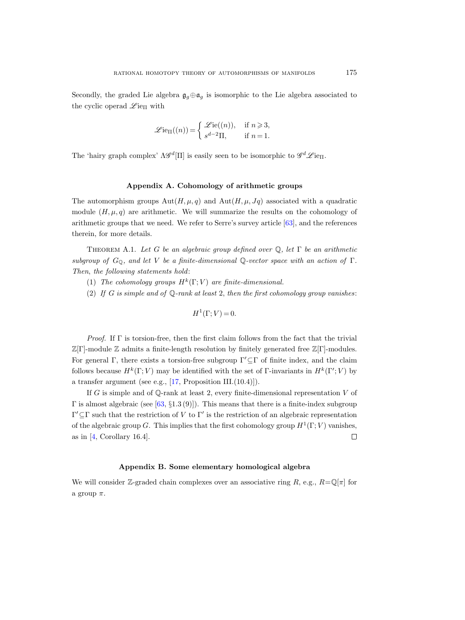Secondly, the graded Lie algebra  $\mathfrak{g}_q \oplus \mathfrak{a}_q$  is isomorphic to the Lie algebra associated to the cyclic operad  $\mathscr{L}$ ie<sub>Π</sub> with

$$
\mathscr{L}\mathrm{ie}_{\Pi}((n)) = \begin{cases} \mathscr{L}\mathrm{ie}((n)), & \text{if } n \geqslant 3, \\ s^{d-2}\Pi, & \text{if } n = 1. \end{cases}
$$

The 'hairy graph complex'  $\Lambda \mathscr{G}^d[\Pi]$  is easily seen to be isomorphic to  $\mathscr{G}^d \mathscr{L}$ ie<sub> $\Pi$ </sub>.

### Appendix A. Cohomology of arithmetic groups

The automorphism groups  $Aut(H,\mu,q)$  and  $Aut(H,\mu,Jq)$  associated with a quadratic module  $(H, \mu, q)$  are arithmetic. We will summarize the results on the cohomology of arithmetic groups that we need. We refer to Serre's survey article [\[63\]](#page-117-0), and the references therein, for more details.

THEOREM A.1. Let G be an algebraic group defined over  $\mathbb Q$ , let  $\Gamma$  be an arithmetic subgroup of  $G_{\mathbb{Q}}$ , and let V be a finite-dimensional  $\mathbb{Q}$ -vector space with an action of  $\Gamma$ . Then, the following statements hold:

- (1) The cohomology groups  $H^k(\Gamma; V)$  are finite-dimensional.
- (2) If G is simple and of  $\mathbb Q$ -rank at least 2, then the first cohomology group vanishes:

$$
H^1(\Gamma; V) = 0.
$$

*Proof.* If  $\Gamma$  is torsion-free, then the first claim follows from the fact that the trivial  $\mathbb{Z}[\Gamma]$ -module  $\mathbb Z$  admits a finite-length resolution by finitely generated free  $\mathbb{Z}[\Gamma]$ -modules. For general Γ, there exists a torsion-free subgroup  $\Gamma' \subseteq \Gamma$  of finite index, and the claim follows because  $H^k(\Gamma; V)$  may be identified with the set of Γ-invariants in  $H^k(\Gamma; V)$  by a transfer argument (see e.g., [\[17,](#page-115-0) Proposition III.(10.4)]).

If G is simple and of  $\mathbb{Q}$ -rank at least 2, every finite-dimensional representation V of  $Γ$  is almost algebraic (see [\[63,](#page-117-0) §1.3(9)]). This means that there is a finite-index subgroup  $\Gamma' \subseteq \Gamma$  such that the restriction of V to Γ' is the restriction of an algebraic representation of the algebraic group G. This implies that the first cohomology group  $H^1(\Gamma; V)$  vanishes, as in  $[4,$  Corollary 16.4.  $\Box$ 

# Appendix B. Some elementary homological algebra

We will consider Z-graded chain complexes over an associative ring R, e.g.,  $R=\mathbb{Q}[\pi]$  for a group  $\pi$ .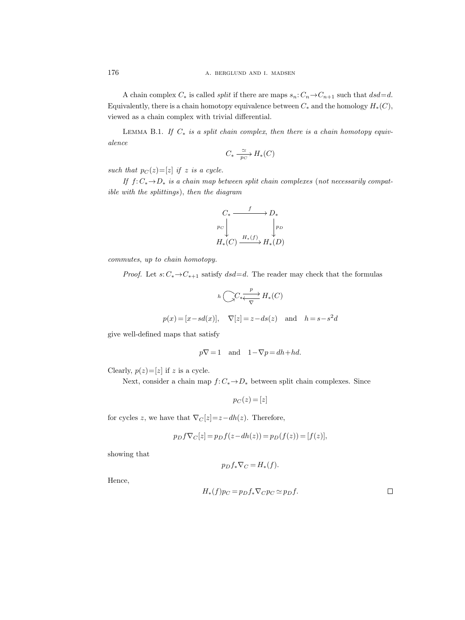A chain complex  $C_*$  is called *split* if there are maps  $s_n: C_n \to C_{n+1}$  such that  $dsd=d$ . Equivalently, there is a chain homotopy equivalence between  $C_*$  and the homology  $H_*(C)$ , viewed as a chain complex with trivial differential.

LEMMA B.1. If  $C_*$  is a split chain complex, then there is a chain homotopy equivalence

$$
C_* \xrightarrow[p_C]{\simeq} H_*(C)
$$

such that  $p_C(z) = [z]$  if z is a cycle.

If  $f: C_* \to D_*$  is a chain map between split chain complexes (not necessarily compatible with the splittings), then the diagram

$$
C_* \xrightarrow{f} D_*
$$
  
\n $p_C \downarrow \qquad \qquad \downarrow p_D$   
\n $H_*(C) \xrightarrow{H_*(f)} H_*(D)$ 

commutes, up to chain homotopy.

*Proof.* Let  $s: C_* \to C_{*+1}$  satisfy  $dsd=d$ . The reader may check that the formulas

$$
h\left(\bigcap_{x}C_{x}\xleftarrow{p}H_{*}(C)\right)
$$

$$
p(x) = [x-sd(x)], \quad \nabla[z] = z - ds(z) \quad \text{and} \quad h = s -
$$

give well-defined maps that satisfy

 $p\nabla = 1$  and  $1-\nabla p = dh + hd$ .

Clearly,  $p(z) = [z]$  if z is a cycle.

Next, consider a chain map  $f: C_* \to D_*$  between split chain complexes. Since

$$
p_C(z) = [z]
$$

for cycles z, we have that  $\nabla_C[z]=z-dh(z)$ . Therefore,

$$
p_D f \nabla_C [z] = p_D f(z - dh(z)) = p_D(f(z)) = [f(z)],
$$

showing that

$$
p_D f_* \nabla_C = H_*(f).
$$

Hence,

$$
H_*(f)p_C = p_D f_* \nabla_C p_C \simeq p_D f.
$$

 $\overline{a}^2$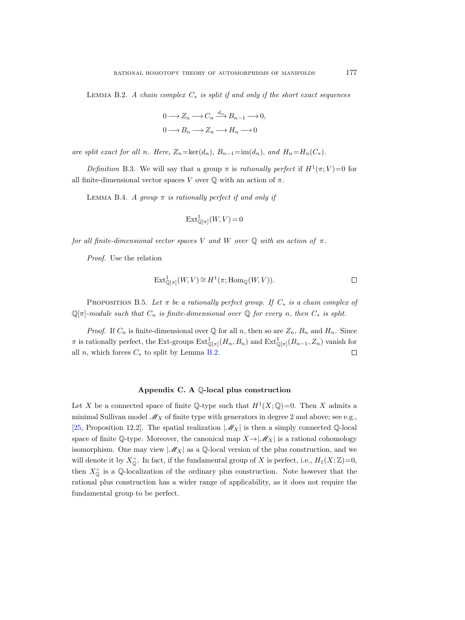<span id="page-110-0"></span>LEMMA B.2. A chain complex  $C_*$  is split if and only if the short exact sequences

$$
0 \longrightarrow Z_n \longrightarrow C_n \xrightarrow{d_n} B_{n-1} \longrightarrow 0,
$$
  

$$
0 \longrightarrow B_n \longrightarrow Z_n \longrightarrow H_n \longrightarrow 0
$$

are split exact for all n. Here,  $Z_n = \text{ker}(d_n)$ ,  $B_{n-1} = \text{im}(d_n)$ , and  $H_n = H_n(C_*)$ .

Definition B.3. We will say that a group  $\pi$  is rationally perfect if  $H^1(\pi; V)=0$  for all finite-dimensional vector spaces V over  $\mathbb O$  with an action of  $\pi$ .

LEMMA B.4. A group  $\pi$  is rationally perfect if and only if

$$
\operatorname{Ext}_{\mathbb{Q}[\pi]}^{1}(W, V) = 0
$$

for all finite-dimensional vector spaces V and W over  $\mathbb Q$  with an action of  $\pi$ .

Proof. Use the relation

$$
\operatorname{Ext}_{\mathbb{Q}[\pi]}^1(W, V) \cong H^1(\pi; \operatorname{Hom}_{\mathbb{Q}}(W, V)).\n\qquad \qquad \Box
$$

PROPOSITION B.5. Let  $\pi$  be a rationally perfect group. If  $C_*$  is a chain complex of  $\mathbb{Q}[\pi]$ -module such that  $C_n$  is finite-dimensional over  $\mathbb Q$  for every n, then  $C_*$  is split.

*Proof.* If  $C_n$  is finite-dimensional over  $\mathbb Q$  for all n, then so are  $Z_n$ ,  $B_n$  and  $H_n$ . Since  $\pi$  is rationally perfect, the Ext-groups  $\text{Ext}^1_{\mathbb{Q}[\pi]}(H_n, B_n)$  and  $\text{Ext}^1_{\mathbb{Q}[\pi]}(B_{n-1}, Z_n)$  vanish for all *n*, which forces  $C_*$  to split by Lemma [B.2.](#page-110-0)  $\Box$ 

#### Appendix C. A Q-local plus construction

Let X be a connected space of finite Q-type such that  $H^1(X; \mathbb{Q})=0$ . Then X admits a minimal Sullivan model  $\mathcal{M}_X$  of finite type with generators in degree 2 and above; see e.g., [\[25,](#page-116-0) Proposition 12.2]. The spatial realization  $|\mathcal{M}_X|$  is then a simply connected Q-local space of finite Q-type. Moreover, the canonical map  $X \rightarrow |\mathcal{M}_X|$  is a rational cohomology isomorphism. One may view  $|\mathcal{M}_X|$  as a Q-local version of the plus construction, and we will denote it by  $X_0^+$ . In fact, if the fundamental group of X is perfect, i.e.,  $H_1(X;\mathbb{Z})=0$ , then  $X_{\mathbb{Q}}^+$  is a Q-localization of the ordinary plus construction. Note however that the rational plus construction has a wider range of applicability, as it does not require the fundamental group to be perfect.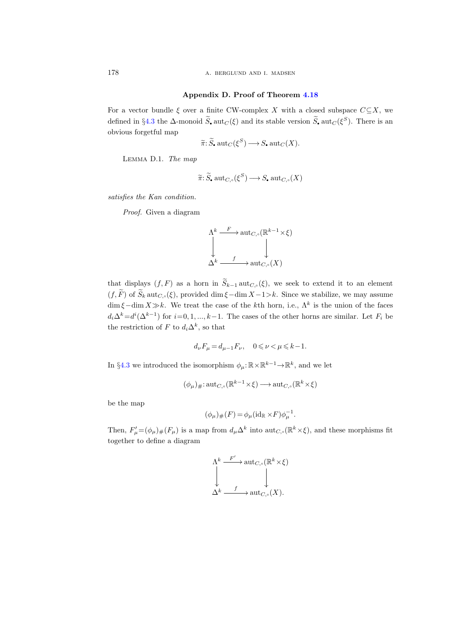# Appendix D. Proof of Theorem [4.18](#page-48-0)

For a vector bundle  $\xi$  over a finite CW-complex X with a closed subspace  $C\subseteq X$ , we defined in §[4.3](#page-40-0) the  $\Delta$ -monoid  $S$ ,  $\text{aut}_C(\xi)$  and its stable version  $S$ ,  $\text{aut}_C(\xi^S)$ . There is an obvious forgetful map

$$
\widetilde{\pi}: \widetilde{S}_{\bullet} \operatorname{aut}_C(\xi^S) \longrightarrow S_{\bullet} \operatorname{aut}_C(X).
$$

<span id="page-111-0"></span>Lemma D.1. The map

$$
\widetilde{\pi}: \widetilde{S}_\bullet \operatorname{aut}_{C,\circ}(\xi^S) \longrightarrow S_\bullet \operatorname{aut}_{C,\circ}(X)
$$

satisfies the Kan condition.

Proof. Given a diagram

$$
\begin{array}{ccc}\n\Lambda^k & \xrightarrow{F} \text{aut}_{C,\circ}(\mathbb{R}^{k-1} \times \xi) \\
\downarrow & \downarrow & \downarrow \\
\Delta^k & \xrightarrow{f} \text{aut}_{C,\circ}(X)\n\end{array}
$$

that displays  $(f, F)$  as a horn in  $\widetilde{S}_{k-1}$  aut $_{C,\circ}(\xi)$ , we seek to extend it to an element  $(f, \widetilde{F})$  of  $\widetilde{S}_k$  aut<sub>C, $\varsigma(\xi)$ </sub>, provided dim  $\xi$  –dim  $X-1>k$ . Since we stabilize, we may assume  $\dim \xi - \dim X \gg k$ . We treat the case of the kth horn, i.e.,  $\Lambda^k$  is the union of the faces  $d_i\Delta^k=d^i(\Delta^{k-1})$  for  $i=0,1,...,k-1$ . The cases of the other horns are similar. Let  $F_i$  be the restriction of F to  $d_i \Delta^k$ , so that

$$
d_{\nu}F_{\mu} = d_{\mu-1}F_{\nu}, \quad 0 \leqslant \nu < \mu \leqslant k-1.
$$

In §[4.3](#page-40-0) we introduced the isomorphism  $\phi_\mu: \mathbb{R} \times \mathbb{R}^{k-1} \to \mathbb{R}^k$ , and we let

$$
(\phi_{\mu})_{\#}: \operatorname{{\rm aut}}_{C,\circ}(\mathbb{R}^{k-1}\times \xi)\longrightarrow \operatorname{{\rm aut}}_{C,\circ}(\mathbb{R}^{k}\times \xi)
$$

be the map

$$
(\phi_{\mu})_{\#}(F) = \phi_{\mu}(\mathrm{id}_{\mathbb{R}} \times F)\phi_{\mu}^{-1}.
$$

Then,  $F'_{\mu} = (\phi_{\mu})_{\#}(F_{\mu})$  is a map from  $d_{\mu} \Delta^k$  into  $\text{aut}_{C,\circ}(\mathbb{R}^k \times \xi)$ , and these morphisms fit together to define a diagram

$$
\Lambda^k \xrightarrow{F'} \operatorname{aut}_{C,\circ}(\mathbb{R}^k \times \xi)
$$
  
\n
$$
\downarrow \qquad \qquad \downarrow
$$
  
\n
$$
\Delta^k \xrightarrow{f} \operatorname{aut}_{C,\circ}(X).
$$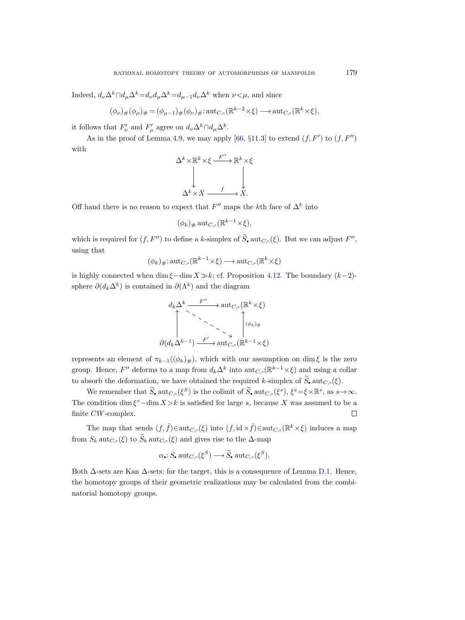Indeed,  $d_{\nu}\Delta^{k}\cap d_{\nu}\Delta^{k}=d_{\nu}d_{\nu}\Delta^{k}=d_{\nu-1}d_{\nu}\Delta^{k}$  when  $\nu<\mu$ , and since

$$
(\phi_{\nu})_{\#}(\phi_{\mu})_{\#} = (\phi_{\mu-1})_{\#}(\phi_{\nu})_{\#} : \operatorname{aut}_{C,\circ}(\mathbb{R}^{k-2}\times\xi)\longrightarrow \operatorname{aut}_{C,\circ}(\mathbb{R}^k\times\xi),
$$

it follows that  $F'_{\nu}$  and  $F'_{\mu}$  agree on  $d_{\nu}\Delta^k \cap d_{\mu}\Delta^k$ .

As in the proof of Lemma [4.9,](#page-40-1) we may apply [\[66,](#page-117-1) §11.3] to extend  $(f, F')$  to  $(f, F'')$ with

$$
\Delta^k \times \mathbb{R}^k \times \xi \xrightarrow{F''} \mathbb{R}^k \times \xi
$$
  
\n
$$
\downarrow \qquad \qquad \downarrow
$$
  
\n
$$
\Delta^k \times X \xrightarrow{f} X.
$$

Off hand there is no reason to expect that  $F''$  maps the k<sup>th</sup> face of  $\Delta^k$  into

$$
(\phi_k)_\#\,\mathrm{aut}_{C,\circ}(\mathbb{R}^{k-1}\times\xi),
$$

which is required for  $(f, F'')$  to define a k-simplex of  $\tilde{S}_\bullet$  aut<sub>C, $\circ$ </sub>( $\xi$ ). But we can adjust  $F''$ , using that

$$
(\phi_k)_{\#}: \operatorname{{\rm aut}}_{C,\circ}(\mathbb{R}^{k-1}\times \xi)\longrightarrow \operatorname{{\rm aut}}_{C,\circ}(\mathbb{R}^k\times \xi)
$$

is highly connected when dim  $\xi$ −dim  $X\gg k$ ; cf. Proposition [4.12.](#page-43-0) The boundary  $(k-2)$ sphere  $\partial(d_k\Delta^k)$  is contained in  $\partial(\Lambda^k)$  and the diagram

$$
d_k \Delta^k \xrightarrow{F''} \text{aut}_{C,\circ}(\mathbb{R}^k \times \xi)
$$
  

$$
\downarrow \searrow \searrow \searrow \searrow \searrow \searrow \searrow \searrow \searrow \phi
$$
  

$$
\partial(d_k \Delta^{k-1}) \xrightarrow{F'} \text{aut}_{C,\circ}(\mathbb{R}^{k-1} \times \xi)
$$

represents an element of  $\pi_{k-1}((\phi_k)_\#)$ , which with our assumption on dim  $\xi$  is the zero group. Hence,  $F''$  deforms to a map from  $d_k \Delta^k$  into  $\text{aut}_{C,\circ}(\mathbb{R}^{k-1}\times \xi)$  and using a collar to absorb the deformation, we have obtained the required k-simplex of  $\widetilde{S}_n$  aut $_{C_\infty}(\xi)$ .

We remember that  $\widetilde{S}_\bullet$  aut<sub>C, $\circ$ </sub>( $\xi^S$ ) is the colimit of  $\widetilde{S}_\bullet$  aut<sub>C, $\circ$ </sub>( $\xi^s$ ),  $\xi^s = \xi \times \mathbb{R}^s$ , as  $s \to \infty$ . The condition  $\dim \xi^s - \dim X > k$  is satisfied for large s, because X was assumed to be a finite CW-complex.  $\Box$ 

The map that sends  $(f, \hat{f}) \in \text{aut}_{C,\circ}(\xi)$  into  $(f, id \times \hat{f}) \in \text{aut}_{C,\circ}(\mathbb{R}^k \times \xi)$  induces a map from  $S_k$  aut $_{C_{\infty}}(\xi)$  to  $\widetilde{S}_k$  aut $_{C_{\infty}}(\xi)$  and gives rise to the  $\Delta$ -map

$$
\alpha: S
$$
.  $\operatorname{aut}_{C,\circ}(\xi^S) \longrightarrow \widetilde{S}$ .  $\operatorname{aut}_{C,\circ}(\xi^S)$ .

Both  $\Delta$ -sets are Kan  $\Delta$ -sets; for the target, this is a consequence of Lemma [D.1.](#page-111-0) Hence, the homotopy groups of their geometric realizations may be calculated from the combinatorial homotopy groups.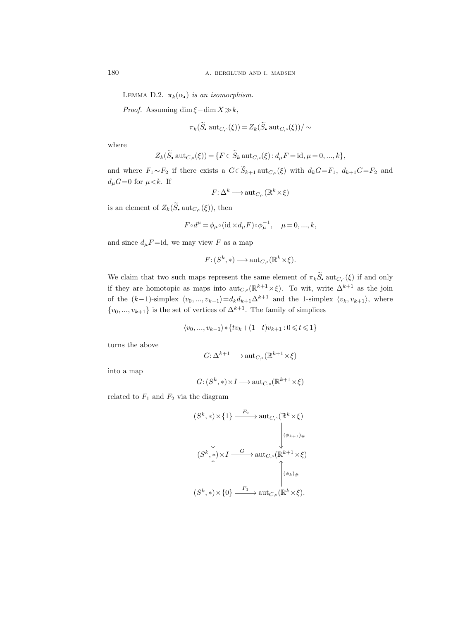LEMMA D.2.  $\pi_k(\alpha_{\bullet})$  is an isomorphism.

*Proof.* Assuming dim  $\xi$  – dim  $X \gg k$ ,

$$
\pi_k(\widetilde{S}_{\bullet} \operatorname{aut}_{C,\circ}(\xi)) = Z_k(\widetilde{S}_{\bullet} \operatorname{aut}_{C,\circ}(\xi))/\sim
$$

where

$$
Z_k(\widetilde{S}_\bullet \text{ aut}_{C,\circ}(\xi)) = \{ F \in \widetilde{S}_k \text{ aut}_{C,\circ}(\xi) : d_\mu F = \text{id}, \mu = 0, ..., k \},
$$

and where  $F_1 \sim F_2$  if there exists a  $G \in \widetilde{S}_{k+1}$  aut $_{C,\circ}(\xi)$  with  $d_k G = F_1$ ,  $d_{k+1} G = F_2$  and  $d_{\mu}G=0$  for  $\mu < k$ . If

$$
F: \Delta^k \longrightarrow \text{aut}_{C,\circ}(\mathbb{R}^k \times \xi)
$$

is an element of  $Z_k(\widetilde{S}_\bullet \text{aut}_{C,\circ}(\xi))$ , then

$$
F\!\circ\!d^\mu\!=\!\phi_{\mu}\!\circ\!({\rm id}\times\!d_\mu F)\!\circ\!\phi_\mu^{-1},\quad \mu\!=\!0,...,k,
$$

and since  $d_{\mu}F = id$ , we may view F as a map

$$
F: (S^k, *) \longrightarrow \operatorname{aut}_{C,\circ}(\mathbb{R}^k \times \xi).
$$

We claim that two such maps represent the same element of  $\pi_k \widetilde{S}_\bullet$  aut $_{C,\circ}(\xi)$  if and only if they are homotopic as maps into  $\text{aut}_{C,\circ}(\mathbb{R}^{k+1}\times\xi)$ . To wit, write  $\Delta^{k+1}$  as the join of the  $(k-1)$ -simplex  $\langle v_0, ..., v_{k-1} \rangle = d_k d_{k+1} \Delta^{k+1}$  and the 1-simplex  $\langle v_k, v_{k+1} \rangle$ , where  $\{v_0, ..., v_{k+1}\}\$ is the set of vertices of  $\Delta^{k+1}$ . The family of simplices

$$
\langle v_0,...,v_{k-1} \rangle * \{ tv_k + (1-t) v_{k+1} : 0 \leq t \leq 1 \}
$$

turns the above

$$
G: \Delta^{k+1} \longrightarrow \text{aut}_{C,\circ}(\mathbb{R}^{k+1} \times \xi)
$$

into a map

$$
G: (S^k, *) \times I \longrightarrow \operatorname{aut}_{C, \circ}(\mathbb{R}^{k+1} \times \xi)
$$

related to  $F_1$  and  $F_2$  via the diagram

$$
(S^k, *) \times \{1\} \xrightarrow{F_2} \text{aut}_{C,\circ}(\mathbb{R}^k \times \xi)
$$

$$
\downarrow \qquad \qquad \downarrow \qquad \qquad \downarrow \qquad \qquad \downarrow \qquad \downarrow
$$

$$
(S^k, *) \times I \xrightarrow{G} \text{aut}_{C,\circ}(\mathbb{R}^{k+1} \times \xi)
$$

$$
\uparrow \qquad \qquad \downarrow \qquad \qquad \downarrow
$$

$$
(S^k, *) \times \{0\} \xrightarrow{F_1} \text{aut}_{C,\circ}(\mathbb{R}^k \times \xi).
$$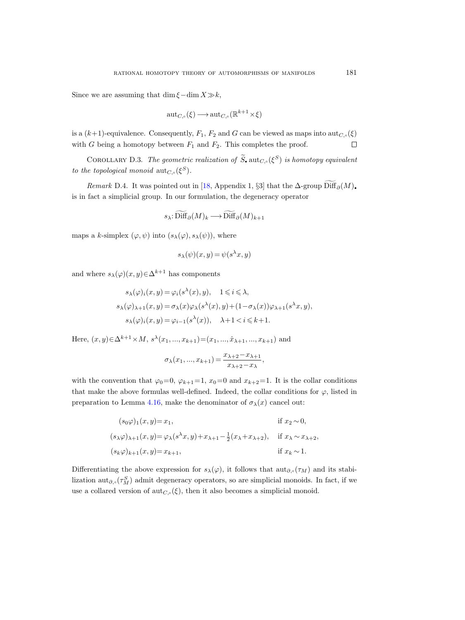Since we are assuming that dim  $\xi$  –dim  $X\gg k$ ,

$$
\operatorname{aut}_{C,\circ}(\xi)\longrightarrow \operatorname{aut}_{C,\circ}(\mathbb{R}^{k+1}\times\xi)
$$

is a  $(k+1)$ -equivalence. Consequently,  $F_1$ ,  $F_2$  and G can be viewed as maps into  $\mathrm{aut}_{C,\circ}(\xi)$ with G being a homotopy between  $F_1$  and  $F_2$ . This completes the proof.  $\Box$ 

COROLLARY D.3. The geometric realization of  $\widetilde{S}_{\bullet}$  aut<sub>C,</sub> ( $\xi^S$ ) is homotopy equivalent to the topological monoid  $\mathrm{aut}_{C,\circ}(\xi^S)$ .

Remark D.4. It was pointed out in [\[18,](#page-115-2) Appendix 1, §3] that the  $\Delta$ -group Diff $_{\partial}(M)$ . is in fact a simplicial group. In our formulation, the degeneracy operator

$$
s_{\lambda}
$$
:  $\text{Diff}_{\partial}(M)_k \longrightarrow \text{Diff}_{\partial}(M)_{k+1}$ 

maps a k-simplex  $(\varphi, \psi)$  into  $(s_\lambda(\varphi), s_\lambda(\psi))$ , where

$$
s_{\lambda}(\psi)(x, y) = \psi(s^{\lambda}x, y)
$$

and where  $s_{\lambda}(\varphi)(x, y) \in \Delta^{k+1}$  has components

$$
s_{\lambda}(\varphi)_i(x, y) = \varphi_i(s^{\lambda}(x), y), \quad 1 \leq i \leq \lambda,
$$
  
\n
$$
s_{\lambda}(\varphi)_{\lambda+1}(x, y) = \sigma_{\lambda}(x)\varphi_{\lambda}(s^{\lambda}(x), y) + (1 - \sigma_{\lambda}(x))\varphi_{\lambda+1}(s^{\lambda}x, y),
$$
  
\n
$$
s_{\lambda}(\varphi)_i(x, y) = \varphi_{i-1}(s^{\lambda}(x)), \quad \lambda+1 < i \leq k+1.
$$

Here,  $(x, y) \in \Delta^{k+1} \times M$ ,  $s^{\lambda}(x_1, ..., x_{k+1}) = (x_1, ..., \hat{x}_{\lambda+1}, ..., x_{k+1})$  and

$$
\sigma_\lambda(x_1,...,x_{k+1})=\frac{x_{\lambda+2}-x_{\lambda+1}}{x_{\lambda+2}-x_{\lambda}},
$$

with the convention that  $\varphi_0=0$ ,  $\varphi_{k+1}=1$ ,  $x_0=0$  and  $x_{k+2}=1$ . It is the collar conditions that make the above formulas well-defined. Indeed, the collar conditions for  $\varphi$ , listed in preparation to Lemma [4.16,](#page-46-0) make the denominator of  $\sigma_{\lambda}(x)$  cancel out:

$$
(s_0\varphi)_1(x,y) = x_1,
$$
 if  $x_2 \sim 0$ ,  
\n
$$
(s_{\lambda}\varphi)_{\lambda+1}(x,y) = \varphi_{\lambda}(s^{\lambda}x,y) + x_{\lambda+1} - \frac{1}{2}(x_{\lambda} + x_{\lambda+2}),
$$
 if  $x_{\lambda} \sim x_{\lambda+2}$ ,  
\n
$$
(s_k\varphi)_{k+1}(x,y) = x_{k+1},
$$
 if  $x_k \sim 1$ .

Differentiating the above expression for  $s_{\lambda}(\varphi)$ , it follows that  $\text{aut}_{\partial,\circ}(\tau_M)$  and its stabilization  $\text{aut}_{\partial,\circ}(\tau_M^S)$  admit degeneracy operators, so are simplicial monoids. In fact, if we use a collared version of  $\mathrm{aut}_{C,\circ}(\xi)$ , then it also becomes a simplicial monoid.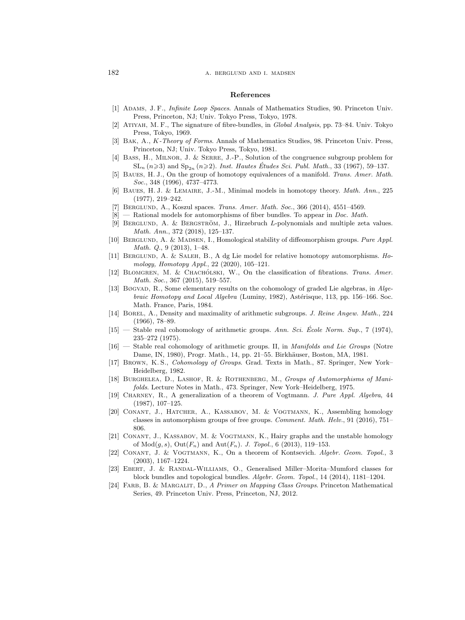### References

- [1] Adams, J. F., Infinite Loop Spaces. Annals of Mathematics Studies, 90. Princeton Univ. Press, Princeton, NJ; Univ. Tokyo Press, Tokyo, 1978.
- [2] ATIYAH, M. F., The signature of fibre-bundles, in *Global Analysis*, pp. 73–84. Univ. Tokyo Press, Tokyo, 1969.
- [3] BAK, A., K-Theory of Forms. Annals of Mathematics Studies, 98. Princeton Univ. Press, Princeton, NJ; Univ. Tokyo Press, Tokyo, 1981.
- <span id="page-115-1"></span>[4] Bass, H., Milnor, J. & Serre, J.-P., Solution of the congruence subgroup problem for  $SL_n$  ( $n \ge 3$ ) and  $Sp_{2n}$  ( $n \ge 2$ ). Inst. Hautes Études Sci. Publ. Math., 33 (1967), 59–137.
- [5] Baues, H. J., On the group of homotopy equivalences of a manifold. Trans. Amer. Math. Soc., 348 (1996), 4737–4773.
- [6] BAUES, H. J. & LEMAIRE, J.-M., Minimal models in homotopy theory. *Math. Ann.*, 225 (1977), 219–242.
- [7] BERGLUND, A., Koszul spaces. Trans. Amer. Math. Soc., 366 (2014), 4551–4569.
- $[8]$  Rational models for automorphisms of fiber bundles. To appear in *Doc. Math.*
- [9] BERGLUND, A. & BERGSTRÖM, J., Hirzebruch L-polynomials and multiple zeta values. Math. Ann., 372 (2018), 125–137.
- [10] BERGLUND, A. & MADSEN, I., Homological stability of diffeomorphism groups. Pure Appl. Math. Q., 9 (2013), 1–48.
- [11] Berglund, A. & Saleh, B., A dg Lie model for relative homotopy automorphisms. Homology, Homotopy Appl., 22 (2020), 105–121.
- [12] BLOMGREN, M. & CHACHÓLSKI, W., On the classification of fibrations. Trans. Amer. Math. Soc., 367 (2015), 519–557.
- [13] Bøgvad, R., Some elementary results on the cohomology of graded Lie algebras, in Algebraic Homotopy and Local Algebra (Luminy, 1982), Astérisque, 113, pp. 156–166. Soc. Math. France, Paris, 1984.
- [14] BOREL, A., Density and maximality of arithmetic subgroups. J. Reine Angew. Math., 224 (1966), 78–89.
- $[15]$  Stable real cohomology of arithmetic groups. Ann. Sci. Ecole Norm. Sup., 7 (1974), 235–272 (1975).
- [16] Stable real cohomology of arithmetic groups. II, in *Manifolds and Lie Groups* (Notre Dame, IN, 1980), Progr. Math., 14, pp. 21–55. Birkhäuser, Boston, MA, 1981.
- <span id="page-115-0"></span>[17] Brown, K. S., Cohomology of Groups. Grad. Texts in Math., 87. Springer, New York– Heidelberg, 1982.
- <span id="page-115-2"></span>[18] Burghelea, D., Lashof, R. & Rothenberg, M., Groups of Automorphisms of Manifolds. Lecture Notes in Math., 473. Springer, New York–Heidelberg, 1975.
- [19] Charney, R., A generalization of a theorem of Vogtmann. J. Pure Appl. Algebra, 44 (1987), 107–125.
- [20] Conant, J., Hatcher, A., Kassabov, M. & Vogtmann, K., Assembling homology classes in automorphism groups of free groups. Comment. Math. Helv., 91 (2016), 751– 806.
- [21] CONANT, J., KASSABOV, M. & VOGTMANN, K., Hairy graphs and the unstable homology of  $Mod(g, s)$ ,  $Out(F_n)$  and  $Aut(F_n)$ . *J. Topol.*, 6 (2013), 119–153.
- [22] Conant, J. & Vogtmann, K., On a theorem of Kontsevich. Algebr. Geom. Topol., 3 (2003), 1167–1224.
- [23] Ebert, J. & Randal-Williams, O., Generalised Miller–Morita–Mumford classes for block bundles and topological bundles. Algebr. Geom. Topol., 14 (2014), 1181–1204.
- [24] FARB, B. & MARGALIT, D., A Primer on Mapping Class Groups. Princeton Mathematical Series, 49. Princeton Univ. Press, Princeton, NJ, 2012.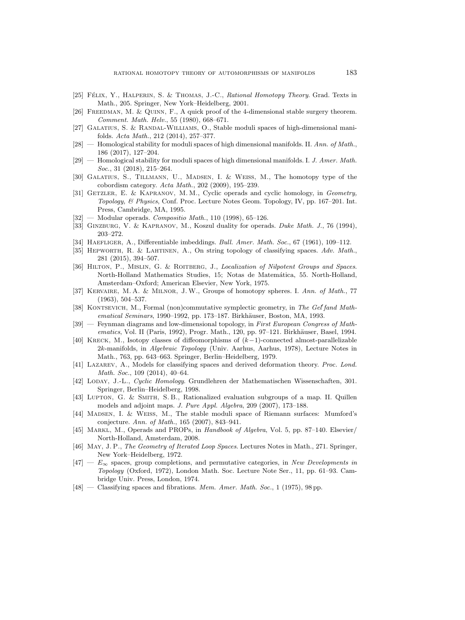- <span id="page-116-0"></span>[25] FÉLIX, Y., HALPERIN, S. & THOMAS, J.-C., Rational Homotopy Theory. Grad. Texts in Math., 205. Springer, New York–Heidelberg, 2001.
- [26] Freedman, M. & Quinn, F., A quick proof of the 4-dimensional stable surgery theorem. Comment. Math. Helv., 55 (1980), 668–671.
- [27] Galatius, S. & Randal-Williams, O., Stable moduli spaces of high-dimensional manifolds. Acta Math., 212 (2014), 257–377.
- $[28]$  Homological stability for moduli spaces of high dimensional manifolds. II. Ann. of Math., 186 (2017), 127–204.
- $[29]$  Homological stability for moduli spaces of high dimensional manifolds. I. J. Amer. Math. Soc., 31 (2018), 215–264.
- [30] Galatius, S., Tillmann, U., Madsen, I. & Weiss, M., The homotopy type of the cobordism category. Acta Math., 202 (2009), 195–239.
- [31] GETZLER, E. & KAPRANOV, M. M., Cyclic operads and cyclic homology, in Geometry, Topology, & Physics, Conf. Proc. Lecture Notes Geom. Topology, IV, pp. 167–201. Int. Press, Cambridge, MA, 1995.
- $[32]$  Modular operads. Compositio Math., 110 (1998), 65-126.
- [33] GINZBURG, V. & KAPRANOV, M., Koszul duality for operads. Duke Math. J., 76 (1994), 203–272.
- [34] HAEFLIGER, A., Differentiable imbeddings. Bull. Amer. Math. Soc., 67 (1961), 109–112.
- [35] Hepworth, R. & Lahtinen, A., On string topology of classifying spaces. Adv. Math., 281 (2015), 394–507.
- [36] HILTON, P., MISLIN, G. & ROITBERG, J., Localization of Nilpotent Groups and Spaces. North-Holland Mathematics Studies, 15; Notas de Matemática, 55. North-Holland, Amsterdam–Oxford; American Elsevier, New York, 1975.
- [37] Kervaire, M. A. & Milnor, J.W., Groups of homotopy spheres. I. Ann. of Math., 77 (1963), 504–537.
- [38] KONTSEVICH, M., Formal (non)commutative symplectic geometry, in The Gel'fand Mathematical Seminars, 1990–1992, pp. 173–187. Birkhäuser, Boston, MA, 1993.
- [39] Feynman diagrams and low-dimensional topology, in First European Congress of Mathematics, Vol. II (Paris, 1992), Progr. Math., 120, pp. 97–121. Birkhäuser, Basel, 1994.
- [40] KRECK, M., Isotopy classes of diffeomorphisms of  $(k-1)$ -connected almost-parallelizable 2k-manifolds, in Algebraic Topology (Univ. Aarhus, Aarhus, 1978), Lecture Notes in Math., 763, pp. 643–663. Springer, Berlin–Heidelberg, 1979.
- [41] Lazarev, A., Models for classifying spaces and derived deformation theory. Proc. Lond. Math. Soc., 109 (2014), 40–64.
- [42] Loday, J.-L., Cyclic Homology. Grundlehren der Mathematischen Wissenschaften, 301. Springer, Berlin–Heidelberg, 1998.
- [43] Lupton, G. & Smith, S. B., Rationalized evaluation subgroups of a map. II. Quillen models and adjoint maps. J. Pure Appl. Algebra, 209 (2007), 173–188.
- [44] Madsen, I. & Weiss, M., The stable moduli space of Riemann surfaces: Mumford's conjecture. Ann. of Math., 165 (2007), 843–941.
- [45] MARKL, M., Operads and PROPs, in Handbook of Algebra, Vol. 5, pp. 87–140. Elsevier/ North-Holland, Amsterdam, 2008.
- [46] May, J. P., The Geometry of Iterated Loop Spaces. Lectures Notes in Math., 271. Springer, New York–Heidelberg, 1972.
- $[47]$   $E_{\infty}$  spaces, group completions, and permutative categories, in New Developments in Topology (Oxford, 1972), London Math. Soc. Lecture Note Ser., 11, pp. 61–93. Cambridge Univ. Press, London, 1974.
- [48] Classifying spaces and fibrations. *Mem. Amer. Math. Soc.*, 1 (1975), 98 pp.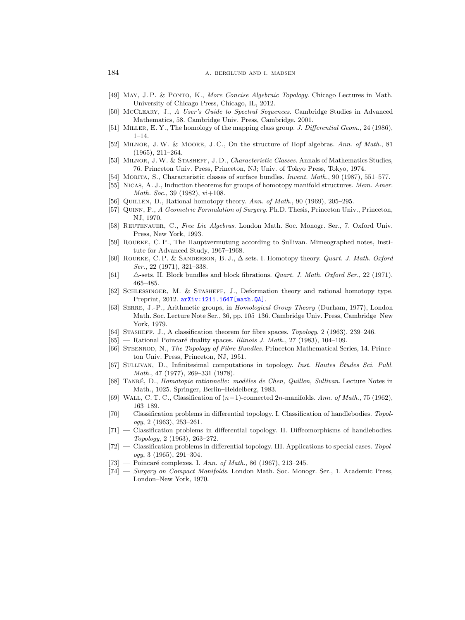- [49] May, J. P. & Ponto, K., More Concise Algebraic Topology. Chicago Lectures in Math. University of Chicago Press, Chicago, IL, 2012.
- [50] McCleary, J., A User's Guide to Spectral Sequences. Cambridge Studies in Advanced Mathematics, 58. Cambridge Univ. Press, Cambridge, 2001.
- [51] MILLER, E. Y., The homology of the mapping class group. J. Differential Geom., 24 (1986), 1–14.
- [52] MILNOR, J.W. & MOORE, J.C., On the structure of Hopf algebras. Ann. of Math., 81 (1965), 211–264.
- [53] MILNOR, J.W. & STASHEFF, J.D., Characteristic Classes. Annals of Mathematics Studies, 76. Princeton Univ. Press, Princeton, NJ; Univ. of Tokyo Press, Tokyo, 1974.
- [54] Morita, S., Characteristic classes of surface bundles. Invent. Math., 90 (1987), 551–577.
- [55] NICAS, A. J., Induction theorems for groups of homotopy manifold structures. Mem. Amer. Math. Soc., 39 (1982), vi+108.
- [56] QUILLEN, D., Rational homotopy theory. Ann. of Math., 90 (1969), 205–295.
- [57] QUINN, F., A Geometric Formulation of Surgery. Ph.D. Thesis, Princeton Univ., Princeton, NJ, 1970.
- [58] Reutenauer, C., Free Lie Algebras. London Math. Soc. Monogr. Ser., 7. Oxford Univ. Press, New York, 1993.
- [59] Rourke, C. P., The Hauptvermutung according to Sullivan. Mimeographed notes, Institute for Advanced Study, 1967–1968.
- [60] Rourke, C. P. & Sanderson, B. J., ∆-sets. I. Homotopy theory. Quart. J. Math. Oxford Ser., 22 (1971), 321–338.
- $[61]$   $\triangle$ -sets. II. Block bundles and block fibrations. *Quart. J. Math. Oxford Ser.*, 22 (1971), 465–485.
- [62] Schlessinger, M. & Stasheff, J., Deformation theory and rational homotopy type. Preprint, 2012. arXiv: 1211.1647 [math.QA].
- <span id="page-117-0"></span>[63] Serre, J.-P., Arithmetic groups, in Homological Group Theory (Durham, 1977), London Math. Soc. Lecture Note Ser., 36, pp. 105–136. Cambridge Univ. Press, Cambridge–New York, 1979.
- [64] Stasheff, J., A classification theorem for fibre spaces. Topology, 2 (1963), 239–246.
- $[65]$  Rational Poincaré duality spaces. Illinois J. Math., 27 (1983), 104–109.
- <span id="page-117-1"></span>[66] STEENROD, N., The Topology of Fibre Bundles. Princeton Mathematical Series, 14. Princeton Univ. Press, Princeton, NJ, 1951.
- [67] SULLIVAN, D., Infinitesimal computations in topology. Inst. Hautes Études Sci. Publ. Math., 47 (1977), 269–331 (1978).
- [68] TANRÉ, D., *Homotopie rationnelle: modèles de Chen, Quillen, Sullivan.* Lecture Notes in Math., 1025. Springer, Berlin–Heidelberg, 1983.
- [69] WALL, C. T. C., Classification of  $(n-1)$ -connected  $2n$ -manifolds. Ann. of Math., 75 (1962), 163–189.
- [70] Classification problems in differential topology. I. Classification of handlebodies. Topol $oqy$ , 2 (1963), 253-261.
- [71] Classification problems in differential topology. II. Diffeomorphisms of handlebodies. Topology, 2 (1963), 263–272.
- [72] Classification problems in differential topology. III. Applications to special cases. Topology, 3 (1965), 291–304.
- $[73]$  Poincaré complexes. I. Ann. of Math., 86 (1967), 213–245.
- [74] Surgery on Compact Manifolds. London Math. Soc. Monogr. Ser., 1. Academic Press, London–New York, 1970.